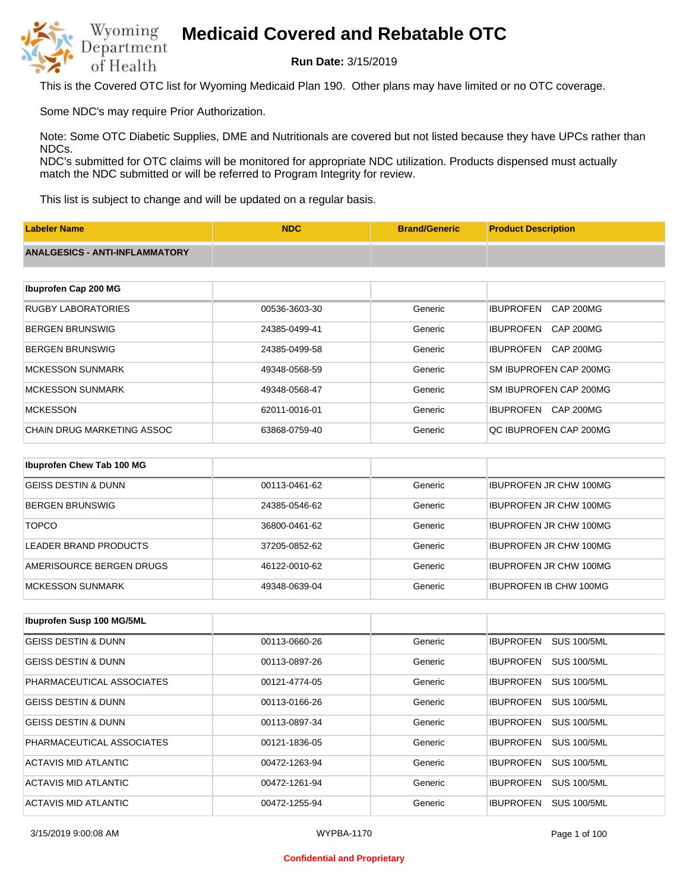

**Run Date:** 3/15/2019

This is the Covered OTC list for Wyoming Medicaid Plan 190. Other plans may have limited or no OTC coverage.

Some NDC's may require Prior Authorization.

Note: Some OTC Diabetic Supplies, DME and Nutritionals are covered but not listed because they have UPCs rather than NDCs.

NDC's submitted for OTC claims will be monitored for appropriate NDC utilization. Products dispensed must actually match the NDC submitted or will be referred to Program Integrity for review.

This list is subject to change and will be updated on a regular basis.

| <b>Labeler Name</b>                   | <b>NDC</b>    | <b>Brand/Generic</b> | <b>Product Description</b>           |
|---------------------------------------|---------------|----------------------|--------------------------------------|
| <b>ANALGESICS - ANTI-INFLAMMATORY</b> |               |                      |                                      |
|                                       |               |                      |                                      |
| Ibuprofen Cap 200 MG                  |               |                      |                                      |
| <b>RUGBY LABORATORIES</b>             | 00536-3603-30 | Generic              | <b>IBUPROFEN</b><br><b>CAP 200MG</b> |
| <b>BERGEN BRUNSWIG</b>                | 24385-0499-41 | Generic              | <b>IBUPROFEN</b><br><b>CAP 200MG</b> |
| <b>BERGEN BRUNSWIG</b>                | 24385-0499-58 | Generic              | <b>IBUPROFEN</b><br><b>CAP 200MG</b> |
| <b>MCKESSON SUNMARK</b>               | 49348-0568-59 | Generic              | SM IBUPROFEN CAP 200MG               |
| <b>MCKESSON SUNMARK</b>               | 49348-0568-47 | Generic              | SM IBUPROFEN CAP 200MG               |
| <b>MCKESSON</b>                       | 62011-0016-01 | Generic              | <b>IBUPROFEN</b><br>CAP 200MG        |
| <b>CHAIN DRUG MARKETING ASSOC</b>     | 63868-0759-40 | Generic              | QC IBUPROFEN CAP 200MG               |
|                                       |               |                      |                                      |
| Ibuprofen Chew Tab 100 MG             |               |                      |                                      |
| <b>GEISS DESTIN &amp; DUNN</b>        | 00113-0461-62 | Generic              | <b>IBUPROFEN JR CHW 100MG</b>        |
| <b>BERGEN BRUNSWIG</b>                | 24385-0546-62 | Generic              | <b>IBUPROFEN JR CHW 100MG</b>        |

| <b>TOPCO</b>             | 36800-0461-62 | Generic | <b>IBUPROFEN JR CHW 100MG</b> |
|--------------------------|---------------|---------|-------------------------------|
| LEADER BRAND PRODUCTS    | 37205-0852-62 | Generic | <b>IBUPROFEN JR CHW 100MG</b> |
| AMERISOURCE BERGEN DRUGS | 46122-0010-62 | Generic | <b>IBUPROFEN JR CHW 100MG</b> |
| IMCKESSON SUNMARK        | 49348-0639-04 | Generic | <b>IBUPROFEN IB CHW 100MG</b> |

| Ibuprofen Susp 100 MG/5ML      |               |         |                                        |
|--------------------------------|---------------|---------|----------------------------------------|
| GEISS DESTIN & DUNN            | 00113-0660-26 | Generic | <b>IBUPROFEN</b><br><b>SUS 100/5ML</b> |
| <b>GEISS DESTIN &amp; DUNN</b> | 00113-0897-26 | Generic | <b>SUS 100/5ML</b><br><b>IBUPROFEN</b> |
| PHARMACEUTICAL ASSOCIATES      | 00121-4774-05 | Generic | <b>SUS 100/5ML</b><br><b>IBUPROFEN</b> |
| <b>GEISS DESTIN &amp; DUNN</b> | 00113-0166-26 | Generic | <b>SUS 100/5ML</b><br><b>IBUPROFEN</b> |
| <b>GEISS DESTIN &amp; DUNN</b> | 00113-0897-34 | Generic | <b>IBUPROFEN</b><br><b>SUS 100/5ML</b> |
| PHARMACEUTICAL ASSOCIATES      | 00121-1836-05 | Generic | <b>IBUPROFEN</b><br><b>SUS 100/5ML</b> |
| ACTAVIS MID ATLANTIC           | 00472-1263-94 | Generic | <b>SUS 100/5ML</b><br><b>IBUPROFEN</b> |
| ACTAVIS MID ATLANTIC           | 00472-1261-94 | Generic | <b>SUS 100/5ML</b><br><b>IBUPROFEN</b> |
| ACTAVIS MID ATLANTIC           | 00472-1255-94 | Generic | <b>IBUPROFEN</b><br><b>SUS 100/5ML</b> |

3/15/2019 9:00:08 AM WYPBA-1170 Page 1 of 100

#### **Confidential and Proprietary**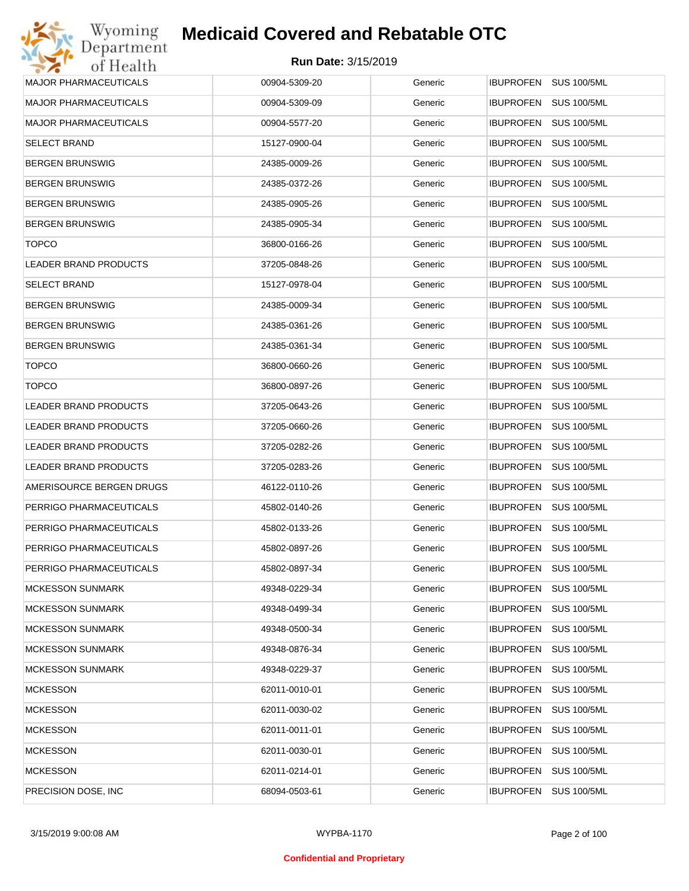| Wyoming                  | <b>Medicaid Covered and Rebatable OTC</b> |         |                                        |
|--------------------------|-------------------------------------------|---------|----------------------------------------|
| Department<br>of Health  | Run Date: 3/15/2019                       |         |                                        |
| MAJOR PHARMACEUTICALS    | 00904-5309-20                             | Generic | IBUPROFEN SUS 100/5ML                  |
| MAJOR PHARMACEUTICALS    | 00904-5309-09                             | Generic | <b>IBUPROFEN</b><br><b>SUS 100/5ML</b> |
| MAJOR PHARMACEUTICALS    | 00904-5577-20                             | Generic | <b>SUS 100/5ML</b><br><b>IBUPROFEN</b> |
| <b>SELECT BRAND</b>      | 15127-0900-04                             | Generic | <b>IBUPROFEN</b><br><b>SUS 100/5ML</b> |
| BERGEN BRUNSWIG          | 24385-0009-26                             | Generic | <b>IBUPROFEN</b><br><b>SUS 100/5ML</b> |
| BERGEN BRUNSWIG          | 24385-0372-26                             | Generic | <b>IBUPROFEN</b><br><b>SUS 100/5ML</b> |
| BERGEN BRUNSWIG          | 24385-0905-26                             | Generic | <b>IBUPROFEN</b><br><b>SUS 100/5ML</b> |
| BERGEN BRUNSWIG          | 24385-0905-34                             | Generic | <b>IBUPROFEN</b><br><b>SUS 100/5ML</b> |
| <b>TOPCO</b>             | 36800-0166-26                             | Generic | <b>IBUPROFEN</b><br><b>SUS 100/5ML</b> |
| LEADER BRAND PRODUCTS    | 37205-0848-26                             | Generic | <b>IBUPROFEN</b><br><b>SUS 100/5ML</b> |
| SELECT BRAND             | 15127-0978-04                             | Generic | <b>IBUPROFEN</b><br><b>SUS 100/5ML</b> |
| BERGEN BRUNSWIG          | 24385-0009-34                             | Generic | <b>IBUPROFEN</b><br><b>SUS 100/5ML</b> |
| BERGEN BRUNSWIG          | 24385-0361-26                             | Generic | <b>IBUPROFEN</b><br><b>SUS 100/5ML</b> |
| BERGEN BRUNSWIG          | 24385-0361-34                             | Generic | <b>IBUPROFEN</b><br><b>SUS 100/5ML</b> |
| <b>TOPCO</b>             | 36800-0660-26                             | Generic | <b>IBUPROFEN</b><br><b>SUS 100/5ML</b> |
| <b>TOPCO</b>             | 36800-0897-26                             | Generic | <b>IBUPROFEN</b><br><b>SUS 100/5ML</b> |
| LEADER BRAND PRODUCTS    | 37205-0643-26                             | Generic | <b>IBUPROFEN</b><br><b>SUS 100/5ML</b> |
| LEADER BRAND PRODUCTS    | 37205-0660-26                             | Generic | <b>IBUPROFEN</b><br><b>SUS 100/5ML</b> |
| LEADER BRAND PRODUCTS    | 37205-0282-26                             | Generic | <b>IBUPROFEN</b><br><b>SUS 100/5ML</b> |
| LEADER BRAND PRODUCTS    | 37205-0283-26                             | Generic | <b>IBUPROFEN</b><br><b>SUS 100/5ML</b> |
| AMERISOURCE BERGEN DRUGS | 46122-0110-26                             | Generic | <b>SUS 100/5ML</b><br><b>IBUPROFEN</b> |
| PERRIGO PHARMACEUTICALS  | 45802-0140-26                             | Generic | IBUPROFEN SUS 100/5ML                  |
| PERRIGO PHARMACEUTICALS  | 45802-0133-26                             | Generic | IBUPROFEN SUS 100/5ML                  |
| PERRIGO PHARMACEUTICALS  | 45802-0897-26                             | Generic | <b>IBUPROFEN</b><br><b>SUS 100/5ML</b> |
| PERRIGO PHARMACEUTICALS  | 45802-0897-34                             | Generic | <b>IBUPROFEN</b><br><b>SUS 100/5ML</b> |
| MCKESSON SUNMARK         | 49348-0229-34                             | Generic | <b>IBUPROFEN</b><br><b>SUS 100/5ML</b> |
| MCKESSON SUNMARK         | 49348-0499-34                             | Generic | <b>IBUPROFEN</b><br><b>SUS 100/5ML</b> |
| MCKESSON SUNMARK         | 49348-0500-34                             | Generic | <b>IBUPROFEN</b><br><b>SUS 100/5ML</b> |
| MCKESSON SUNMARK         | 49348-0876-34                             | Generic | <b>IBUPROFEN</b><br><b>SUS 100/5ML</b> |
| MCKESSON SUNMARK         | 49348-0229-37                             | Generic | <b>IBUPROFEN</b><br><b>SUS 100/5ML</b> |
| <b>MCKESSON</b>          | 62011-0010-01                             | Generic | <b>IBUPROFEN</b><br><b>SUS 100/5ML</b> |
| <b>MCKESSON</b>          | 62011-0030-02                             | Generic | <b>IBUPROFEN</b><br><b>SUS 100/5ML</b> |
| <b>MCKESSON</b>          | 62011-0011-01                             | Generic | <b>IBUPROFEN</b><br><b>SUS 100/5ML</b> |
| <b>MCKESSON</b>          | 62011-0030-01                             | Generic | <b>IBUPROFEN</b><br><b>SUS 100/5ML</b> |
| MCKESSON                 | 62011-0214-01                             | Generic | <b>SUS 100/5ML</b><br><b>IBUPROFEN</b> |
| PRECISION DOSE, INC      | 68094-0503-61                             | Generic | <b>SUS 100/5ML</b><br>IBUPROFEN        |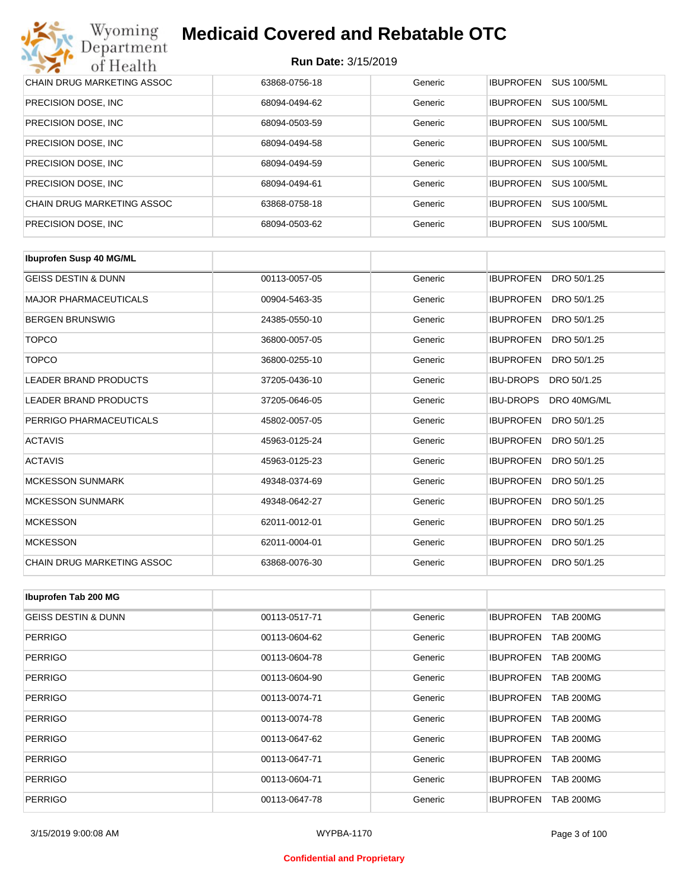| Wyoming<br>Department             | <b>Medicaid Covered and Rebatable OTC</b> |         |                  |                    |  |  |
|-----------------------------------|-------------------------------------------|---------|------------------|--------------------|--|--|
| of Health                         | <b>Run Date: 3/15/2019</b>                |         |                  |                    |  |  |
| <b>CHAIN DRUG MARKETING ASSOC</b> | 63868-0756-18                             | Generic | <b>IBUPROFEN</b> | <b>SUS 100/5ML</b> |  |  |
| PRECISION DOSE, INC.              | 68094-0494-62                             | Generic | <b>IBUPROFEN</b> | <b>SUS 100/5ML</b> |  |  |
| PRECISION DOSE, INC.              | 68094-0503-59                             | Generic | <b>IBUPROFEN</b> | <b>SUS 100/5ML</b> |  |  |
| PRECISION DOSE, INC.              | 68094-0494-58                             | Generic | <b>IBUPROFEN</b> | <b>SUS 100/5ML</b> |  |  |
| PRECISION DOSE, INC.              | 68094-0494-59                             | Generic | <b>IBUPROFEN</b> | <b>SUS 100/5ML</b> |  |  |
| PRECISION DOSE, INC.              | 68094-0494-61                             | Generic | <b>IBUPROFEN</b> | <b>SUS 100/5ML</b> |  |  |
| CHAIN DRUG MARKETING ASSOC        | 63868-0758-18                             | Generic | <b>IBUPROFEN</b> | <b>SUS 100/5ML</b> |  |  |
| PRECISION DOSE, INC.              | 68094-0503-62                             | Generic | <b>IBUPROFEN</b> | <b>SUS 100/5ML</b> |  |  |

| <b>Ibuprofen Susp 40 MG/ML</b> |               |         |                                 |
|--------------------------------|---------------|---------|---------------------------------|
| <b>GEISS DESTIN &amp; DUNN</b> | 00113-0057-05 | Generic | <b>IBUPROFEN</b><br>DRO 50/1.25 |
| <b>MAJOR PHARMACEUTICALS</b>   | 00904-5463-35 | Generic | <b>IBUPROFEN</b><br>DRO 50/1.25 |
| <b>BERGEN BRUNSWIG</b>         | 24385-0550-10 | Generic | <b>IBUPROFEN</b><br>DRO 50/1.25 |
| <b>TOPCO</b>                   | 36800-0057-05 | Generic | <b>IBUPROFEN</b><br>DRO 50/1.25 |
| <b>TOPCO</b>                   | 36800-0255-10 | Generic | <b>IBUPROFEN</b><br>DRO 50/1.25 |
| <b>LEADER BRAND PRODUCTS</b>   | 37205-0436-10 | Generic | <b>IBU-DROPS</b><br>DRO 50/1.25 |
| LEADER BRAND PRODUCTS          | 37205-0646-05 | Generic | <b>IBU-DROPS</b><br>DRO 40MG/ML |
| PERRIGO PHARMACEUTICALS        | 45802-0057-05 | Generic | <b>IBUPROFEN</b><br>DRO 50/1.25 |
| <b>ACTAVIS</b>                 | 45963-0125-24 | Generic | <b>IBUPROFEN</b><br>DRO 50/1.25 |
| <b>ACTAVIS</b>                 | 45963-0125-23 | Generic | <b>IBUPROFEN</b><br>DRO 50/1.25 |
| <b>MCKESSON SUNMARK</b>        | 49348-0374-69 | Generic | <b>IBUPROFEN</b><br>DRO 50/1.25 |
| <b>MCKESSON SUNMARK</b>        | 49348-0642-27 | Generic | <b>IBUPROFEN</b><br>DRO 50/1.25 |
| <b>MCKESSON</b>                | 62011-0012-01 | Generic | <b>IBUPROFEN</b><br>DRO 50/1.25 |
| <b>MCKESSON</b>                | 62011-0004-01 | Generic | <b>IBUPROFEN</b><br>DRO 50/1.25 |
| CHAIN DRUG MARKETING ASSOC     | 63868-0076-30 | Generic | <b>IBUPROFEN</b><br>DRO 50/1.25 |

| Ibuprofen Tab 200 MG           |               |         |                                      |
|--------------------------------|---------------|---------|--------------------------------------|
| <b>GEISS DESTIN &amp; DUNN</b> | 00113-0517-71 | Generic | <b>IBUPROFEN</b><br><b>TAB 200MG</b> |
| <b>PERRIGO</b>                 | 00113-0604-62 | Generic | <b>IBUPROFEN</b><br><b>TAB 200MG</b> |
| <b>PERRIGO</b>                 | 00113-0604-78 | Generic | <b>IBUPROFEN</b><br><b>TAB 200MG</b> |
| <b>PERRIGO</b>                 | 00113-0604-90 | Generic | <b>TAB 200MG</b><br><b>IBUPROFEN</b> |
| <b>PERRIGO</b>                 | 00113-0074-71 | Generic | <b>IBUPROFEN</b><br><b>TAB 200MG</b> |
| <b>PERRIGO</b>                 | 00113-0074-78 | Generic | <b>TAB 200MG</b><br><b>IBUPROFEN</b> |
| <b>PERRIGO</b>                 | 00113-0647-62 | Generic | <b>IBUPROFEN</b><br><b>TAB 200MG</b> |
| <b>PERRIGO</b>                 | 00113-0647-71 | Generic | <b>IBUPROFEN</b><br><b>TAB 200MG</b> |
| <b>PERRIGO</b>                 | 00113-0604-71 | Generic | <b>IBUPROFEN</b><br><b>TAB 200MG</b> |
| <b>PERRIGO</b>                 | 00113-0647-78 | Generic | <b>IBUPROFEN</b><br><b>TAB 200MG</b> |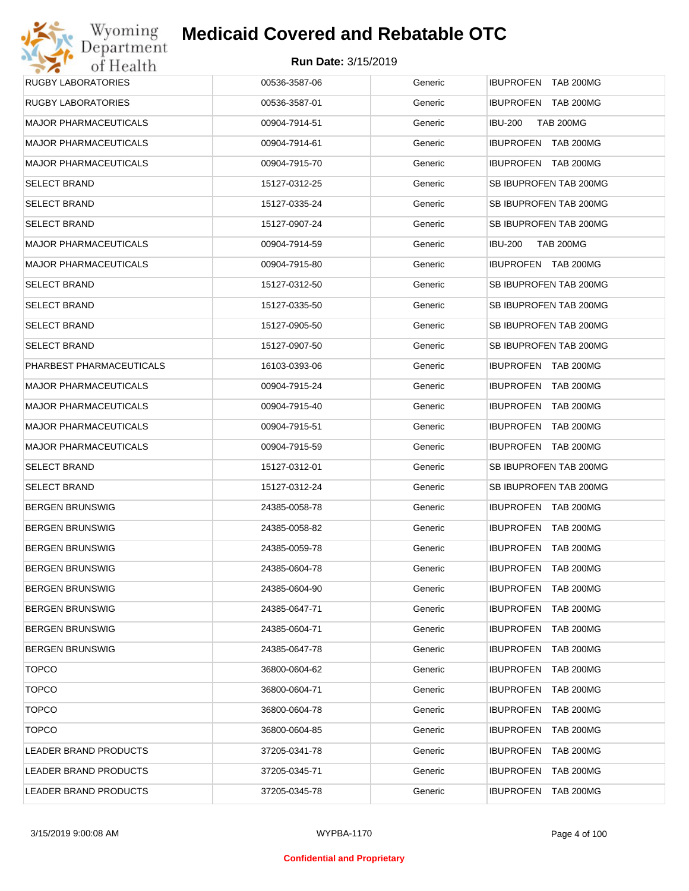| Wyoming                      | <b>Medicaid Covered and Rebatable OTC</b> |         |                                      |
|------------------------------|-------------------------------------------|---------|--------------------------------------|
| Department<br>of Health      | <b>Run Date: 3/15/2019</b>                |         |                                      |
| <b>RUGBY LABORATORIES</b>    | 00536-3587-06                             | Generic | IBUPROFEN TAB 200MG                  |
| <b>RUGBY LABORATORIES</b>    | 00536-3587-01                             | Generic | IBUPROFEN TAB 200MG                  |
| <b>MAJOR PHARMACEUTICALS</b> | 00904-7914-51                             | Generic | <b>IBU-200</b><br><b>TAB 200MG</b>   |
| <b>MAJOR PHARMACEUTICALS</b> | 00904-7914-61                             | Generic | IBUPROFEN TAB 200MG                  |
| <b>MAJOR PHARMACEUTICALS</b> | 00904-7915-70                             | Generic | IBUPROFEN TAB 200MG                  |
| <b>SELECT BRAND</b>          | 15127-0312-25                             | Generic | SB IBUPROFEN TAB 200MG               |
| <b>SELECT BRAND</b>          | 15127-0335-24                             | Generic | SB IBUPROFEN TAB 200MG               |
| <b>SELECT BRAND</b>          | 15127-0907-24                             | Generic | SB IBUPROFEN TAB 200MG               |
| <b>MAJOR PHARMACEUTICALS</b> | 00904-7914-59                             | Generic | <b>IBU-200</b><br><b>TAB 200MG</b>   |
| <b>MAJOR PHARMACEUTICALS</b> | 00904-7915-80                             | Generic | IBUPROFEN TAB 200MG                  |
| <b>SELECT BRAND</b>          | 15127-0312-50                             | Generic | SB IBUPROFEN TAB 200MG               |
| <b>SELECT BRAND</b>          | 15127-0335-50                             | Generic | SB IBUPROFEN TAB 200MG               |
| <b>SELECT BRAND</b>          | 15127-0905-50                             | Generic | SB IBUPROFEN TAB 200MG               |
| <b>SELECT BRAND</b>          | 15127-0907-50                             | Generic | SB IBUPROFEN TAB 200MG               |
| PHARBEST PHARMACEUTICALS     | 16103-0393-06                             | Generic | IBUPROFEN TAB 200MG                  |
| <b>MAJOR PHARMACEUTICALS</b> | 00904-7915-24                             | Generic | IBUPROFEN TAB 200MG                  |
| <b>MAJOR PHARMACEUTICALS</b> | 00904-7915-40                             | Generic | <b>IBUPROFEN</b><br>TAB 200MG        |
| <b>MAJOR PHARMACEUTICALS</b> | 00904-7915-51                             | Generic | <b>IBUPROFEN</b><br>TAB 200MG        |
| <b>MAJOR PHARMACEUTICALS</b> | 00904-7915-59                             | Generic | IBUPROFEN TAB 200MG                  |
| <b>SELECT BRAND</b>          | 15127-0312-01                             | Generic | SB IBUPROFEN TAB 200MG               |
| <b>SELECT BRAND</b>          | 15127-0312-24                             | Generic | SB IBUPROFEN TAB 200MG               |
| <b>BERGEN BRUNSWIG</b>       | 24385-0058-78                             | Generic | IBUPROFEN TAB 200MG                  |
| <b>BERGEN BRUNSWIG</b>       | 24385-0058-82                             | Generic | IBUPROFEN TAB 200MG                  |
| <b>BERGEN BRUNSWIG</b>       | 24385-0059-78                             | Generic | IBUPROFEN TAB 200MG                  |
| <b>BERGEN BRUNSWIG</b>       | 24385-0604-78                             | Generic | <b>IBUPROFEN</b><br><b>TAB 200MG</b> |
| <b>BERGEN BRUNSWIG</b>       | 24385-0604-90                             | Generic | <b>IBUPROFEN</b><br>TAB 200MG        |
| <b>BERGEN BRUNSWIG</b>       | 24385-0647-71                             | Generic | <b>IBUPROFEN</b><br>TAB 200MG        |
| <b>BERGEN BRUNSWIG</b>       | 24385-0604-71                             | Generic | <b>IBUPROFEN</b><br><b>TAB 200MG</b> |
| <b>BERGEN BRUNSWIG</b>       | 24385-0647-78                             | Generic | <b>IBUPROFEN</b><br>TAB 200MG        |
| <b>TOPCO</b>                 | 36800-0604-62                             | Generic | <b>IBUPROFEN</b><br>TAB 200MG        |
| <b>TOPCO</b>                 | 36800-0604-71                             | Generic | <b>IBUPROFEN</b><br>TAB 200MG        |
| <b>TOPCO</b>                 | 36800-0604-78                             | Generic | <b>IBUPROFEN</b><br>TAB 200MG        |
| <b>TOPCO</b>                 | 36800-0604-85                             | Generic | <b>IBUPROFEN</b><br>TAB 200MG        |
| LEADER BRAND PRODUCTS        | 37205-0341-78                             | Generic | <b>IBUPROFEN</b><br>TAB 200MG        |
| LEADER BRAND PRODUCTS        | 37205-0345-71                             | Generic | <b>IBUPROFEN</b><br>TAB 200MG        |
| LEADER BRAND PRODUCTS        | 37205-0345-78                             | Generic | <b>IBUPROFEN</b><br><b>TAB 200MG</b> |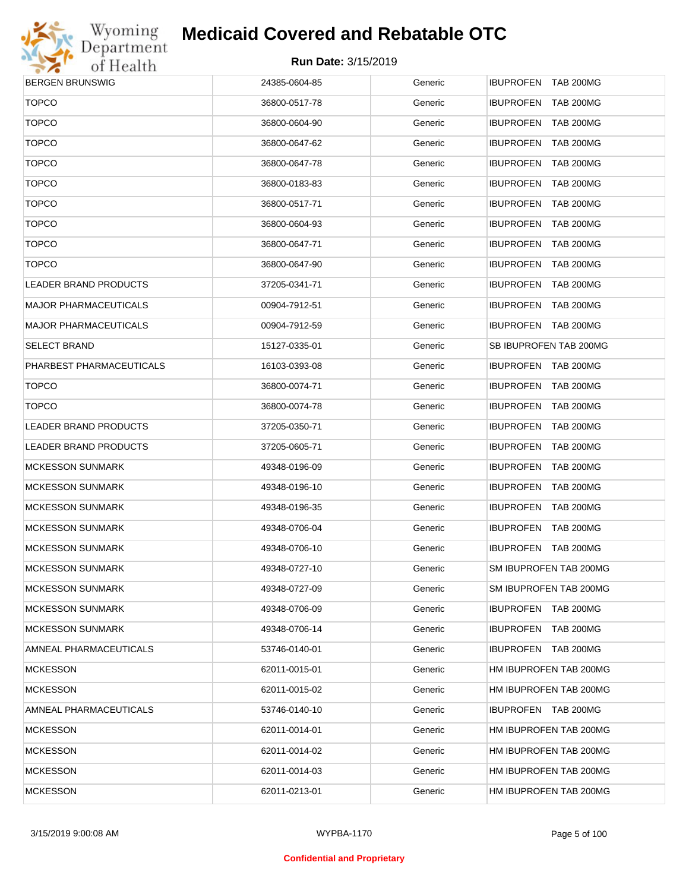

| <b>BERGEN BRUNSWIG</b>       | 24385-0604-85 | Generic | IBUPROFEN TAB 200MG    |
|------------------------------|---------------|---------|------------------------|
| <b>TOPCO</b>                 | 36800-0517-78 | Generic | IBUPROFEN TAB 200MG    |
| <b>TOPCO</b>                 | 36800-0604-90 | Generic | IBUPROFEN TAB 200MG    |
| <b>TOPCO</b>                 | 36800-0647-62 | Generic | IBUPROFEN TAB 200MG    |
| <b>TOPCO</b>                 | 36800-0647-78 | Generic | IBUPROFEN TAB 200MG    |
| <b>TOPCO</b>                 | 36800-0183-83 | Generic | IBUPROFEN TAB 200MG    |
| <b>TOPCO</b>                 | 36800-0517-71 | Generic | IBUPROFEN TAB 200MG    |
| <b>TOPCO</b>                 | 36800-0604-93 | Generic | IBUPROFEN TAB 200MG    |
| <b>TOPCO</b>                 | 36800-0647-71 | Generic | IBUPROFEN TAB 200MG    |
| <b>TOPCO</b>                 | 36800-0647-90 | Generic | IBUPROFEN TAB 200MG    |
| LEADER BRAND PRODUCTS        | 37205-0341-71 | Generic | IBUPROFEN TAB 200MG    |
| MAJOR PHARMACEUTICALS        | 00904-7912-51 | Generic | IBUPROFEN TAB 200MG    |
| MAJOR PHARMACEUTICALS        | 00904-7912-59 | Generic | IBUPROFEN TAB 200MG    |
| <b>SELECT BRAND</b>          | 15127-0335-01 | Generic | SB IBUPROFEN TAB 200MG |
| PHARBEST PHARMACEUTICALS     | 16103-0393-08 | Generic | IBUPROFEN TAB 200MG    |
| <b>TOPCO</b>                 | 36800-0074-71 | Generic | IBUPROFEN TAB 200MG    |
| <b>TOPCO</b>                 | 36800-0074-78 | Generic | IBUPROFEN TAB 200MG    |
| <b>LEADER BRAND PRODUCTS</b> | 37205-0350-71 | Generic | IBUPROFEN TAB 200MG    |
| LEADER BRAND PRODUCTS        | 37205-0605-71 | Generic | IBUPROFEN TAB 200MG    |
| <b>MCKESSON SUNMARK</b>      | 49348-0196-09 | Generic | IBUPROFEN TAB 200MG    |
| <b>MCKESSON SUNMARK</b>      | 49348-0196-10 | Generic | IBUPROFEN TAB 200MG    |
| <b>MCKESSON SUNMARK</b>      | 49348-0196-35 | Generic | IBUPROFEN TAB 200MG    |
| <b>MCKESSON SUNMARK</b>      | 49348-0706-04 | Generic | IBUPROFEN TAB 200MG    |
| <b>MCKESSON SUNMARK</b>      | 49348-0706-10 | Generic | IBUPROFEN TAB 200MG    |
| <b>MCKESSON SUNMARK</b>      | 49348-0727-10 | Generic | SM IBUPROFEN TAB 200MG |
| MCKESSON SUNMARK             | 49348-0727-09 | Generic | SM IBUPROFEN TAB 200MG |
| MCKESSON SUNMARK             | 49348-0706-09 | Generic | IBUPROFEN TAB 200MG    |
| MCKESSON SUNMARK             | 49348-0706-14 | Generic | IBUPROFEN TAB 200MG    |
| AMNEAL PHARMACEUTICALS       | 53746-0140-01 | Generic | IBUPROFEN TAB 200MG    |
| MCKESSON                     | 62011-0015-01 | Generic | HM IBUPROFEN TAB 200MG |
| MCKESSON                     | 62011-0015-02 | Generic | HM IBUPROFEN TAB 200MG |
| AMNEAL PHARMACEUTICALS       | 53746-0140-10 | Generic | IBUPROFEN TAB 200MG    |
| <b>MCKESSON</b>              | 62011-0014-01 | Generic | HM IBUPROFEN TAB 200MG |
| <b>MCKESSON</b>              | 62011-0014-02 | Generic | HM IBUPROFEN TAB 200MG |
| MCKESSON                     | 62011-0014-03 | Generic | HM IBUPROFEN TAB 200MG |
| <b>MCKESSON</b>              | 62011-0213-01 | Generic | HM IBUPROFEN TAB 200MG |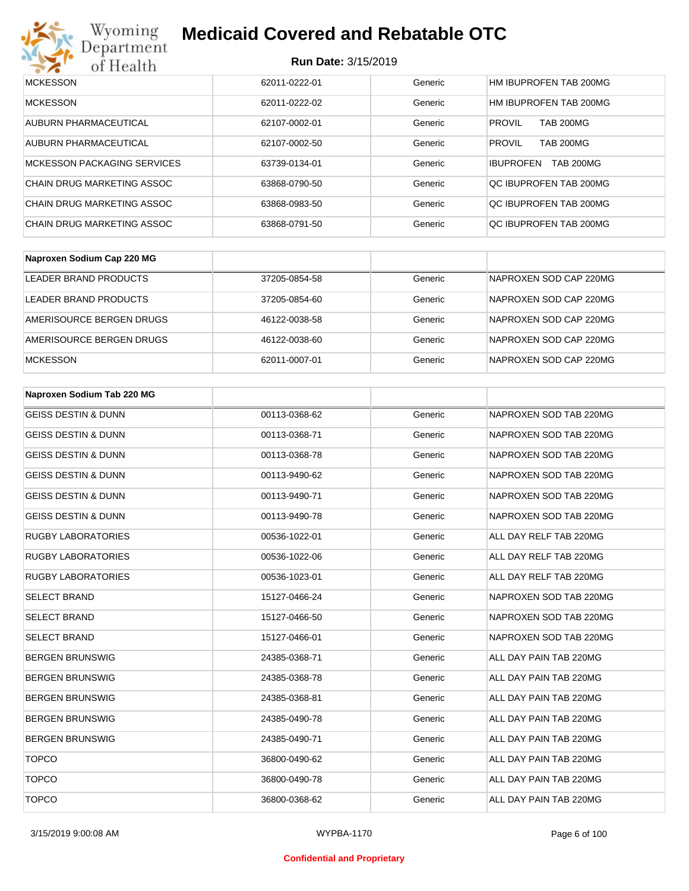

# Wyoming<br>Department<br>of Health

## **Medicaid Covered and Rebatable OTC**

| <b>MCKESSON</b>             | 62011-0222-01 | Generic | HM IBUPROFEN TAB 200MG               |
|-----------------------------|---------------|---------|--------------------------------------|
| <b>MCKESSON</b>             | 62011-0222-02 | Generic | HM IBUPROFEN TAB 200MG               |
| AUBURN PHARMACEUTICAL       | 62107-0002-01 | Generic | <b>TAB 200MG</b><br><b>PROVIL</b>    |
| AUBURN PHARMACEUTICAL       | 62107-0002-50 | Generic | <b>TAB 200MG</b><br><b>PROVIL</b>    |
| MCKESSON PACKAGING SERVICES | 63739-0134-01 | Generic | <b>TAB 200MG</b><br><b>IBUPROFEN</b> |
| CHAIN DRUG MARKETING ASSOC  | 63868-0790-50 | Generic | QC IBUPROFEN TAB 200MG               |
| CHAIN DRUG MARKETING ASSOC  | 63868-0983-50 | Generic | OC IBUPROFEN TAB 200MG               |
| CHAIN DRUG MARKETING ASSOC  | 63868-0791-50 | Generic | OC IBUPROFEN TAB 200MG               |

| Naproxen Sodium Cap 220 MG |               |         |                        |
|----------------------------|---------------|---------|------------------------|
| LEADER BRAND PRODUCTS      | 37205-0854-58 | Generic | NAPROXEN SOD CAP 220MG |
| LEADER BRAND PRODUCTS      | 37205-0854-60 | Generic | NAPROXEN SOD CAP 220MG |
| AMERISOURCE BERGEN DRUGS   | 46122-0038-58 | Generic | NAPROXEN SOD CAP 220MG |
| AMERISOURCE BERGEN DRUGS   | 46122-0038-60 | Generic | NAPROXEN SOD CAP 220MG |
| <b>MCKESSON</b>            | 62011-0007-01 | Generic | NAPROXEN SOD CAP 220MG |

| Naproxen Sodium Tab 220 MG     |               |         |                        |
|--------------------------------|---------------|---------|------------------------|
| <b>GEISS DESTIN &amp; DUNN</b> | 00113-0368-62 | Generic | NAPROXEN SOD TAB 220MG |
| <b>GEISS DESTIN &amp; DUNN</b> | 00113-0368-71 | Generic | NAPROXEN SOD TAB 220MG |
| <b>GEISS DESTIN &amp; DUNN</b> | 00113-0368-78 | Generic | NAPROXEN SOD TAB 220MG |
| <b>GEISS DESTIN &amp; DUNN</b> | 00113-9490-62 | Generic | NAPROXEN SOD TAB 220MG |
| <b>GEISS DESTIN &amp; DUNN</b> | 00113-9490-71 | Generic | NAPROXEN SOD TAB 220MG |
| <b>GEISS DESTIN &amp; DUNN</b> | 00113-9490-78 | Generic | NAPROXEN SOD TAB 220MG |
| <b>RUGBY LABORATORIES</b>      | 00536-1022-01 | Generic | ALL DAY RELF TAB 220MG |
| <b>RUGBY LABORATORIES</b>      | 00536-1022-06 | Generic | ALL DAY RELF TAB 220MG |
| <b>RUGBY LABORATORIES</b>      | 00536-1023-01 | Generic | ALL DAY RELF TAB 220MG |
| <b>SELECT BRAND</b>            | 15127-0466-24 | Generic | NAPROXEN SOD TAB 220MG |
| <b>SELECT BRAND</b>            | 15127-0466-50 | Generic | NAPROXEN SOD TAB 220MG |
| <b>SELECT BRAND</b>            | 15127-0466-01 | Generic | NAPROXEN SOD TAB 220MG |
| <b>BERGEN BRUNSWIG</b>         | 24385-0368-71 | Generic | ALL DAY PAIN TAB 220MG |
| <b>BERGEN BRUNSWIG</b>         | 24385-0368-78 | Generic | ALL DAY PAIN TAB 220MG |
| <b>BERGEN BRUNSWIG</b>         | 24385-0368-81 | Generic | ALL DAY PAIN TAB 220MG |
| <b>BERGEN BRUNSWIG</b>         | 24385-0490-78 | Generic | ALL DAY PAIN TAB 220MG |
| <b>BERGEN BRUNSWIG</b>         | 24385-0490-71 | Generic | ALL DAY PAIN TAB 220MG |
| <b>TOPCO</b>                   | 36800-0490-62 | Generic | ALL DAY PAIN TAB 220MG |
| <b>TOPCO</b>                   | 36800-0490-78 | Generic | ALL DAY PAIN TAB 220MG |
| <b>TOPCO</b>                   | 36800-0368-62 | Generic | ALL DAY PAIN TAB 220MG |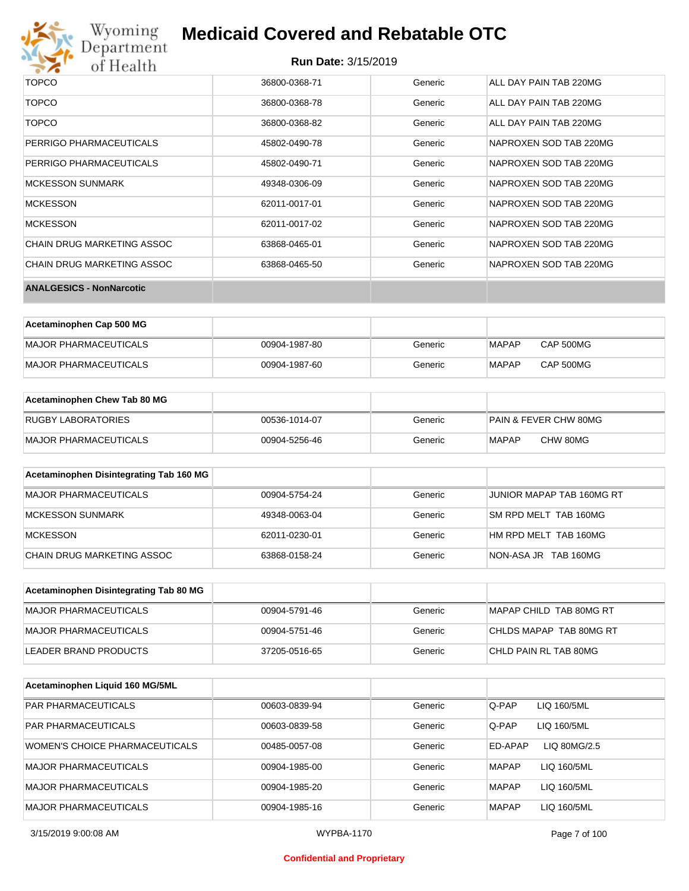

# Wyoming<br>Department<br>of Health

## **Medicaid Covered and Rebatable OTC**

| <b>TOPCO</b>                      | 36800-0368-71 | Generic | ALL DAY PAIN TAB 220MG |
|-----------------------------------|---------------|---------|------------------------|
| <b>TOPCO</b>                      | 36800-0368-78 | Generic | ALL DAY PAIN TAB 220MG |
| <b>TOPCO</b>                      | 36800-0368-82 | Generic | ALL DAY PAIN TAB 220MG |
| PERRIGO PHARMACEUTICALS           | 45802-0490-78 | Generic | NAPROXEN SOD TAB 220MG |
| PERRIGO PHARMACEUTICALS           | 45802-0490-71 | Generic | NAPROXEN SOD TAB 220MG |
| <b>MCKESSON SUNMARK</b>           | 49348-0306-09 | Generic | NAPROXEN SOD TAB 220MG |
| MCKESSON                          | 62011-0017-01 | Generic | NAPROXEN SOD TAB 220MG |
| <b>MCKESSON</b>                   | 62011-0017-02 | Generic | NAPROXEN SOD TAB 220MG |
| <b>CHAIN DRUG MARKETING ASSOC</b> | 63868-0465-01 | Generic | NAPROXEN SOD TAB 220MG |
| <b>CHAIN DRUG MARKETING ASSOC</b> | 63868-0465-50 | Generic | NAPROXEN SOD TAB 220MG |
| <b>ANALGESICS - NonNarcotic</b>   |               |         |                        |

| Acetaminophen Cap 500 MG |               |         |              |                  |
|--------------------------|---------------|---------|--------------|------------------|
| MAJOR PHARMACEUTICALS    | 00904-1987-80 | Generic | <b>MAPAP</b> | <b>CAP 500MG</b> |
| MAJOR PHARMACEUTICALS    | 00904-1987-60 | Generic | <b>MAPAP</b> | <b>CAP 500MG</b> |

| Acetaminophen Chew Tab 80 MG |               |         |                                  |
|------------------------------|---------------|---------|----------------------------------|
| <b>RUGBY LABORATORIES</b>    | 00536-1014-07 | Generic | <b>PAIN &amp; FEVER CHW 80MG</b> |
| <b>MAJOR PHARMACEUTICALS</b> | 00904-5256-46 | Generic | CHW 80MG<br>MAPAP                |

| Acetaminophen Disintegrating Tab 160 MG |               |         |                           |
|-----------------------------------------|---------------|---------|---------------------------|
| MAJOR PHARMACEUTICALS                   | 00904-5754-24 | Generic | JUNIOR MAPAP TAB 160MG RT |
| MCKESSON SUNMARK                        | 49348-0063-04 | Generic | SM RPD MELT TAB 160MG     |
| <b>IMCKESSON</b>                        | 62011-0230-01 | Generic | HM RPD MELT TAB 160MG     |
| CHAIN DRUG MARKETING ASSOC              | 63868-0158-24 | Generic | NON-ASA JR TAB 160MG      |

| Acetaminophen Disintegrating Tab 80 MG |               |         |                         |
|----------------------------------------|---------------|---------|-------------------------|
| IMAJOR PHARMACEUTICALS                 | 00904-5791-46 | Generic | MAPAP CHILD TAB 80MG RT |
| MAJOR PHARMACEUTICALS                  | 00904-5751-46 | Generic | CHLDS MAPAP TAB 80MG RT |
| LEADER BRAND PRODUCTS                  | 37205-0516-65 | Generic | CHLD PAIN RL TAB 80MG   |

| Acetaminophen Liquid 160 MG/5ML |               |         |              |              |
|---------------------------------|---------------|---------|--------------|--------------|
| <b>PAR PHARMACEUTICALS</b>      | 00603-0839-94 | Generic | Q-PAP        | LIQ 160/5ML  |
| <b>PAR PHARMACEUTICALS</b>      | 00603-0839-58 | Generic | Q-PAP        | LIQ 160/5ML  |
| WOMEN'S CHOICE PHARMACEUTICALS  | 00485-0057-08 | Generic | ED-APAP      | LIQ 80MG/2.5 |
| <b>MAJOR PHARMACEUTICALS</b>    | 00904-1985-00 | Generic | <b>MAPAP</b> | LIQ 160/5ML  |
| <b>MAJOR PHARMACEUTICALS</b>    | 00904-1985-20 | Generic | <b>MAPAP</b> | LIQ 160/5ML  |
| <b>MAJOR PHARMACEUTICALS</b>    | 00904-1985-16 | Generic | <b>MAPAP</b> | LIQ 160/5ML  |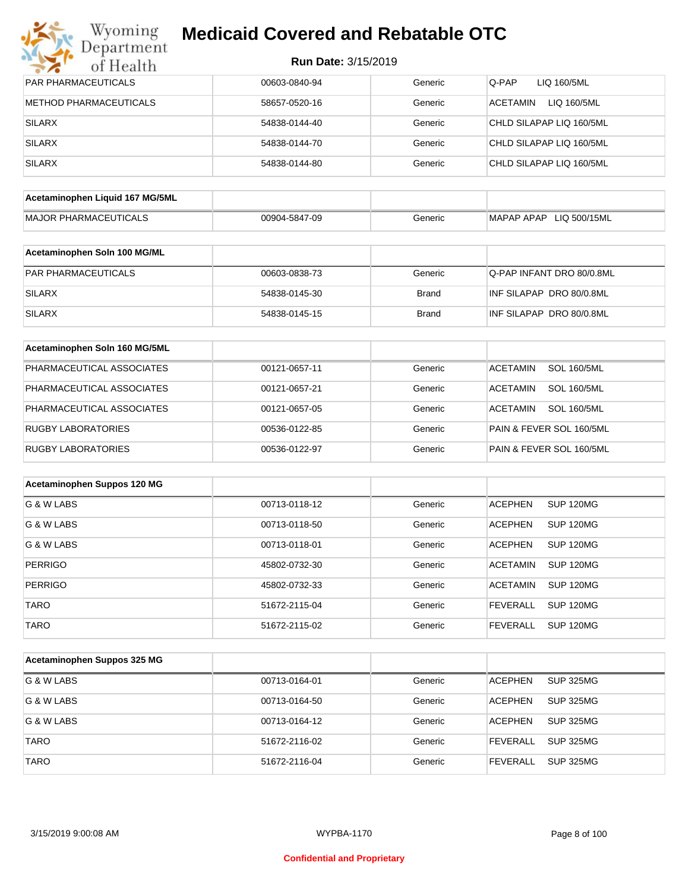## Wyoming<br>Department<br>of Health **Medicaid Covered and Rebatable OTC**

| PAR PHARMACEUTICALS             | 00603-0840-94 | Generic      | Q-PAP<br>LIQ 160/5ML                  |
|---------------------------------|---------------|--------------|---------------------------------------|
| <b>METHOD PHARMACEUTICALS</b>   | 58657-0520-16 | Generic      | LIQ 160/5ML<br><b>ACETAMIN</b>        |
| <b>SILARX</b>                   | 54838-0144-40 | Generic      | CHLD SILAPAP LIQ 160/5ML              |
| <b>SILARX</b>                   | 54838-0144-70 | Generic      | CHLD SILAPAP LIQ 160/5ML              |
| <b>SILARX</b>                   | 54838-0144-80 | Generic      | CHLD SILAPAP LIQ 160/5ML              |
|                                 |               |              |                                       |
| Acetaminophen Liquid 167 MG/5ML |               |              |                                       |
| <b>MAJOR PHARMACEUTICALS</b>    | 00904-5847-09 | Generic      | MAPAP APAP LIQ 500/15ML               |
| Acetaminophen Soln 100 MG/ML    |               |              |                                       |
| PAR PHARMACEUTICALS             | 00603-0838-73 | Generic      | Q-PAP INFANT DRO 80/0.8ML             |
| <b>SILARX</b>                   | 54838-0145-30 | <b>Brand</b> | INF SILAPAP DRO 80/0.8ML              |
| <b>SILARX</b>                   | 54838-0145-15 | <b>Brand</b> | INF SILAPAP DRO 80/0.8ML              |
| Acetaminophen Soln 160 MG/5ML   |               |              |                                       |
| PHARMACEUTICAL ASSOCIATES       | 00121-0657-11 | Generic      | <b>SOL 160/5ML</b><br><b>ACETAMIN</b> |
| PHARMACEUTICAL ASSOCIATES       | 00121-0657-21 | Generic      | <b>ACETAMIN</b><br><b>SOL 160/5ML</b> |
| PHARMACEUTICAL ASSOCIATES       | 00121-0657-05 | Generic      | <b>ACETAMIN</b><br><b>SOL 160/5ML</b> |
| <b>RUGBY LABORATORIES</b>       | 00536-0122-85 | Generic      | PAIN & FEVER SOL 160/5ML              |
| <b>RUGBY LABORATORIES</b>       | 00536-0122-97 | Generic      | PAIN & FEVER SOL 160/5ML              |
|                                 |               |              |                                       |
| Acetaminophen Suppos 120 MG     |               |              |                                       |
| G & W LABS                      | 00713-0118-12 | Generic      | <b>ACEPHEN</b><br><b>SUP 120MG</b>    |
| G & W LABS                      | 00713-0118-50 | Generic      | <b>ACEPHEN</b><br>SUP 120MG           |
| G & W LABS                      | 00713-0118-01 | Generic      | <b>ACEPHEN</b><br><b>SUP 120MG</b>    |
| <b>PERRIGO</b>                  | 45802-0732-30 | Generic      | <b>SUP 120MG</b><br><b>ACETAMIN</b>   |
| PERRIGO                         | 45802-0732-33 | Generic      | <b>ACETAMIN</b><br>SUP 120MG          |
| <b>TARO</b>                     | 51672-2115-04 | Generic      | <b>SUP 120MG</b><br><b>FEVERALL</b>   |
| <b>TARO</b>                     | 51672-2115-02 | Generic      | <b>SUP 120MG</b><br><b>FEVERALL</b>   |
|                                 |               |              |                                       |
| Acetaminophen Suppos 325 MG     |               |              |                                       |
| G & W LABS                      | 00713-0164-01 | Generic      | <b>SUP 325MG</b><br><b>ACEPHEN</b>    |
| G & W LABS                      | 00713-0164-50 | Generic      | <b>ACEPHEN</b><br><b>SUP 325MG</b>    |
| G & W LABS                      | 00713-0164-12 | Generic      | <b>ACEPHEN</b><br><b>SUP 325MG</b>    |
| <b>TARO</b>                     | 51672-2116-02 | Generic      | <b>FEVERALL</b><br><b>SUP 325MG</b>   |
| <b>TARO</b>                     | 51672-2116-04 | Generic      | <b>FEVERALL</b><br><b>SUP 325MG</b>   |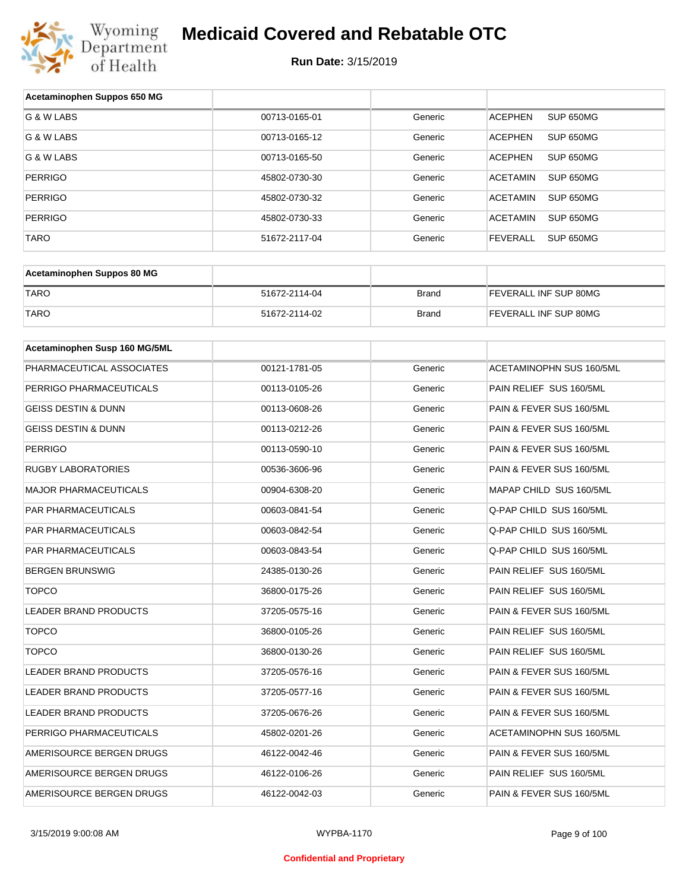

| Acetaminophen Suppos 650 MG    |               |              |                                 |
|--------------------------------|---------------|--------------|---------------------------------|
| G & W LABS                     | 00713-0165-01 | Generic      | SUP 650MG<br><b>ACEPHEN</b>     |
| G & W LABS                     | 00713-0165-12 | Generic      | <b>ACEPHEN</b><br>SUP 650MG     |
| G & W LABS                     | 00713-0165-50 | Generic      | <b>ACEPHEN</b><br>SUP 650MG     |
| <b>PERRIGO</b>                 | 45802-0730-30 | Generic      | <b>ACETAMIN</b><br>SUP 650MG    |
| <b>PERRIGO</b>                 | 45802-0730-32 | Generic      | <b>ACETAMIN</b><br>SUP 650MG    |
| <b>PERRIGO</b>                 | 45802-0730-33 | Generic      | <b>ACETAMIN</b><br>SUP 650MG    |
| TARO                           | 51672-2117-04 | Generic      | <b>FEVERALL</b><br>SUP 650MG    |
|                                |               |              |                                 |
| Acetaminophen Suppos 80 MG     |               |              |                                 |
| <b>TARO</b>                    | 51672-2114-04 | <b>Brand</b> | FEVERALL INF SUP 80MG           |
| <b>TARO</b>                    | 51672-2114-02 | Brand        | FEVERALL INF SUP 80MG           |
|                                |               |              |                                 |
| Acetaminophen Susp 160 MG/5ML  |               |              |                                 |
| PHARMACEUTICAL ASSOCIATES      | 00121-1781-05 | Generic      | <b>ACETAMINOPHN SUS 160/5ML</b> |
| PERRIGO PHARMACEUTICALS        | 00113-0105-26 | Generic      | PAIN RELIEF SUS 160/5ML         |
| <b>GEISS DESTIN &amp; DUNN</b> | 00113-0608-26 | Generic      | PAIN & FEVER SUS 160/5ML        |
| <b>GEISS DESTIN &amp; DUNN</b> | 00113-0212-26 | Generic      | PAIN & FEVER SUS 160/5ML        |
| <b>PERRIGO</b>                 | 00113-0590-10 | Generic      | PAIN & FEVER SUS 160/5ML        |
| <b>RUGBY LABORATORIES</b>      | 00536-3606-96 | Generic      | PAIN & FEVER SUS 160/5ML        |
| <b>MAJOR PHARMACEUTICALS</b>   | 00904-6308-20 | Generic      | MAPAP CHILD SUS 160/5ML         |
| PAR PHARMACEUTICALS            | 00603-0841-54 | Generic      | Q-PAP CHILD SUS 160/5ML         |
| <b>PAR PHARMACEUTICALS</b>     | 00603-0842-54 | Generic      | Q-PAP CHILD SUS 160/5ML         |
| PAR PHARMACEUTICALS            | 00603-0843-54 | Generic      | Q-PAP CHILD SUS 160/5ML         |
| <b>BERGEN BRUNSWIG</b>         | 24385-0130-26 | Generic      | PAIN RELIEF SUS 160/5ML         |
| <b>TOPCO</b>                   | 36800-0175-26 | Generic      | PAIN RELIEF SUS 160/5ML         |
| <b>LEADER BRAND PRODUCTS</b>   | 37205-0575-16 | Generic      | PAIN & FEVER SUS 160/5ML        |
| <b>TOPCO</b>                   | 36800-0105-26 | Generic      | PAIN RELIEF SUS 160/5ML         |
| <b>TOPCO</b>                   | 36800-0130-26 | Generic      | PAIN RELIEF SUS 160/5ML         |
| <b>LEADER BRAND PRODUCTS</b>   | 37205-0576-16 | Generic      | PAIN & FEVER SUS 160/5ML        |
| LEADER BRAND PRODUCTS          | 37205-0577-16 | Generic      | PAIN & FEVER SUS 160/5ML        |
| LEADER BRAND PRODUCTS          | 37205-0676-26 | Generic      | PAIN & FEVER SUS 160/5ML        |
| PERRIGO PHARMACEUTICALS        | 45802-0201-26 | Generic      | ACETAMINOPHN SUS 160/5ML        |
| AMERISOURCE BERGEN DRUGS       | 46122-0042-46 | Generic      | PAIN & FEVER SUS 160/5ML        |
| AMERISOURCE BERGEN DRUGS       | 46122-0106-26 | Generic      | PAIN RELIEF SUS 160/5ML         |
| AMERISOURCE BERGEN DRUGS       | 46122-0042-03 | Generic      | PAIN & FEVER SUS 160/5ML        |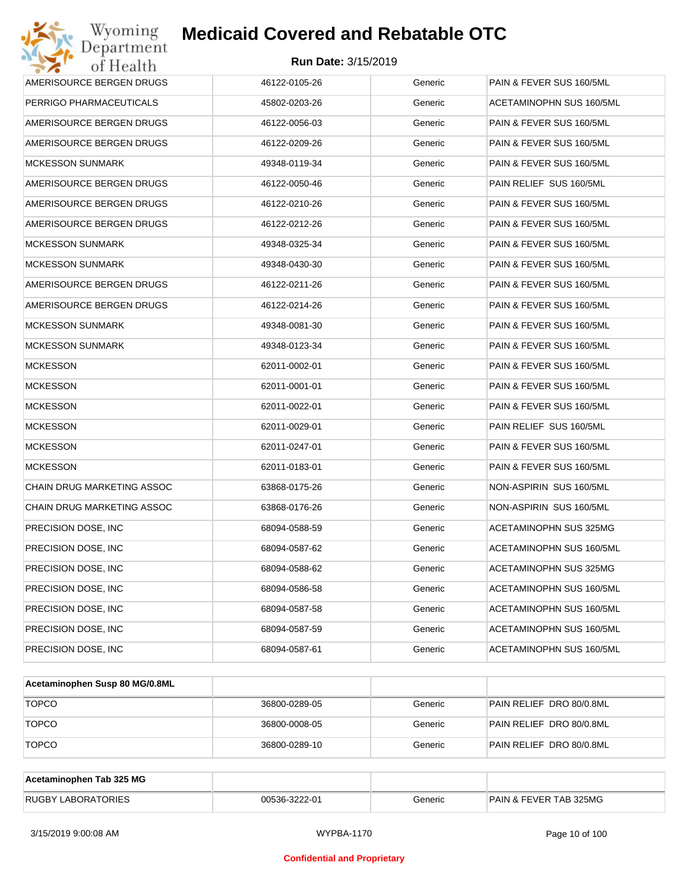| Wyoming<br>Department                   | <b>Medicaid Covered and Rebatable OTC</b> |         |                          |  |  |  |
|-----------------------------------------|-------------------------------------------|---------|--------------------------|--|--|--|
| <b>Run Date: 3/15/2019</b><br>of Health |                                           |         |                          |  |  |  |
| AMERISOURCE BERGEN DRUGS                | 46122-0105-26                             | Generic | PAIN & FEVER SUS 160/5ML |  |  |  |
| PERRIGO PHARMACEUTICALS                 | 45802-0203-26                             | Generic | ACETAMINOPHN SUS 160/5ML |  |  |  |
| AMERISOURCE BERGEN DRUGS                | 46122-0056-03                             | Generic | PAIN & FEVER SUS 160/5ML |  |  |  |
| AMERISOURCE BERGEN DRUGS                | 46122-0209-26                             | Generic | PAIN & FEVER SUS 160/5ML |  |  |  |
| <b>MCKESSON SUNMARK</b>                 | 49348-0119-34                             | Generic | PAIN & FEVER SUS 160/5ML |  |  |  |
| AMERISOURCE BERGEN DRUGS                | 46122-0050-46                             | Generic | PAIN RELIEF SUS 160/5ML  |  |  |  |
| AMERISOURCE BERGEN DRUGS                | 46122-0210-26                             | Generic | PAIN & FEVER SUS 160/5ML |  |  |  |
| AMERISOURCE BERGEN DRUGS                | 46122-0212-26                             | Generic | PAIN & FEVER SUS 160/5ML |  |  |  |
| <b>MCKESSON SUNMARK</b>                 | 49348-0325-34                             | Generic | PAIN & FEVER SUS 160/5ML |  |  |  |
| <b>MCKESSON SUNMARK</b>                 | 49348-0430-30                             | Generic | PAIN & FEVER SUS 160/5ML |  |  |  |
| AMERISOURCE BERGEN DRUGS                | 46122-0211-26                             | Generic | PAIN & FEVER SUS 160/5ML |  |  |  |
| AMERISOURCE BERGEN DRUGS                | 46122-0214-26                             | Generic | PAIN & FEVER SUS 160/5ML |  |  |  |
| <b>MCKESSON SUNMARK</b>                 | 49348-0081-30                             | Generic | PAIN & FEVER SUS 160/5ML |  |  |  |
| <b>MCKESSON SUNMARK</b>                 | 49348-0123-34                             | Generic | PAIN & FEVER SUS 160/5ML |  |  |  |
| <b>MCKESSON</b>                         | 62011-0002-01                             | Generic | PAIN & FEVER SUS 160/5ML |  |  |  |
| <b>MCKESSON</b>                         | 62011-0001-01                             | Generic | PAIN & FEVER SUS 160/5ML |  |  |  |
| <b>MCKESSON</b>                         | 62011-0022-01                             | Generic | PAIN & FEVER SUS 160/5ML |  |  |  |
| <b>MCKESSON</b>                         | 62011-0029-01                             | Generic | PAIN RELIEF SUS 160/5ML  |  |  |  |
| <b>MCKESSON</b>                         | 62011-0247-01                             | Generic | PAIN & FEVER SUS 160/5ML |  |  |  |
| <b>MCKESSON</b>                         | 62011-0183-01                             | Generic | PAIN & FEVER SUS 160/5ML |  |  |  |
| CHAIN DRUG MARKETING ASSOC              | 63868-0175-26                             | Generic | NON-ASPIRIN SUS 160/5ML  |  |  |  |
| CHAIN DRUG MARKETING ASSOC              | 63868-0176-26                             | Generic | NON-ASPIRIN SUS 160/5ML  |  |  |  |
| PRECISION DOSE, INC                     | 68094-0588-59                             | Generic | ACETAMINOPHN SUS 325MG   |  |  |  |
| PRECISION DOSE, INC.                    | 68094-0587-62                             | Generic | ACETAMINOPHN SUS 160/5ML |  |  |  |
| PRECISION DOSE, INC.                    | 68094-0588-62                             | Generic | ACETAMINOPHN SUS 325MG   |  |  |  |
| PRECISION DOSE, INC                     | 68094-0586-58                             | Generic | ACETAMINOPHN SUS 160/5ML |  |  |  |
| PRECISION DOSE, INC.                    | 68094-0587-58                             | Generic | ACETAMINOPHN SUS 160/5ML |  |  |  |
| PRECISION DOSE, INC                     | 68094-0587-59                             | Generic | ACETAMINOPHN SUS 160/5ML |  |  |  |
| PRECISION DOSE, INC                     | 68094-0587-61                             | Generic | ACETAMINOPHN SUS 160/5ML |  |  |  |

| Acetaminophen Susp 80 MG/0.8ML |               |         |                          |
|--------------------------------|---------------|---------|--------------------------|
| <b>TOPCO</b>                   | 36800-0289-05 | Generic | PAIN RELIEF DRO 80/0.8ML |
| <b>TOPCO</b>                   | 36800-0008-05 | Generic | PAIN RELIEF DRO 80/0.8ML |
| <b>TOPCO</b>                   | 36800-0289-10 | Generic | PAIN RELIEF DRO 80/0.8ML |

| Acetaminophen Tab 325 MG  |               |         |                                   |
|---------------------------|---------------|---------|-----------------------------------|
| <b>RUGBY LABORATORIES</b> | 00536-3222-01 | Beneric | <b>PAIN &amp; FEVER TAB 325MG</b> |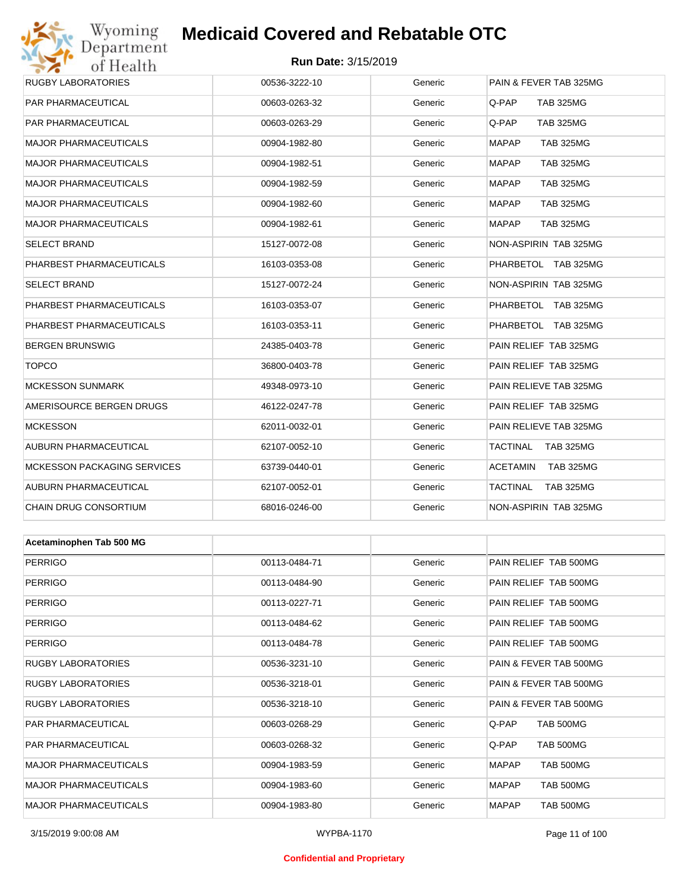## Wyoming<br>Department<br>of Health

## **Medicaid Covered and Rebatable OTC**

#### **Run Date:** 3/15/2019

| 0111001111                         |               |         |                                  |
|------------------------------------|---------------|---------|----------------------------------|
| <b>RUGBY LABORATORIES</b>          | 00536-3222-10 | Generic | PAIN & FEVER TAB 325MG           |
| PAR PHARMACEUTICAL                 | 00603-0263-32 | Generic | Q-PAP<br><b>TAB 325MG</b>        |
| PAR PHARMACEUTICAL                 | 00603-0263-29 | Generic | Q-PAP<br><b>TAB 325MG</b>        |
| <b>MAJOR PHARMACEUTICALS</b>       | 00904-1982-80 | Generic | <b>MAPAP</b><br><b>TAB 325MG</b> |
| <b>MAJOR PHARMACEUTICALS</b>       | 00904-1982-51 | Generic | <b>MAPAP</b><br><b>TAB 325MG</b> |
| <b>MAJOR PHARMACEUTICALS</b>       | 00904-1982-59 | Generic | <b>MAPAP</b><br><b>TAB 325MG</b> |
| <b>MAJOR PHARMACEUTICALS</b>       | 00904-1982-60 | Generic | <b>MAPAP</b><br><b>TAB 325MG</b> |
| <b>MAJOR PHARMACEUTICALS</b>       | 00904-1982-61 | Generic | <b>MAPAP</b><br><b>TAB 325MG</b> |
| <b>SELECT BRAND</b>                | 15127-0072-08 | Generic | NON-ASPIRIN TAB 325MG            |
| PHARBEST PHARMACEUTICALS           | 16103-0353-08 | Generic | PHARBETOL TAB 325MG              |
| <b>SELECT BRAND</b>                | 15127-0072-24 | Generic | NON-ASPIRIN TAB 325MG            |
| PHARBEST PHARMACEUTICALS           | 16103-0353-07 | Generic | PHARBETOL TAB 325MG              |
| PHARBEST PHARMACEUTICALS           | 16103-0353-11 | Generic | PHARBETOL TAB 325MG              |
| <b>BERGEN BRUNSWIG</b>             | 24385-0403-78 | Generic | PAIN RELIEF TAB 325MG            |
| <b>TOPCO</b>                       | 36800-0403-78 | Generic | PAIN RELIEF TAB 325MG            |
| <b>MCKESSON SUNMARK</b>            | 49348-0973-10 | Generic | PAIN RELIEVE TAB 325MG           |
| AMERISOURCE BERGEN DRUGS           | 46122-0247-78 | Generic | PAIN RELIEF TAB 325MG            |
| <b>MCKESSON</b>                    | 62011-0032-01 | Generic | PAIN RELIEVE TAB 325MG           |
| AUBURN PHARMACEUTICAL              | 62107-0052-10 | Generic | TACTINAL<br><b>TAB 325MG</b>     |
| <b>MCKESSON PACKAGING SERVICES</b> | 63739-0440-01 | Generic | ACETAMIN<br>TAB 325MG            |
| AUBURN PHARMACEUTICAL              | 62107-0052-01 | Generic | TACTINAL<br><b>TAB 325MG</b>     |
| <b>CHAIN DRUG CONSORTIUM</b>       | 68016-0246-00 | Generic | <b>NON-ASPIRIN TAB 325MG</b>     |
|                                    |               |         |                                  |
| Acetaminophen Tab 500 MG           |               |         |                                  |
| <b>PERRIGO</b>                     | 00113-0484-71 | Generic | PAIN RELIEF TAB 500MG            |
| <b>PERRIGO</b>                     | 00113-0484-90 | Generic | PAIN RELIEF TAB 500MG            |
| <b>PERRIGO</b>                     | 00113-0227-71 | Generic | PAIN RELIEF TAB 500MG            |
| <b>PERRIGO</b>                     | 00113-0484-62 | Generic | PAIN RELIEF TAB 500MG            |
| <b>PERRIGO</b>                     | 00113-0484-78 | Generic | PAIN RELIEF TAB 500MG            |
| <b>RUGBY LABORATORIES</b>          | 00536-3231-10 | Generic | PAIN & FEVER TAB 500MG           |
| RUGBY LABORATORIES                 | 00536-3218-01 | Generic | PAIN & FEVER TAB 500MG           |
| RUGBY LABORATORIES                 | 00536-3218-10 | Generic | PAIN & FEVER TAB 500MG           |
| <b>PAR PHARMACEUTICAL</b>          | 00603-0268-29 | Generic | Q-PAP<br><b>TAB 500MG</b>        |

#### **Confidential and Proprietary**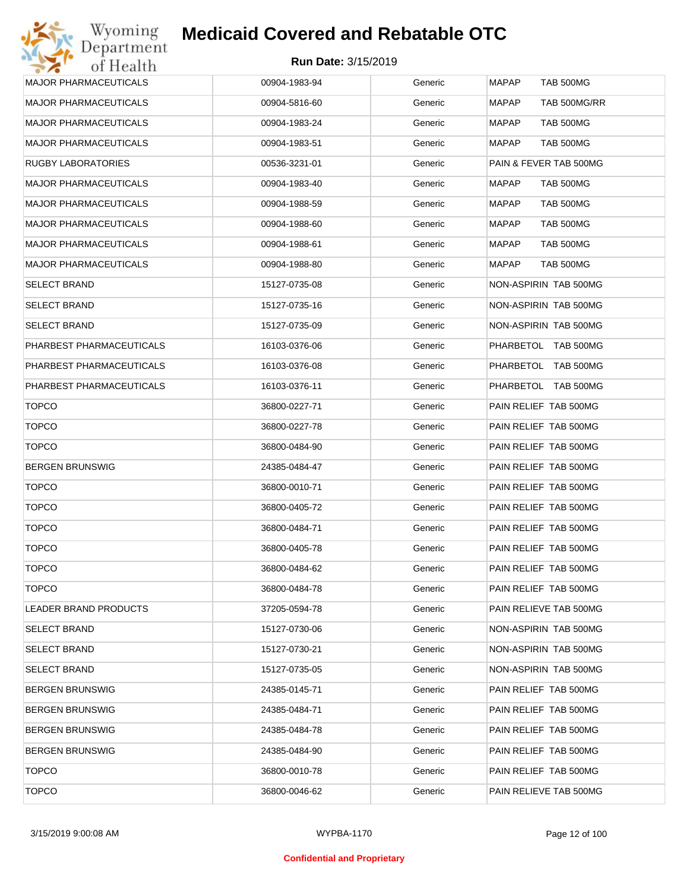| <b>MAJOR PHARMACEUTICALS</b> | 00904-1983-94 | Generic | MAPAP<br>TAB 500MG               |
|------------------------------|---------------|---------|----------------------------------|
| <b>MAJOR PHARMACEUTICALS</b> | 00904-5816-60 | Generic | <b>MAPAP</b><br>TAB 500MG/RR     |
| <b>MAJOR PHARMACEUTICALS</b> | 00904-1983-24 | Generic | <b>MAPAP</b><br>TAB 500MG        |
| <b>MAJOR PHARMACEUTICALS</b> | 00904-1983-51 | Generic | <b>MAPAP</b><br><b>TAB 500MG</b> |
| RUGBY LABORATORIES           | 00536-3231-01 | Generic | PAIN & FEVER TAB 500MG           |
| <b>MAJOR PHARMACEUTICALS</b> | 00904-1983-40 | Generic | MAPAP<br>TAB 500MG               |
| <b>MAJOR PHARMACEUTICALS</b> | 00904-1988-59 | Generic | MAPAP<br>TAB 500MG               |
| <b>MAJOR PHARMACEUTICALS</b> | 00904-1988-60 | Generic | <b>MAPAP</b><br>TAB 500MG        |
| <b>MAJOR PHARMACEUTICALS</b> | 00904-1988-61 | Generic | <b>MAPAP</b><br>TAB 500MG        |
| <b>MAJOR PHARMACEUTICALS</b> | 00904-1988-80 | Generic | <b>MAPAP</b><br><b>TAB 500MG</b> |
| <b>SELECT BRAND</b>          | 15127-0735-08 | Generic | NON-ASPIRIN TAB 500MG            |
| <b>SELECT BRAND</b>          | 15127-0735-16 | Generic | NON-ASPIRIN TAB 500MG            |
| <b>SELECT BRAND</b>          | 15127-0735-09 | Generic | NON-ASPIRIN TAB 500MG            |
| PHARBEST PHARMACEUTICALS     | 16103-0376-06 | Generic | PHARBETOL TAB 500MG              |
| PHARBEST PHARMACEUTICALS     | 16103-0376-08 | Generic | PHARBETOL TAB 500MG              |
| PHARBEST PHARMACEUTICALS     | 16103-0376-11 | Generic | PHARBETOL TAB 500MG              |
| <b>TOPCO</b>                 | 36800-0227-71 | Generic | PAIN RELIEF TAB 500MG            |
| <b>TOPCO</b>                 | 36800-0227-78 | Generic | PAIN RELIEF TAB 500MG            |
| <b>TOPCO</b>                 | 36800-0484-90 | Generic | PAIN RELIEF TAB 500MG            |
| <b>BERGEN BRUNSWIG</b>       | 24385-0484-47 | Generic | PAIN RELIEF TAB 500MG            |
| <b>TOPCO</b>                 | 36800-0010-71 | Generic | PAIN RELIEF TAB 500MG            |
| <b>TOPCO</b>                 | 36800-0405-72 | Generic | PAIN RELIEF TAB 500MG            |
| <b>TOPCO</b>                 | 36800-0484-71 | Generic | PAIN RELIEF TAB 500MG            |
| <b>TOPCO</b>                 | 36800-0405-78 | Generic | PAIN RELIEF TAB 500MG            |
| <b>TOPCO</b>                 | 36800-0484-62 | Generic | PAIN RELIEF TAB 500MG            |
| <b>TOPCO</b>                 | 36800-0484-78 | Generic | PAIN RELIEF TAB 500MG            |
| <b>LEADER BRAND PRODUCTS</b> | 37205-0594-78 | Generic | PAIN RELIEVE TAB 500MG           |
| <b>SELECT BRAND</b>          | 15127-0730-06 | Generic | NON-ASPIRIN TAB 500MG            |
| <b>SELECT BRAND</b>          | 15127-0730-21 | Generic | NON-ASPIRIN TAB 500MG            |
| <b>SELECT BRAND</b>          | 15127-0735-05 | Generic | NON-ASPIRIN TAB 500MG            |
| <b>BERGEN BRUNSWIG</b>       | 24385-0145-71 | Generic | PAIN RELIEF TAB 500MG            |
| <b>BERGEN BRUNSWIG</b>       | 24385-0484-71 | Generic | PAIN RELIEF TAB 500MG            |
| <b>BERGEN BRUNSWIG</b>       | 24385-0484-78 | Generic | PAIN RELIEF TAB 500MG            |
| <b>BERGEN BRUNSWIG</b>       | 24385-0484-90 | Generic | PAIN RELIEF TAB 500MG            |
| <b>TOPCO</b>                 | 36800-0010-78 | Generic | PAIN RELIEF TAB 500MG            |
| <b>TOPCO</b>                 | 36800-0046-62 | Generic | PAIN RELIEVE TAB 500MG           |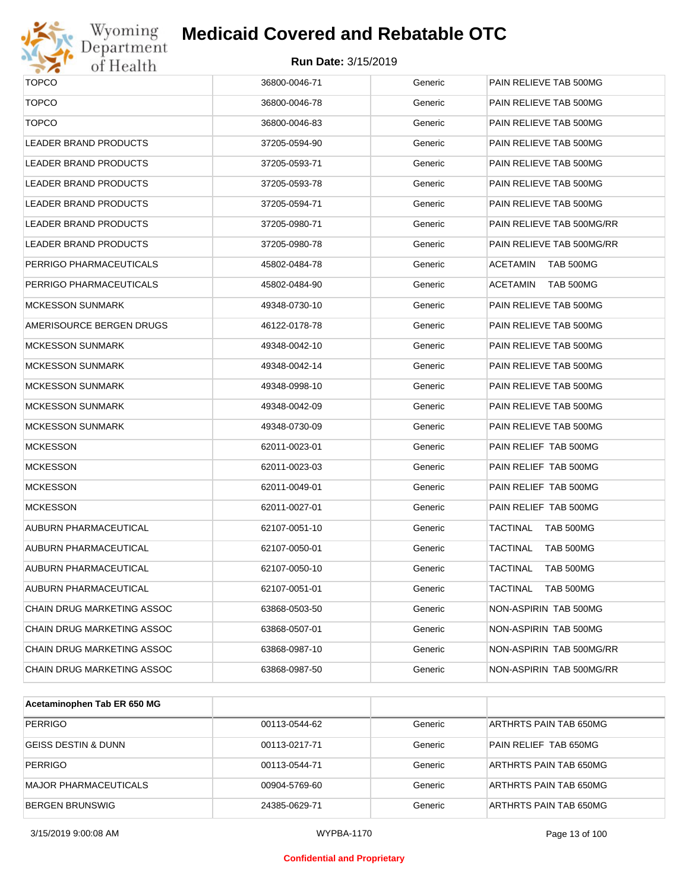

# Wyoming<br>Department<br>of Health

### **Medicaid Covered and Rebatable OTC**

| <b>TOPCO</b>                 | 36800-0046-71 | Generic | PAIN RELIEVE TAB 500MG       |
|------------------------------|---------------|---------|------------------------------|
| <b>TOPCO</b>                 | 36800-0046-78 | Generic | PAIN RELIEVE TAB 500MG       |
| <b>TOPCO</b>                 | 36800-0046-83 | Generic | PAIN RELIEVE TAB 500MG       |
| <b>LEADER BRAND PRODUCTS</b> | 37205-0594-90 | Generic | PAIN RELIEVE TAB 500MG       |
| LEADER BRAND PRODUCTS        | 37205-0593-71 | Generic | PAIN RELIEVE TAB 500MG       |
| LEADER BRAND PRODUCTS        | 37205-0593-78 | Generic | PAIN RELIEVE TAB 500MG       |
| <b>LEADER BRAND PRODUCTS</b> | 37205-0594-71 | Generic | PAIN RELIEVE TAB 500MG       |
| LEADER BRAND PRODUCTS        | 37205-0980-71 | Generic | PAIN RELIEVE TAB 500MG/RR    |
| LEADER BRAND PRODUCTS        | 37205-0980-78 | Generic | PAIN RELIEVE TAB 500MG/RR    |
| PERRIGO PHARMACEUTICALS      | 45802-0484-78 | Generic | ACETAMIN<br>TAB 500MG        |
| PERRIGO PHARMACEUTICALS      | 45802-0484-90 | Generic | ACETAMIN<br>TAB 500MG        |
| <b>MCKESSON SUNMARK</b>      | 49348-0730-10 | Generic | PAIN RELIEVE TAB 500MG       |
| AMERISOURCE BERGEN DRUGS     | 46122-0178-78 | Generic | PAIN RELIEVE TAB 500MG       |
| <b>MCKESSON SUNMARK</b>      | 49348-0042-10 | Generic | PAIN RELIEVE TAB 500MG       |
| <b>MCKESSON SUNMARK</b>      | 49348-0042-14 | Generic | PAIN RELIEVE TAB 500MG       |
| <b>MCKESSON SUNMARK</b>      | 49348-0998-10 | Generic | PAIN RELIEVE TAB 500MG       |
| <b>MCKESSON SUNMARK</b>      | 49348-0042-09 | Generic | PAIN RELIEVE TAB 500MG       |
| <b>MCKESSON SUNMARK</b>      | 49348-0730-09 | Generic | PAIN RELIEVE TAB 500MG       |
| <b>MCKESSON</b>              | 62011-0023-01 | Generic | PAIN RELIEF TAB 500MG        |
| <b>MCKESSON</b>              | 62011-0023-03 | Generic | PAIN RELIEF TAB 500MG        |
| <b>MCKESSON</b>              | 62011-0049-01 | Generic | PAIN RELIEF TAB 500MG        |
| <b>MCKESSON</b>              | 62011-0027-01 | Generic | PAIN RELIEF TAB 500MG        |
| <b>AUBURN PHARMACEUTICAL</b> | 62107-0051-10 | Generic | TACTINAL<br>TAB 500MG        |
| AUBURN PHARMACEUTICAL        | 62107-0050-01 | Generic | TACTINAL<br><b>TAB 500MG</b> |
| AUBURN PHARMACEUTICAL        | 62107-0050-10 | Generic | TACTINAL<br>TAB 500MG        |
| AUBURN PHARMACEUTICAL        | 62107-0051-01 | Generic | <b>TACTINAL</b><br>TAB 500MG |
| CHAIN DRUG MARKETING ASSOC   | 63868-0503-50 | Generic | NON-ASPIRIN TAB 500MG        |
| CHAIN DRUG MARKETING ASSOC   | 63868-0507-01 | Generic | NON-ASPIRIN TAB 500MG        |
| CHAIN DRUG MARKETING ASSOC   | 63868-0987-10 | Generic | NON-ASPIRIN TAB 500MG/RR     |
| CHAIN DRUG MARKETING ASSOC   | 63868-0987-50 | Generic | NON-ASPIRIN TAB 500MG/RR     |
|                              |               |         |                              |

| Acetaminophen Tab ER 650 MG    |               |         |                        |
|--------------------------------|---------------|---------|------------------------|
| <b>PERRIGO</b>                 | 00113-0544-62 | Generic | ARTHRTS PAIN TAB 650MG |
| <b>GEISS DESTIN &amp; DUNN</b> | 00113-0217-71 | Generic | PAIN RELIEF TAB 650MG  |
| <b>PERRIGO</b>                 | 00113-0544-71 | Generic | ARTHRTS PAIN TAB 650MG |
| MAJOR PHARMACEUTICALS          | 00904-5769-60 | Generic | ARTHRTS PAIN TAB 650MG |
| <b>BERGEN BRUNSWIG</b>         | 24385-0629-71 | Generic | ARTHRTS PAIN TAB 650MG |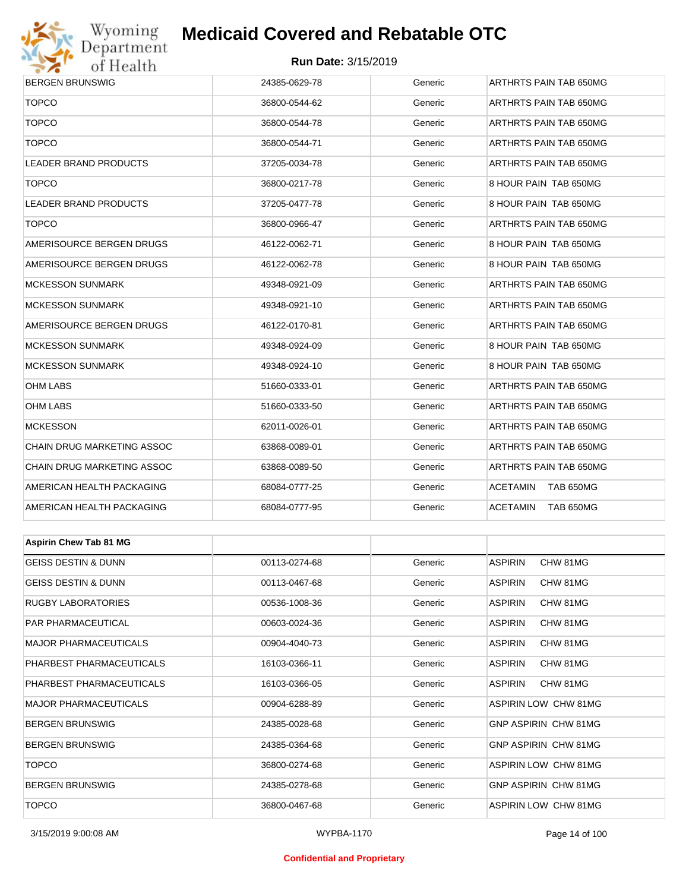

#### **Run Date:** 3/15/2019

| $\bullet$<br>or ricanii        |               |         |                             |  |  |
|--------------------------------|---------------|---------|-----------------------------|--|--|
| <b>BERGEN BRUNSWIG</b>         | 24385-0629-78 | Generic | ARTHRTS PAIN TAB 650MG      |  |  |
| <b>TOPCO</b>                   | 36800-0544-62 | Generic | ARTHRTS PAIN TAB 650MG      |  |  |
| <b>TOPCO</b>                   | 36800-0544-78 | Generic | ARTHRTS PAIN TAB 650MG      |  |  |
| <b>TOPCO</b>                   | 36800-0544-71 | Generic | ARTHRTS PAIN TAB 650MG      |  |  |
| LEADER BRAND PRODUCTS          | 37205-0034-78 | Generic | ARTHRTS PAIN TAB 650MG      |  |  |
| <b>TOPCO</b>                   | 36800-0217-78 | Generic | 8 HOUR PAIN TAB 650MG       |  |  |
| LEADER BRAND PRODUCTS          | 37205-0477-78 | Generic | 8 HOUR PAIN TAB 650MG       |  |  |
| <b>TOPCO</b>                   | 36800-0966-47 | Generic | ARTHRTS PAIN TAB 650MG      |  |  |
| AMERISOURCE BERGEN DRUGS       | 46122-0062-71 | Generic | 8 HOUR PAIN TAB 650MG       |  |  |
| AMERISOURCE BERGEN DRUGS       | 46122-0062-78 | Generic | 8 HOUR PAIN TAB 650MG       |  |  |
| <b>MCKESSON SUNMARK</b>        | 49348-0921-09 | Generic | ARTHRTS PAIN TAB 650MG      |  |  |
| <b>MCKESSON SUNMARK</b>        | 49348-0921-10 | Generic | ARTHRTS PAIN TAB 650MG      |  |  |
| AMERISOURCE BERGEN DRUGS       | 46122-0170-81 | Generic | ARTHRTS PAIN TAB 650MG      |  |  |
| <b>MCKESSON SUNMARK</b>        | 49348-0924-09 | Generic | 8 HOUR PAIN TAB 650MG       |  |  |
| <b>MCKESSON SUNMARK</b>        | 49348-0924-10 | Generic | 8 HOUR PAIN TAB 650MG       |  |  |
| OHM LABS                       | 51660-0333-01 | Generic | ARTHRTS PAIN TAB 650MG      |  |  |
| OHM LABS                       | 51660-0333-50 | Generic | ARTHRTS PAIN TAB 650MG      |  |  |
| <b>MCKESSON</b>                | 62011-0026-01 | Generic | ARTHRTS PAIN TAB 650MG      |  |  |
| CHAIN DRUG MARKETING ASSOC     | 63868-0089-01 | Generic | ARTHRTS PAIN TAB 650MG      |  |  |
| CHAIN DRUG MARKETING ASSOC     | 63868-0089-50 | Generic | ARTHRTS PAIN TAB 650MG      |  |  |
| AMERICAN HEALTH PACKAGING      | 68084-0777-25 | Generic | ACETAMIN<br>TAB 650MG       |  |  |
| AMERICAN HEALTH PACKAGING      | 68084-0777-95 | Generic | ACETAMIN<br>TAB 650MG       |  |  |
|                                |               |         |                             |  |  |
| <b>Aspirin Chew Tab 81 MG</b>  |               |         |                             |  |  |
| <b>GEISS DESTIN &amp; DUNN</b> | 00113-0274-68 | Generic | <b>ASPIRIN</b><br>CHW 81MG  |  |  |
| <b>GEISS DESTIN &amp; DUNN</b> | 00113-0467-68 | Generic | <b>ASPIRIN</b><br>CHW 81MG  |  |  |
| <b>RUGBY LABORATORIES</b>      | 00536-1008-36 | Generic | <b>ASPIRIN</b><br>CHW 81MG  |  |  |
| PAR PHARMACEUTICAL             | 00603-0024-36 | Generic | <b>ASPIRIN</b><br>CHW 81MG  |  |  |
| <b>MAJOR PHARMACEUTICALS</b>   | 00904-4040-73 | Generic | <b>ASPIRIN</b><br>CHW 81MG  |  |  |
| PHARBEST PHARMACEUTICALS       | 16103-0366-11 | Generic | <b>ASPIRIN</b><br>CHW 81MG  |  |  |
| PHARBEST PHARMACEUTICALS       | 16103-0366-05 | Generic | <b>ASPIRIN</b><br>CHW 81MG  |  |  |
| <b>MAJOR PHARMACEUTICALS</b>   | 00904-6288-89 | Generic | ASPIRIN LOW CHW 81MG        |  |  |
| <b>BERGEN BRUNSWIG</b>         | 24385-0028-68 | Generic | <b>GNP ASPIRIN CHW 81MG</b> |  |  |
| <b>BERGEN BRUNSWIG</b>         | 24385-0364-68 | Generic | GNP ASPIRIN CHW 81MG        |  |  |

TOPCO 36800-0274-68 Generic ASPIRIN LOW CHW 81MG BERGEN BRUNSWIG 24385-0278-68 Generic GNP ASPIRIN CHW 81MG TOPCO 36800-0467-68 Generic ASPIRIN LOW CHW 81MG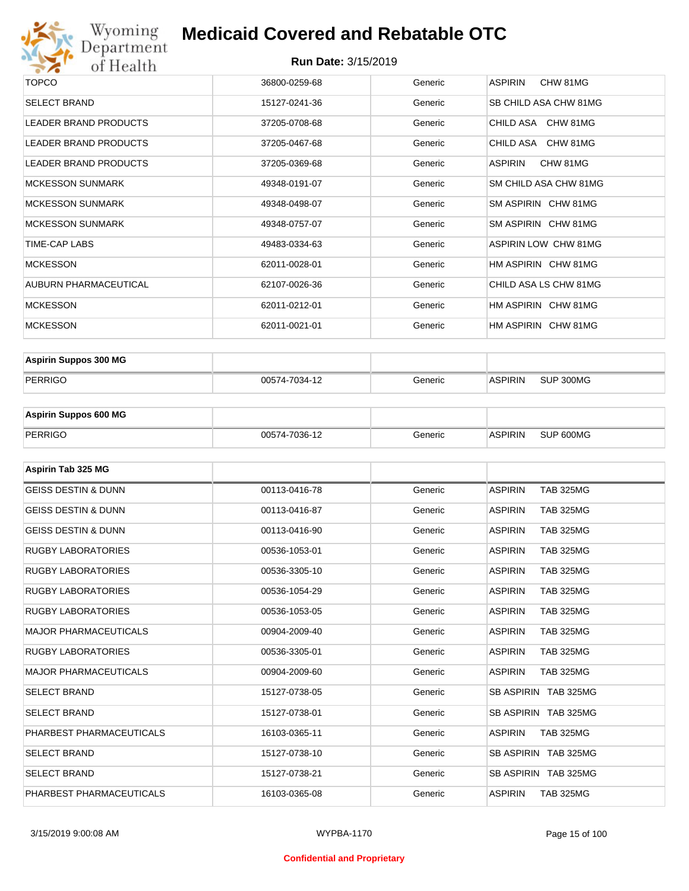

| TOPCO                        | 36800-0259-68 | Generic | ASPIRIN<br>CHW 81MG   |
|------------------------------|---------------|---------|-----------------------|
| <b>SELECT BRAND</b>          | 15127-0241-36 | Generic | SB CHILD ASA CHW 81MG |
| <b>LEADER BRAND PRODUCTS</b> | 37205-0708-68 | Generic | CHILD ASA CHW 81MG    |
| <b>LEADER BRAND PRODUCTS</b> | 37205-0467-68 | Generic | CHILD ASA CHW 81MG    |
| <b>LEADER BRAND PRODUCTS</b> | 37205-0369-68 | Generic | ASPIRIN<br>CHW 81MG   |
| <b>MCKESSON SUNMARK</b>      | 49348-0191-07 | Generic | SM CHILD ASA CHW 81MG |
| <b>MCKESSON SUNMARK</b>      | 49348-0498-07 | Generic | SM ASPIRIN CHW 81MG   |
| <b>MCKESSON SUNMARK</b>      | 49348-0757-07 | Generic | SM ASPIRIN CHW 81MG   |
| TIME-CAP LABS                | 49483-0334-63 | Generic | ASPIRIN LOW CHW 81MG  |
| <b>MCKESSON</b>              | 62011-0028-01 | Generic | HM ASPIRIN CHW 81MG   |
| AUBURN PHARMACEUTICAL        | 62107-0026-36 | Generic | CHILD ASA LS CHW 81MG |
| <b>MCKESSON</b>              | 62011-0212-01 | Generic | HM ASPIRIN CHW 81MG   |
| <b>MCKESSON</b>              | 62011-0021-01 | Generic | HM ASPIRIN CHW 81MG   |
|                              |               |         |                       |

| <b>Aspirin Suppos 300 MG</b> |               |         |                |           |
|------------------------------|---------------|---------|----------------|-----------|
| PERRIGO                      | 00574-7034-12 | Generic | <b>ASPIRIN</b> | SUP 300MG |

| <b>Aspirin Suppos 600 MG</b> |               |         |                |           |
|------------------------------|---------------|---------|----------------|-----------|
| PERRIGO                      | 00574-7036-12 | Generic | <b>ASPIRIN</b> | SUP 600MG |

| Aspirin Tab 325 MG             |               |         |                                    |
|--------------------------------|---------------|---------|------------------------------------|
| <b>GEISS DESTIN &amp; DUNN</b> | 00113-0416-78 | Generic | <b>ASPIRIN</b><br><b>TAB 325MG</b> |
| <b>GEISS DESTIN &amp; DUNN</b> | 00113-0416-87 | Generic | <b>ASPIRIN</b><br><b>TAB 325MG</b> |
| <b>GEISS DESTIN &amp; DUNN</b> | 00113-0416-90 | Generic | <b>ASPIRIN</b><br><b>TAB 325MG</b> |
| <b>RUGBY LABORATORIES</b>      | 00536-1053-01 | Generic | <b>TAB 325MG</b><br><b>ASPIRIN</b> |
| <b>RUGBY LABORATORIES</b>      | 00536-3305-10 | Generic | <b>ASPIRIN</b><br><b>TAB 325MG</b> |
| <b>RUGBY LABORATORIES</b>      | 00536-1054-29 | Generic | <b>ASPIRIN</b><br><b>TAB 325MG</b> |
| <b>RUGBY LABORATORIES</b>      | 00536-1053-05 | Generic | <b>TAB 325MG</b><br><b>ASPIRIN</b> |
| <b>MAJOR PHARMACEUTICALS</b>   | 00904-2009-40 | Generic | <b>ASPIRIN</b><br><b>TAB 325MG</b> |
| <b>RUGBY LABORATORIES</b>      | 00536-3305-01 | Generic | <b>ASPIRIN</b><br><b>TAB 325MG</b> |
| <b>MAJOR PHARMACEUTICALS</b>   | 00904-2009-60 | Generic | <b>ASPIRIN</b><br><b>TAB 325MG</b> |
| <b>SELECT BRAND</b>            | 15127-0738-05 | Generic | SB ASPIRIN TAB 325MG               |
| <b>SELECT BRAND</b>            | 15127-0738-01 | Generic | SB ASPIRIN TAB 325MG               |
| PHARBEST PHARMACEUTICALS       | 16103-0365-11 | Generic | <b>ASPIRIN</b><br><b>TAB 325MG</b> |
| <b>SELECT BRAND</b>            | 15127-0738-10 | Generic | SB ASPIRIN TAB 325MG               |
| <b>SELECT BRAND</b>            | 15127-0738-21 | Generic | SB ASPIRIN TAB 325MG               |
| PHARBEST PHARMACEUTICALS       | 16103-0365-08 | Generic | <b>ASPIRIN</b><br><b>TAB 325MG</b> |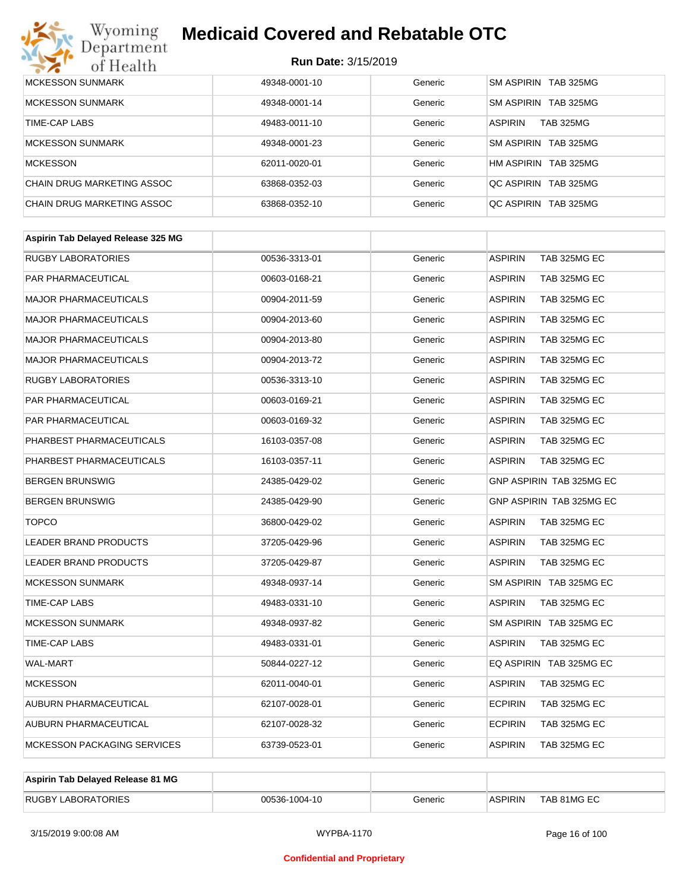

| MCKESSON SUNMARK           | 49348-0001-10 | Generic | SM ASPIRIN TAB 325MG               |
|----------------------------|---------------|---------|------------------------------------|
| <b>MCKESSON SUNMARK</b>    | 49348-0001-14 | Generic | SM ASPIRIN TAB 325MG               |
| TIME-CAP LABS              | 49483-0011-10 | Generic | <b>ASPIRIN</b><br><b>TAB 325MG</b> |
| <b>MCKESSON SUNMARK</b>    | 49348-0001-23 | Generic | SM ASPIRIN TAB 325MG               |
| MCKESSON                   | 62011-0020-01 | Generic | HM ASPIRIN TAB 325MG               |
| CHAIN DRUG MARKETING ASSOC | 63868-0352-03 | Generic | OC ASPIRIN TAB 325MG               |
| CHAIN DRUG MARKETING ASSOC | 63868-0352-10 | Generic | OC ASPIRIN TAB 325MG               |

| <b>RUGBY LABORATORIES</b><br><b>ASPIRIN</b><br>TAB 325MG EC<br>00536-3313-01<br>Generic<br>PAR PHARMACEUTICAL<br><b>ASPIRIN</b><br>TAB 325MG EC<br>00603-0168-21<br>Generic<br><b>MAJOR PHARMACEUTICALS</b><br>TAB 325MG EC<br>00904-2011-59<br>Generic<br><b>ASPIRIN</b><br><b>MAJOR PHARMACEUTICALS</b><br>Generic<br><b>ASPIRIN</b><br>TAB 325MG EC<br>00904-2013-60<br><b>MAJOR PHARMACEUTICALS</b><br><b>ASPIRIN</b><br>TAB 325MG EC<br>00904-2013-80<br>Generic<br><b>MAJOR PHARMACEUTICALS</b><br>00904-2013-72<br>Generic<br><b>ASPIRIN</b><br>TAB 325MG EC<br><b>RUGBY LABORATORIES</b><br>Generic<br><b>ASPIRIN</b><br>TAB 325MG EC<br>00536-3313-10 |
|----------------------------------------------------------------------------------------------------------------------------------------------------------------------------------------------------------------------------------------------------------------------------------------------------------------------------------------------------------------------------------------------------------------------------------------------------------------------------------------------------------------------------------------------------------------------------------------------------------------------------------------------------------------|
|                                                                                                                                                                                                                                                                                                                                                                                                                                                                                                                                                                                                                                                                |
|                                                                                                                                                                                                                                                                                                                                                                                                                                                                                                                                                                                                                                                                |
|                                                                                                                                                                                                                                                                                                                                                                                                                                                                                                                                                                                                                                                                |
|                                                                                                                                                                                                                                                                                                                                                                                                                                                                                                                                                                                                                                                                |
|                                                                                                                                                                                                                                                                                                                                                                                                                                                                                                                                                                                                                                                                |
|                                                                                                                                                                                                                                                                                                                                                                                                                                                                                                                                                                                                                                                                |
|                                                                                                                                                                                                                                                                                                                                                                                                                                                                                                                                                                                                                                                                |
| PAR PHARMACEUTICAL<br><b>ASPIRIN</b><br>TAB 325MG EC<br>00603-0169-21<br>Generic                                                                                                                                                                                                                                                                                                                                                                                                                                                                                                                                                                               |
| PAR PHARMACEUTICAL<br><b>ASPIRIN</b><br>TAB 325MG EC<br>00603-0169-32<br>Generic                                                                                                                                                                                                                                                                                                                                                                                                                                                                                                                                                                               |
| PHARBEST PHARMACEUTICALS<br><b>ASPIRIN</b><br>TAB 325MG EC<br>16103-0357-08<br>Generic                                                                                                                                                                                                                                                                                                                                                                                                                                                                                                                                                                         |
| PHARBEST PHARMACEUTICALS<br>Generic<br><b>ASPIRIN</b><br>TAB 325MG EC<br>16103-0357-11                                                                                                                                                                                                                                                                                                                                                                                                                                                                                                                                                                         |
| <b>BERGEN BRUNSWIG</b><br>GNP ASPIRIN TAB 325MG EC<br>24385-0429-02<br>Generic                                                                                                                                                                                                                                                                                                                                                                                                                                                                                                                                                                                 |
| GNP ASPIRIN TAB 325MG EC<br><b>BERGEN BRUNSWIG</b><br>24385-0429-90<br>Generic                                                                                                                                                                                                                                                                                                                                                                                                                                                                                                                                                                                 |
| <b>TOPCO</b><br>36800-0429-02<br>Generic<br><b>ASPIRIN</b><br>TAB 325MG EC                                                                                                                                                                                                                                                                                                                                                                                                                                                                                                                                                                                     |
| <b>LEADER BRAND PRODUCTS</b><br><b>ASPIRIN</b><br>Generic<br>TAB 325MG EC<br>37205-0429-96                                                                                                                                                                                                                                                                                                                                                                                                                                                                                                                                                                     |
| <b>ASPIRIN</b><br>TAB 325MG EC<br><b>LEADER BRAND PRODUCTS</b><br>37205-0429-87<br>Generic                                                                                                                                                                                                                                                                                                                                                                                                                                                                                                                                                                     |
| <b>MCKESSON SUNMARK</b><br>SM ASPIRIN TAB 325MG EC<br>49348-0937-14<br>Generic                                                                                                                                                                                                                                                                                                                                                                                                                                                                                                                                                                                 |
| TIME-CAP LABS<br>Generic<br><b>ASPIRIN</b><br>TAB 325MG EC<br>49483-0331-10                                                                                                                                                                                                                                                                                                                                                                                                                                                                                                                                                                                    |
| <b>MCKESSON SUNMARK</b><br>SM ASPIRIN TAB 325MG EC<br>49348-0937-82<br>Generic                                                                                                                                                                                                                                                                                                                                                                                                                                                                                                                                                                                 |
| <b>TIME-CAP LABS</b><br>Generic<br><b>ASPIRIN</b><br>TAB 325MG EC<br>49483-0331-01                                                                                                                                                                                                                                                                                                                                                                                                                                                                                                                                                                             |
| EQ ASPIRIN TAB 325MG EC<br><b>WAL-MART</b><br>50844-0227-12<br>Generic                                                                                                                                                                                                                                                                                                                                                                                                                                                                                                                                                                                         |
| <b>MCKESSON</b><br>62011-0040-01<br>Generic<br><b>ASPIRIN</b><br>TAB 325MG EC                                                                                                                                                                                                                                                                                                                                                                                                                                                                                                                                                                                  |
| AUBURN PHARMACEUTICAL<br><b>ECPIRIN</b><br>TAB 325MG EC<br>62107-0028-01<br>Generic                                                                                                                                                                                                                                                                                                                                                                                                                                                                                                                                                                            |
| AUBURN PHARMACEUTICAL<br><b>ECPIRIN</b><br>TAB 325MG EC<br>62107-0028-32<br>Generic                                                                                                                                                                                                                                                                                                                                                                                                                                                                                                                                                                            |
| <b>MCKESSON PACKAGING SERVICES</b><br><b>ASPIRIN</b><br>TAB 325MG EC<br>63739-0523-01<br>Generic                                                                                                                                                                                                                                                                                                                                                                                                                                                                                                                                                               |

| Aspirin Tab Delayed Release 81 MG |               |         |                |             |
|-----------------------------------|---------------|---------|----------------|-------------|
| <b>RUGBY LABORATORIES</b>         | 00536-1004-10 | Generic | <b>ASPIRIN</b> | TAB 81MG EC |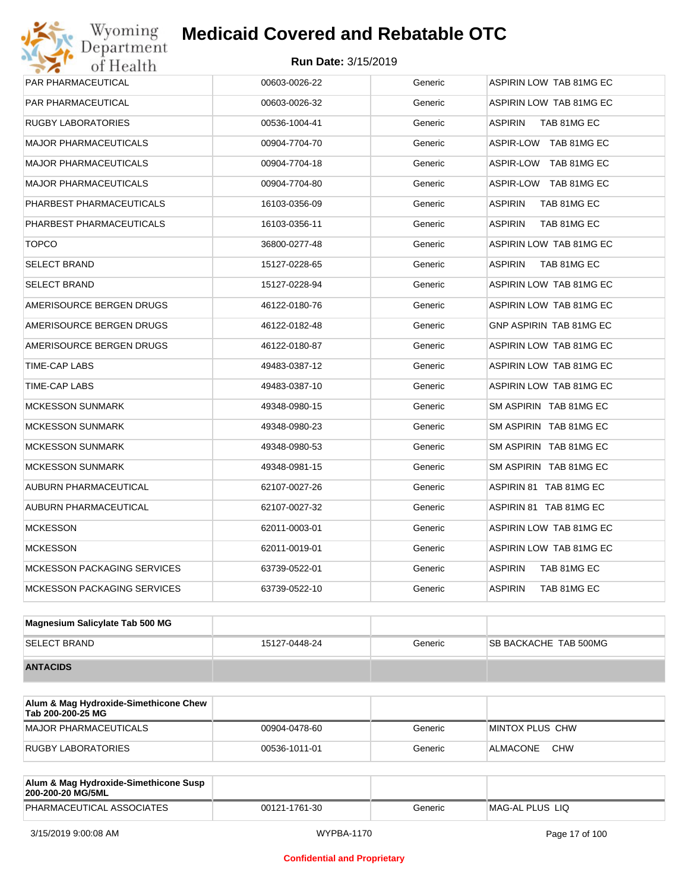# Wyoming<br>Department<br>of Health

## **Medicaid Covered and Rebatable OTC**

| <b>PAR PHARMACEUTICAL</b>          | 00603-0026-22 | Generic | ASPIRIN LOW TAB 81MG EC        |
|------------------------------------|---------------|---------|--------------------------------|
| PAR PHARMACEUTICAL                 | 00603-0026-32 | Generic | ASPIRIN LOW TAB 81MG EC        |
| <b>RUGBY LABORATORIES</b>          | 00536-1004-41 | Generic | <b>ASPIRIN</b><br>TAB 81MG EC  |
| <b>MAJOR PHARMACEUTICALS</b>       | 00904-7704-70 | Generic | ASPIR-LOW TAB 81MG EC          |
| <b>MAJOR PHARMACEUTICALS</b>       | 00904-7704-18 | Generic | ASPIR-LOW TAB 81MG EC          |
| <b>MAJOR PHARMACEUTICALS</b>       | 00904-7704-80 | Generic | ASPIR-LOW TAB 81MG EC          |
| PHARBEST PHARMACEUTICALS           | 16103-0356-09 | Generic | <b>ASPIRIN</b><br>TAB 81MG EC  |
| PHARBEST PHARMACEUTICALS           | 16103-0356-11 | Generic | <b>ASPIRIN</b><br>TAB 81MG EC  |
| <b>TOPCO</b>                       | 36800-0277-48 | Generic | ASPIRIN LOW TAB 81MG EC        |
| <b>SELECT BRAND</b>                | 15127-0228-65 | Generic | <b>ASPIRIN</b><br>TAB 81MG EC  |
| <b>SELECT BRAND</b>                | 15127-0228-94 | Generic | <b>ASPIRIN LOW TAB 81MG EC</b> |
| AMERISOURCE BERGEN DRUGS           | 46122-0180-76 | Generic | ASPIRIN LOW TAB 81MG EC        |
| AMERISOURCE BERGEN DRUGS           | 46122-0182-48 | Generic | GNP ASPIRIN TAB 81MG EC        |
| AMERISOURCE BERGEN DRUGS           | 46122-0180-87 | Generic | ASPIRIN LOW TAB 81MG EC        |
| TIME-CAP LABS                      | 49483-0387-12 | Generic | ASPIRIN LOW TAB 81MG EC        |
| TIME-CAP LABS                      | 49483-0387-10 | Generic | ASPIRIN LOW TAB 81MG EC        |
| <b>MCKESSON SUNMARK</b>            | 49348-0980-15 | Generic | SM ASPIRIN TAB 81MG EC         |
| <b>MCKESSON SUNMARK</b>            | 49348-0980-23 | Generic | SM ASPIRIN TAB 81MG EC         |
| <b>MCKESSON SUNMARK</b>            | 49348-0980-53 | Generic | SM ASPIRIN TAB 81MG EC         |
| <b>MCKESSON SUNMARK</b>            | 49348-0981-15 | Generic | SM ASPIRIN TAB 81MG EC         |
| AUBURN PHARMACEUTICAL              | 62107-0027-26 | Generic | ASPIRIN 81 TAB 81MG EC         |
| <b>AUBURN PHARMACEUTICAL</b>       | 62107-0027-32 | Generic | ASPIRIN 81 TAB 81MG EC         |
| <b>MCKESSON</b>                    | 62011-0003-01 | Generic | ASPIRIN LOW TAB 81MG EC        |
| <b>MCKESSON</b>                    | 62011-0019-01 | Generic | ASPIRIN LOW TAB 81MG EC        |
| <b>MCKESSON PACKAGING SERVICES</b> | 63739-0522-01 | Generic | ASPIRIN<br>TAB 81MG EC         |
| <b>MCKESSON PACKAGING SERVICES</b> | 63739-0522-10 | Generic | <b>ASPIRIN</b><br>TAB 81MG EC  |
|                                    |               |         |                                |

| Magnesium Salicylate Tab 500 MG |               |         |                              |
|---------------------------------|---------------|---------|------------------------------|
| <b>SELECT BRAND</b>             | 15127-0448-24 | Generic | <b>SB BACKACHE TAB 500MG</b> |
| <b>ANTACIDS</b>                 |               |         |                              |

| Alum & Mag Hydroxide-Simethicone Chew<br>Tab 200-200-25 MG |               |         |                        |
|------------------------------------------------------------|---------------|---------|------------------------|
| MAJOR PHARMACEUTICALS                                      | 00904-0478-60 | Generic | <b>MINTOX PLUS CHW</b> |
| RUGBY LABORATORIES                                         | 00536-1011-01 | Generic | <b>CHW</b><br>ALMACONE |

| Alum & Mag Hydroxide-Simethicone Susp<br>200-200-20 MG/5ML |               |         |                 |
|------------------------------------------------------------|---------------|---------|-----------------|
| PHARMACEUTICAL ASSOCIATES                                  | 00121-1761-30 | Generic | MAG-AL PLUS LIO |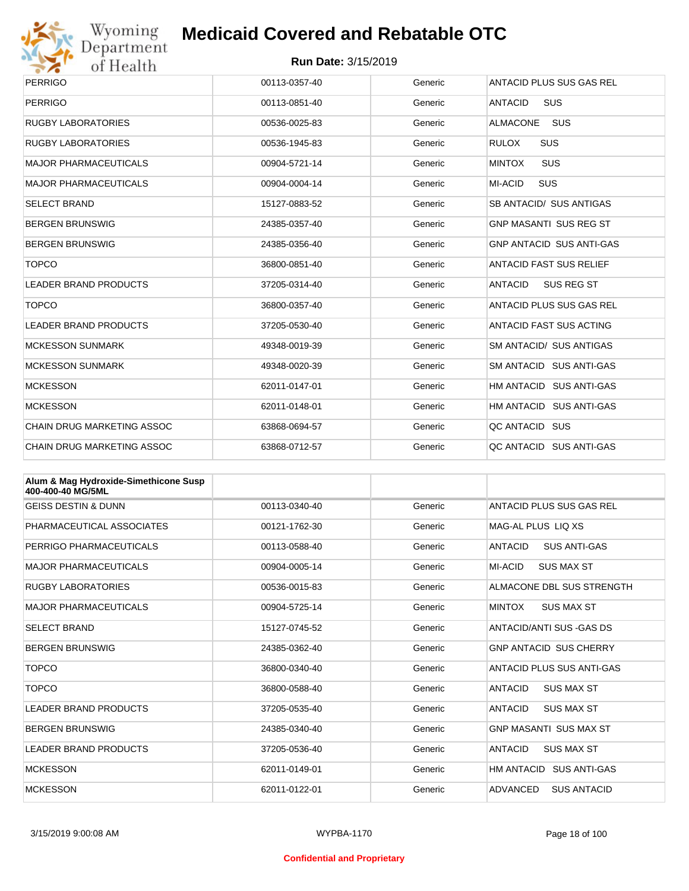

# Wyoming<br>Department<br>of Health

## **Medicaid Covered and Rebatable OTC**

| <b>PERRIGO</b>                    | 00113-0357-40 | Generic | ANTACID PLUS SUS GAS REL            |
|-----------------------------------|---------------|---------|-------------------------------------|
| <b>PERRIGO</b>                    | 00113-0851-40 | Generic | <b>ANTACID</b><br><b>SUS</b>        |
| <b>RUGBY LABORATORIES</b>         | 00536-0025-83 | Generic | <b>SUS</b><br><b>ALMACONE</b>       |
| <b>RUGBY LABORATORIES</b>         | 00536-1945-83 | Generic | <b>SUS</b><br><b>RULOX</b>          |
| <b>MAJOR PHARMACEUTICALS</b>      | 00904-5721-14 | Generic | SUS<br><b>MINTOX</b>                |
| <b>MAJOR PHARMACEUTICALS</b>      | 00904-0004-14 | Generic | <b>SUS</b><br>MI-ACID               |
| <b>SELECT BRAND</b>               | 15127-0883-52 | Generic | <b>SB ANTACID/ SUS ANTIGAS</b>      |
| <b>BERGEN BRUNSWIG</b>            | 24385-0357-40 | Generic | <b>GNP MASANTI SUS REG ST</b>       |
| <b>BERGEN BRUNSWIG</b>            | 24385-0356-40 | Generic | <b>GNP ANTACID SUS ANTI-GAS</b>     |
| <b>TOPCO</b>                      | 36800-0851-40 | Generic | <b>ANTACID FAST SUS RELIEF</b>      |
| <b>LEADER BRAND PRODUCTS</b>      | 37205-0314-40 | Generic | <b>ANTACID</b><br><b>SUS REG ST</b> |
| <b>TOPCO</b>                      | 36800-0357-40 | Generic | ANTACID PLUS SUS GAS REL            |
| <b>LEADER BRAND PRODUCTS</b>      | 37205-0530-40 | Generic | <b>ANTACID FAST SUS ACTING</b>      |
| <b>MCKESSON SUNMARK</b>           | 49348-0019-39 | Generic | SM ANTACID/ SUS ANTIGAS             |
| <b>MCKESSON SUNMARK</b>           | 49348-0020-39 | Generic | SM ANTACID SUS ANTI-GAS             |
| <b>MCKESSON</b>                   | 62011-0147-01 | Generic | HM ANTACID SUS ANTI-GAS             |
| <b>MCKESSON</b>                   | 62011-0148-01 | Generic | HM ANTACID SUS ANTI-GAS             |
| <b>CHAIN DRUG MARKETING ASSOC</b> | 63868-0694-57 | Generic | QC ANTACID SUS                      |
| <b>CHAIN DRUG MARKETING ASSOC</b> | 63868-0712-57 | Generic | QC ANTACID SUS ANTI-GAS             |

| Alum & Mag Hydroxide-Simethicone Susp<br>400-400-40 MG/5ML |               |         |                                       |
|------------------------------------------------------------|---------------|---------|---------------------------------------|
| <b>GEISS DESTIN &amp; DUNN</b>                             | 00113-0340-40 | Generic | ANTACID PLUS SUS GAS REL              |
| PHARMACEUTICAL ASSOCIATES                                  | 00121-1762-30 | Generic | MAG-AL PLUS LIO XS                    |
| PERRIGO PHARMACEUTICALS                                    | 00113-0588-40 | Generic | <b>ANTACID</b><br><b>SUS ANTI-GAS</b> |
| <b>MAJOR PHARMACEUTICALS</b>                               | 00904-0005-14 | Generic | MI-ACID<br><b>SUS MAX ST</b>          |
| <b>RUGBY LABORATORIES</b>                                  | 00536-0015-83 | Generic | ALMACONE DBL SUS STRENGTH             |
| <b>MAJOR PHARMACEUTICALS</b>                               | 00904-5725-14 | Generic | <b>MINTOX</b><br><b>SUS MAX ST</b>    |
| <b>SELECT BRAND</b>                                        | 15127-0745-52 | Generic | ANTACID/ANTI SUS -GAS DS              |
| <b>BERGEN BRUNSWIG</b>                                     | 24385-0362-40 | Generic | <b>GNP ANTACID SUS CHERRY</b>         |
| <b>TOPCO</b>                                               | 36800-0340-40 | Generic | ANTACID PLUS SUS ANTI-GAS             |
| <b>TOPCO</b>                                               | 36800-0588-40 | Generic | <b>ANTACID</b><br><b>SUS MAX ST</b>   |
| <b>LEADER BRAND PRODUCTS</b>                               | 37205-0535-40 | Generic | <b>ANTACID</b><br><b>SUS MAX ST</b>   |
| <b>BERGEN BRUNSWIG</b>                                     | 24385-0340-40 | Generic | <b>GNP MASANTI SUS MAX ST</b>         |
| <b>LEADER BRAND PRODUCTS</b>                               | 37205-0536-40 | Generic | <b>ANTACID</b><br><b>SUS MAX ST</b>   |
| <b>MCKESSON</b>                                            | 62011-0149-01 | Generic | HM ANTACID SUS ANTI-GAS               |
| <b>MCKESSON</b>                                            | 62011-0122-01 | Generic | <b>ADVANCED</b><br><b>SUS ANTACID</b> |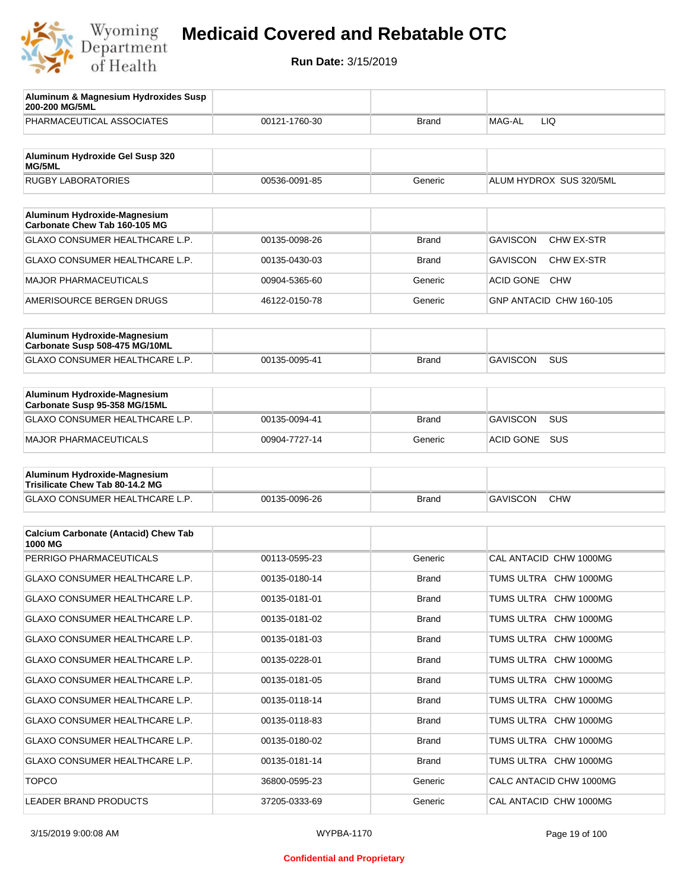

| Aluminum & Magnesium Hydroxides Susp<br>200-200 MG/5ML        |               |              |                                      |
|---------------------------------------------------------------|---------------|--------------|--------------------------------------|
| PHARMACEUTICAL ASSOCIATES                                     | 00121-1760-30 | Brand        | MAG-AL<br>LIQ                        |
| Aluminum Hydroxide Gel Susp 320<br>MG/5ML                     |               |              |                                      |
| <b>RUGBY LABORATORIES</b>                                     | 00536-0091-85 | Generic      | ALUM HYDROX SUS 320/5ML              |
|                                                               |               |              |                                      |
| Aluminum Hydroxide-Magnesium<br>Carbonate Chew Tab 160-105 MG |               |              |                                      |
| <b>GLAXO CONSUMER HEALTHCARE L.P.</b>                         | 00135-0098-26 | <b>Brand</b> | CHW EX-STR<br><b>GAVISCON</b>        |
| GLAXO CONSUMER HEALTHCARE L.P.                                | 00135-0430-03 | <b>Brand</b> | <b>GAVISCON</b><br><b>CHW EX-STR</b> |
| <b>MAJOR PHARMACEUTICALS</b>                                  | 00904-5365-60 | Generic      | <b>ACID GONE</b><br><b>CHW</b>       |
| AMERISOURCE BERGEN DRUGS                                      | 46122-0150-78 | Generic      | GNP ANTACID CHW 160-105              |
| Aluminum Hydroxide-Magnesium                                  |               |              |                                      |
| Carbonate Susp 508-475 MG/10ML                                |               |              |                                      |
| <b>GLAXO CONSUMER HEALTHCARE L.P.</b>                         | 00135-0095-41 | <b>Brand</b> | <b>SUS</b><br><b>GAVISCON</b>        |
| Aluminum Hydroxide-Magnesium                                  |               |              |                                      |
| Carbonate Susp 95-358 MG/15ML                                 |               |              |                                      |
| <b>GLAXO CONSUMER HEALTHCARE L.P.</b>                         | 00135-0094-41 | <b>Brand</b> | <b>GAVISCON</b><br><b>SUS</b>        |
| <b>MAJOR PHARMACEUTICALS</b>                                  | 00904-7727-14 | Generic      | <b>SUS</b><br><b>ACID GONE</b>       |
| Aluminum Hydroxide-Magnesium                                  |               |              |                                      |
| Trisilicate Chew Tab 80-14.2 MG                               |               |              |                                      |
| GLAXO CONSUMER HEALTHCARE L.P.                                | 00135-0096-26 | <b>Brand</b> | <b>GAVISCON</b><br><b>CHW</b>        |
|                                                               |               |              |                                      |
| <b>Calcium Carbonate (Antacid) Chew Tab</b><br>1000 MG        |               |              |                                      |
| PERRIGO PHARMACEUTICALS                                       | 00113-0595-23 | Generic      | CAL ANTACID CHW 1000MG               |
| GLAXO CONSUMER HEALTHCARE L.P.                                | 00135-0180-14 | <b>Brand</b> | TUMS ULTRA CHW 1000MG                |
| GLAXO CONSUMER HEALTHCARE L.P.                                | 00135-0181-01 | <b>Brand</b> | TUMS ULTRA CHW 1000MG                |
| GLAXO CONSUMER HEALTHCARE L.P.                                | 00135-0181-02 | <b>Brand</b> | TUMS ULTRA CHW 1000MG                |
| GLAXO CONSUMER HEALTHCARE L.P.                                | 00135-0181-03 | <b>Brand</b> | TUMS ULTRA CHW 1000MG                |
| GLAXO CONSUMER HEALTHCARE L.P.                                | 00135-0228-01 | <b>Brand</b> | TUMS ULTRA CHW 1000MG                |
| GLAXO CONSUMER HEALTHCARE L.P.                                | 00135-0181-05 | <b>Brand</b> | TUMS ULTRA CHW 1000MG                |
| GLAXO CONSUMER HEALTHCARE L.P.                                | 00135-0118-14 | <b>Brand</b> | TUMS ULTRA CHW 1000MG                |
| GLAXO CONSUMER HEALTHCARE L.P.                                | 00135-0118-83 | <b>Brand</b> | TUMS ULTRA CHW 1000MG                |
| GLAXO CONSUMER HEALTHCARE L.P.                                | 00135-0180-02 | <b>Brand</b> | TUMS ULTRA CHW 1000MG                |
| GLAXO CONSUMER HEALTHCARE L.P.                                | 00135-0181-14 | <b>Brand</b> | TUMS ULTRA CHW 1000MG                |
| <b>TOPCO</b>                                                  | 36800-0595-23 | Generic      | CALC ANTACID CHW 1000MG              |
| LEADER BRAND PRODUCTS                                         | 37205-0333-69 | Generic      | CAL ANTACID CHW 1000MG               |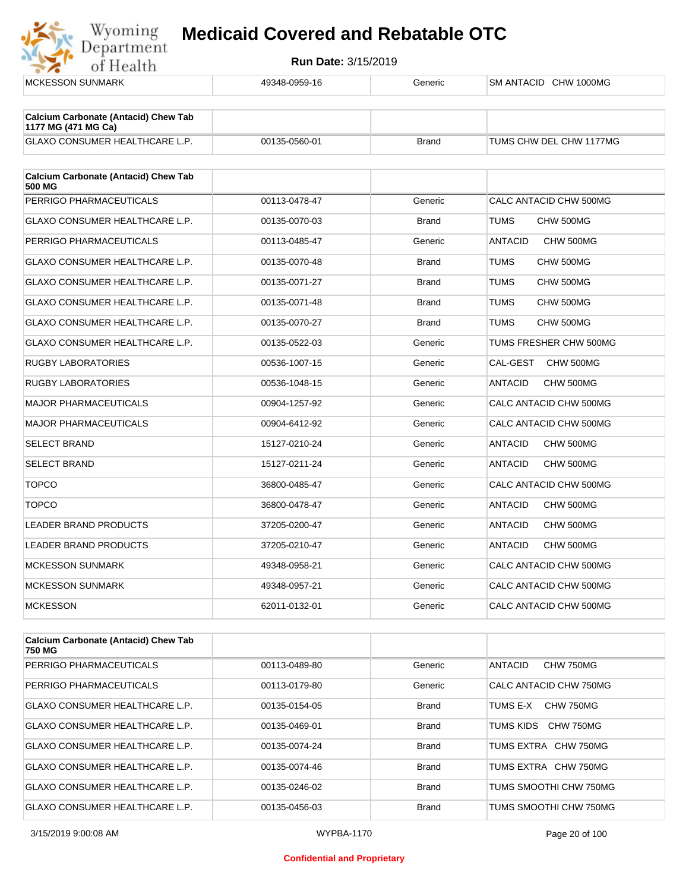

| <b>MCKESSON SUNMARK</b>                                                                                                                                                                                                                                                                                                | 49348-0959-16 | Generic      | SM ANTACID CHW 1000MG       |
|------------------------------------------------------------------------------------------------------------------------------------------------------------------------------------------------------------------------------------------------------------------------------------------------------------------------|---------------|--------------|-----------------------------|
| <b>Calcium Carbonate (Antacid) Chew Tab</b>                                                                                                                                                                                                                                                                            |               |              |                             |
| 1177 MG (471 MG Ca)                                                                                                                                                                                                                                                                                                    |               |              |                             |
| GLAXO CONSUMER HEALTHCARE L.P.                                                                                                                                                                                                                                                                                         | 00135-0560-01 | <b>Brand</b> | TUMS CHW DEL CHW 1177MG     |
| <b>Calcium Carbonate (Antacid) Chew Tab</b><br>500 MG                                                                                                                                                                                                                                                                  |               |              |                             |
| PERRIGO PHARMACEUTICALS                                                                                                                                                                                                                                                                                                | 00113-0478-47 | Generic      | CALC ANTACID CHW 500MG      |
| GLAXO CONSUMER HEALTHCARE L.P.                                                                                                                                                                                                                                                                                         | 00135-0070-03 | <b>Brand</b> | <b>TUMS</b><br>CHW 500MG    |
| PERRIGO PHARMACEUTICALS                                                                                                                                                                                                                                                                                                | 00113-0485-47 | Generic      | <b>ANTACID</b><br>CHW 500MG |
| <b>GLAXO CONSUMER HEALTHCARE L.P.</b>                                                                                                                                                                                                                                                                                  | 00135-0070-48 | <b>Brand</b> | <b>TUMS</b><br>CHW 500MG    |
| GLAXO CONSUMER HEALTHCARE L.P.                                                                                                                                                                                                                                                                                         | 00135-0071-27 | <b>Brand</b> | <b>TUMS</b><br>CHW 500MG    |
| <b>GLAXO CONSUMER HEALTHCARE L.P.</b>                                                                                                                                                                                                                                                                                  | 00135-0071-48 | <b>Brand</b> | <b>TUMS</b><br>CHW 500MG    |
| <b>GLAXO CONSUMER HEALTHCARE L.P.</b>                                                                                                                                                                                                                                                                                  | 00135-0070-27 | <b>Brand</b> | <b>TUMS</b><br>CHW 500MG    |
| GLAXO CONSUMER HEALTHCARE L.P.                                                                                                                                                                                                                                                                                         | 00135-0522-03 | Generic      | TUMS FRESHER CHW 500MG      |
| <b>RUGBY LABORATORIES</b>                                                                                                                                                                                                                                                                                              | 00536-1007-15 | Generic      | CAL-GEST<br>CHW 500MG       |
| <b>RUGBY LABORATORIES</b>                                                                                                                                                                                                                                                                                              | 00536-1048-15 | Generic      | <b>ANTACID</b><br>CHW 500MG |
| <b>MAJOR PHARMACEUTICALS</b>                                                                                                                                                                                                                                                                                           | 00904-1257-92 | Generic      | CALC ANTACID CHW 500MG      |
| <b>MAJOR PHARMACEUTICALS</b>                                                                                                                                                                                                                                                                                           | 00904-6412-92 | Generic      | CALC ANTACID CHW 500MG      |
| <b>SELECT BRAND</b>                                                                                                                                                                                                                                                                                                    | 15127-0210-24 | Generic      | <b>ANTACID</b><br>CHW 500MG |
| <b>SELECT BRAND</b>                                                                                                                                                                                                                                                                                                    | 15127-0211-24 | Generic      | CHW 500MG<br><b>ANTACID</b> |
| <b>TOPCO</b>                                                                                                                                                                                                                                                                                                           | 36800-0485-47 | Generic      | CALC ANTACID CHW 500MG      |
| <b>TOPCO</b>                                                                                                                                                                                                                                                                                                           | 36800-0478-47 | Generic      | <b>ANTACID</b><br>CHW 500MG |
| <b>LEADER BRAND PRODUCTS</b>                                                                                                                                                                                                                                                                                           | 37205-0200-47 | Generic      | <b>ANTACID</b><br>CHW 500MG |
| <b>LEADER BRAND PRODUCTS</b>                                                                                                                                                                                                                                                                                           | 37205-0210-47 | Generic      | <b>ANTACID</b><br>CHW 500MG |
| <b>MCKESSON SUNMARK</b>                                                                                                                                                                                                                                                                                                | 49348-0958-21 | Generic      | CALC ANTACID CHW 500MG      |
| <b>MCKESSON SUNMARK</b>                                                                                                                                                                                                                                                                                                | 49348-0957-21 | Generic      | CALC ANTACID CHW 500MG      |
| <b>MCKESSON</b>                                                                                                                                                                                                                                                                                                        | 62011-0132-01 | Generic      | CALC ANTACID CHW 500MG      |
| $\mathbf{A}$ - Linux $\mathbf{A}$ - dimensional $\mathbf{A}$ and $\mathbf{A}$ - $\mathbf{A}$ $\mathbf{A}$ $\mathbf{A}$ $\mathbf{A}$ $\mathbf{A}$ $\mathbf{A}$ $\mathbf{A}$ $\mathbf{A}$ $\mathbf{A}$ $\mathbf{A}$ $\mathbf{A}$ $\mathbf{A}$ $\mathbf{A}$ $\mathbf{A}$ $\mathbf{A}$ $\mathbf{A}$ $\mathbf{A}$ $\mathbf$ |               |              |                             |
|                                                                                                                                                                                                                                                                                                                        |               |              |                             |

| <b>Calcium Carbonate (Antacid) Chew Tab</b><br>750 MG |               |              |                              |
|-------------------------------------------------------|---------------|--------------|------------------------------|
| PERRIGO PHARMACEUTICALS                               | 00113-0489-80 | Generic      | ANTACID<br>CHW 750MG         |
| PERRIGO PHARMACEUTICALS                               | 00113-0179-80 | Generic      | CALC ANTACID CHW 750MG       |
| <b>GLAXO CONSUMER HEALTHCARE L.P.</b>                 | 00135-0154-05 | <b>Brand</b> | <b>CHW 750MG</b><br>TUMS F-X |
| GLAXO CONSUMER HEALTHCARE L.P.                        | 00135-0469-01 | <b>Brand</b> | TUMS KIDS.<br>CHW 750MG      |
| GLAXO CONSUMER HEALTHCARE L.P.                        | 00135-0074-24 | <b>Brand</b> | TUMS EXTRA<br>CHW 750MG      |
| <b>GLAXO CONSUMER HEALTHCARE L.P.</b>                 | 00135-0074-46 | Brand        | TUMS EXTRA CHW 750MG         |
| <b>GLAXO CONSUMER HEALTHCARE L.P.</b>                 | 00135-0246-02 | <b>Brand</b> | TUMS SMOOTHI CHW 750MG       |
| <b>GLAXO CONSUMER HEALTHCARE L.P.</b>                 | 00135-0456-03 | Brand        | TUMS SMOOTHI CHW 750MG       |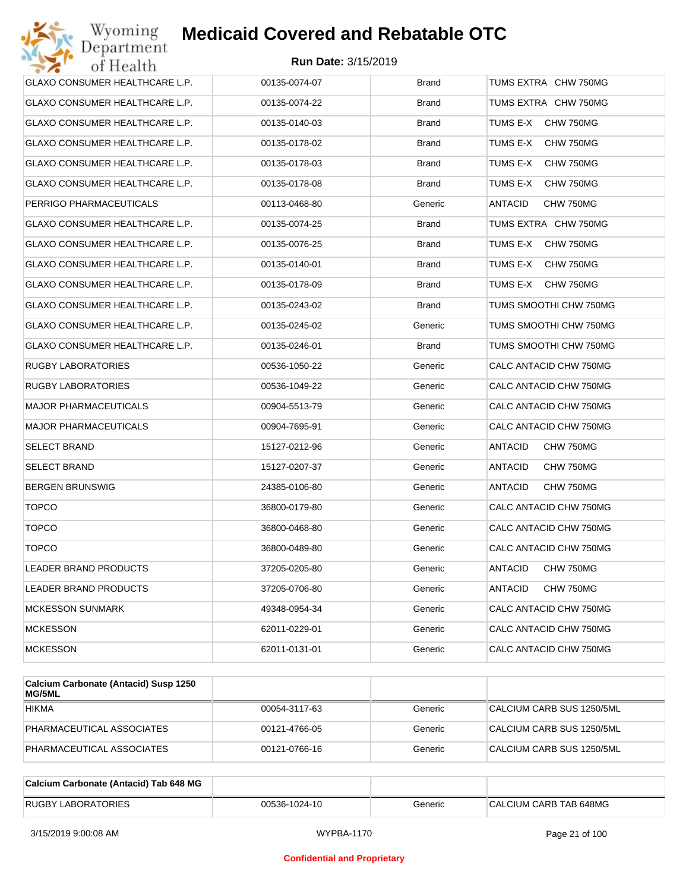| Wyoming<br>Department                 | <b>Medicaid Covered and Rebatable OTC</b> |              |                             |
|---------------------------------------|-------------------------------------------|--------------|-----------------------------|
| of Health                             | <b>Run Date: 3/15/2019</b>                |              |                             |
| GLAXO CONSUMER HEALTHCARE L.P.        | 00135-0074-07                             | <b>Brand</b> | TUMS EXTRA CHW 750MG        |
| GLAXO CONSUMER HEALTHCARE L.P.        | 00135-0074-22                             | Brand        | TUMS EXTRA CHW 750MG        |
| GLAXO CONSUMER HEALTHCARE L.P.        | 00135-0140-03                             | Brand        | TUMS E-X<br>CHW 750MG       |
| GLAXO CONSUMER HEALTHCARE L.P.        | 00135-0178-02                             | <b>Brand</b> | TUMS E-X<br>CHW 750MG       |
| GLAXO CONSUMER HEALTHCARE L.P.        | 00135-0178-03                             | Brand        | TUMS E-X<br>CHW 750MG       |
| GLAXO CONSUMER HEALTHCARE L.P.        | 00135-0178-08                             | <b>Brand</b> | TUMS E-X<br>CHW 750MG       |
| PERRIGO PHARMACEUTICALS               | 00113-0468-80                             | Generic      | ANTACID<br>CHW 750MG        |
| GLAXO CONSUMER HEALTHCARE L.P.        | 00135-0074-25                             | <b>Brand</b> | TUMS EXTRA CHW 750MG        |
| GLAXO CONSUMER HEALTHCARE L.P.        | 00135-0076-25                             | <b>Brand</b> | TUMS E-X<br>CHW 750MG       |
| GLAXO CONSUMER HEALTHCARE L.P.        | 00135-0140-01                             | <b>Brand</b> | TUMS E-X<br>CHW 750MG       |
| GLAXO CONSUMER HEALTHCARE L.P.        | 00135-0178-09                             | Brand        | TUMS E-X<br>CHW 750MG       |
| <b>GLAXO CONSUMER HEALTHCARE L.P.</b> | 00135-0243-02                             | <b>Brand</b> | TUMS SMOOTHI CHW 750MG      |
| GLAXO CONSUMER HEALTHCARE L.P.        | 00135-0245-02                             | Generic      | TUMS SMOOTHI CHW 750MG      |
| GLAXO CONSUMER HEALTHCARE L.P.        | 00135-0246-01                             | <b>Brand</b> | TUMS SMOOTHI CHW 750MG      |
| RUGBY LABORATORIES                    | 00536-1050-22                             | Generic      | CALC ANTACID CHW 750MG      |
| RUGBY LABORATORIES                    | 00536-1049-22                             | Generic      | CALC ANTACID CHW 750MG      |
| <b>MAJOR PHARMACEUTICALS</b>          | 00904-5513-79                             | Generic      | CALC ANTACID CHW 750MG      |
| MAJOR PHARMACEUTICALS                 | 00904-7695-91                             | Generic      | CALC ANTACID CHW 750MG      |
| SELECT BRAND                          | 15127-0212-96                             | Generic      | ANTACID<br>CHW 750MG        |
| SELECT BRAND                          | 15127-0207-37                             | Generic      | ANTACID<br>CHW 750MG        |
| BERGEN BRUNSWIG                       | 24385-0106-80                             | Generic      | <b>ANTACID</b><br>CHW 750MG |
| <b>TOPCO</b>                          | 36800-0179-80                             | Generic      | CALC ANTACID CHW 750MG      |
| <b>TOPCO</b>                          | 36800-0468-80                             | Generic      | CALC ANTACID CHW 750MG      |
| <b>TOPCO</b>                          | 36800-0489-80                             | Generic      | CALC ANTACID CHW 750MG      |
| LEADER BRAND PRODUCTS                 | 37205-0205-80                             | Generic      | CHW 750MG<br>ANTACID        |
| LEADER BRAND PRODUCTS                 | 37205-0706-80                             | Generic      | ANTACID<br>CHW 750MG        |
| <b>MCKESSON SUNMARK</b>               | 49348-0954-34                             | Generic      | CALC ANTACID CHW 750MG      |
| <b>MCKESSON</b>                       | 62011-0229-01                             | Generic      | CALC ANTACID CHW 750MG      |
| MCKESSON                              | 62011-0131-01                             | Generic      | CALC ANTACID CHW 750MG      |
|                                       |                                           |              |                             |

| Calcium Carbonate (Antacid) Susp 1250<br>MG/5ML |               |         |                           |
|-------------------------------------------------|---------------|---------|---------------------------|
| <b>HIKMA</b>                                    | 00054-3117-63 | Generic | CALCIUM CARB SUS 1250/5ML |
| PHARMACEUTICAL ASSOCIATES                       | 00121-4766-05 | Generic | CALCIUM CARB SUS 1250/5ML |
| PHARMACEUTICAL ASSOCIATES                       | 00121-0766-16 | Generic | CALCIUM CARB SUS 1250/5ML |

| Calcium Carbonate (Antacid) Tab 648 MG |               |         |                        |
|----------------------------------------|---------------|---------|------------------------|
| <b>RUGBY LABORATORIES</b>              | 00536-1024-10 | Generic | CALCIUM CARB TAB 648MG |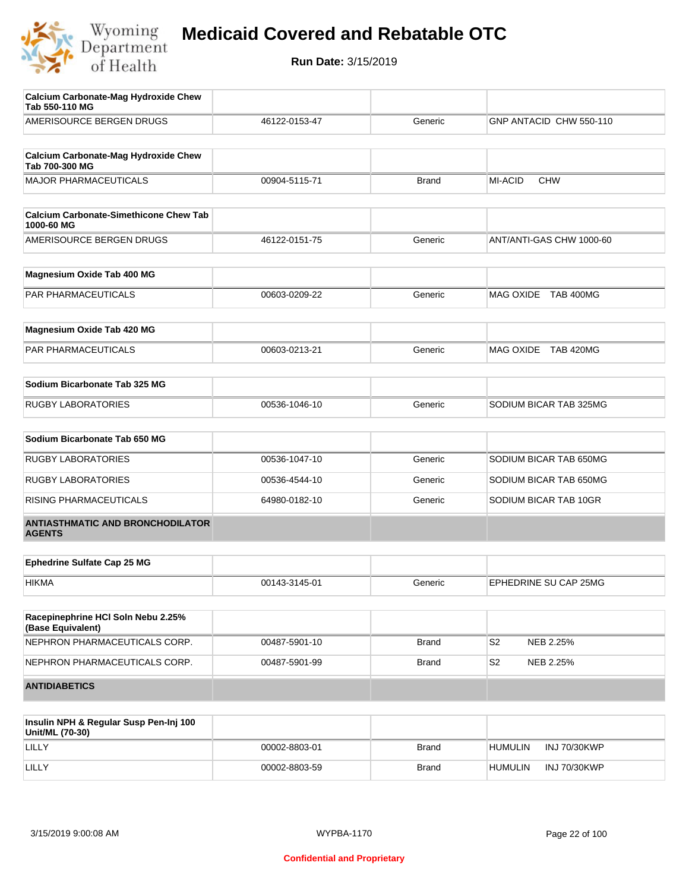

| AMERISOURCE BERGEN DRUGS<br><b>Calcium Carbonate-Mag Hydroxide Chew</b><br>Tab 700-300 MG<br><b>MAJOR PHARMACEUTICALS</b><br><b>Calcium Carbonate-Simethicone Chew Tab</b><br>1000-60 MG<br>AMERISOURCE BERGEN DRUGS<br>Magnesium Oxide Tab 400 MG | 46122-0153-47<br>00904-5115-71<br>46122-0151-75<br>00603-0209-22 | Generic<br><b>Brand</b><br>Generic<br>Generic | GNP ANTACID CHW 550-110<br><b>MI-ACID</b><br><b>CHW</b><br>ANT/ANTI-GAS CHW 1000-60<br>MAG OXIDE TAB 400MG |
|----------------------------------------------------------------------------------------------------------------------------------------------------------------------------------------------------------------------------------------------------|------------------------------------------------------------------|-----------------------------------------------|------------------------------------------------------------------------------------------------------------|
|                                                                                                                                                                                                                                                    |                                                                  |                                               |                                                                                                            |
|                                                                                                                                                                                                                                                    |                                                                  |                                               |                                                                                                            |
|                                                                                                                                                                                                                                                    |                                                                  |                                               |                                                                                                            |
|                                                                                                                                                                                                                                                    |                                                                  |                                               |                                                                                                            |
|                                                                                                                                                                                                                                                    |                                                                  |                                               |                                                                                                            |
|                                                                                                                                                                                                                                                    |                                                                  |                                               |                                                                                                            |
|                                                                                                                                                                                                                                                    |                                                                  |                                               |                                                                                                            |
|                                                                                                                                                                                                                                                    |                                                                  |                                               |                                                                                                            |
| PAR PHARMACEUTICALS                                                                                                                                                                                                                                |                                                                  |                                               |                                                                                                            |
| Magnesium Oxide Tab 420 MG                                                                                                                                                                                                                         |                                                                  |                                               |                                                                                                            |
| PAR PHARMACEUTICALS                                                                                                                                                                                                                                | 00603-0213-21                                                    | Generic                                       | MAG OXIDE TAB 420MG                                                                                        |
| Sodium Bicarbonate Tab 325 MG                                                                                                                                                                                                                      |                                                                  |                                               |                                                                                                            |
| <b>RUGBY LABORATORIES</b>                                                                                                                                                                                                                          | 00536-1046-10                                                    | Generic                                       | SODIUM BICAR TAB 325MG                                                                                     |
|                                                                                                                                                                                                                                                    |                                                                  |                                               |                                                                                                            |
| Sodium Bicarbonate Tab 650 MG                                                                                                                                                                                                                      |                                                                  |                                               |                                                                                                            |
| <b>RUGBY LABORATORIES</b>                                                                                                                                                                                                                          | 00536-1047-10                                                    | Generic                                       | SODIUM BICAR TAB 650MG                                                                                     |
| <b>RUGBY LABORATORIES</b>                                                                                                                                                                                                                          | 00536-4544-10                                                    | Generic                                       | SODIUM BICAR TAB 650MG                                                                                     |
| RISING PHARMACEUTICALS                                                                                                                                                                                                                             | 64980-0182-10                                                    | Generic                                       | SODIUM BICAR TAB 10GR                                                                                      |
| <b>ANTIASTHMATIC AND BRONCHODILATOR</b><br><b>AGENTS</b>                                                                                                                                                                                           |                                                                  |                                               |                                                                                                            |
|                                                                                                                                                                                                                                                    |                                                                  |                                               |                                                                                                            |
| <b>Ephedrine Sulfate Cap 25 MG</b>                                                                                                                                                                                                                 |                                                                  |                                               |                                                                                                            |
| <b>HIKMA</b>                                                                                                                                                                                                                                       | 00143-3145-01                                                    | Generic                                       | EPHEDRINE SU CAP 25MG                                                                                      |
| Racepinephrine HCI Soln Nebu 2.25%<br>(Base Equivalent)                                                                                                                                                                                            |                                                                  |                                               |                                                                                                            |
| NEPHRON PHARMACEUTICALS CORP.                                                                                                                                                                                                                      | 00487-5901-10                                                    | <b>Brand</b>                                  | S <sub>2</sub><br>NEB 2.25%                                                                                |
| NEPHRON PHARMACEUTICALS CORP.                                                                                                                                                                                                                      | 00487-5901-99                                                    | <b>Brand</b>                                  | S <sub>2</sub><br>NEB 2.25%                                                                                |
| <b>ANTIDIABETICS</b>                                                                                                                                                                                                                               |                                                                  |                                               |                                                                                                            |

| Insulin NPH & Regular Susp Pen-Inj 100<br>Unit/ML (70-30) |               |       |                                |
|-----------------------------------------------------------|---------------|-------|--------------------------------|
| LILLY                                                     | 00002-8803-01 | Brand | INJ 70/30KWP<br><b>HUMULIN</b> |
| LILLY                                                     | 00002-8803-59 | Brand | INJ 70/30KWP<br><b>HUMULIN</b> |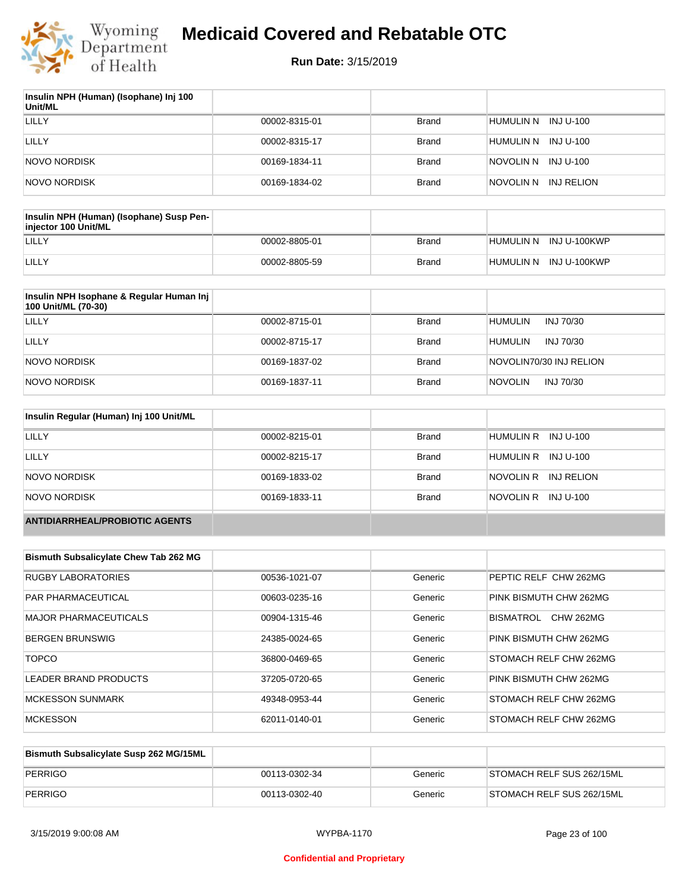

| Insulin NPH (Human) (Isophane) Inj 100<br>Unit/ML |               |              |                         |
|---------------------------------------------------|---------------|--------------|-------------------------|
| LILLY                                             | 00002-8315-01 | <b>Brand</b> | HUMULIN N INJ U-100     |
| LILLY                                             | 00002-8315-17 | <b>Brand</b> | HUMULIN N<br>INJ U-100  |
| NOVO NORDISK                                      | 00169-1834-11 | <b>Brand</b> | NOVOLIN N INJ U-100     |
| NOVO NORDISK                                      | 00169-1834-02 | <b>Brand</b> | NOVOLIN N<br>INJ RELION |

| Insulin NPH (Human) (Isophane) Susp Pen-<br>injector 100 Unit/ML |               |              |                        |
|------------------------------------------------------------------|---------------|--------------|------------------------|
| LILLY                                                            | 00002-8805-01 | Brand        | HUMULIN N INJ U-100KWP |
| LILLY                                                            | 00002-8805-59 | <b>Brand</b> | HUMULIN N INJ U-100KWP |

| Insulin NPH Isophane & Regular Human Inj<br>100 Unit/ML (70-30) |               |              |                             |
|-----------------------------------------------------------------|---------------|--------------|-----------------------------|
| LILLY                                                           | 00002-8715-01 | <b>Brand</b> | <b>HUMULIN</b><br>INJ 70/30 |
| LILLY                                                           | 00002-8715-17 | <b>Brand</b> | <b>HUMULIN</b><br>INJ 70/30 |
| NOVO NORDISK                                                    | 00169-1837-02 | <b>Brand</b> | NOVOLIN70/30 INJ RELION     |
| NOVO NORDISK                                                    | 00169-1837-11 | <b>Brand</b> | <b>NOVOLIN</b><br>INJ 70/30 |

| Insulin Regular (Human) Inj 100 Unit/ML |               |              |                         |
|-----------------------------------------|---------------|--------------|-------------------------|
| <b>LILLY</b>                            | 00002-8215-01 | <b>Brand</b> | HUMULIN R INJ U-100     |
| LILLY                                   | 00002-8215-17 | <b>Brand</b> | HUMULIN R INJ U-100     |
| NOVO NORDISK                            | 00169-1833-02 | <b>Brand</b> | NOVOLIN R<br>INJ RELION |
| NOVO NORDISK                            | 00169-1833-11 | <b>Brand</b> | NOVOLIN R INJ U-100     |
| <b>ANTIDIARRHEAL/PROBIOTIC AGENTS</b>   |               |              |                         |

| <b>Bismuth Subsalicylate Chew Tab 262 MG</b> |               |         |                               |
|----------------------------------------------|---------------|---------|-------------------------------|
| <b>RUGBY LABORATORIES</b>                    | 00536-1021-07 | Generic | PEPTIC RELF CHW 262MG         |
| <b>PAR PHARMACEUTICAL</b>                    | 00603-0235-16 | Generic | PINK BISMUTH CHW 262MG        |
| <b>MAJOR PHARMACEUTICALS</b>                 | 00904-1315-46 | Generic | <b>CHW 262MG</b><br>BISMATROL |
| <b>BERGEN BRUNSWIG</b>                       | 24385-0024-65 | Generic | PINK BISMUTH CHW 262MG        |
| <b>TOPCO</b>                                 | 36800-0469-65 | Generic | STOMACH RELF CHW 262MG        |
| LEADER BRAND PRODUCTS                        | 37205-0720-65 | Generic | PINK BISMUTH CHW 262MG        |
| <b>MCKESSON SUNMARK</b>                      | 49348-0953-44 | Generic | STOMACH RELF CHW 262MG        |
| <b>MCKESSON</b>                              | 62011-0140-01 | Generic | STOMACH RELF CHW 262MG        |

| Bismuth Subsalicylate Susp 262 MG/15ML |               |         |                           |
|----------------------------------------|---------------|---------|---------------------------|
| PERRIGO                                | 00113-0302-34 | Generic | STOMACH RELF SUS 262/15ML |
| PERRIGO                                | 00113-0302-40 | Generic | STOMACH RELF SUS 262/15ML |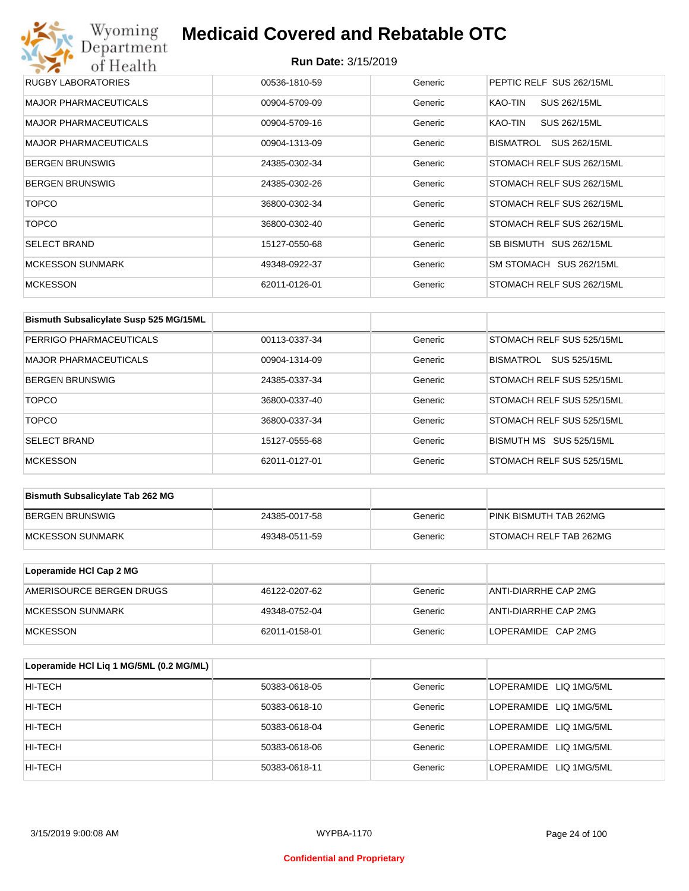## Wyoming<br>Department<br>of Health **Medicaid Covered and Rebatable OTC**

| RUGBY LABORATORIES           | 00536-1810-59 | Generic | PEPTIC RELF SUS 262/15ML  |
|------------------------------|---------------|---------|---------------------------|
| <b>MAJOR PHARMACEUTICALS</b> | 00904-5709-09 | Generic | SUS 262/15ML<br>KAO-TIN   |
| <b>MAJOR PHARMACEUTICALS</b> | 00904-5709-16 | Generic | SUS 262/15ML<br>KAO-TIN   |
| <b>MAJOR PHARMACEUTICALS</b> | 00904-1313-09 | Generic | SUS 262/15ML<br>BISMATROL |
| <b>BERGEN BRUNSWIG</b>       | 24385-0302-34 | Generic | STOMACH RELF SUS 262/15ML |
| <b>BERGEN BRUNSWIG</b>       | 24385-0302-26 | Generic | STOMACH RELF SUS 262/15ML |
| <b>TOPCO</b>                 | 36800-0302-34 | Generic | STOMACH RELF SUS 262/15ML |
| <b>TOPCO</b>                 | 36800-0302-40 | Generic | STOMACH RELF SUS 262/15ML |
| <b>SELECT BRAND</b>          | 15127-0550-68 | Generic | SB BISMUTH SUS 262/15ML   |
| <b>MCKESSON SUNMARK</b>      | 49348-0922-37 | Generic | SM STOMACH SUS 262/15ML   |
| <b>MCKESSON</b>              | 62011-0126-01 | Generic | STOMACH RELF SUS 262/15ML |

| Bismuth Subsalicylate Susp 525 MG/15ML |               |         |                                  |
|----------------------------------------|---------------|---------|----------------------------------|
| PERRIGO PHARMACEUTICALS                | 00113-0337-34 | Generic | STOMACH RELF SUS 525/15ML        |
| MAJOR PHARMACEUTICALS                  | 00904-1314-09 | Generic | SUS 525/15ML<br><b>BISMATROL</b> |
| <b>BERGEN BRUNSWIG</b>                 | 24385-0337-34 | Generic | STOMACH RELF SUS 525/15ML        |
| <b>TOPCO</b>                           | 36800-0337-40 | Generic | STOMACH RELF SUS 525/15ML        |
| <b>TOPCO</b>                           | 36800-0337-34 | Generic | STOMACH RELF SUS 525/15ML        |
| <b>SELECT BRAND</b>                    | 15127-0555-68 | Generic | BISMUTH MS<br>SUS 525/15ML       |
| <b>MCKESSON</b>                        | 62011-0127-01 | Generic | STOMACH RELF SUS 525/15ML        |

| <b>Bismuth Subsalicylate Tab 262 MG</b> |               |         |                        |
|-----------------------------------------|---------------|---------|------------------------|
| <b>BERGEN BRUNSWIG</b>                  | 24385-0017-58 | Generic | PINK BISMUTH TAB 262MG |
| <b>IMCKESSON SUNMARK</b>                | 49348-0511-59 | Generic | STOMACH RELF TAB 262MG |

| Loperamide HCI Cap 2 MG  |               |         |                      |
|--------------------------|---------------|---------|----------------------|
| AMERISOURCE BERGEN DRUGS | 46122-0207-62 | Generic | ANTI-DIARRHE CAP 2MG |
| IMCKESSON SUNMARK        | 49348-0752-04 | Generic | ANTI-DIARRHE CAP 2MG |
| MCKESSON                 | 62011-0158-01 | Generic | LOPERAMIDE CAP 2MG   |

| Loperamide HCI Liq 1 MG/5ML (0.2 MG/ML) |               |         |                        |
|-----------------------------------------|---------------|---------|------------------------|
| HI-TECH                                 | 50383-0618-05 | Generic | LOPERAMIDE LIQ 1MG/5ML |
| HI-TECH                                 | 50383-0618-10 | Generic | LOPERAMIDE LIQ 1MG/5ML |
| HI-TECH                                 | 50383-0618-04 | Generic | LOPERAMIDE LIQ 1MG/5ML |
| HI-TECH                                 | 50383-0618-06 | Generic | LOPERAMIDE LIQ 1MG/5ML |
| HI-TECH                                 | 50383-0618-11 | Generic | LOPERAMIDE LIQ 1MG/5ML |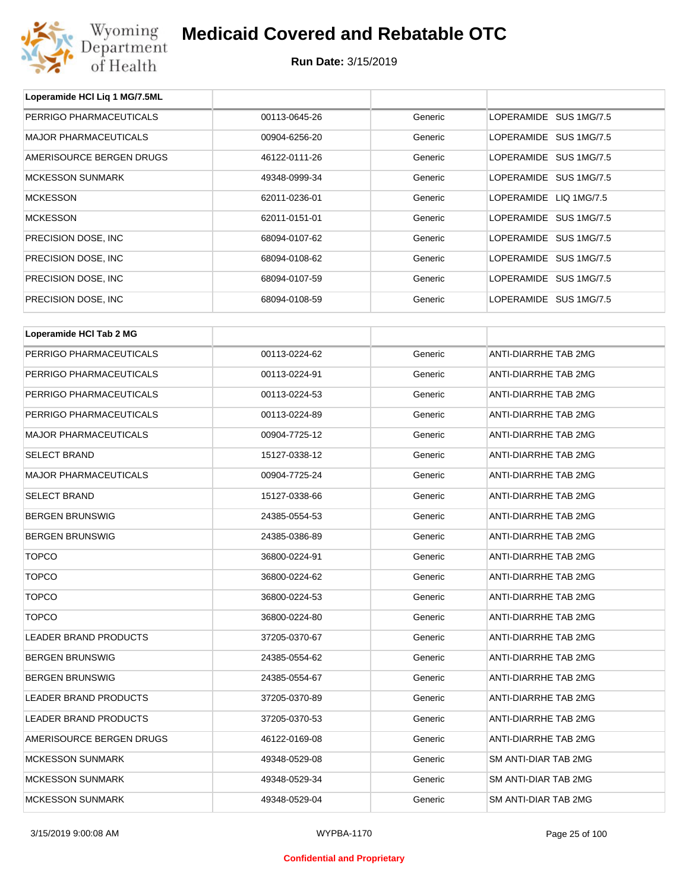

**Loperamide HCl Liq 1 MG/7.5ML**

## **Medicaid Covered and Rebatable OTC**

| <b>MAJOR PHARMACEUTICALS</b><br>LOPERAMIDE SUS 1MG/7.5<br>00904-6256-20<br>Generic<br>AMERISOURCE BERGEN DRUGS<br>LOPERAMIDE SUS 1MG/7.5<br>46122-0111-26<br>Generic<br><b>MCKESSON SUNMARK</b><br>LOPERAMIDE SUS 1MG/7.5<br>49348-0999-34<br>Generic |  |
|-------------------------------------------------------------------------------------------------------------------------------------------------------------------------------------------------------------------------------------------------------|--|
|                                                                                                                                                                                                                                                       |  |
|                                                                                                                                                                                                                                                       |  |
|                                                                                                                                                                                                                                                       |  |
| <b>MCKESSON</b><br>LOPERAMIDE LIQ 1MG/7.5<br>62011-0236-01<br>Generic                                                                                                                                                                                 |  |
| <b>MCKESSON</b><br>62011-0151-01<br>LOPERAMIDE SUS 1MG/7.5<br>Generic                                                                                                                                                                                 |  |
| PRECISION DOSE, INC.<br>LOPERAMIDE SUS 1MG/7.5<br>68094-0107-62<br>Generic                                                                                                                                                                            |  |
| PRECISION DOSE, INC<br>LOPERAMIDE SUS 1MG/7.5<br>68094-0108-62<br>Generic                                                                                                                                                                             |  |
| PRECISION DOSE, INC.<br>LOPERAMIDE SUS 1MG/7.5<br>68094-0107-59<br>Generic                                                                                                                                                                            |  |
| PRECISION DOSE, INC.<br>LOPERAMIDE SUS 1MG/7.5<br>68094-0108-59<br>Generic                                                                                                                                                                            |  |
|                                                                                                                                                                                                                                                       |  |
| Loperamide HCI Tab 2 MG                                                                                                                                                                                                                               |  |
| ANTI-DIARRHE TAB 2MG<br>PERRIGO PHARMACEUTICALS<br>00113-0224-62<br>Generic                                                                                                                                                                           |  |
| PERRIGO PHARMACEUTICALS<br>ANTI-DIARRHE TAB 2MG<br>00113-0224-91<br>Generic                                                                                                                                                                           |  |
| PERRIGO PHARMACEUTICALS<br>00113-0224-53<br><b>ANTI-DIARRHE TAB 2MG</b><br>Generic                                                                                                                                                                    |  |
| PERRIGO PHARMACEUTICALS<br>ANTI-DIARRHE TAB 2MG<br>00113-0224-89<br>Generic                                                                                                                                                                           |  |
| <b>MAJOR PHARMACEUTICALS</b><br>ANTI-DIARRHE TAB 2MG<br>00904-7725-12<br>Generic                                                                                                                                                                      |  |
| <b>SELECT BRAND</b><br>15127-0338-12<br>ANTI-DIARRHE TAB 2MG<br>Generic                                                                                                                                                                               |  |
| <b>MAJOR PHARMACEUTICALS</b><br>ANTI-DIARRHE TAB 2MG<br>00904-7725-24<br>Generic                                                                                                                                                                      |  |
| <b>SELECT BRAND</b><br>15127-0338-66<br>ANTI-DIARRHE TAB 2MG<br>Generic                                                                                                                                                                               |  |
| <b>BERGEN BRUNSWIG</b><br>ANTI-DIARRHE TAB 2MG<br>24385-0554-53<br>Generic                                                                                                                                                                            |  |
| <b>BERGEN BRUNSWIG</b><br>ANTI-DIARRHE TAB 2MG<br>24385-0386-89<br>Generic                                                                                                                                                                            |  |
| <b>TOPCO</b><br>ANTI-DIARRHE TAB 2MG<br>36800-0224-91<br>Generic                                                                                                                                                                                      |  |
| <b>TOPCO</b><br>ANTI-DIARRHE TAB 2MG<br>36800-0224-62<br>Generic                                                                                                                                                                                      |  |
| <b>TOPCO</b><br>ANTI-DIARRHE TAB 2MG<br>36800-0224-53<br>Generic                                                                                                                                                                                      |  |
| <b>TOPCO</b><br>ANTI-DIARRHE TAB 2MG<br>36800-0224-80<br>Generic                                                                                                                                                                                      |  |
| LEADER BRAND PRODUCTS<br>ANTI-DIARRHE TAB 2MG<br>37205-0370-67<br>Generic                                                                                                                                                                             |  |
| <b>BERGEN BRUNSWIG</b><br>ANTI-DIARRHE TAB 2MG<br>24385-0554-62<br>Generic                                                                                                                                                                            |  |
| ANTI-DIARRHE TAB 2MG<br><b>BERGEN BRUNSWIG</b><br>24385-0554-67<br>Generic                                                                                                                                                                            |  |
| <b>LEADER BRAND PRODUCTS</b><br>ANTI-DIARRHE TAB 2MG<br>37205-0370-89<br>Generic                                                                                                                                                                      |  |
| LEADER BRAND PRODUCTS<br>ANTI-DIARRHE TAB 2MG<br>37205-0370-53<br>Generic                                                                                                                                                                             |  |
| AMERISOURCE BERGEN DRUGS<br>ANTI-DIARRHE TAB 2MG<br>46122-0169-08<br>Generic                                                                                                                                                                          |  |
| <b>MCKESSON SUNMARK</b><br>SM ANTI-DIAR TAB 2MG<br>49348-0529-08<br>Generic                                                                                                                                                                           |  |
| <b>MCKESSON SUNMARK</b><br>SM ANTI-DIAR TAB 2MG<br>49348-0529-34<br>Generic                                                                                                                                                                           |  |
| <b>MCKESSON SUNMARK</b><br>SM ANTI-DIAR TAB 2MG<br>49348-0529-04<br>Generic                                                                                                                                                                           |  |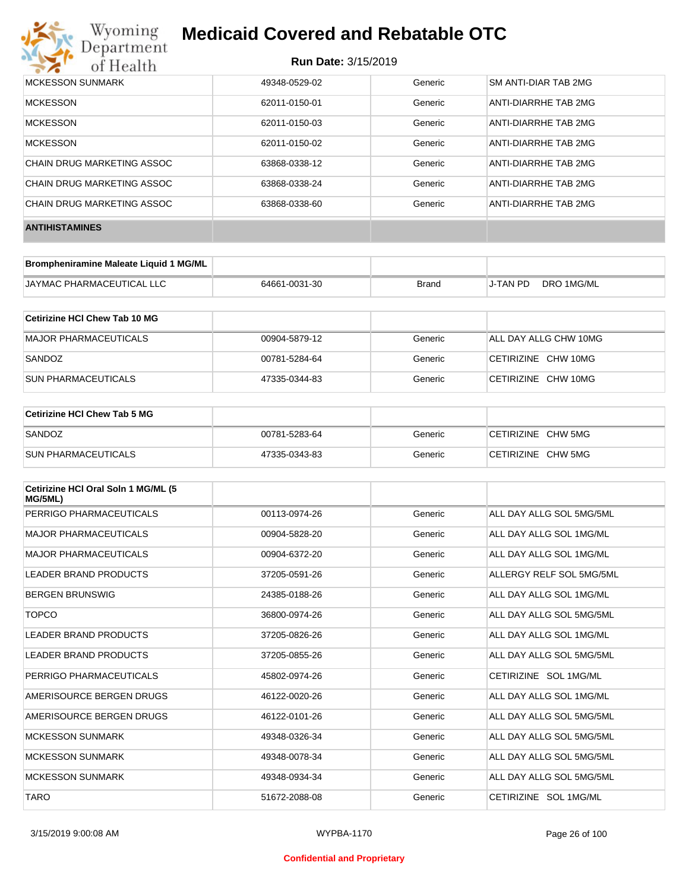

| MCKESSON SUNMARK           | 49348-0529-02 | Generic | SM ANTI-DIAR TAB 2MG |
|----------------------------|---------------|---------|----------------------|
| <b>MCKESSON</b>            | 62011-0150-01 | Generic | ANTI-DIARRHE TAB 2MG |
| <b>MCKESSON</b>            | 62011-0150-03 | Generic | ANTI-DIARRHE TAB 2MG |
| <b>MCKESSON</b>            | 62011-0150-02 | Generic | ANTI-DIARRHE TAB 2MG |
| CHAIN DRUG MARKETING ASSOC | 63868-0338-12 | Generic | ANTI-DIARRHE TAB 2MG |
| CHAIN DRUG MARKETING ASSOC | 63868-0338-24 | Generic | ANTI-DIARRHE TAB 2MG |
| CHAIN DRUG MARKETING ASSOC | 63868-0338-60 | Generic | ANTI-DIARRHE TAB 2MG |
| <b>ANTIHISTAMINES</b>      |               |         |                      |

| Brompheniramine Maleate Liquid 1 MG/ML |               |       |          |            |
|----------------------------------------|---------------|-------|----------|------------|
| JAYMAC PHARMACEUTICAL LLC              | 64661-0031-30 | Brand | J-TAN PD | DRO 1MG/ML |

| Cetirizine HCI Chew Tab 10 MG |               |         |                       |
|-------------------------------|---------------|---------|-----------------------|
| MAJOR PHARMACEUTICALS         | 00904-5879-12 | Generic | ALL DAY ALLG CHW 10MG |
| SANDOZ                        | 00781-5284-64 | Generic | CETIRIZINE CHW 10MG   |
| <b>SUN PHARMACEUTICALS</b>    | 47335-0344-83 | Generic | CETIRIZINE CHW 10MG   |

| ∣Cetirizine HCl Chew Tab 5 MG |               |         |                    |
|-------------------------------|---------------|---------|--------------------|
| SANDOZ                        | 00781-5283-64 | Generic | CETIRIZINE CHW 5MG |
| <b>SUN PHARMACEUTICALS</b>    | 47335-0343-83 | Generic | CETIRIZINE CHW 5MG |

| Cetirizine HCI Oral Soln 1 MG/ML (5<br>MG/5ML) |               |         |                          |
|------------------------------------------------|---------------|---------|--------------------------|
| PERRIGO PHARMACEUTICALS                        | 00113-0974-26 | Generic | ALL DAY ALLG SOL 5MG/5ML |
| <b>MAJOR PHARMACEUTICALS</b>                   | 00904-5828-20 | Generic | ALL DAY ALLG SOL 1MG/ML  |
| <b>MAJOR PHARMACEUTICALS</b>                   | 00904-6372-20 | Generic | ALL DAY ALLG SOL 1MG/ML  |
| <b>LEADER BRAND PRODUCTS</b>                   | 37205-0591-26 | Generic | ALLERGY RELF SOL 5MG/5ML |
| <b>BERGEN BRUNSWIG</b>                         | 24385-0188-26 | Generic | ALL DAY ALLG SOL 1MG/ML  |
| <b>TOPCO</b>                                   | 36800-0974-26 | Generic | ALL DAY ALLG SOL 5MG/5ML |
| LEADER BRAND PRODUCTS                          | 37205-0826-26 | Generic | ALL DAY ALLG SOL 1MG/ML  |
| LEADER BRAND PRODUCTS                          | 37205-0855-26 | Generic | ALL DAY ALLG SOL 5MG/5ML |
| PERRIGO PHARMACEUTICALS                        | 45802-0974-26 | Generic | CETIRIZINE SOL 1MG/ML    |
| AMERISOURCE BERGEN DRUGS                       | 46122-0020-26 | Generic | ALL DAY ALLG SOL 1MG/ML  |
| AMERISOURCE BERGEN DRUGS                       | 46122-0101-26 | Generic | ALL DAY ALLG SOL 5MG/5ML |
| <b>MCKESSON SUNMARK</b>                        | 49348-0326-34 | Generic | ALL DAY ALLG SOL 5MG/5ML |
| <b>MCKESSON SUNMARK</b>                        | 49348-0078-34 | Generic | ALL DAY ALLG SOL 5MG/5ML |
| <b>MCKESSON SUNMARK</b>                        | 49348-0934-34 | Generic | ALL DAY ALLG SOL 5MG/5ML |
| <b>TARO</b>                                    | 51672-2088-08 | Generic | CETIRIZINE SOL 1MG/ML    |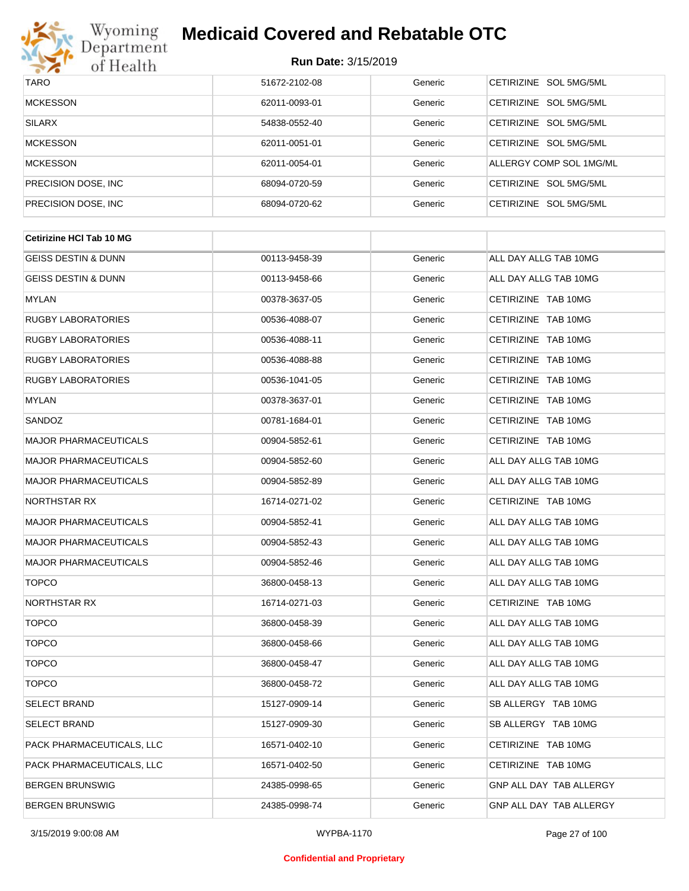

#### **Run Date:** 3/15/2019

| <b>TARO</b>          | 51672-2102-08 | Generic | CETIRIZINE SOL 5MG/5ML           |
|----------------------|---------------|---------|----------------------------------|
| <b>MCKESSON</b>      | 62011-0093-01 | Generic | CETIRIZINE SOL 5MG/5ML           |
| <b>SILARX</b>        | 54838-0552-40 | Generic | CETIRIZINE SOL 5MG/5ML           |
| <b>MCKESSON</b>      | 62011-0051-01 | Generic | CETIRIZINE SOL 5MG/5ML           |
| <b>MCKESSON</b>      | 62011-0054-01 | Generic | ALLERGY COMP SOL 1MG/ML          |
| PRECISION DOSE, INC. | 68094-0720-59 | Generic | CETIRIZINE SOL 5MG/5ML           |
| PRECISION DOSE, INC. | 68094-0720-62 | Generic | SOL 5MG/5ML<br><b>CETIRIZINE</b> |

| <b>Cetirizine HCI Tab 10 MG</b> |               |         |                                |
|---------------------------------|---------------|---------|--------------------------------|
| <b>GEISS DESTIN &amp; DUNN</b>  | 00113-9458-39 | Generic | ALL DAY ALLG TAB 10MG          |
| <b>GEISS DESTIN &amp; DUNN</b>  | 00113-9458-66 | Generic | ALL DAY ALLG TAB 10MG          |
| <b>MYLAN</b>                    | 00378-3637-05 | Generic | CETIRIZINE TAB 10MG            |
| <b>RUGBY LABORATORIES</b>       | 00536-4088-07 | Generic | CETIRIZINE TAB 10MG            |
| <b>RUGBY LABORATORIES</b>       | 00536-4088-11 | Generic | CETIRIZINE TAB 10MG            |
| <b>RUGBY LABORATORIES</b>       | 00536-4088-88 | Generic | CETIRIZINE TAB 10MG            |
| <b>RUGBY LABORATORIES</b>       | 00536-1041-05 | Generic | CETIRIZINE TAB 10MG            |
| <b>MYLAN</b>                    | 00378-3637-01 | Generic | CETIRIZINE TAB 10MG            |
| SANDOZ                          | 00781-1684-01 | Generic | CETIRIZINE TAB 10MG            |
| <b>MAJOR PHARMACEUTICALS</b>    | 00904-5852-61 | Generic | CETIRIZINE TAB 10MG            |
| <b>MAJOR PHARMACEUTICALS</b>    | 00904-5852-60 | Generic | ALL DAY ALLG TAB 10MG          |
| <b>MAJOR PHARMACEUTICALS</b>    | 00904-5852-89 | Generic | ALL DAY ALLG TAB 10MG          |
| NORTHSTAR RX                    | 16714-0271-02 | Generic | CETIRIZINE TAB 10MG            |
| <b>MAJOR PHARMACEUTICALS</b>    | 00904-5852-41 | Generic | ALL DAY ALLG TAB 10MG          |
| <b>MAJOR PHARMACEUTICALS</b>    | 00904-5852-43 | Generic | ALL DAY ALLG TAB 10MG          |
| <b>MAJOR PHARMACEUTICALS</b>    | 00904-5852-46 | Generic | ALL DAY ALLG TAB 10MG          |
| <b>TOPCO</b>                    | 36800-0458-13 | Generic | ALL DAY ALLG TAB 10MG          |
| NORTHSTAR RX                    | 16714-0271-03 | Generic | CETIRIZINE TAB 10MG            |
| <b>TOPCO</b>                    | 36800-0458-39 | Generic | ALL DAY ALLG TAB 10MG          |
| <b>TOPCO</b>                    | 36800-0458-66 | Generic | ALL DAY ALLG TAB 10MG          |
| <b>TOPCO</b>                    | 36800-0458-47 | Generic | ALL DAY ALLG TAB 10MG          |
| <b>TOPCO</b>                    | 36800-0458-72 | Generic | ALL DAY ALLG TAB 10MG          |
| <b>SELECT BRAND</b>             | 15127-0909-14 | Generic | SB ALLERGY TAB 10MG            |
| <b>SELECT BRAND</b>             | 15127-0909-30 | Generic | SB ALLERGY TAB 10MG            |
| PACK PHARMACEUTICALS, LLC       | 16571-0402-10 | Generic | CETIRIZINE TAB 10MG            |
| PACK PHARMACEUTICALS, LLC       | 16571-0402-50 | Generic | CETIRIZINE TAB 10MG            |
| <b>BERGEN BRUNSWIG</b>          | 24385-0998-65 | Generic | <b>GNP ALL DAY TAB ALLERGY</b> |
| <b>BERGEN BRUNSWIG</b>          | 24385-0998-74 | Generic | GNP ALL DAY TAB ALLERGY        |

#### **Confidential and Proprietary**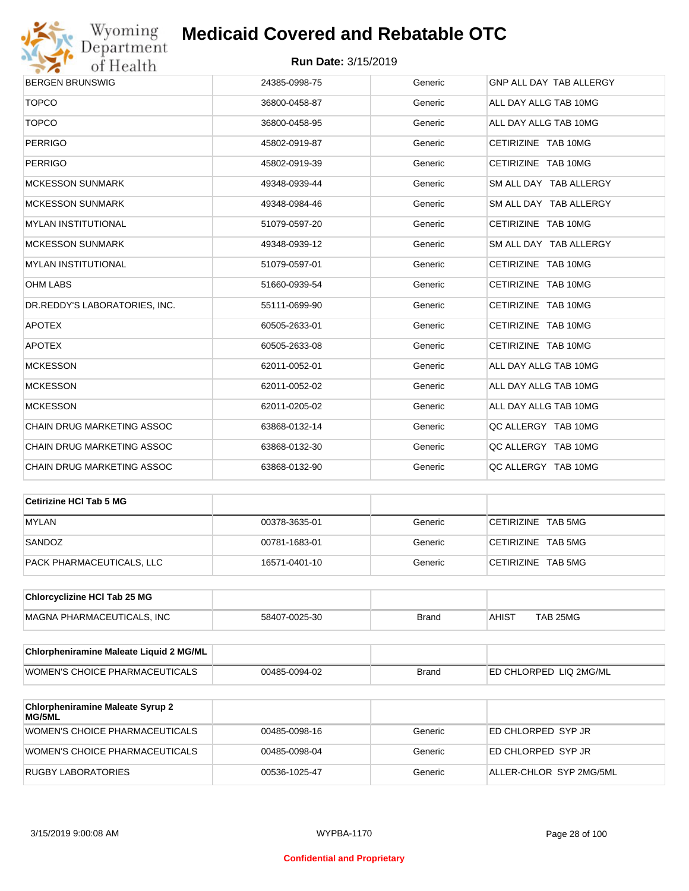

| <b>BERGEN BRUNSWIG</b>            | 24385-0998-75 | Generic | GNP ALL DAY TAB ALLERGY |
|-----------------------------------|---------------|---------|-------------------------|
| <b>TOPCO</b>                      | 36800-0458-87 | Generic | ALL DAY ALLG TAB 10MG   |
| <b>TOPCO</b>                      | 36800-0458-95 | Generic | ALL DAY ALLG TAB 10MG   |
| <b>PERRIGO</b>                    | 45802-0919-87 | Generic | CETIRIZINE TAB 10MG     |
| <b>PERRIGO</b>                    | 45802-0919-39 | Generic | CETIRIZINE TAB 10MG     |
| <b>MCKESSON SUNMARK</b>           | 49348-0939-44 | Generic | SM ALL DAY TAB ALLERGY  |
| <b>MCKESSON SUNMARK</b>           | 49348-0984-46 | Generic | SM ALL DAY TAB ALLERGY  |
| <b>MYLAN INSTITUTIONAL</b>        | 51079-0597-20 | Generic | CETIRIZINE TAB 10MG     |
| <b>MCKESSON SUNMARK</b>           | 49348-0939-12 | Generic | SM ALL DAY TAB ALLERGY  |
| <b>MYLAN INSTITUTIONAL</b>        | 51079-0597-01 | Generic | CETIRIZINE TAB 10MG     |
| <b>OHM LABS</b>                   | 51660-0939-54 | Generic | CETIRIZINE TAB 10MG     |
| DR.REDDY'S LABORATORIES, INC.     | 55111-0699-90 | Generic | CETIRIZINE TAB 10MG     |
| <b>APOTEX</b>                     | 60505-2633-01 | Generic | CETIRIZINE TAB 10MG     |
| <b>APOTEX</b>                     | 60505-2633-08 | Generic | CETIRIZINE TAB 10MG     |
| <b>MCKESSON</b>                   | 62011-0052-01 | Generic | ALL DAY ALLG TAB 10MG   |
| <b>MCKESSON</b>                   | 62011-0052-02 | Generic | ALL DAY ALLG TAB 10MG   |
| <b>MCKESSON</b>                   | 62011-0205-02 | Generic | ALL DAY ALLG TAB 10MG   |
| CHAIN DRUG MARKETING ASSOC        | 63868-0132-14 | Generic | QC ALLERGY TAB 10MG     |
| <b>CHAIN DRUG MARKETING ASSOC</b> | 63868-0132-30 | Generic | QC ALLERGY TAB 10MG     |
| CHAIN DRUG MARKETING ASSOC        | 63868-0132-90 | Generic | QC ALLERGY TAB 10MG     |
|                                   |               |         |                         |

| ∣Cetirizine HCl Tab 5 MG  |               |         |                    |
|---------------------------|---------------|---------|--------------------|
| <b>MYLAN</b>              | 00378-3635-01 | Generic | CETIRIZINE TAB 5MG |
| SANDOZ                    | 00781-1683-01 | Generic | CETIRIZINE TAB 5MG |
| PACK PHARMACEUTICALS, LLC | 16571-0401-10 | Generic | CETIRIZINE TAB 5MG |

| <b>Chlorcyclizine HCI Tab 25 MG</b> |               |       |              |          |
|-------------------------------------|---------------|-------|--------------|----------|
| MAGNA PHARMACEUTICALS. INC          | 58407-0025-30 | Brand | <b>AHIST</b> | TAB 25MG |

| Chlorpheniramine Maleate Liquid 2 MG/ML |               |              |                        |
|-----------------------------------------|---------------|--------------|------------------------|
| WOMEN'S CHOICE PHARMACEUTICALS          | 00485-0094-02 | <b>Brand</b> | ED CHLORPED LIQ 2MG/ML |

| <b>Chlorpheniramine Maleate Syrup 2</b><br><b>MG/5ML</b> |               |         |                         |
|----------------------------------------------------------|---------------|---------|-------------------------|
| WOMEN'S CHOICE PHARMACEUTICALS                           | 00485-0098-16 | Generic | ED CHLORPED SYP JR      |
| WOMEN'S CHOICE PHARMACEUTICALS                           | 00485-0098-04 | Generic | ED CHLORPED SYP JR      |
| RUGBY LABORATORIES                                       | 00536-1025-47 | Generic | ALLER-CHLOR SYP 2MG/5ML |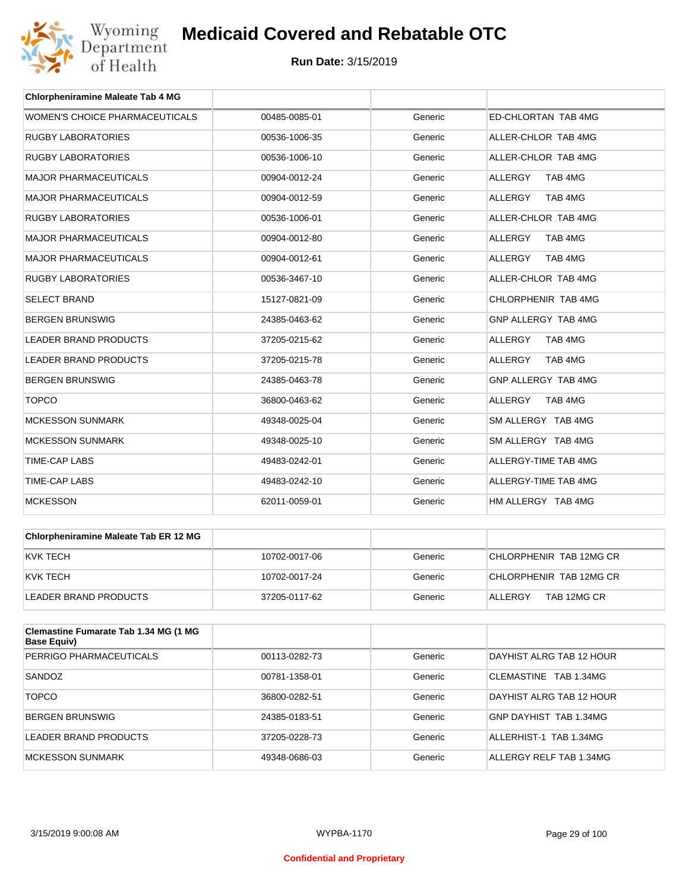

| <b>Chlorpheniramine Maleate Tab 4 MG</b> |               |         |                           |
|------------------------------------------|---------------|---------|---------------------------|
| WOMEN'S CHOICE PHARMACEUTICALS           | 00485-0085-01 | Generic | ED-CHLORTAN TAB 4MG       |
| <b>RUGBY LABORATORIES</b>                | 00536-1006-35 | Generic | ALLER-CHLOR TAB 4MG       |
| <b>RUGBY LABORATORIES</b>                | 00536-1006-10 | Generic | ALLER-CHLOR TAB 4MG       |
| <b>MAJOR PHARMACEUTICALS</b>             | 00904-0012-24 | Generic | <b>ALLERGY</b><br>TAB 4MG |
| <b>MAJOR PHARMACEUTICALS</b>             | 00904-0012-59 | Generic | TAB 4MG<br><b>ALLERGY</b> |
| <b>RUGBY LABORATORIES</b>                | 00536-1006-01 | Generic | ALLER-CHLOR TAB 4MG       |
| <b>MAJOR PHARMACEUTICALS</b>             | 00904-0012-80 | Generic | <b>ALLERGY</b><br>TAB 4MG |
| <b>MAJOR PHARMACEUTICALS</b>             | 00904-0012-61 | Generic | ALLERGY<br>TAB 4MG        |
| <b>RUGBY LABORATORIES</b>                | 00536-3467-10 | Generic | ALLER-CHLOR TAB 4MG       |
| <b>SELECT BRAND</b>                      | 15127-0821-09 | Generic | CHLORPHENIR TAB 4MG       |
| <b>BERGEN BRUNSWIG</b>                   | 24385-0463-62 | Generic | GNP ALLERGY TAB 4MG       |
| <b>LEADER BRAND PRODUCTS</b>             | 37205-0215-62 | Generic | TAB 4MG<br><b>ALLERGY</b> |
| <b>LEADER BRAND PRODUCTS</b>             | 37205-0215-78 | Generic | <b>ALLERGY</b><br>TAB 4MG |
| <b>BERGEN BRUNSWIG</b>                   | 24385-0463-78 | Generic | GNP ALLERGY TAB 4MG       |
| <b>TOPCO</b>                             | 36800-0463-62 | Generic | <b>ALLERGY</b><br>TAB 4MG |
| <b>MCKESSON SUNMARK</b>                  | 49348-0025-04 | Generic | SM ALLERGY TAB 4MG        |
| <b>MCKESSON SUNMARK</b>                  | 49348-0025-10 | Generic | SM ALLERGY TAB 4MG        |
| <b>TIME-CAP LABS</b>                     | 49483-0242-01 | Generic | ALLERGY-TIME TAB 4MG      |
| <b>TIME-CAP LABS</b>                     | 49483-0242-10 | Generic | ALLERGY-TIME TAB 4MG      |
| <b>MCKESSON</b>                          | 62011-0059-01 | Generic | HM ALLERGY TAB 4MG        |

| <b>Chlorpheniramine Maleate Tab ER 12 MG</b> |               |         |                         |
|----------------------------------------------|---------------|---------|-------------------------|
| KVK TECH                                     | 10702-0017-06 | Generic | CHLORPHENIR TAB 12MG CR |
| KVK TECH                                     | 10702-0017-24 | Generic | CHLORPHENIR TAB 12MG CR |
| LEADER BRAND PRODUCTS                        | 37205-0117-62 | Generic | TAB 12MG CR<br>ALLERGY  |

| Clemastine Fumarate Tab 1.34 MG (1 MG<br>Base Equiv) |               |         |                          |
|------------------------------------------------------|---------------|---------|--------------------------|
| PERRIGO PHARMACEUTICALS                              | 00113-0282-73 | Generic | DAYHIST ALRG TAB 12 HOUR |
| SANDOZ                                               | 00781-1358-01 | Generic | CLEMASTINE TAB 1.34MG    |
| <b>TOPCO</b>                                         | 36800-0282-51 | Generic | DAYHIST ALRG TAB 12 HOUR |
| <b>BERGEN BRUNSWIG</b>                               | 24385-0183-51 | Generic | GNP DAYHIST TAB 1.34MG   |
| LEADER BRAND PRODUCTS                                | 37205-0228-73 | Generic | ALLERHIST-1 TAB 1.34MG   |
| <b>MCKESSON SUNMARK</b>                              | 49348-0686-03 | Generic | ALLERGY RELF TAB 1.34MG  |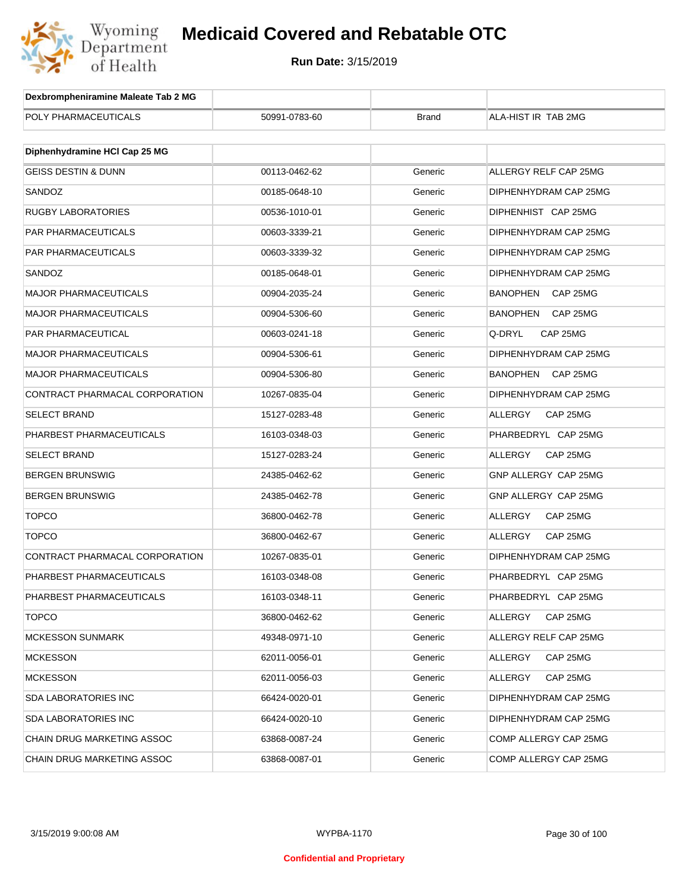

| Dexbrompheniramine Maleate Tab 2 MG |               |              |                             |
|-------------------------------------|---------------|--------------|-----------------------------|
| POLY PHARMACEUTICALS                | 50991-0783-60 | <b>Brand</b> | ALA-HIST IR TAB 2MG         |
|                                     |               |              |                             |
| Diphenhydramine HCI Cap 25 MG       |               |              |                             |
| <b>GEISS DESTIN &amp; DUNN</b>      | 00113-0462-62 | Generic      | ALLERGY RELF CAP 25MG       |
| SANDOZ                              | 00185-0648-10 | Generic      | DIPHENHYDRAM CAP 25MG       |
| <b>RUGBY LABORATORIES</b>           | 00536-1010-01 | Generic      | DIPHENHIST CAP 25MG         |
| PAR PHARMACEUTICALS                 | 00603-3339-21 | Generic      | DIPHENHYDRAM CAP 25MG       |
| <b>PAR PHARMACEUTICALS</b>          | 00603-3339-32 | Generic      | DIPHENHYDRAM CAP 25MG       |
| SANDOZ                              | 00185-0648-01 | Generic      | DIPHENHYDRAM CAP 25MG       |
| <b>MAJOR PHARMACEUTICALS</b>        | 00904-2035-24 | Generic      | <b>BANOPHEN</b><br>CAP 25MG |
| <b>MAJOR PHARMACEUTICALS</b>        | 00904-5306-60 | Generic      | BANOPHEN<br>CAP 25MG        |
| PAR PHARMACEUTICAL                  | 00603-0241-18 | Generic      | Q-DRYL<br>CAP 25MG          |
| <b>MAJOR PHARMACEUTICALS</b>        | 00904-5306-61 | Generic      | DIPHENHYDRAM CAP 25MG       |
| <b>MAJOR PHARMACEUTICALS</b>        | 00904-5306-80 | Generic      | <b>BANOPHEN</b><br>CAP 25MG |
| CONTRACT PHARMACAL CORPORATION      | 10267-0835-04 | Generic      | DIPHENHYDRAM CAP 25MG       |
| <b>SELECT BRAND</b>                 | 15127-0283-48 | Generic      | ALLERGY<br>CAP 25MG         |
| PHARBEST PHARMACEUTICALS            | 16103-0348-03 | Generic      | PHARBEDRYL CAP 25MG         |
| <b>SELECT BRAND</b>                 | 15127-0283-24 | Generic      | ALLERGY<br>CAP 25MG         |
| <b>BERGEN BRUNSWIG</b>              | 24385-0462-62 | Generic      | GNP ALLERGY CAP 25MG        |
| <b>BERGEN BRUNSWIG</b>              | 24385-0462-78 | Generic      | GNP ALLERGY CAP 25MG        |
| <b>TOPCO</b>                        | 36800-0462-78 | Generic      | ALLERGY<br>CAP 25MG         |
| <b>TOPCO</b>                        | 36800-0462-67 | Generic      | ALLERGY<br>CAP 25MG         |
| CONTRACT PHARMACAL CORPORATION      | 10267-0835-01 | Generic      | DIPHENHYDRAM CAP 25MG       |
| PHARBEST PHARMACEUTICALS            | 16103-0348-08 | Generic      | PHARBEDRYL CAP 25MG         |
| PHARBEST PHARMACEUTICALS            | 16103-0348-11 | Generic      | PHARBEDRYL CAP 25MG         |
| <b>TOPCO</b>                        | 36800-0462-62 | Generic      | ALLERGY<br>CAP 25MG         |
| <b>MCKESSON SUNMARK</b>             | 49348-0971-10 | Generic      | ALLERGY RELF CAP 25MG       |
| <b>MCKESSON</b>                     | 62011-0056-01 | Generic      | ALLERGY<br>CAP 25MG         |
| <b>MCKESSON</b>                     | 62011-0056-03 | Generic      | ALLERGY<br>CAP 25MG         |
| <b>SDA LABORATORIES INC</b>         | 66424-0020-01 | Generic      | DIPHENHYDRAM CAP 25MG       |
| <b>SDA LABORATORIES INC</b>         | 66424-0020-10 | Generic      | DIPHENHYDRAM CAP 25MG       |
| CHAIN DRUG MARKETING ASSOC          | 63868-0087-24 | Generic      | COMP ALLERGY CAP 25MG       |
| CHAIN DRUG MARKETING ASSOC          | 63868-0087-01 | Generic      | COMP ALLERGY CAP 25MG       |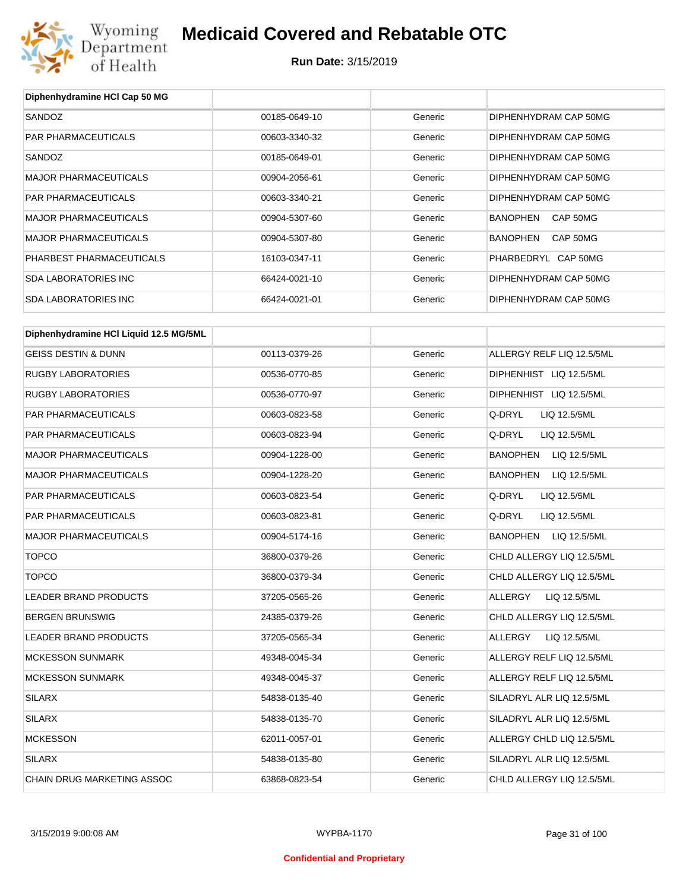

**Run Date:** 3/15/2019

| Diphenhydramine HCI Cap 50 MG          |               |         |                                 |
|----------------------------------------|---------------|---------|---------------------------------|
| SANDOZ                                 | 00185-0649-10 | Generic | DIPHENHYDRAM CAP 50MG           |
| PAR PHARMACEUTICALS                    | 00603-3340-32 | Generic | DIPHENHYDRAM CAP 50MG           |
| SANDOZ                                 | 00185-0649-01 | Generic | DIPHENHYDRAM CAP 50MG           |
| <b>MAJOR PHARMACEUTICALS</b>           | 00904-2056-61 | Generic | DIPHENHYDRAM CAP 50MG           |
| PAR PHARMACEUTICALS                    | 00603-3340-21 | Generic | DIPHENHYDRAM CAP 50MG           |
| <b>MAJOR PHARMACEUTICALS</b>           | 00904-5307-60 | Generic | <b>BANOPHEN</b><br>CAP 50MG     |
| <b>MAJOR PHARMACEUTICALS</b>           | 00904-5307-80 | Generic | <b>BANOPHEN</b><br>CAP 50MG     |
| PHARBEST PHARMACEUTICALS               | 16103-0347-11 | Generic | PHARBEDRYL CAP 50MG             |
| <b>SDA LABORATORIES INC</b>            | 66424-0021-10 | Generic | DIPHENHYDRAM CAP 50MG           |
| <b>SDA LABORATORIES INC</b>            | 66424-0021-01 | Generic | DIPHENHYDRAM CAP 50MG           |
| Diphenhydramine HCI Liquid 12.5 MG/5ML |               |         |                                 |
| <b>GEISS DESTIN &amp; DUNN</b>         | 00113-0379-26 | Generic | ALLERGY RELF LIQ 12.5/5ML       |
| <b>RUGBY LABORATORIES</b>              | 00536-0770-85 | Generic | DIPHENHIST LIQ 12.5/5ML         |
| <b>RUGBY LABORATORIES</b>              | 00536-0770-97 | Generic | DIPHENHIST LIQ 12.5/5ML         |
| PAR PHARMACEUTICALS                    | 00603-0823-58 | Generic | Q-DRYL<br>LIQ 12.5/5ML          |
| PAR PHARMACEUTICALS                    | 00603-0823-94 | Generic | Q-DRYL<br>LIQ 12.5/5ML          |
| <b>MAJOR PHARMACEUTICALS</b>           | 00904-1228-00 | Generic | <b>BANOPHEN</b><br>LIQ 12.5/5ML |
|                                        |               |         |                                 |
| <b>MAJOR PHARMACEUTICALS</b>           | 00904-1228-20 | Generic | <b>BANOPHEN</b><br>LIQ 12.5/5ML |
| PAR PHARMACEUTICALS                    | 00603-0823-54 | Generic | Q-DRYL<br>LIQ 12.5/5ML          |
| PAR PHARMACEUTICALS                    | 00603-0823-81 | Generic | Q-DRYL<br>LIQ 12.5/5ML          |
| <b>MAJOR PHARMACEUTICALS</b>           | 00904-5174-16 | Generic | <b>BANOPHEN</b><br>LIQ 12.5/5ML |
| <b>TOPCO</b>                           | 36800-0379-26 | Generic | CHLD ALLERGY LIQ 12.5/5ML       |
| <b>TOPCO</b>                           | 36800-0379-34 | Generic | CHLD ALLERGY LIQ 12.5/5ML       |
| LEADER BRAND PRODUCTS                  | 37205-0565-26 | Generic | <b>ALLERGY</b><br>LIQ 12.5/5ML  |
| <b>BERGEN BRUNSWIG</b>                 | 24385-0379-26 | Generic | CHLD ALLERGY LIQ 12.5/5ML       |
| LEADER BRAND PRODUCTS                  | 37205-0565-34 | Generic | LIQ 12.5/5ML<br>ALLERGY         |
| <b>MCKESSON SUNMARK</b>                | 49348-0045-34 | Generic | ALLERGY RELF LIQ 12.5/5ML       |
| <b>MCKESSON SUNMARK</b>                | 49348-0045-37 | Generic | ALLERGY RELF LIQ 12.5/5ML       |
| <b>SILARX</b>                          | 54838-0135-40 | Generic | SILADRYL ALR LIQ 12.5/5ML       |
| SILARX                                 | 54838-0135-70 | Generic | SILADRYL ALR LIQ 12.5/5ML       |
| <b>MCKESSON</b>                        | 62011-0057-01 | Generic | ALLERGY CHLD LIQ 12.5/5ML       |
| <b>SILARX</b>                          | 54838-0135-80 | Generic | SILADRYL ALR LIQ 12.5/5ML       |
| CHAIN DRUG MARKETING ASSOC             | 63868-0823-54 | Generic | CHLD ALLERGY LIQ 12.5/5ML       |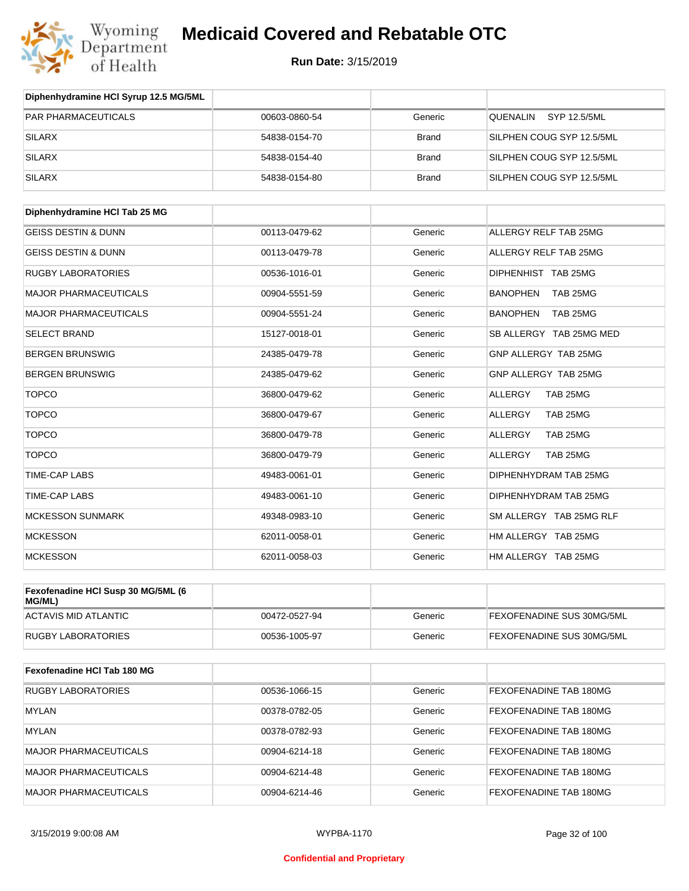

| Diphenhydramine HCI Syrup 12.5 MG/5ML |               |              |                             |
|---------------------------------------|---------------|--------------|-----------------------------|
| <b>PAR PHARMACEUTICALS</b>            | 00603-0860-54 | Generic      | SYP 12.5/5ML<br>QUENALIN    |
| <b>SILARX</b>                         | 54838-0154-70 | <b>Brand</b> | SILPHEN COUG SYP 12.5/5ML   |
| <b>SILARX</b>                         | 54838-0154-40 | <b>Brand</b> | SILPHEN COUG SYP 12.5/5ML   |
| <b>SILARX</b>                         | 54838-0154-80 | <b>Brand</b> | SILPHEN COUG SYP 12.5/5ML   |
| Diphenhydramine HCI Tab 25 MG         |               |              |                             |
| <b>GEISS DESTIN &amp; DUNN</b>        | 00113-0479-62 | Generic      | ALLERGY RELF TAB 25MG       |
| <b>GEISS DESTIN &amp; DUNN</b>        |               |              | ALLERGY RELF TAB 25MG       |
|                                       | 00113-0479-78 | Generic      |                             |
| <b>RUGBY LABORATORIES</b>             | 00536-1016-01 | Generic      | DIPHENHIST TAB 25MG         |
| <b>MAJOR PHARMACEUTICALS</b>          | 00904-5551-59 | Generic      | <b>BANOPHEN</b><br>TAB 25MG |
| <b>MAJOR PHARMACEUTICALS</b>          | 00904-5551-24 | Generic      | <b>BANOPHEN</b><br>TAB 25MG |
| <b>SELECT BRAND</b>                   | 15127-0018-01 | Generic      | SB ALLERGY TAB 25MG MED     |
| <b>BERGEN BRUNSWIG</b>                | 24385-0479-78 | Generic      | GNP ALLERGY TAB 25MG        |
| <b>BERGEN BRUNSWIG</b>                | 24385-0479-62 | Generic      | GNP ALLERGY TAB 25MG        |
| <b>TOPCO</b>                          | 36800-0479-62 | Generic      | TAB 25MG<br><b>ALLERGY</b>  |
| <b>TOPCO</b>                          | 36800-0479-67 | Generic      | <b>ALLERGY</b><br>TAB 25MG  |
| <b>TOPCO</b>                          | 36800-0479-78 | Generic      | <b>ALLERGY</b><br>TAB 25MG  |
| <b>TOPCO</b>                          | 36800-0479-79 | Generic      | <b>ALLERGY</b><br>TAB 25MG  |
| <b>TIME-CAP LABS</b>                  | 49483-0061-01 | Generic      | DIPHENHYDRAM TAB 25MG       |
| <b>TIME-CAP LABS</b>                  | 49483-0061-10 | Generic      | DIPHENHYDRAM TAB 25MG       |
| <b>MCKESSON SUNMARK</b>               | 49348-0983-10 | Generic      | SM ALLERGY TAB 25MG RLF     |
| <b>MCKESSON</b>                       | 62011-0058-01 | Generic      | HM ALLERGY TAB 25MG         |
| <b>MCKESSON</b>                       | 62011-0058-03 | Generic      | HM ALLERGY TAB 25MG         |
| Fexofenadine HCI Susp 30 MG/5ML (6    |               |              |                             |
| MG/ML)<br><b>ACTAVIS MID ATLANTIC</b> | 00472-0527-94 | Generic      | FEXOFENADINE SUS 30MG/5ML   |
|                                       |               |              |                             |
| <b>RUGBY LABORATORIES</b>             | 00536-1005-97 | Generic      | FEXOFENADINE SUS 30MG/5ML   |
| Fexofenadine HCI Tab 180 MG           |               |              |                             |
| <b>RUGBY LABORATORIES</b>             | 00536-1066-15 | Generic      | FEXOFENADINE TAB 180MG      |
| <b>MYLAN</b>                          | 00378-0782-05 | Generic      | FEXOFENADINE TAB 180MG      |
| <b>MYLAN</b>                          | 00378-0782-93 | Generic      | FEXOFENADINE TAB 180MG      |
| <b>MAJOR PHARMACEUTICALS</b>          | 00904-6214-18 | Generic      | FEXOFENADINE TAB 180MG      |
| <b>MAJOR PHARMACEUTICALS</b>          | 00904-6214-48 | Generic      | FEXOFENADINE TAB 180MG      |
| <b>MAJOR PHARMACEUTICALS</b>          | 00904-6214-46 | Generic      | FEXOFENADINE TAB 180MG      |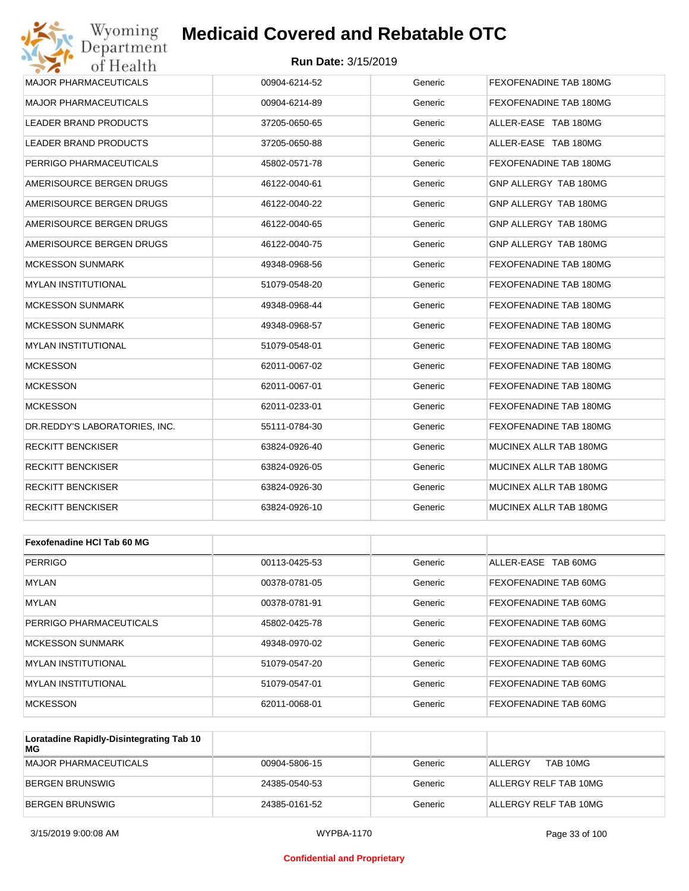#### **Run Date:** 3/15/2019

| Wyoming<br>Department         | <b>Medicaid Covered and Rebatable OTC</b> |         |                        |
|-------------------------------|-------------------------------------------|---------|------------------------|
| of Health                     | <b>Run Date: 3/15/2019</b>                |         |                        |
| <b>MAJOR PHARMACEUTICALS</b>  | 00904-6214-52                             | Generic | FEXOFENADINE TAB 180MG |
| <b>MAJOR PHARMACEUTICALS</b>  | 00904-6214-89                             | Generic | FEXOFENADINE TAB 180MG |
| LEADER BRAND PRODUCTS         | 37205-0650-65                             | Generic | ALLER-EASE TAB 180MG   |
| LEADER BRAND PRODUCTS         | 37205-0650-88                             | Generic | ALLER-EASE TAB 180MG   |
| PERRIGO PHARMACEUTICALS       | 45802-0571-78                             | Generic | FEXOFENADINE TAB 180MG |
| AMERISOURCE BERGEN DRUGS      | 46122-0040-61                             | Generic | GNP ALLERGY TAB 180MG  |
| AMERISOURCE BERGEN DRUGS      | 46122-0040-22                             | Generic | GNP ALLERGY TAB 180MG  |
| AMERISOURCE BERGEN DRUGS      | 46122-0040-65                             | Generic | GNP ALLERGY TAB 180MG  |
| AMERISOURCE BERGEN DRUGS      | 46122-0040-75                             | Generic | GNP ALLERGY TAB 180MG  |
| <b>MCKESSON SUNMARK</b>       | 49348-0968-56                             | Generic | FEXOFENADINE TAB 180MG |
| MYLAN INSTITUTIONAL           | 51079-0548-20                             | Generic | FEXOFENADINE TAB 180MG |
| <b>MCKESSON SUNMARK</b>       | 49348-0968-44                             | Generic | FEXOFENADINE TAB 180MG |
| <b>MCKESSON SUNMARK</b>       | 49348-0968-57                             | Generic | FEXOFENADINE TAB 180MG |
| <b>MYLAN INSTITUTIONAL</b>    | 51079-0548-01                             | Generic | FEXOFENADINE TAB 180MG |
| <b>MCKESSON</b>               | 62011-0067-02                             | Generic | FEXOFENADINE TAB 180MG |
| <b>MCKESSON</b>               | 62011-0067-01                             | Generic | FEXOFENADINE TAB 180MG |
| <b>MCKESSON</b>               | 62011-0233-01                             | Generic | FEXOFENADINE TAB 180MG |
| DR.REDDY'S LABORATORIES, INC. | 55111-0784-30                             | Generic | FEXOFENADINE TAB 180MG |
| <b>RECKITT BENCKISER</b>      | 63824-0926-40                             | Generic | MUCINEX ALLR TAB 180MG |
| <b>RECKITT BENCKISER</b>      | 63824-0926-05                             | Generic | MUCINEX ALLR TAB 180MG |
| <b>RECKITT BENCKISER</b>      | 63824-0926-30                             | Generic | MUCINEX ALLR TAB 180MG |
| <b>RECKITT BENCKISER</b>      | 63824-0926-10                             | Generic | MUCINEX ALLR TAB 180MG |
|                               |                                           |         |                        |
| Fexofenadine HCI Tab 60 MG    |                                           |         |                        |
| <b>PERRIGO</b>                | 00113-0425-53                             | Generic | ALLER-EASE TAB 60MG    |
| MYLAN                         | 00378-0781-05                             | Generic | FEXOFENADINE TAB 60MG  |
| MYLAN                         | 00378-0781-91                             | Generic | FEXOFENADINE TAB 60MG  |
| PERRIGO PHARMACEUTICALS       | 45802-0425-78                             | Generic | FEXOFENADINE TAB 60MG  |
| <b>MCKESSON SUNMARK</b>       | 49348-0970-02                             | Generic | FEXOFENADINE TAB 60MG  |

| MCKESSON SUNMARK     | 49348-0970-02 | Generic | <b>FEXOFENADINE TAB 60MG</b> |
|----------------------|---------------|---------|------------------------------|
| IMYLAN INSTITUTIONAL | 51079-0547-20 | Generic | <b>FEXOFENADINE TAB 60MG</b> |
| IMYLAN INSTITUTIONAL | 51079-0547-01 | Generic | <b>FEXOFENADINE TAB 60MG</b> |
| <b>IMCKESSON</b>     | 62011-0068-01 | Generic | <b>FEXOFENADINE TAB 60MG</b> |
|                      |               |         |                              |

| Loratadine Rapidly-Disintegrating Tab 10<br>MG |               |         |                       |
|------------------------------------------------|---------------|---------|-----------------------|
| MAJOR PHARMACEUTICALS                          | 00904-5806-15 | Generic | TAB 10MG<br>ALLERGY   |
| BERGEN BRUNSWIG                                | 24385-0540-53 | Generic | ALLERGY RELF TAB 10MG |
| BERGEN BRUNSWIG                                | 24385-0161-52 | Generic | ALLERGY RELF TAB 10MG |

#### **Confidential and Proprietary**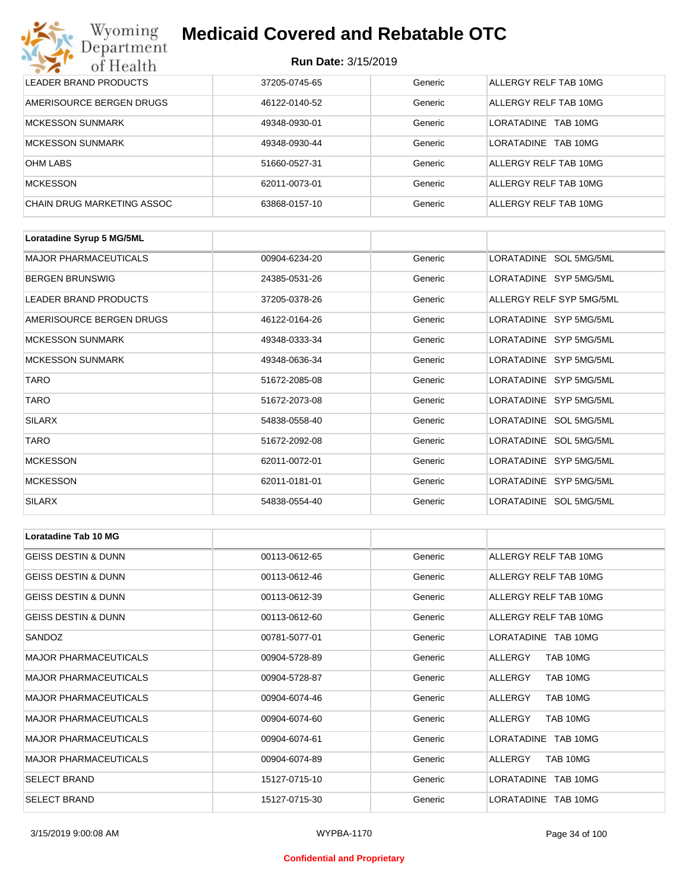| Wyoming<br><b>Medicaid Covered and Rebatable OTC</b><br>Department |                            |         |                               |  |
|--------------------------------------------------------------------|----------------------------|---------|-------------------------------|--|
| of Health                                                          | <b>Run Date: 3/15/2019</b> |         |                               |  |
| LEADER BRAND PRODUCTS                                              | 37205-0745-65              | Generic | ALLERGY RELF TAB 10MG         |  |
| AMERISOURCE BERGEN DRUGS                                           | 46122-0140-52              | Generic | ALLERGY RELF TAB 10MG         |  |
| <b>MCKESSON SUNMARK</b>                                            | 49348-0930-01              | Generic | I ORATADINE<br>TAB 10MG       |  |
| <b>MCKESSON SUNMARK</b>                                            | 49348-0930-44              | Generic | <b>LORATADINE</b><br>TAB 10MG |  |
| <b>OHM LABS</b>                                                    | 51660-0527-31              | Generic | ALLERGY RELF TAB 10MG         |  |
| <b>MCKESSON</b>                                                    | 62011-0073-01              | Generic | ALLERGY RELF TAB 10MG         |  |
| CHAIN DRUG MARKETING ASSOC                                         | 63868-0157-10              | Generic | ALLERGY RELF TAB 10MG         |  |

| Loratadine Syrup 5 MG/5ML    |               |         |                          |
|------------------------------|---------------|---------|--------------------------|
| <b>MAJOR PHARMACEUTICALS</b> | 00904-6234-20 | Generic | LORATADINE SOL 5MG/5ML   |
| <b>BERGEN BRUNSWIG</b>       | 24385-0531-26 | Generic | LORATADINE SYP 5MG/5ML   |
| LEADER BRAND PRODUCTS        | 37205-0378-26 | Generic | ALLERGY RELF SYP 5MG/5ML |
| AMERISOURCE BERGEN DRUGS     | 46122-0164-26 | Generic | LORATADINE SYP 5MG/5ML   |
| <b>MCKESSON SUNMARK</b>      | 49348-0333-34 | Generic | LORATADINE SYP 5MG/5ML   |
| <b>MCKESSON SUNMARK</b>      | 49348-0636-34 | Generic | LORATADINE SYP 5MG/5ML   |
| <b>TARO</b>                  | 51672-2085-08 | Generic | LORATADINE SYP 5MG/5ML   |
| <b>TARO</b>                  | 51672-2073-08 | Generic | LORATADINE SYP 5MG/5ML   |
| <b>SILARX</b>                | 54838-0558-40 | Generic | LORATADINE SOL 5MG/5ML   |
| <b>TARO</b>                  | 51672-2092-08 | Generic | LORATADINE SOL 5MG/5ML   |
| <b>MCKESSON</b>              | 62011-0072-01 | Generic | LORATADINE SYP 5MG/5ML   |
| <b>MCKESSON</b>              | 62011-0181-01 | Generic | LORATADINE SYP 5MG/5ML   |
| <b>SILARX</b>                | 54838-0554-40 | Generic | LORATADINE SOL 5MG/5ML   |

| <b>Loratadine Tab 10 MG</b>    |               |         |                       |
|--------------------------------|---------------|---------|-----------------------|
| <b>GEISS DESTIN &amp; DUNN</b> | 00113-0612-65 | Generic | ALLERGY RELF TAB 10MG |
| <b>GEISS DESTIN &amp; DUNN</b> | 00113-0612-46 | Generic | ALLERGY RELF TAB 10MG |
| <b>GEISS DESTIN &amp; DUNN</b> | 00113-0612-39 | Generic | ALLERGY RELF TAB 10MG |
| <b>GEISS DESTIN &amp; DUNN</b> | 00113-0612-60 | Generic | ALLERGY RELF TAB 10MG |
| SANDOZ                         | 00781-5077-01 | Generic | LORATADINE TAB 10MG   |
| <b>MAJOR PHARMACEUTICALS</b>   | 00904-5728-89 | Generic | TAB 10MG<br>ALLERGY   |
| <b>MAJOR PHARMACEUTICALS</b>   | 00904-5728-87 | Generic | TAB 10MG<br>ALLERGY   |
| <b>MAJOR PHARMACEUTICALS</b>   | 00904-6074-46 | Generic | TAB 10MG<br>ALLERGY   |
| <b>MAJOR PHARMACEUTICALS</b>   | 00904-6074-60 | Generic | ALLERGY<br>TAB 10MG   |
| <b>MAJOR PHARMACEUTICALS</b>   | 00904-6074-61 | Generic | LORATADINE TAB 10MG   |
| <b>MAJOR PHARMACEUTICALS</b>   | 00904-6074-89 | Generic | TAB 10MG<br>ALLERGY   |
| <b>SELECT BRAND</b>            | 15127-0715-10 | Generic | LORATADINE TAB 10MG   |
| <b>SELECT BRAND</b>            | 15127-0715-30 | Generic | LORATADINE TAB 10MG   |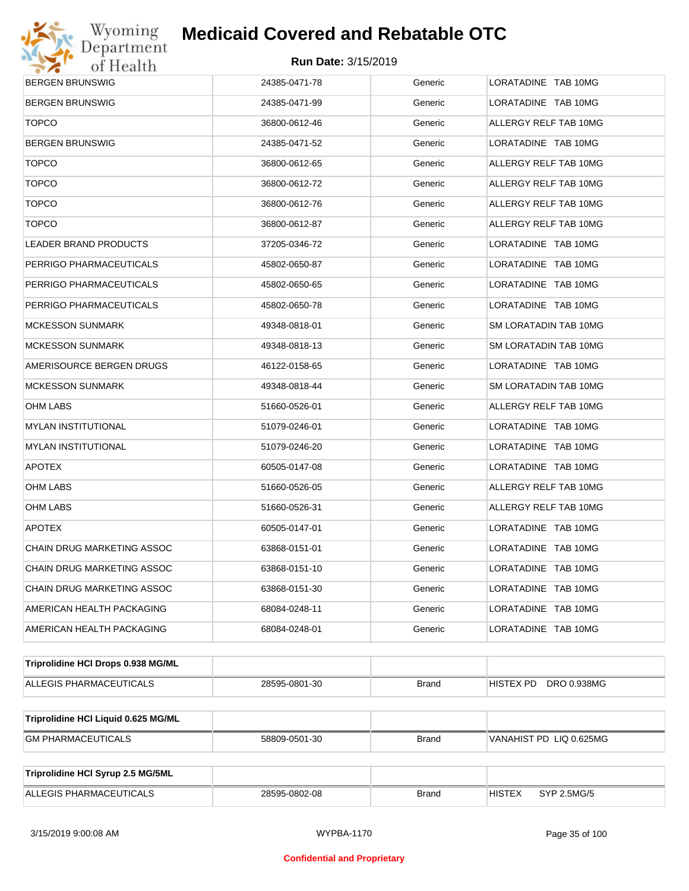

| <b>BERGEN BRUNSWIG</b>              | 24385-0471-78 | Generic      | LORATADINE TAB 10MG          |  |  |
|-------------------------------------|---------------|--------------|------------------------------|--|--|
| <b>BERGEN BRUNSWIG</b>              | 24385-0471-99 | Generic      | LORATADINE TAB 10MG          |  |  |
| <b>TOPCO</b>                        | 36800-0612-46 | Generic      | ALLERGY RELF TAB 10MG        |  |  |
| BERGEN BRUNSWIG                     | 24385-0471-52 | Generic      | LORATADINE TAB 10MG          |  |  |
| <b>TOPCO</b>                        | 36800-0612-65 | Generic      | ALLERGY RELF TAB 10MG        |  |  |
| <b>TOPCO</b>                        | 36800-0612-72 | Generic      | ALLERGY RELF TAB 10MG        |  |  |
| <b>TOPCO</b>                        | 36800-0612-76 | Generic      | ALLERGY RELF TAB 10MG        |  |  |
| <b>TOPCO</b>                        | 36800-0612-87 | Generic      | ALLERGY RELF TAB 10MG        |  |  |
| LEADER BRAND PRODUCTS               | 37205-0346-72 | Generic      | LORATADINE TAB 10MG          |  |  |
| PERRIGO PHARMACEUTICALS             | 45802-0650-87 | Generic      | LORATADINE TAB 10MG          |  |  |
| PERRIGO PHARMACEUTICALS             | 45802-0650-65 | Generic      | LORATADINE TAB 10MG          |  |  |
| PERRIGO PHARMACEUTICALS             | 45802-0650-78 | Generic      | LORATADINE TAB 10MG          |  |  |
| MCKESSON SUNMARK                    | 49348-0818-01 | Generic      | SM LORATADIN TAB 10MG        |  |  |
| MCKESSON SUNMARK                    | 49348-0818-13 | Generic      | SM LORATADIN TAB 10MG        |  |  |
| AMERISOURCE BERGEN DRUGS            | 46122-0158-65 | Generic      | LORATADINE TAB 10MG          |  |  |
| MCKESSON SUNMARK                    | 49348-0818-44 | Generic      | SM LORATADIN TAB 10MG        |  |  |
| OHM LABS                            | 51660-0526-01 | Generic      | ALLERGY RELF TAB 10MG        |  |  |
| MYLAN INSTITUTIONAL                 | 51079-0246-01 | Generic      | LORATADINE TAB 10MG          |  |  |
| MYLAN INSTITUTIONAL                 | 51079-0246-20 | Generic      | LORATADINE TAB 10MG          |  |  |
| <b>APOTEX</b>                       | 60505-0147-08 | Generic      | LORATADINE TAB 10MG          |  |  |
| OHM LABS                            | 51660-0526-05 | Generic      | ALLERGY RELF TAB 10MG        |  |  |
| OHM LABS                            | 51660-0526-31 | Generic      | ALLERGY RELF TAB 10MG        |  |  |
| <b>APOTEX</b>                       | 60505-0147-01 | Generic      | LORATADINE TAB 10MG          |  |  |
| CHAIN DRUG MARKETING ASSOC          | 63868-0151-01 | Generic      | LORATADINE TAB 10MG          |  |  |
| CHAIN DRUG MARKETING ASSOC          | 63868-0151-10 | Generic      | LORATADINE TAB 10MG          |  |  |
| CHAIN DRUG MARKETING ASSOC          | 63868-0151-30 | Generic      | LORATADINE TAB 10MG          |  |  |
| AMERICAN HEALTH PACKAGING           | 68084-0248-11 | Generic      | LORATADINE TAB 10MG          |  |  |
| AMERICAN HEALTH PACKAGING           | 68084-0248-01 | Generic      | LORATADINE TAB 10MG          |  |  |
| Triprolidine HCI Drops 0.938 MG/ML  |               |              |                              |  |  |
| ALLEGIS PHARMACEUTICALS             | 28595-0801-30 | <b>Brand</b> | HISTEX PD DRO 0.938MG        |  |  |
| Triprolidine HCI Liquid 0.625 MG/ML |               |              |                              |  |  |
| <b>GM PHARMACEUTICALS</b>           | 58809-0501-30 | <b>Brand</b> | VANAHIST PD LIQ 0.625MG      |  |  |
|                                     |               |              |                              |  |  |
| Triprolidine HCI Syrup 2.5 MG/5ML   |               |              |                              |  |  |
| ALLEGIS PHARMACEUTICALS             | 28595-0802-08 | <b>Brand</b> | <b>HISTEX</b><br>SYP 2.5MG/5 |  |  |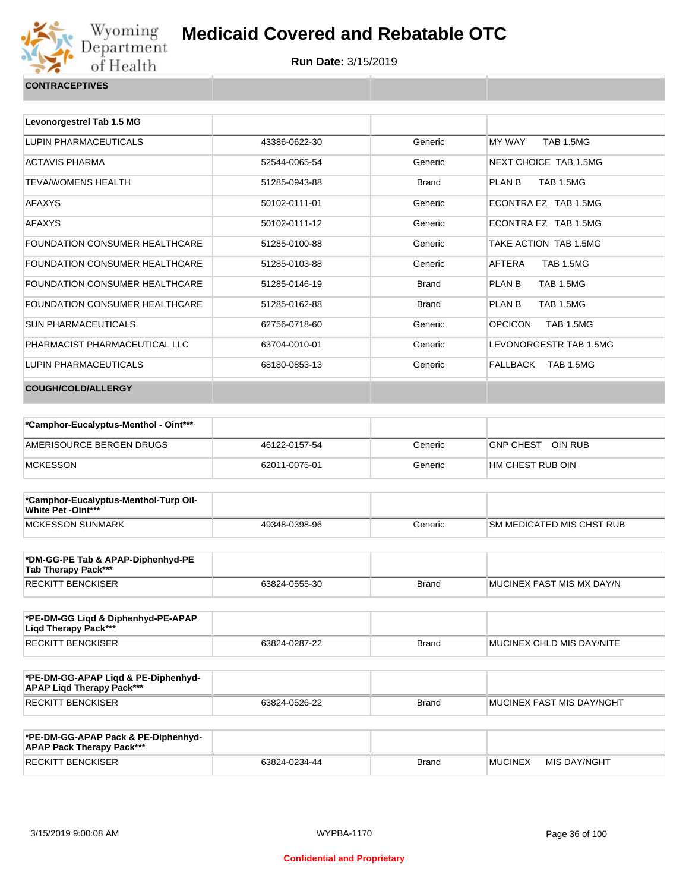

| <b>CONTRACEPTIVES</b> |  |
|-----------------------|--|
|                       |  |

| Levonorgestrel Tab 1.5 MG             |               |              |                                    |
|---------------------------------------|---------------|--------------|------------------------------------|
| LUPIN PHARMACEUTICALS                 | 43386-0622-30 | Generic      | <b>TAB 1.5MG</b><br>MY WAY         |
| <b>ACTAVIS PHARMA</b>                 | 52544-0065-54 | Generic      | NEXT CHOICE TAB 1.5MG              |
| <b>TEVA/WOMENS HEALTH</b>             | 51285-0943-88 | <b>Brand</b> | <b>TAB 1.5MG</b><br>PLAN B         |
| <b>AFAXYS</b>                         | 50102-0111-01 | Generic      | ECONTRA EZ TAB 1.5MG               |
| <b>AFAXYS</b>                         | 50102-0111-12 | Generic      | FCONTRA FZ TAB 1.5MG               |
| <b>FOUNDATION CONSUMER HEALTHCARE</b> | 51285-0100-88 | Generic      | TAKE ACTION TAB 1.5MG              |
| FOUNDATION CONSUMER HEALTHCARE        | 51285-0103-88 | Generic      | AFTERA<br><b>TAB 1.5MG</b>         |
| FOUNDATION CONSUMER HEALTHCARE        | 51285-0146-19 | <b>Brand</b> | <b>TAB 1.5MG</b><br>PLAN B         |
| FOUNDATION CONSUMER HEALTHCARE        | 51285-0162-88 | <b>Brand</b> | PLAN B<br><b>TAB 1.5MG</b>         |
| SUN PHARMACEUTICALS                   | 62756-0718-60 | Generic      | <b>OPCICON</b><br><b>TAB 1.5MG</b> |
| PHARMACIST PHARMACEUTICAL LLC         | 63704-0010-01 | Generic      | LEVONORGESTR TAB 1.5MG             |
| LUPIN PHARMACEUTICALS                 | 68180-0853-13 | Generic      | FALLBACK TAB 1.5MG                 |
| <b>COUGH/COLD/ALLERGY</b>             |               |              |                                    |

| *Camphor-Eucalyptus-Menthol - Oint*** |               |         |                   |
|---------------------------------------|---------------|---------|-------------------|
| AMERISOURCE BERGEN DRUGS              | 46122-0157-54 | Generic | GNP CHEST OIN RUB |
| MCKESSON                              | 62011-0075-01 | Generic | HM CHEST RUB OIN  |

| *Camphor-Eucalyptus-Menthol-Turp Oil-<br><b>White Pet -Oint***</b> |               |         |                                  |
|--------------------------------------------------------------------|---------------|---------|----------------------------------|
| MCKESSON SUNMARK                                                   | 49348-0398-96 | Generic | <b>SM MEDICATED MIS CHST RUB</b> |

| *DM-GG-PE Tab & APAP-Diphenhyd-PE<br>Tab Therapy Pack*** |               |       |                            |
|----------------------------------------------------------|---------------|-------|----------------------------|
| <b>RECKITT BENCKISER</b>                                 | 63824-0555-30 | Brand | IMUCINEX FAST MIS MX DAY/N |

| *PE-DM-GG Ligd & Diphenhyd-PE-APAP<br>Ligd Therapy Pack*** |               |              |                                   |
|------------------------------------------------------------|---------------|--------------|-----------------------------------|
| RECKITT BENCKISER                                          | 63824-0287-22 | <b>Brand</b> | <b>IMUCINEX CHLD MIS DAY/NITE</b> |

| *PE-DM-GG-APAP Ligd & PE-Diphenhyd-<br><b>APAP Ligd Therapy Pack***</b> |               |       |                             |
|-------------------------------------------------------------------------|---------------|-------|-----------------------------|
| <b>RECKITT BENCKISER</b>                                                | 63824-0526-22 | Brand | I MUCINEX FAST MIS DAY/NGHT |

| *PE-DM-GG-APAP Pack & PE-Diphenhyd-<br><b>APAP Pack Therapy Pack***</b> |               |              |                |              |
|-------------------------------------------------------------------------|---------------|--------------|----------------|--------------|
| <b>RECKITT BENCKISER</b>                                                | 63824-0234-44 | <b>Brand</b> | <b>MUCINEX</b> | MIS DAY/NGHT |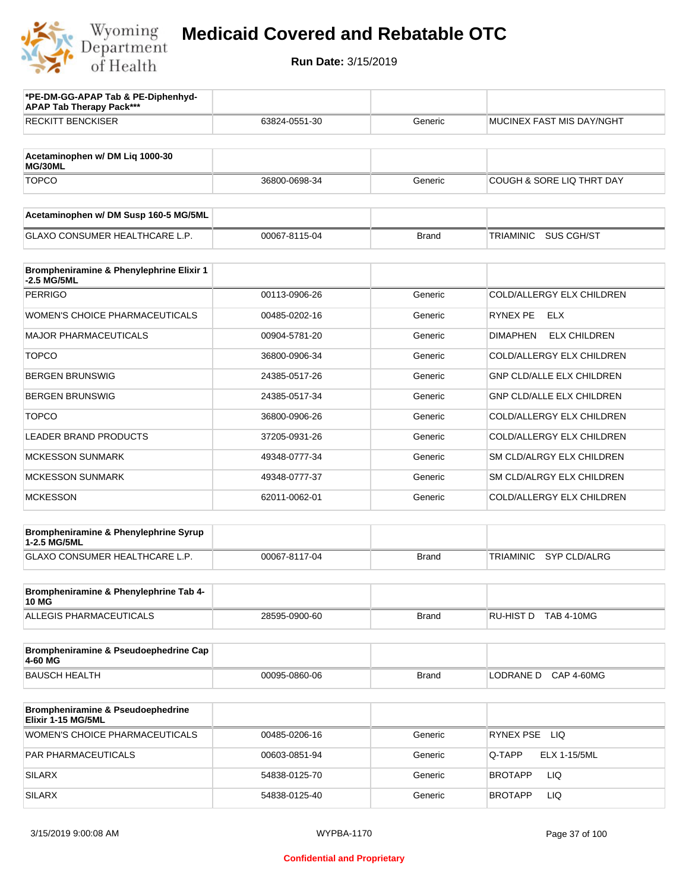

| *PE-DM-GG-APAP Tab & PE-Diphenhyd-<br><b>APAP Tab Therapy Pack***</b> |               |              |                                         |
|-----------------------------------------------------------------------|---------------|--------------|-----------------------------------------|
| <b>RECKITT BENCKISER</b>                                              | 63824-0551-30 | Generic      | MUCINEX FAST MIS DAY/NGHT               |
| Acetaminophen w/ DM Lig 1000-30<br>MG/30ML                            |               |              |                                         |
| <b>TOPCO</b>                                                          | 36800-0698-34 | Generic      | <b>COUGH &amp; SORE LIQ THRT DAY</b>    |
| Acetaminophen w/ DM Susp 160-5 MG/5ML                                 |               |              |                                         |
| <b>GLAXO CONSUMER HEALTHCARE L.P.</b>                                 | 00067-8115-04 | <b>Brand</b> | TRIAMINIC<br>SUS CGH/ST                 |
| Brompheniramine & Phenylephrine Elixir 1<br>-2.5 MG/5ML               |               |              |                                         |
| <b>PERRIGO</b>                                                        | 00113-0906-26 | Generic      | COLD/ALLERGY ELX CHILDREN               |
| <b>WOMEN'S CHOICE PHARMACEUTICALS</b>                                 | 00485-0202-16 | Generic      | RYNEX PE<br><b>ELX</b>                  |
| <b>MAJOR PHARMACEUTICALS</b>                                          | 00904-5781-20 | Generic      | <b>DIMAPHEN</b><br><b>ELX CHILDREN</b>  |
| <b>TOPCO</b>                                                          | 36800-0906-34 | Generic      | COLD/ALLERGY ELX CHILDREN               |
| <b>BERGEN BRUNSWIG</b>                                                | 24385-0517-26 | Generic      | <b>GNP CLD/ALLE ELX CHILDREN</b>        |
| <b>BERGEN BRUNSWIG</b>                                                | 24385-0517-34 | Generic      | <b>GNP CLD/ALLE ELX CHILDREN</b>        |
| <b>TOPCO</b>                                                          | 36800-0906-26 | Generic      | COLD/ALLERGY ELX CHILDREN               |
| <b>LEADER BRAND PRODUCTS</b>                                          | 37205-0931-26 | Generic      | COLD/ALLERGY ELX CHILDREN               |
| <b>MCKESSON SUNMARK</b>                                               | 49348-0777-34 | Generic      | SM CLD/ALRGY ELX CHILDREN               |
| <b>MCKESSON SUNMARK</b>                                               | 49348-0777-37 | Generic      | SM CLD/ALRGY ELX CHILDREN               |
| <b>MCKESSON</b>                                                       | 62011-0062-01 | Generic      | COLD/ALLERGY ELX CHILDREN               |
| Brompheniramine & Phenylephrine Syrup<br>1-2.5 MG/5ML                 |               |              |                                         |
| GLAXO CONSUMER HEALTHCARE L.P.                                        | 00067-8117-04 | <b>Brand</b> | <b>TRIAMINIC</b><br><b>SYP CLD/ALRG</b> |
| Brompheniramine & Phenylephrine Tab 4-<br><b>10 MG</b>                |               |              |                                         |
| <b>ALLEGIS PHARMACEUTICALS</b>                                        | 28595-0900-60 | Brand        | RU-HIST D TAB 4-10MG                    |
| Brompheniramine & Pseudoephedrine Cap<br>4-60 MG                      |               |              |                                         |
| <b>BAUSCH HEALTH</b>                                                  | 00095-0860-06 | <b>Brand</b> | <b>CAP 4-60MG</b><br>LODRANE D          |
| Brompheniramine & Pseudoephedrine<br>Elixir 1-15 MG/5ML               |               |              |                                         |
| <b>WOMEN'S CHOICE PHARMACEUTICALS</b>                                 | 00485-0206-16 | Generic      | RYNEX PSE LIQ                           |
| PAR PHARMACEUTICALS                                                   | 00603-0851-94 | Generic      | Q-TAPP<br>ELX 1-15/5ML                  |
| <b>SILARX</b>                                                         | 54838-0125-70 | Generic      | LIQ<br>BROTAPP                          |
| <b>SILARX</b>                                                         | 54838-0125-40 | Generic      | <b>LIQ</b><br>BROTAPP                   |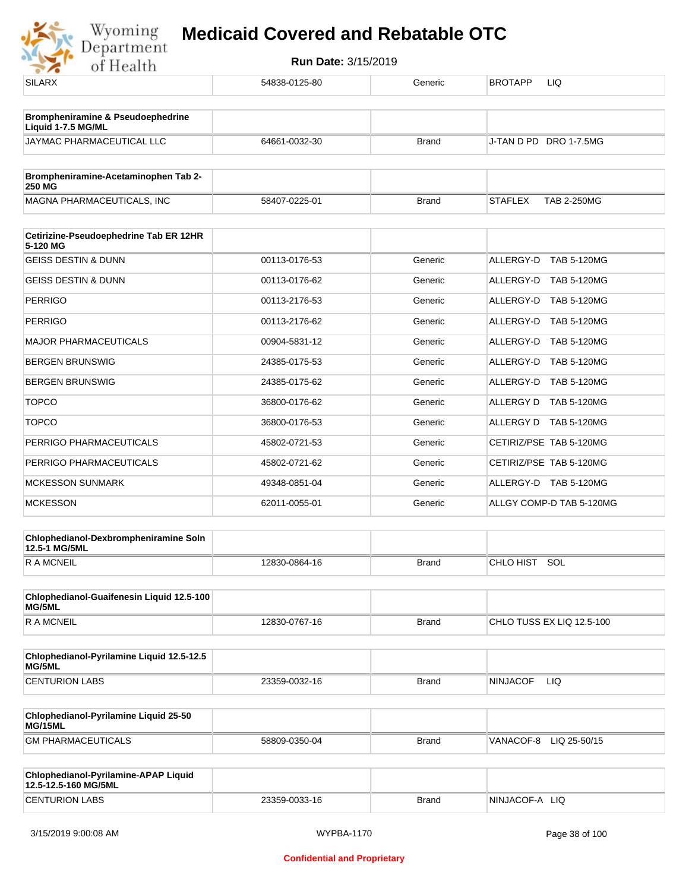

| <b>SILARX</b>                                                | 54838-0125-80 | Generic      | BROTAPP<br>LIQ                       |
|--------------------------------------------------------------|---------------|--------------|--------------------------------------|
| <b>Brompheniramine &amp; Pseudoephedrine</b>                 |               |              |                                      |
| Liquid 1-7.5 MG/ML                                           |               |              |                                      |
| JAYMAC PHARMACEUTICAL LLC                                    | 64661-0032-30 | <b>Brand</b> | J-TAN D PD DRO 1-7.5MG               |
| Brompheniramine-Acetaminophen Tab 2-<br><b>250 MG</b>        |               |              |                                      |
| MAGNA PHARMACEUTICALS, INC                                   | 58407-0225-01 | <b>Brand</b> | <b>STAFLEX</b><br><b>TAB 2-250MG</b> |
| Cetirizine-Pseudoephedrine Tab ER 12HR                       |               |              |                                      |
| 5-120 MG                                                     |               |              |                                      |
| <b>GEISS DESTIN &amp; DUNN</b>                               | 00113-0176-53 | Generic      | ALLERGY-D TAB 5-120MG                |
| <b>GEISS DESTIN &amp; DUNN</b>                               | 00113-0176-62 | Generic      | ALLERGY-D TAB 5-120MG                |
| <b>PERRIGO</b>                                               | 00113-2176-53 | Generic      | ALLERGY-D TAB 5-120MG                |
| <b>PERRIGO</b>                                               | 00113-2176-62 | Generic      | ALLERGY-D TAB 5-120MG                |
| <b>MAJOR PHARMACEUTICALS</b>                                 | 00904-5831-12 | Generic      | ALLERGY-D TAB 5-120MG                |
| <b>BERGEN BRUNSWIG</b>                                       | 24385-0175-53 | Generic      | ALLERGY-D TAB 5-120MG                |
| <b>BERGEN BRUNSWIG</b>                                       | 24385-0175-62 | Generic      | ALLERGY-D TAB 5-120MG                |
| <b>TOPCO</b>                                                 | 36800-0176-62 | Generic      | ALLERGY D TAB 5-120MG                |
| <b>TOPCO</b>                                                 | 36800-0176-53 | Generic      | ALLERGY D TAB 5-120MG                |
| PERRIGO PHARMACEUTICALS                                      | 45802-0721-53 | Generic      | CETIRIZ/PSE TAB 5-120MG              |
| PERRIGO PHARMACEUTICALS                                      | 45802-0721-62 | Generic      | CETIRIZ/PSE TAB 5-120MG              |
| MCKESSON SUNMARK                                             | 49348-0851-04 | Generic      | ALLERGY-D TAB 5-120MG                |
| <b>MCKESSON</b>                                              | 62011-0055-01 | Generic      | ALLGY COMP-D TAB 5-120MG             |
| Chlophedianol-Dexbrompheniramine Soln<br>12.5-1 MG/5ML       |               |              |                                      |
| <b>RAMCNEIL</b>                                              | 12830-0864-16 | <b>Brand</b> | CHLO HIST SOL                        |
| Chlophedianol-Guaifenesin Liquid 12.5-100<br>MG/5ML          |               |              |                                      |
| <b>RAMCNEIL</b>                                              | 12830-0767-16 | <b>Brand</b> | CHLO TUSS EX LIQ 12.5-100            |
| Chlophedianol-Pyrilamine Liquid 12.5-12.5<br>MG/5ML          |               |              |                                      |
| <b>CENTURION LABS</b>                                        | 23359-0032-16 | <b>Brand</b> | <b>NINJACOF</b><br>LIQ.              |
| Chlophedianol-Pyrilamine Liquid 25-50<br>MG/15ML             |               |              |                                      |
| <b>GM PHARMACEUTICALS</b>                                    | 58809-0350-04 | <b>Brand</b> | VANACOF-8 LIQ 25-50/15               |
| Chlophedianol-Pyrilamine-APAP Liquid<br>12.5-12.5-160 MG/5ML |               |              |                                      |
| <b>CENTURION LABS</b>                                        | 23359-0033-16 | <b>Brand</b> | NINJACOF-A LIQ                       |
|                                                              |               |              |                                      |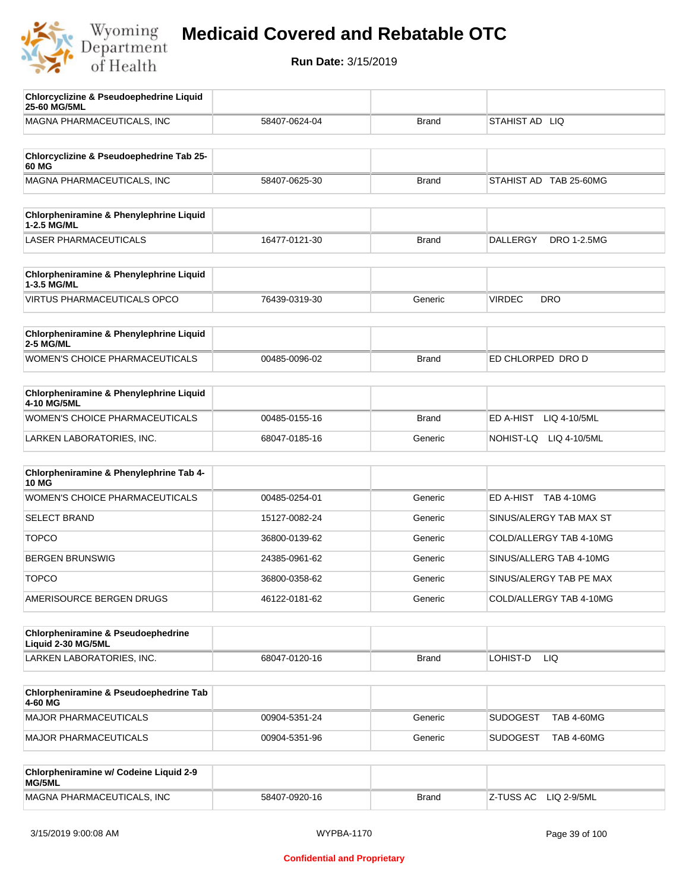

| <b>Chlorcyclizine &amp; Pseudoephedrine Liquid</b><br>25-60 MG/5ML |               |              |                                       |
|--------------------------------------------------------------------|---------------|--------------|---------------------------------------|
| MAGNA PHARMACEUTICALS, INC                                         | 58407-0624-04 | <b>Brand</b> | STAHIST AD LIQ                        |
|                                                                    |               |              |                                       |
| Chlorcyclizine & Pseudoephedrine Tab 25-<br>60 MG                  |               |              |                                       |
| MAGNA PHARMACEUTICALS, INC                                         | 58407-0625-30 | <b>Brand</b> | STAHIST AD TAB 25-60MG                |
|                                                                    |               |              |                                       |
| Chlorpheniramine & Phenylephrine Liquid<br>1-2.5 MG/ML             |               |              |                                       |
| <b>LASER PHARMACEUTICALS</b>                                       | 16477-0121-30 | <b>Brand</b> | <b>DALLERGY</b><br><b>DRO 1-2.5MG</b> |
| Chlorpheniramine & Phenylephrine Liquid                            |               |              |                                       |
| 1-3.5 MG/ML                                                        |               |              |                                       |
| <b>VIRTUS PHARMACEUTICALS OPCO</b>                                 | 76439-0319-30 | Generic      | <b>VIRDEC</b><br><b>DRO</b>           |
| Chlorpheniramine & Phenylephrine Liquid<br><b>2-5 MG/ML</b>        |               |              |                                       |
| WOMEN'S CHOICE PHARMACEUTICALS                                     | 00485-0096-02 | <b>Brand</b> | ED CHLORPED DRO D                     |
|                                                                    |               |              |                                       |
| Chlorpheniramine & Phenylephrine Liquid<br>4-10 MG/5ML             |               |              |                                       |
| <b>WOMEN'S CHOICE PHARMACEUTICALS</b>                              | 00485-0155-16 | <b>Brand</b> | ED A-HIST<br>LIQ 4-10/5ML             |
| LARKEN LABORATORIES, INC.                                          | 68047-0185-16 | Generic      | NOHIST-LQ LIQ 4-10/5ML                |
| Chlorpheniramine & Phenylephrine Tab 4-                            |               |              |                                       |
| <b>10 MG</b>                                                       |               |              |                                       |
| <b>WOMEN'S CHOICE PHARMACEUTICALS</b>                              | 00485-0254-01 | Generic      | ED A-HIST TAB 4-10MG                  |
| <b>SELECT BRAND</b>                                                | 15127-0082-24 | Generic      | SINUS/ALERGY TAB MAX ST               |
| <b>TOPCO</b>                                                       | 36800-0139-62 | Generic      | COLD/ALLERGY TAB 4-10MG               |
| <b>BERGEN BRUNSWIG</b>                                             | 24385-0961-62 | Generic      | SINUS/ALLERG TAB 4-10MG               |
| <b>TOPCO</b>                                                       | 36800-0358-62 | Generic      | SINUS/ALERGY TAB PE MAX               |
| AMERISOURCE BERGEN DRUGS                                           | 46122-0181-62 | Generic      | COLD/ALLERGY TAB 4-10MG               |
|                                                                    |               |              |                                       |
| Chlorpheniramine & Pseudoephedrine<br>Liquid 2-30 MG/5ML           |               |              |                                       |
| LARKEN LABORATORIES, INC.                                          | 68047-0120-16 | <b>Brand</b> | LOHIST-D<br>LIQ.                      |
|                                                                    |               |              |                                       |
| Chlorpheniramine & Pseudoephedrine Tab<br>4-60 MG                  |               |              |                                       |
| MAJOR PHARMACEUTICALS                                              | 00904-5351-24 | Generic      | <b>SUDOGEST</b><br><b>TAB 4-60MG</b>  |
| MAJOR PHARMACEUTICALS                                              | 00904-5351-96 | Generic      | <b>TAB 4-60MG</b><br><b>SUDOGEST</b>  |
| Chlorpheniramine w/ Codeine Liquid 2-9                             |               |              |                                       |
| MG/5ML                                                             |               |              |                                       |
| MAGNA PHARMACEUTICALS, INC                                         | 58407-0920-16 | <b>Brand</b> | LIQ 2-9/5ML<br>Z-TUSS AC              |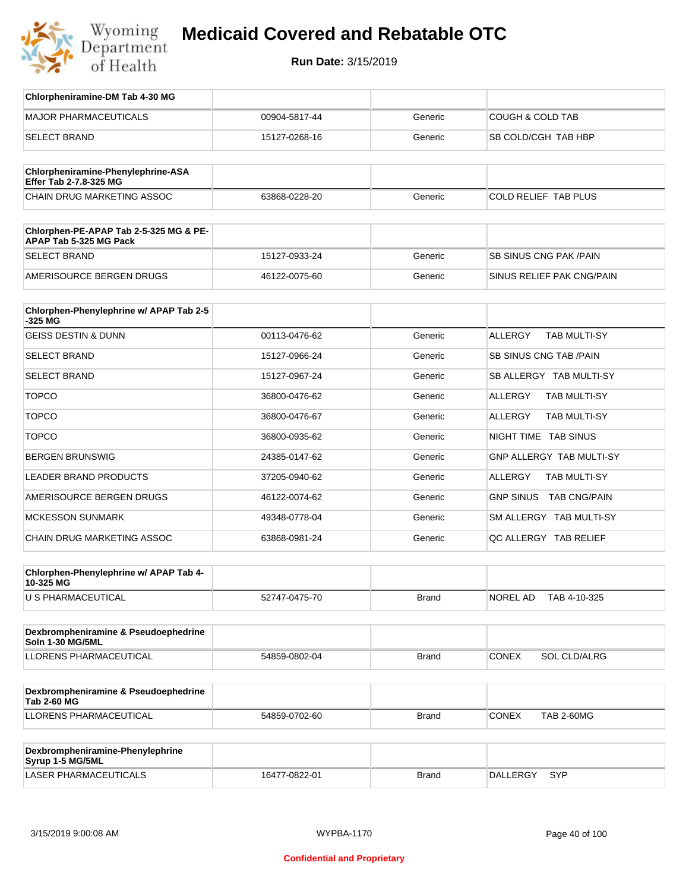

| Chlorpheniramine-DM Tab 4-30 MG                            |               |              |                                       |
|------------------------------------------------------------|---------------|--------------|---------------------------------------|
| <b>MAJOR PHARMACEUTICALS</b>                               | 00904-5817-44 | Generic      | <b>COUGH &amp; COLD TAB</b>           |
| <b>SELECT BRAND</b>                                        | 15127-0268-16 | Generic      | SB COLD/CGH TAB HBP                   |
| Chlorpheniramine-Phenylephrine-ASA                         |               |              |                                       |
| Effer Tab 2-7.8-325 MG                                     |               |              |                                       |
| CHAIN DRUG MARKETING ASSOC                                 | 63868-0228-20 | Generic      | COLD RELIEF TAB PLUS                  |
| Chlorphen-PE-APAP Tab 2-5-325 MG & PE-                     |               |              |                                       |
| APAP Tab 5-325 MG Pack                                     |               |              |                                       |
| <b>SELECT BRAND</b>                                        | 15127-0933-24 | Generic      | SB SINUS CNG PAK / PAIN               |
| AMERISOURCE BERGEN DRUGS                                   | 46122-0075-60 | Generic      | SINUS RELIEF PAK CNG/PAIN             |
|                                                            |               |              |                                       |
| Chlorphen-Phenylephrine w/ APAP Tab 2-5<br>-325 MG         |               |              |                                       |
| <b>GEISS DESTIN &amp; DUNN</b>                             | 00113-0476-62 | Generic      | <b>ALLERGY</b><br><b>TAB MULTI-SY</b> |
| <b>SELECT BRAND</b>                                        | 15127-0966-24 | Generic      | <b>SB SINUS CNG TAB /PAIN</b>         |
| <b>SELECT BRAND</b>                                        | 15127-0967-24 | Generic      | SB ALLERGY TAB MULTI-SY               |
| <b>TOPCO</b>                                               | 36800-0476-62 | Generic      | ALLERGY<br>TAB MULTI-SY               |
| <b>TOPCO</b>                                               | 36800-0476-67 | Generic      | ALLERGY<br>TAB MULTI-SY               |
| <b>TOPCO</b>                                               | 36800-0935-62 | Generic      | NIGHT TIME TAB SINUS                  |
| <b>BERGEN BRUNSWIG</b>                                     | 24385-0147-62 | Generic      | GNP ALLERGY TAB MULTI-SY              |
| <b>LEADER BRAND PRODUCTS</b>                               | 37205-0940-62 | Generic      | ALLERGY<br>TAB MULTI-SY               |
| AMERISOURCE BERGEN DRUGS                                   | 46122-0074-62 | Generic      | GNP SINUS TAB CNG/PAIN                |
| <b>MCKESSON SUNMARK</b>                                    | 49348-0778-04 | Generic      | SM ALLERGY TAB MULTI-SY               |
| <b>CHAIN DRUG MARKETING ASSOC</b>                          | 63868-0981-24 | Generic      | QC ALLERGY TAB RELIEF                 |
|                                                            |               |              |                                       |
| Chlorphen-Phenylephrine w/ APAP Tab 4-<br>10-325 MG        |               |              |                                       |
| U S PHARMACEUTICAL                                         | 52747-0475-70 | <b>Brand</b> | NOREL AD<br>TAB 4-10-325              |
|                                                            |               |              |                                       |
| Dexbrompheniramine & Pseudoephedrine<br>Soln 1-30 MG/5ML   |               |              |                                       |
| LLORENS PHARMACEUTICAL                                     | 54859-0802-04 | Brand        | <b>CONEX</b><br>SOL CLD/ALRG          |
|                                                            |               |              |                                       |
| Dexbrompheniramine & Pseudoephedrine<br><b>Tab 2-60 MG</b> |               |              |                                       |
| LLORENS PHARMACEUTICAL                                     | 54859-0702-60 | <b>Brand</b> | CONEX<br><b>TAB 2-60MG</b>            |
|                                                            |               |              |                                       |
| Dexbrompheniramine-Phenylephrine<br>Syrup 1-5 MG/5ML       |               |              |                                       |
| LASER PHARMACEUTICALS                                      | 16477-0822-01 | <b>Brand</b> | DALLERGY<br>SYP                       |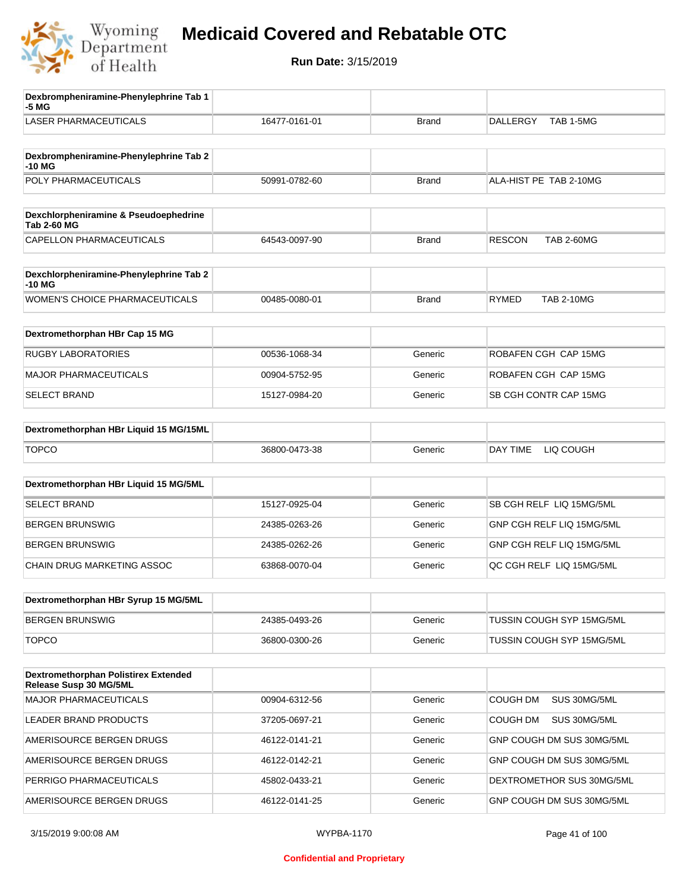

| Dexbrompheniramine-Phenylephrine Tab 1<br>-5 MG                |               |              |                                    |
|----------------------------------------------------------------|---------------|--------------|------------------------------------|
| <b>LASER PHARMACEUTICALS</b>                                   | 16477-0161-01 | <b>Brand</b> | TAB 1-5MG<br><b>DALLERGY</b>       |
| Dexbrompheniramine-Phenylephrine Tab 2<br>-10 MG               |               |              |                                    |
| POLY PHARMACEUTICALS                                           | 50991-0782-60 | <b>Brand</b> | ALA-HIST PE TAB 2-10MG             |
| Dexchlorpheniramine & Pseudoephedrine<br><b>Tab 2-60 MG</b>    |               |              |                                    |
| CAPELLON PHARMACEUTICALS                                       | 64543-0097-90 | <b>Brand</b> | <b>RESCON</b><br><b>TAB 2-60MG</b> |
| Dexchlorpheniramine-Phenylephrine Tab 2<br>-10 MG              |               |              |                                    |
| <b>WOMEN'S CHOICE PHARMACEUTICALS</b>                          | 00485-0080-01 | <b>Brand</b> | <b>TAB 2-10MG</b><br><b>RYMED</b>  |
| Dextromethorphan HBr Cap 15 MG                                 |               |              |                                    |
| <b>RUGBY LABORATORIES</b>                                      | 00536-1068-34 | Generic      | ROBAFEN CGH CAP 15MG               |
| <b>MAJOR PHARMACEUTICALS</b>                                   | 00904-5752-95 | Generic      | ROBAFEN CGH CAP 15MG               |
| <b>SELECT BRAND</b>                                            | 15127-0984-20 | Generic      | SB CGH CONTR CAP 15MG              |
| Dextromethorphan HBr Liquid 15 MG/15ML                         |               |              |                                    |
| <b>TOPCO</b>                                                   | 36800-0473-38 | Generic      | DAY TIME<br>LIQ COUGH              |
| Dextromethorphan HBr Liquid 15 MG/5ML                          |               |              |                                    |
| SELECT BRAND                                                   | 15127-0925-04 | Generic      | SB CGH RELF LIQ 15MG/5ML           |
| <b>BERGEN BRUNSWIG</b>                                         | 24385-0263-26 | Generic      | GNP CGH RELF LIQ 15MG/5ML          |
| <b>BERGEN BRUNSWIG</b>                                         | 24385-0262-26 | Generic      | GNP CGH RELF LIQ 15MG/5ML          |
| CHAIN DRUG MARKETING ASSOC                                     | 63868-0070-04 | Generic      | QC CGH RELF LIQ 15MG/5ML           |
| Dextromethorphan HBr Syrup 15 MG/5ML                           |               |              |                                    |
| <b>BERGEN BRUNSWIG</b>                                         | 24385-0493-26 | Generic      | TUSSIN COUGH SYP 15MG/5ML          |
| <b>TOPCO</b>                                                   | 36800-0300-26 | Generic      | TUSSIN COUGH SYP 15MG/5ML          |
| Dextromethorphan Polistirex Extended<br>Release Susp 30 MG/5ML |               |              |                                    |
| <b>MAJOR PHARMACEUTICALS</b>                                   | 00904-6312-56 | Generic      | COUGH DM<br>SUS 30MG/5ML           |
| LEADER BRAND PRODUCTS                                          | 37205-0697-21 | Generic      | COUGH DM<br>SUS 30MG/5ML           |
| AMERISOURCE BERGEN DRUGS                                       | 46122-0141-21 | Generic      | GNP COUGH DM SUS 30MG/5ML          |
| AMERISOURCE BERGEN DRUGS                                       | 46122-0142-21 | Generic      | GNP COUGH DM SUS 30MG/5ML          |
| PERRIGO PHARMACEUTICALS                                        | 45802-0433-21 | Generic      | DEXTROMETHOR SUS 30MG/5ML          |
| AMERISOURCE BERGEN DRUGS                                       | 46122-0141-25 | Generic      | GNP COUGH DM SUS 30MG/5ML          |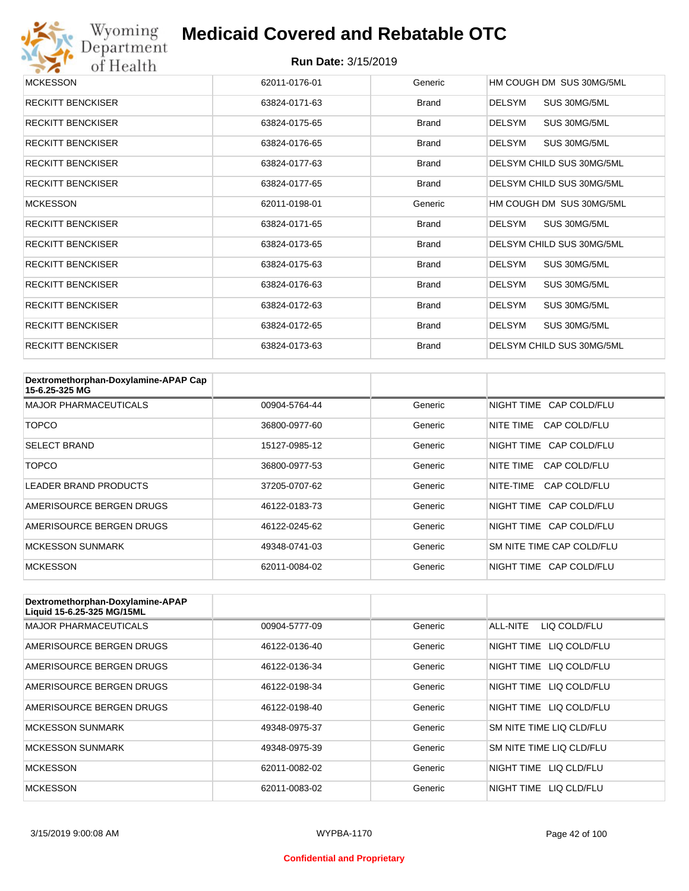

| <b>MCKESSON</b>          | 62011-0176-01 | Generic      | HM COUGH DM SUS 30MG/5ML      |
|--------------------------|---------------|--------------|-------------------------------|
| <b>RECKITT BENCKISER</b> | 63824-0171-63 | Brand        | <b>DELSYM</b><br>SUS 30MG/5ML |
| <b>RECKITT BENCKISER</b> | 63824-0175-65 | Brand        | DELSYM<br>SUS 30MG/5ML        |
| <b>RECKITT BENCKISER</b> | 63824-0176-65 | <b>Brand</b> | <b>DELSYM</b><br>SUS 30MG/5ML |
| <b>RECKITT BENCKISER</b> | 63824-0177-63 | Brand        | DELSYM CHILD SUS 30MG/5ML     |
| <b>RECKITT BENCKISER</b> | 63824-0177-65 | <b>Brand</b> | DELSYM CHILD SUS 30MG/5ML     |
| <b>MCKESSON</b>          | 62011-0198-01 | Generic      | HM COUGH DM SUS 30MG/5ML      |
| <b>RECKITT BENCKISER</b> | 63824-0171-65 | Brand        | SUS 30MG/5ML<br>DELSYM        |
| <b>RECKITT BENCKISER</b> | 63824-0173-65 | <b>Brand</b> | DELSYM CHILD SUS 30MG/5ML     |
| <b>RECKITT BENCKISER</b> | 63824-0175-63 | Brand        | <b>DELSYM</b><br>SUS 30MG/5ML |
| <b>RECKITT BENCKISER</b> | 63824-0176-63 | Brand        | DELSYM<br>SUS 30MG/5ML        |
| <b>RECKITT BENCKISER</b> | 63824-0172-63 | Brand        | <b>DELSYM</b><br>SUS 30MG/5ML |
| <b>RECKITT BENCKISER</b> | 63824-0172-65 | Brand        | SUS 30MG/5ML<br><b>DELSYM</b> |
| <b>RECKITT BENCKISER</b> | 63824-0173-63 | <b>Brand</b> | DELSYM CHILD SUS 30MG/5ML     |

| Dextromethorphan-Doxylamine-APAP Cap<br>15-6.25-325 MG |               |         |                           |
|--------------------------------------------------------|---------------|---------|---------------------------|
| <b>MAJOR PHARMACEUTICALS</b>                           | 00904-5764-44 | Generic | NIGHT TIME CAP COLD/FLU   |
| TOPCO                                                  | 36800-0977-60 | Generic | CAP COLD/FLU<br>NITE TIME |
| <b>SELECT BRAND</b>                                    | 15127-0985-12 | Generic | NIGHT TIME CAP COLD/FLU   |
| TOPCO                                                  | 36800-0977-53 | Generic | NITE TIME<br>CAP COLD/FLU |
| <b>LEADER BRAND PRODUCTS</b>                           | 37205-0707-62 | Generic | NITE-TIME<br>CAP COLD/FLU |
| AMERISOURCE BERGEN DRUGS                               | 46122-0183-73 | Generic | NIGHT TIME CAP COLD/FLU   |
| AMERISOURCE BERGEN DRUGS                               | 46122-0245-62 | Generic | NIGHT TIME CAP COLD/FLU   |
| <b>MCKESSON SUNMARK</b>                                | 49348-0741-03 | Generic | SM NITE TIME CAP COLD/FLU |
| <b>MCKESSON</b>                                        | 62011-0084-02 | Generic | NIGHT TIME CAP COLD/FLU   |

| Dextromethorphan-Doxylamine-APAP<br>Liquid 15-6.25-325 MG/15ML |               |         |                            |
|----------------------------------------------------------------|---------------|---------|----------------------------|
| <b>MAJOR PHARMACEUTICALS</b>                                   | 00904-5777-09 | Generic | ALL-NITE<br>LIQ COLD/FLU   |
| AMERISOURCE BERGEN DRUGS                                       | 46122-0136-40 | Generic | LIQ COLD/FLU<br>NIGHT TIME |
| AMERISOURCE BERGEN DRUGS                                       | 46122-0136-34 | Generic | NIGHT TIME<br>LIQ COLD/FLU |
| AMERISOURCE BERGEN DRUGS                                       | 46122-0198-34 | Generic | NIGHT TIME<br>LIQ COLD/FLU |
| AMERISOURCE BERGEN DRUGS                                       | 46122-0198-40 | Generic | NIGHT TIME LIQ COLD/FLU    |
| <b>MCKESSON SUNMARK</b>                                        | 49348-0975-37 | Generic | SM NITE TIME LIQ CLD/FLU   |
| <b>MCKESSON SUNMARK</b>                                        | 49348-0975-39 | Generic | SM NITE TIME LIQ CLD/FLU   |
| <b>MCKESSON</b>                                                | 62011-0082-02 | Generic | NIGHT TIME LIQ CLD/FLU     |
| <b>MCKESSON</b>                                                | 62011-0083-02 | Generic | NIGHT TIME<br>LIQ CLD/FLU  |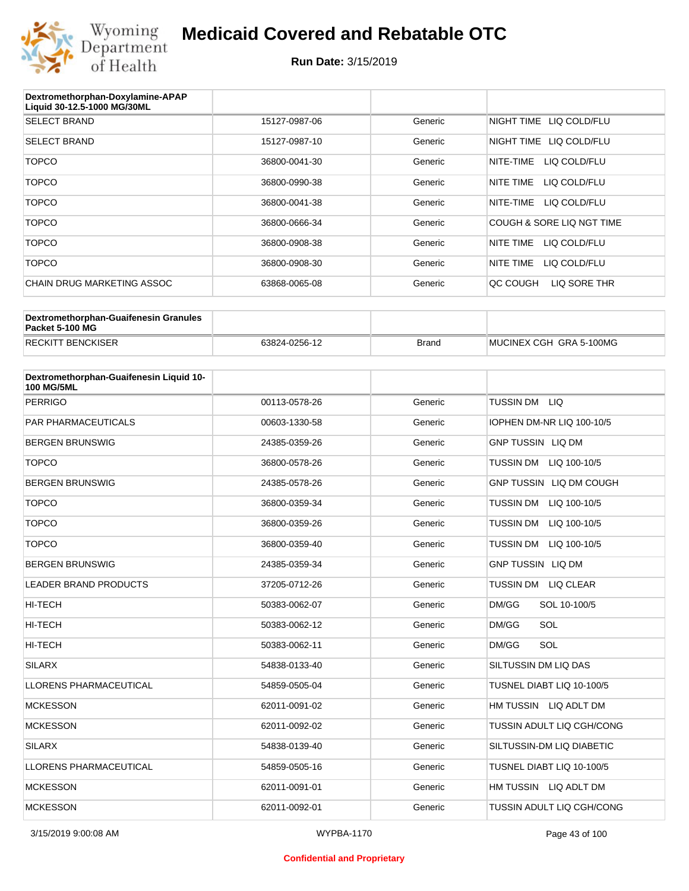

| Dextromethorphan-Doxylamine-APAP<br>Liquid 30-12.5-1000 MG/30ML |               |         |                           |
|-----------------------------------------------------------------|---------------|---------|---------------------------|
| <b>SELECT BRAND</b>                                             | 15127-0987-06 | Generic | NIGHT TIME LIQ COLD/FLU   |
| <b>SELECT BRAND</b>                                             | 15127-0987-10 | Generic | NIGHT TIME LIQ COLD/FLU   |
| <b>TOPCO</b>                                                    | 36800-0041-30 | Generic | NITE-TIME<br>LIQ COLD/FLU |
| <b>TOPCO</b>                                                    | 36800-0990-38 | Generic | NITE TIME<br>LIQ COLD/FLU |
| <b>TOPCO</b>                                                    | 36800-0041-38 | Generic | NITE-TIME<br>LIQ COLD/FLU |
| <b>TOPCO</b>                                                    | 36800-0666-34 | Generic | COUGH & SORE LIQ NGT TIME |
| <b>TOPCO</b>                                                    | 36800-0908-38 | Generic | NITE TIME<br>LIQ COLD/FLU |
| <b>TOPCO</b>                                                    | 36800-0908-30 | Generic | NITE TIME<br>LIQ COLD/FLU |
| CHAIN DRUG MARKETING ASSOC                                      | 63868-0065-08 | Generic | OC COUGH<br>LIQ SORE THR  |

| Dextromethorphan-Guaifenesin Granules<br>Packet 5-100 MG |               |              |                         |
|----------------------------------------------------------|---------------|--------------|-------------------------|
| <b>RECKITT BENCKISER</b>                                 | 63824-0256-12 | <b>Brand</b> | MUCINEX CGH GRA 5-100MG |

| Dextromethorphan-Guaifenesin Liquid 10-<br><b>100 MG/5ML</b> |               |         |                                  |
|--------------------------------------------------------------|---------------|---------|----------------------------------|
| <b>PERRIGO</b>                                               | 00113-0578-26 | Generic | TUSSIN DM LIQ                    |
| <b>PAR PHARMACEUTICALS</b>                                   | 00603-1330-58 | Generic | IOPHEN DM-NR LIQ 100-10/5        |
| <b>BERGEN BRUNSWIG</b>                                       | 24385-0359-26 | Generic | <b>GNP TUSSIN LIQ DM</b>         |
| <b>TOPCO</b>                                                 | 36800-0578-26 | Generic | <b>TUSSIN DM</b><br>LIQ 100-10/5 |
| <b>BERGEN BRUNSWIG</b>                                       | 24385-0578-26 | Generic | GNP TUSSIN LIQ DM COUGH          |
| <b>TOPCO</b>                                                 | 36800-0359-34 | Generic | <b>TUSSIN DM</b><br>LIQ 100-10/5 |
| <b>TOPCO</b>                                                 | 36800-0359-26 | Generic | <b>TUSSIN DM</b><br>LIQ 100-10/5 |
| <b>TOPCO</b>                                                 | 36800-0359-40 | Generic | <b>TUSSIN DM</b><br>LIQ 100-10/5 |
| <b>BERGEN BRUNSWIG</b>                                       | 24385-0359-34 | Generic | <b>GNP TUSSIN LIQ DM</b>         |
| <b>LEADER BRAND PRODUCTS</b>                                 | 37205-0712-26 | Generic | <b>TUSSIN DM</b><br>LIQ CLEAR    |
| <b>HI-TECH</b>                                               | 50383-0062-07 | Generic | DM/GG<br>SOL 10-100/5            |
| <b>HI-TECH</b>                                               | 50383-0062-12 | Generic | SOL<br>DM/GG                     |
| <b>HI-TECH</b>                                               | 50383-0062-11 | Generic | SOL<br>DM/GG                     |
| <b>SILARX</b>                                                | 54838-0133-40 | Generic | SILTUSSIN DM LIQ DAS             |
| <b>LLORENS PHARMACEUTICAL</b>                                | 54859-0505-04 | Generic | TUSNEL DIABT LIQ 10-100/5        |
| <b>MCKESSON</b>                                              | 62011-0091-02 | Generic | HM TUSSIN LIQ ADLT DM            |
| <b>MCKESSON</b>                                              | 62011-0092-02 | Generic | TUSSIN ADULT LIQ CGH/CONG        |
| <b>SILARX</b>                                                | 54838-0139-40 | Generic | SILTUSSIN-DM LIQ DIABETIC        |
| <b>LLORENS PHARMACEUTICAL</b>                                | 54859-0505-16 | Generic | TUSNEL DIABT LIQ 10-100/5        |
| <b>MCKESSON</b>                                              | 62011-0091-01 | Generic | HM TUSSIN LIQ ADLT DM            |
| <b>MCKESSON</b>                                              | 62011-0092-01 | Generic | TUSSIN ADULT LIQ CGH/CONG        |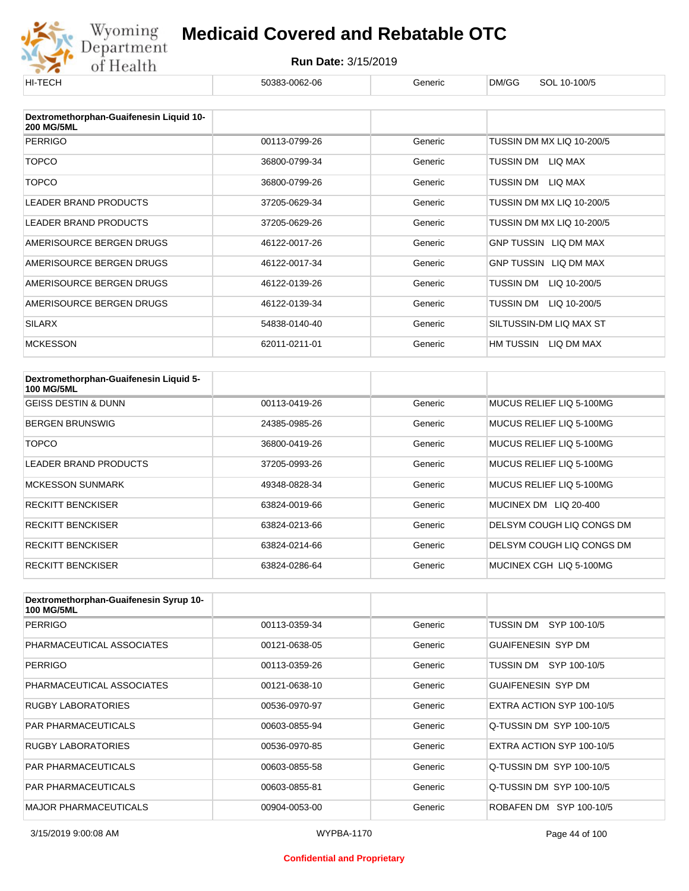

| HI-TECH                                 | 50383-0062-06 | Generic | DM/GG<br>SOL 10-100/5        |
|-----------------------------------------|---------------|---------|------------------------------|
| Dextromethorphan-Guaifenesin Liquid 10- |               |         |                              |
| <b>200 MG/5ML</b>                       |               |         |                              |
| <b>PERRIGO</b>                          | 00113-0799-26 | Generic | TUSSIN DM MX LIQ 10-200/5    |
| <b>TOPCO</b>                            | 36800-0799-34 | Generic | TUSSIN DM<br>LIQ MAX         |
| <b>TOPCO</b>                            | 36800-0799-26 | Generic | TUSSIN DM<br>LIQ MAX         |
| <b>LEADER BRAND PRODUCTS</b>            | 37205-0629-34 | Generic | TUSSIN DM MX LIQ 10-200/5    |
| LEADER BRAND PRODUCTS                   | 37205-0629-26 | Generic | TUSSIN DM MX LIQ 10-200/5    |
| AMERISOURCE BERGEN DRUGS                | 46122-0017-26 | Generic | <b>GNP TUSSIN LIQ DM MAX</b> |
| AMERISOURCE BERGEN DRUGS                | 46122-0017-34 | Generic | GNP TUSSIN LIQ DM MAX        |
| AMERISOURCE BERGEN DRUGS                | 46122-0139-26 | Generic | TUSSIN DM<br>LIQ 10-200/5    |
| AMERISOURCE BERGEN DRUGS                | 46122-0139-34 | Generic | TUSSIN DM<br>LIQ 10-200/5    |
| <b>SILARX</b>                           | 54838-0140-40 | Generic | SILTUSSIN-DM LIQ MAX ST      |
| <b>MCKESSON</b>                         | 62011-0211-01 | Generic | HM TUSSIN<br>LIQ DM MAX      |

| Dextromethorphan-Guaifenesin Liquid 5-<br><b>100 MG/5ML</b> |               |         |                           |
|-------------------------------------------------------------|---------------|---------|---------------------------|
| <b>GEISS DESTIN &amp; DUNN</b>                              | 00113-0419-26 | Generic | MUCUS RELIEF LIQ 5-100MG  |
| <b>BERGEN BRUNSWIG</b>                                      | 24385-0985-26 | Generic | MUCUS RELIEF LIQ 5-100MG  |
| TOPCO                                                       | 36800-0419-26 | Generic | MUCUS RELIEF LIQ 5-100MG  |
| <b>LEADER BRAND PRODUCTS</b>                                | 37205-0993-26 | Generic | MUCUS RELIEF LIQ 5-100MG  |
| <b>MCKESSON SUNMARK</b>                                     | 49348-0828-34 | Generic | MUCUS RELIEF LIQ 5-100MG  |
| <b>RECKITT BENCKISER</b>                                    | 63824-0019-66 | Generic | MUCINEX DM LIQ 20-400     |
| <b>RECKITT BENCKISER</b>                                    | 63824-0213-66 | Generic | DELSYM COUGH LIQ CONGS DM |
| <b>RECKITT BENCKISER</b>                                    | 63824-0214-66 | Generic | DELSYM COUGH LIQ CONGS DM |
| <b>RECKITT BENCKISER</b>                                    | 63824-0286-64 | Generic | MUCINEX CGH LIQ 5-100MG   |

| Dextromethorphan-Guaifenesin Syrup 10-<br><b>100 MG/5ML</b> |               |         |                           |
|-------------------------------------------------------------|---------------|---------|---------------------------|
| <b>PERRIGO</b>                                              | 00113-0359-34 | Generic | TUSSIN DM<br>SYP 100-10/5 |
| PHARMACEUTICAL ASSOCIATES                                   | 00121-0638-05 | Generic | <b>GUAIFENESIN SYP DM</b> |
| <b>PERRIGO</b>                                              | 00113-0359-26 | Generic | SYP 100-10/5<br>TUSSIN DM |
| PHARMACEUTICAL ASSOCIATES                                   | 00121-0638-10 | Generic | <b>GUAIFENESIN SYP DM</b> |
| RUGBY LABORATORIES                                          | 00536-0970-97 | Generic | EXTRA ACTION SYP 100-10/5 |
| <b>PAR PHARMACEUTICALS</b>                                  | 00603-0855-94 | Generic | Q-TUSSIN DM SYP 100-10/5  |
| RUGBY LABORATORIES                                          | 00536-0970-85 | Generic | EXTRA ACTION SYP 100-10/5 |
| <b>PAR PHARMACEUTICALS</b>                                  | 00603-0855-58 | Generic | Q-TUSSIN DM SYP 100-10/5  |
| <b>PAR PHARMACEUTICALS</b>                                  | 00603-0855-81 | Generic | Q-TUSSIN DM SYP 100-10/5  |
| <b>MAJOR PHARMACEUTICALS</b>                                | 00904-0053-00 | Generic | ROBAFEN DM SYP 100-10/5   |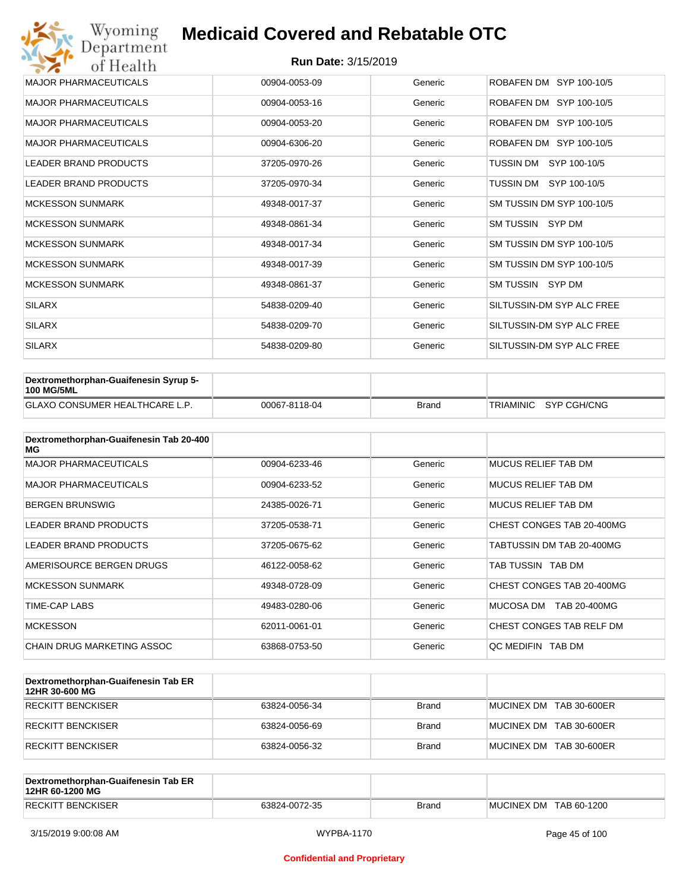| Wyoming<br>Department        | <b>Medicaid Covered and Rebatable OTC</b> |         |                           |  |  |  |
|------------------------------|-------------------------------------------|---------|---------------------------|--|--|--|
| of Health                    | <b>Run Date: 3/15/2019</b>                |         |                           |  |  |  |
| <b>MAJOR PHARMACEUTICALS</b> | 00904-0053-09                             | Generic | ROBAFEN DM SYP 100-10/5   |  |  |  |
| <b>MAJOR PHARMACEUTICALS</b> | 00904-0053-16                             | Generic | ROBAFEN DM SYP 100-10/5   |  |  |  |
| <b>MAJOR PHARMACEUTICALS</b> | 00904-0053-20                             | Generic | ROBAFEN DM SYP 100-10/5   |  |  |  |
| <b>MAJOR PHARMACEUTICALS</b> | 00904-6306-20                             | Generic | ROBAFEN DM SYP 100-10/5   |  |  |  |
| <b>LEADER BRAND PRODUCTS</b> | 37205-0970-26                             | Generic | TUSSIN DM<br>SYP 100-10/5 |  |  |  |
| <b>LEADER BRAND PRODUCTS</b> | 37205-0970-34                             | Generic | TUSSIN DM SYP 100-10/5    |  |  |  |
| <b>MCKESSON SUNMARK</b>      | 49348-0017-37                             | Generic | SM TUSSIN DM SYP 100-10/5 |  |  |  |
| <b>MCKESSON SUNMARK</b>      | 49348-0861-34                             | Generic | SM TUSSIN SYP DM          |  |  |  |
| <b>MCKESSON SUNMARK</b>      | 49348-0017-34                             | Generic | SM TUSSIN DM SYP 100-10/5 |  |  |  |
| <b>MCKESSON SUNMARK</b>      | 49348-0017-39                             | Generic | SM TUSSIN DM SYP 100-10/5 |  |  |  |
| <b>MCKESSON SUNMARK</b>      | 49348-0861-37                             | Generic | SM TUSSIN SYP DM          |  |  |  |
| <b>SILARX</b>                | 54838-0209-40                             | Generic | SILTUSSIN-DM SYP ALC FREE |  |  |  |
| <b>SILARX</b>                | 54838-0209-70                             | Generic | SILTUSSIN-DM SYP ALC FREE |  |  |  |
| <b>SILARX</b>                | 54838-0209-80                             | Generic | SILTUSSIN-DM SYP ALC FREE |  |  |  |

| Dextromethorphan-Guaifenesin Syrup 5-<br><b>100 MG/5ML</b> |               |              |                       |
|------------------------------------------------------------|---------------|--------------|-----------------------|
| <b>GLAXO CONSUMER HEALTHCARE L.P.</b>                      | 00067-8118-04 | <b>Brand</b> | TRIAMINIC SYP CGH/CNG |

| Dextromethorphan-Guaifenesin Tab 20-400<br>MG |               |         |                            |
|-----------------------------------------------|---------------|---------|----------------------------|
| <b>MAJOR PHARMACEUTICALS</b>                  | 00904-6233-46 | Generic | <b>MUCUS RELIEF TAB DM</b> |
| <b>MAJOR PHARMACEUTICALS</b>                  | 00904-6233-52 | Generic | <b>MUCUS RELIEF TAB DM</b> |
| <b>BERGEN BRUNSWIG</b>                        | 24385-0026-71 | Generic | <b>MUCUS RELIEF TAB DM</b> |
| LEADER BRAND PRODUCTS                         | 37205-0538-71 | Generic | CHEST CONGES TAB 20-400MG  |
| LEADER BRAND PRODUCTS                         | 37205-0675-62 | Generic | TABTUSSIN DM TAB 20-400MG  |
| AMERISOURCE BERGEN DRUGS                      | 46122-0058-62 | Generic | TAB TUSSIN TAB DM          |
| <b>MCKESSON SUNMARK</b>                       | 49348-0728-09 | Generic | CHEST CONGES TAB 20-400MG  |
| TIME-CAP LABS                                 | 49483-0280-06 | Generic | MUCOSA DM<br>TAB 20-400MG  |
| <b>MCKESSON</b>                               | 62011-0061-01 | Generic | CHEST CONGES TAB RELF DM   |
| <b>CHAIN DRUG MARKETING ASSOC</b>             | 63868-0753-50 | Generic | QC MEDIFIN TAB DM          |

| Dextromethorphan-Guaifenesin Tab ER<br>12HR 30-600 MG |               |              |                         |
|-------------------------------------------------------|---------------|--------------|-------------------------|
| RECKITT BENCKISER                                     | 63824-0056-34 | <b>Brand</b> | MUCINEX DM TAB 30-600ER |
| RECKITT BENCKISER                                     | 63824-0056-69 | <b>Brand</b> | MUCINEX DM TAB 30-600ER |
| RECKITT BENCKISER                                     | 63824-0056-32 | <b>Brand</b> | MUCINEX DM TAB 30-600ER |

| Dextromethorphan-Guaifenesin Tab ER<br>12HR 60-1200 MG |               |       |                        |
|--------------------------------------------------------|---------------|-------|------------------------|
| <b>RECKITT BENCKISER</b>                               | 63824-0072-35 | Brand | MUCINEX DM TAB 60-1200 |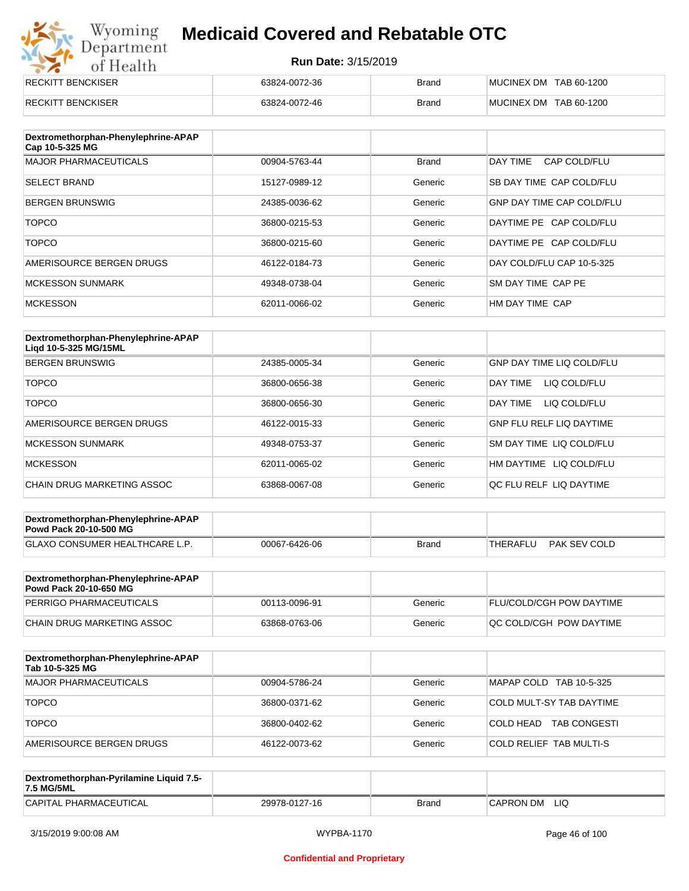# Wyoming<br>Department<br>of Health

### **Medicaid Covered and Rebatable OTC**

| RECKITT BENCKISER        | 63824-0072-36 | <b>Brand</b> | MUCINEX DM TAB 60-1200 |
|--------------------------|---------------|--------------|------------------------|
| <b>RECKITT BENCKISER</b> | 63824-0072-46 | <b>Brand</b> | MUCINEX DM TAB 60-1200 |

| Dextromethorphan-Phenylephrine-APAP<br>Cap 10-5-325 MG |               |              |                                  |
|--------------------------------------------------------|---------------|--------------|----------------------------------|
| <b>MAJOR PHARMACEUTICALS</b>                           | 00904-5763-44 | <b>Brand</b> | DAY TIME<br>CAP COLD/FLU         |
| <b>SELECT BRAND</b>                                    | 15127-0989-12 | Generic      | SB DAY TIME CAP COLD/FLU         |
| <b>BERGEN BRUNSWIG</b>                                 | 24385-0036-62 | Generic      | <b>GNP DAY TIME CAP COLD/FLU</b> |
| <b>TOPCO</b>                                           | 36800-0215-53 | Generic      | DAYTIME PE CAP COLD/FLU          |
| <b>TOPCO</b>                                           | 36800-0215-60 | Generic      | DAYTIME PE CAP COLD/FLU          |
| AMERISOURCE BERGEN DRUGS                               | 46122-0184-73 | Generic      | DAY COLD/FLU CAP 10-5-325        |
| <b>MCKESSON SUNMARK</b>                                | 49348-0738-04 | Generic      | SM DAY TIME CAP PE               |
| <b>MCKESSON</b>                                        | 62011-0066-02 | Generic      | HM DAY TIME CAP                  |

| Dextromethorphan-Phenylephrine-APAP<br>Ligd 10-5-325 MG/15ML |               |         |                                  |
|--------------------------------------------------------------|---------------|---------|----------------------------------|
| <b>BERGEN BRUNSWIG</b>                                       | 24385-0005-34 | Generic | <b>GNP DAY TIME LIQ COLD/FLU</b> |
| <b>TOPCO</b>                                                 | 36800-0656-38 | Generic | LIQ COLD/FLU<br>DAY TIME         |
| <b>TOPCO</b>                                                 | 36800-0656-30 | Generic | DAY TIME<br>LIQ COLD/FLU         |
| AMERISOURCE BERGEN DRUGS                                     | 46122-0015-33 | Generic | <b>GNP FLU RELF LIQ DAYTIME</b>  |
| <b>MCKESSON SUNMARK</b>                                      | 49348-0753-37 | Generic | SM DAY TIME LIQ COLD/FLU         |
| <b>MCKESSON</b>                                              | 62011-0065-02 | Generic | HM DAYTIME<br>LIQ COLD/FLU       |
| CHAIN DRUG MARKETING ASSOC                                   | 63868-0067-08 | Generic | OC FLU RELF LIO DAYTIME          |

| Dextromethorphan-Phenylephrine-APAP<br><b>Powd Pack 20-10-500 MG</b> |               |              |          |              |
|----------------------------------------------------------------------|---------------|--------------|----------|--------------|
| <b>GLAXO CONSUMER HEALTHCARE L.P.</b>                                | 00067-6426-06 | <b>Brand</b> | THERAFLU | PAK SEV COLD |
|                                                                      |               |              |          |              |

| Dextromethorphan-Phenylephrine-APAP<br><b>Powd Pack 20-10-650 MG</b> |               |         |                                 |
|----------------------------------------------------------------------|---------------|---------|---------------------------------|
| PERRIGO PHARMACEUTICALS                                              | 00113-0096-91 | Generic | <b>FLU/COLD/CGH POW DAYTIME</b> |
| CHAIN DRUG MARKETING ASSOC                                           | 63868-0763-06 | Generic | OC COLD/CGH POW DAYTIME         |

| Dextromethorphan-Phenylephrine-APAP<br>Tab 10-5-325 MG |               |         |                                      |
|--------------------------------------------------------|---------------|---------|--------------------------------------|
| MAJOR PHARMACEUTICALS                                  | 00904-5786-24 | Generic | MAPAP COLD TAB 10-5-325              |
| <b>TOPCO</b>                                           | 36800-0371-62 | Generic | COLD MULT-SY TAB DAYTIME             |
| <b>TOPCO</b>                                           | 36800-0402-62 | Generic | <b>TAB CONGESTI</b><br>ICOI D HEAD I |
| AMERISOURCE BERGEN DRUGS                               | 46122-0073-62 | Generic | COLD RELIEF TAB MULTI-S              |

| Dextromethorphan-Pyrilamine Liquid 7.5-<br>7.5 MG/5ML |               |       |                  |
|-------------------------------------------------------|---------------|-------|------------------|
| CAPITAL PHARMACEUTICAL                                | 29978-0127-16 | Brand | LIQ<br>CAPRON DM |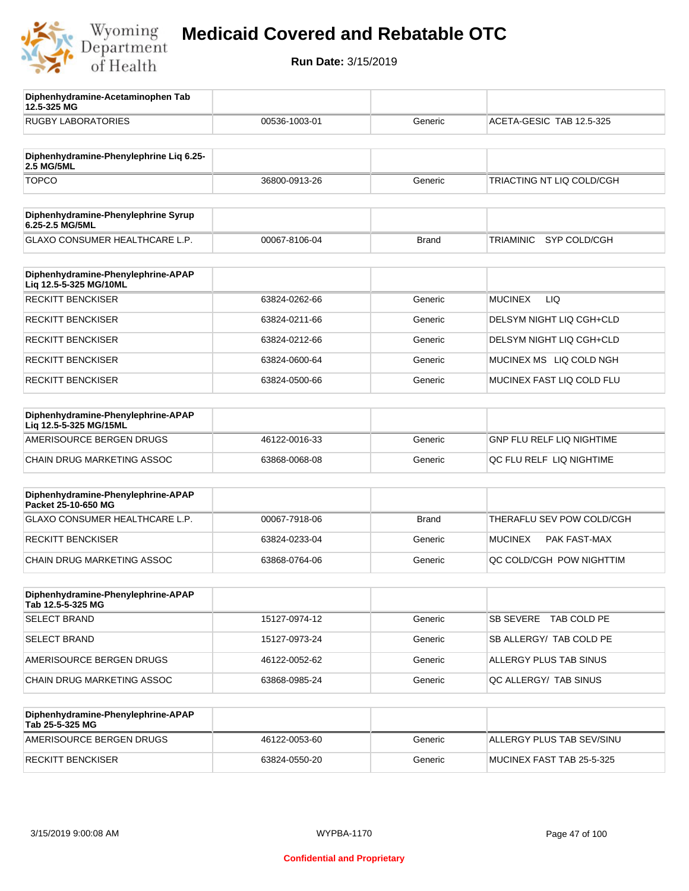

**12.5-325 MG**

**Diphenhydramine-Acetaminophen Tab** 

### **Medicaid Covered and Rebatable OTC**

| <b>RUGBY LABORATORIES</b>                                    | 00536-1003-01 | Generic      | ACETA-GESIC TAB 12.5-325         |
|--------------------------------------------------------------|---------------|--------------|----------------------------------|
| Diphenhydramine-Phenylephrine Liq 6.25-<br><b>2.5 MG/5ML</b> |               |              |                                  |
| <b>TOPCO</b>                                                 | 36800-0913-26 | Generic      | TRIACTING NT LIQ COLD/CGH        |
| Diphenhydramine-Phenylephrine Syrup<br>6.25-2.5 MG/5ML       |               |              |                                  |
| GLAXO CONSUMER HEALTHCARE L.P.                               | 00067-8106-04 | <b>Brand</b> | <b>TRIAMINIC</b><br>SYP COLD/CGH |
| Diphenhydramine-Phenylephrine-APAP<br>Liq 12.5-5-325 MG/10ML |               |              |                                  |
| <b>RECKITT BENCKISER</b>                                     | 63824-0262-66 | Generic      | <b>MUCINEX</b><br>LIQ            |
| <b>RECKITT BENCKISER</b>                                     | 63824-0211-66 | Generic      | DELSYM NIGHT LIQ CGH+CLD         |
| <b>RECKITT BENCKISER</b>                                     | 63824-0212-66 | Generic      | DELSYM NIGHT LIQ CGH+CLD         |
| <b>RECKITT BENCKISER</b>                                     | 63824-0600-64 | Generic      | MUCINEX MS LIQ COLD NGH          |
| <b>RECKITT BENCKISER</b>                                     | 63824-0500-66 | Generic      | MUCINEX FAST LIQ COLD FLU        |
| Diphenhydramine-Phenylephrine-APAP<br>Liq 12.5-5-325 MG/15ML |               |              |                                  |
| AMERISOURCE BERGEN DRUGS                                     | 46122-0016-33 | Generic      | <b>GNP FLU RELF LIQ NIGHTIME</b> |
| CHAIN DRUG MARKETING ASSOC                                   | 63868-0068-08 | Generic      | QC FLU RELF LIQ NIGHTIME         |
| Diphenhydramine-Phenylephrine-APAP<br>Packet 25-10-650 MG    |               |              |                                  |
| <b>GLAXO CONSUMER HEALTHCARE L.P.</b>                        | 00067-7918-06 | <b>Brand</b> | THERAFLU SEV POW COLD/CGH        |
| <b>RECKITT BENCKISER</b>                                     | 63824-0233-04 | Generic      | <b>MUCINEX</b><br>PAK FAST-MAX   |
| <b>CHAIN DRUG MARKETING ASSOC</b>                            | 63868-0764-06 | Generic      | QC COLD/CGH POW NIGHTTIM         |
| Diphenhydramine-Phenylephrine-APAP<br>Tab 12.5-5-325 MG      |               |              |                                  |
| <b>SELECT BRAND</b>                                          | 15127-0974-12 | Generic      | SB SEVERE<br>TAB COLD PE         |
| <b>SELECT BRAND</b>                                          | 15127-0973-24 | Generic      | SB ALLERGY/ TAB COLD PE          |
| AMERISOURCE BERGEN DRUGS                                     | 46122-0052-62 | Generic      | ALLERGY PLUS TAB SINUS           |
| CHAIN DRUG MARKETING ASSOC                                   | 63868-0985-24 | Generic      | QC ALLERGY/ TAB SINUS            |
| Diphenhydramine-Phenylephrine-APAP<br>Tab 25-5-325 MG        |               |              |                                  |
| AMERISOURCE BERGEN DRUGS                                     | 46122-0053-60 | Generic      | ALLERGY PLUS TAB SEV/SINU        |
| <b>RECKITT BENCKISER</b>                                     | 63824-0550-20 | Generic      | MUCINEX FAST TAB 25-5-325        |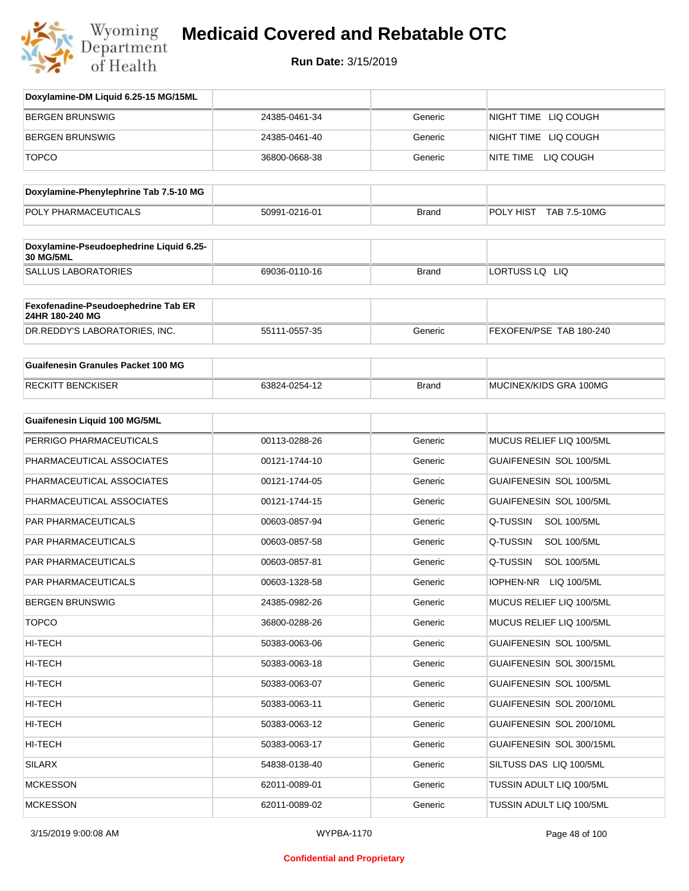

| Doxylamine-DM Liquid 6.25-15 MG/15ML                        |               |              |                                 |
|-------------------------------------------------------------|---------------|--------------|---------------------------------|
| <b>BERGEN BRUNSWIG</b>                                      | 24385-0461-34 | Generic      | NIGHT TIME LIQ COUGH            |
| <b>BERGEN BRUNSWIG</b>                                      | 24385-0461-40 | Generic      | NIGHT TIME LIQ COUGH            |
| <b>TOPCO</b>                                                | 36800-0668-38 | Generic      | NITE TIME LIQ COUGH             |
| Doxylamine-Phenylephrine Tab 7.5-10 MG                      |               |              |                                 |
| POLY PHARMACEUTICALS                                        | 50991-0216-01 | <b>Brand</b> | POLY HIST TAB 7.5-10MG          |
|                                                             |               |              |                                 |
| Doxylamine-Pseudoephedrine Liquid 6.25-<br><b>30 MG/5ML</b> |               |              |                                 |
| <b>SALLUS LABORATORIES</b>                                  | 69036-0110-16 | <b>Brand</b> | LORTUSS LQ LIQ                  |
| Fexofenadine-Pseudoephedrine Tab ER<br>24HR 180-240 MG      |               |              |                                 |
| DR.REDDY'S LABORATORIES, INC.                               | 55111-0557-35 | Generic      | FEXOFEN/PSE TAB 180-240         |
| <b>Guaifenesin Granules Packet 100 MG</b>                   |               |              |                                 |
| <b>RECKITT BENCKISER</b>                                    | 63824-0254-12 | <b>Brand</b> | MUCINEX/KIDS GRA 100MG          |
| <b>Guaifenesin Liquid 100 MG/5ML</b>                        |               |              |                                 |
| PERRIGO PHARMACEUTICALS                                     | 00113-0288-26 | Generic      | MUCUS RELIEF LIQ 100/5ML        |
| PHARMACEUTICAL ASSOCIATES                                   | 00121-1744-10 | Generic      | GUAIFENESIN SOL 100/5ML         |
| PHARMACEUTICAL ASSOCIATES                                   | 00121-1744-05 | Generic      | GUAIFENESIN SOL 100/5ML         |
| PHARMACEUTICAL ASSOCIATES                                   | 00121-1744-15 | Generic      | GUAIFENESIN SOL 100/5ML         |
| PAR PHARMACEUTICALS                                         | 00603-0857-94 | Generic      | Q-TUSSIN<br><b>SOL 100/5ML</b>  |
| PAR PHARMACEUTICALS                                         | 00603-0857-58 | Generic      | Q-TUSSIN<br><b>SOL 100/5ML</b>  |
| PAR PHARMACEUTICALS                                         | 00603-0857-81 | Generic      | Q-TUSSIN<br><b>SOL 100/5ML</b>  |
| PAR PHARMACEUTICALS                                         | 00603-1328-58 | Generic      | <b>IOPHEN-NR</b><br>LIQ 100/5ML |
| <b>BERGEN BRUNSWIG</b>                                      | 24385-0982-26 | Generic      | MUCUS RELIEF LIQ 100/5ML        |
| <b>TOPCO</b>                                                | 36800-0288-26 | Generic      | MUCUS RELIEF LIQ 100/5ML        |
| HI-TECH                                                     | 50383-0063-06 | Generic      | GUAIFENESIN SOL 100/5ML         |
| HI-TECH                                                     | 50383-0063-18 | Generic      | GUAIFENESIN SOL 300/15ML        |
| HI-TECH                                                     | 50383-0063-07 | Generic      | GUAIFENESIN SOL 100/5ML         |
| HI-TECH                                                     | 50383-0063-11 | Generic      | GUAIFENESIN SOL 200/10ML        |
| HI-TECH                                                     | 50383-0063-12 | Generic      | GUAIFENESIN SOL 200/10ML        |
| HI-TECH                                                     | 50383-0063-17 | Generic      | GUAIFENESIN SOL 300/15ML        |
| SILARX                                                      | 54838-0138-40 | Generic      | SILTUSS DAS LIQ 100/5ML         |
| <b>MCKESSON</b>                                             | 62011-0089-01 | Generic      | TUSSIN ADULT LIQ 100/5ML        |
| <b>MCKESSON</b>                                             | 62011-0089-02 | Generic      | TUSSIN ADULT LIQ 100/5ML        |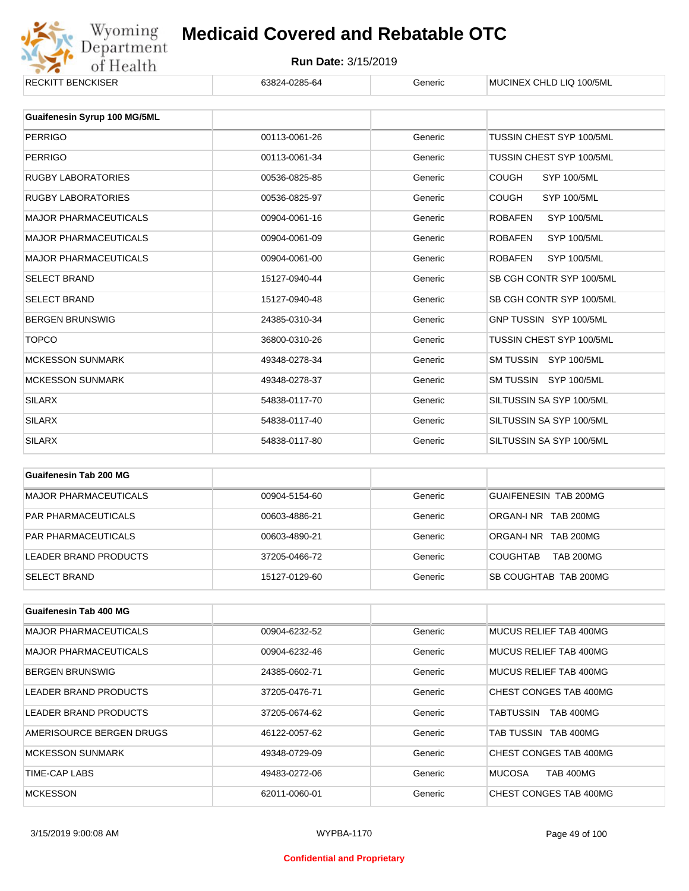

| <b>RECKITT BENCKISER</b>     | 63824-0285-64 | Generic | MUCINEX CHLD LIQ 100/5ML             |
|------------------------------|---------------|---------|--------------------------------------|
|                              |               |         |                                      |
| Guaifenesin Syrup 100 MG/5ML |               |         |                                      |
| <b>PERRIGO</b>               | 00113-0061-26 | Generic | TUSSIN CHEST SYP 100/5ML             |
| <b>PERRIGO</b>               | 00113-0061-34 | Generic | TUSSIN CHEST SYP 100/5ML             |
| <b>RUGBY LABORATORIES</b>    | 00536-0825-85 | Generic | <b>COUGH</b><br><b>SYP 100/5ML</b>   |
| <b>RUGBY LABORATORIES</b>    | 00536-0825-97 | Generic | <b>COUGH</b><br><b>SYP 100/5ML</b>   |
| <b>MAJOR PHARMACEUTICALS</b> | 00904-0061-16 | Generic | <b>ROBAFEN</b><br><b>SYP 100/5ML</b> |
| <b>MAJOR PHARMACEUTICALS</b> | 00904-0061-09 | Generic | <b>ROBAFEN</b><br>SYP 100/5ML        |
| <b>MAJOR PHARMACEUTICALS</b> | 00904-0061-00 | Generic | <b>SYP 100/5ML</b><br><b>ROBAFEN</b> |
| <b>SELECT BRAND</b>          | 15127-0940-44 | Generic | SB CGH CONTR SYP 100/5ML             |
| <b>SELECT BRAND</b>          | 15127-0940-48 | Generic | SB CGH CONTR SYP 100/5ML             |
| <b>BERGEN BRUNSWIG</b>       | 24385-0310-34 | Generic | GNP TUSSIN SYP 100/5ML               |
| <b>TOPCO</b>                 | 36800-0310-26 | Generic | TUSSIN CHEST SYP 100/5ML             |
| <b>MCKESSON SUNMARK</b>      | 49348-0278-34 | Generic | SM TUSSIN SYP 100/5ML                |
| <b>MCKESSON SUNMARK</b>      | 49348-0278-37 | Generic | SM TUSSIN SYP 100/5ML                |
| <b>SILARX</b>                | 54838-0117-70 | Generic | SILTUSSIN SA SYP 100/5ML             |
| <b>SILARX</b>                | 54838-0117-40 | Generic | SILTUSSIN SA SYP 100/5ML             |
| <b>SILARX</b>                | 54838-0117-80 | Generic | SILTUSSIN SA SYP 100/5ML             |
|                              |               |         |                                      |

| Guaifenesin Tab 200 MG       |               |         |                                     |
|------------------------------|---------------|---------|-------------------------------------|
| <b>MAJOR PHARMACEUTICALS</b> | 00904-5154-60 | Generic | GUAIFENESIN TAB 200MG               |
| <b>PAR PHARMACEUTICALS</b>   | 00603-4886-21 | Generic | ORGAN-INR TAB 200MG                 |
| <b>PAR PHARMACEUTICALS</b>   | 00603-4890-21 | Generic | ORGAN-INR TAB 200MG                 |
| LEADER BRAND PRODUCTS        | 37205-0466-72 | Generic | <b>TAB 200MG</b><br><b>COUGHTAB</b> |
| <b>SELECT BRAND</b>          | 15127-0129-60 | Generic | SB COUGHTAB TAB 200MG               |

| Guaifenesin Tab 400 MG       |               |         |                                   |
|------------------------------|---------------|---------|-----------------------------------|
| <b>MAJOR PHARMACEUTICALS</b> | 00904-6232-52 | Generic | MUCUS RELIEF TAB 400MG            |
| <b>MAJOR PHARMACEUTICALS</b> | 00904-6232-46 | Generic | MUCUS RELIEF TAB 400MG            |
| <b>BERGEN BRUNSWIG</b>       | 24385-0602-71 | Generic | MUCUS RELIEF TAB 400MG            |
| LEADER BRAND PRODUCTS        | 37205-0476-71 | Generic | CHEST CONGES TAB 400MG            |
| LEADER BRAND PRODUCTS        | 37205-0674-62 | Generic | TABTUSSIN<br><b>TAB 400MG</b>     |
| AMERISOURCE BERGEN DRUGS     | 46122-0057-62 | Generic | TAB TUSSIN TAB 400MG              |
| <b>MCKESSON SUNMARK</b>      | 49348-0729-09 | Generic | CHEST CONGES TAB 400MG            |
| TIME-CAP LABS                | 49483-0272-06 | Generic | <b>TAB 400MG</b><br><b>MUCOSA</b> |
| <b>MCKESSON</b>              | 62011-0060-01 | Generic | CHEST CONGES TAB 400MG            |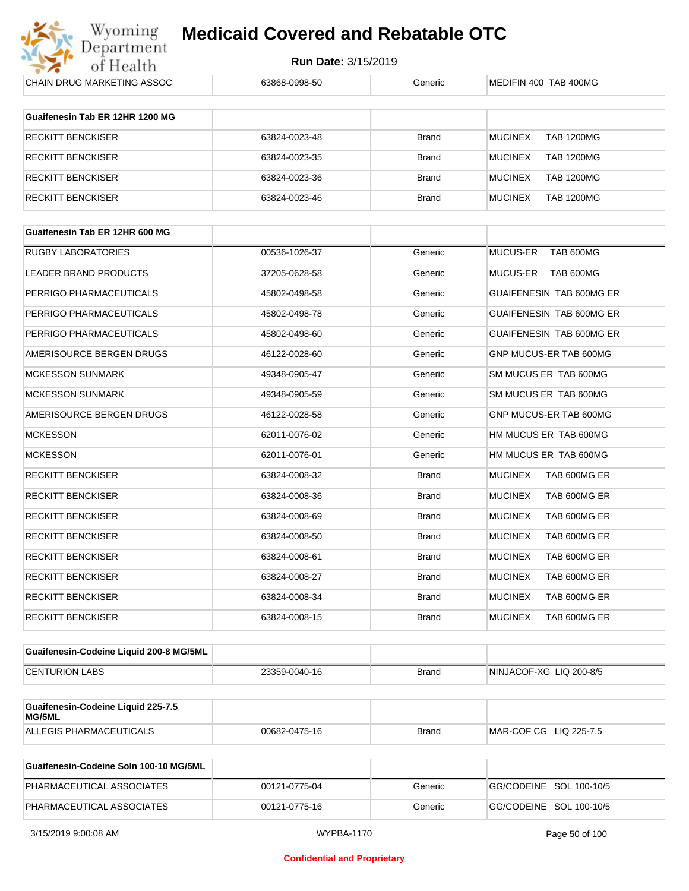

| <b>CHAIN DRUG MARKETING ASSOC</b>            | 63868-0998-50 | Generic      | MEDIFIN 400 TAB 400MG               |
|----------------------------------------------|---------------|--------------|-------------------------------------|
| Guaifenesin Tab ER 12HR 1200 MG              |               |              |                                     |
| <b>RECKITT BENCKISER</b>                     | 63824-0023-48 | <b>Brand</b> | <b>TAB 1200MG</b><br><b>MUCINEX</b> |
| RECKITT BENCKISER                            | 63824-0023-35 | <b>Brand</b> | <b>MUCINEX</b><br><b>TAB 1200MG</b> |
| <b>RECKITT BENCKISER</b>                     | 63824-0023-36 | <b>Brand</b> | <b>MUCINEX</b><br><b>TAB 1200MG</b> |
| <b>RECKITT BENCKISER</b>                     | 63824-0023-46 | <b>Brand</b> | <b>MUCINEX</b><br><b>TAB 1200MG</b> |
|                                              |               |              |                                     |
| Guaifenesin Tab ER 12HR 600 MG               |               |              |                                     |
| <b>RUGBY LABORATORIES</b>                    | 00536-1026-37 | Generic      | MUCUS-ER<br>TAB 600MG               |
| LEADER BRAND PRODUCTS                        | 37205-0628-58 | Generic      | MUCUS-ER<br>TAB 600MG               |
| PERRIGO PHARMACEUTICALS                      | 45802-0498-58 | Generic      | GUAIFENESIN TAB 600MG ER            |
| PERRIGO PHARMACEUTICALS                      | 45802-0498-78 | Generic      | <b>GUAIFENESIN TAB 600MG ER</b>     |
| PERRIGO PHARMACEUTICALS                      | 45802-0498-60 | Generic      | <b>GUAIFENESIN TAB 600MG ER</b>     |
| AMERISOURCE BERGEN DRUGS                     | 46122-0028-60 | Generic      | GNP MUCUS-ER TAB 600MG              |
| <b>MCKESSON SUNMARK</b>                      | 49348-0905-47 | Generic      | SM MUCUS ER TAB 600MG               |
| <b>MCKESSON SUNMARK</b>                      | 49348-0905-59 | Generic      | SM MUCUS ER TAB 600MG               |
| AMERISOURCE BERGEN DRUGS                     | 46122-0028-58 | Generic      | GNP MUCUS-ER TAB 600MG              |
| <b>MCKESSON</b>                              | 62011-0076-02 | Generic      | HM MUCUS ER TAB 600MG               |
| <b>MCKESSON</b>                              | 62011-0076-01 | Generic      | HM MUCUS ER TAB 600MG               |
| <b>RECKITT BENCKISER</b>                     | 63824-0008-32 | Brand        | <b>MUCINEX</b><br>TAB 600MG ER      |
| <b>RECKITT BENCKISER</b>                     | 63824-0008-36 | <b>Brand</b> | <b>MUCINEX</b><br>TAB 600MG ER      |
| RECKITT BENCKISER                            | 63824-0008-69 | Brand        | <b>MUCINEX</b><br>TAB 600MG ER      |
| <b>RECKITT BENCKISER</b>                     | 63824-0008-50 | <b>Brand</b> | <b>MUCINEX</b><br>TAB 600MG ER      |
| RECKITT BENCKISER                            | 63824-0008-61 | <b>Brand</b> | <b>MUCINEX</b><br>TAB 600MG ER      |
| <b>RECKITT BENCKISER</b>                     | 63824-0008-27 | Brand        | <b>MUCINEX</b><br>TAB 600MG ER      |
| <b>RECKITT BENCKISER</b>                     | 63824-0008-34 | Brand        | <b>MUCINEX</b><br>TAB 600MG ER      |
| <b>RECKITT BENCKISER</b>                     | 63824-0008-15 | Brand        | <b>MUCINEX</b><br>TAB 600MG ER      |
|                                              |               |              |                                     |
| Guaifenesin-Codeine Liquid 200-8 MG/5ML      |               |              |                                     |
| <b>CENTURION LABS</b>                        | 23359-0040-16 | Brand        | NINJACOF-XG LIQ 200-8/5             |
| Guaifenesin-Codeine Liquid 225-7.5<br>MG/5ML |               |              |                                     |
| ALLEGIS PHARMACEUTICALS                      | 00682-0475-16 | Brand        | MAR-COF CG LIQ 225-7.5              |
| Guaifanasin-Cadaina Salp 100-10 MC/5ML       |               |              |                                     |

| Guaifenesin-Codeine Soln 100-10 MG/5ML |               |         |                         |
|----------------------------------------|---------------|---------|-------------------------|
| PHARMACEUTICAL ASSOCIATES              | 00121-0775-04 | Generic | GG/CODEINE SOL 100-10/5 |
| PHARMACEUTICAL ASSOCIATES              | 00121-0775-16 | Generic | GG/CODEINE SOL 100-10/5 |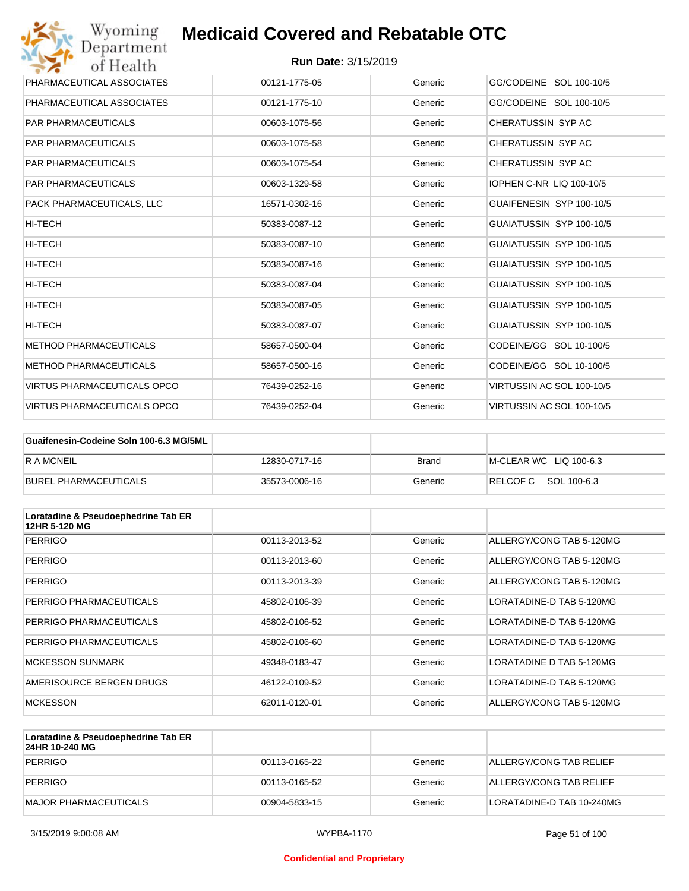| Wyoming<br>Department              | <b>Medicaid Covered and Rebatable OTC</b> |         |                                 |
|------------------------------------|-------------------------------------------|---------|---------------------------------|
| of Health                          | <b>Run Date: 3/15/2019</b>                |         |                                 |
| PHARMACEUTICAL ASSOCIATES          | 00121-1775-05                             | Generic | GG/CODEINE SOL 100-10/5         |
| PHARMACEUTICAL ASSOCIATES          | 00121-1775-10                             | Generic | GG/CODEINE SOL 100-10/5         |
| <b>PAR PHARMACEUTICALS</b>         | 00603-1075-56                             | Generic | CHERATUSSIN SYP AC              |
| <b>PAR PHARMACEUTICALS</b>         | 00603-1075-58                             | Generic | CHERATUSSIN SYP AC              |
| <b>PAR PHARMACEUTICALS</b>         | 00603-1075-54                             | Generic | CHERATUSSIN SYP AC              |
| <b>PAR PHARMACEUTICALS</b>         | 00603-1329-58                             | Generic | <b>IOPHEN C-NR LIQ 100-10/5</b> |
| PACK PHARMACEUTICALS, LLC          | 16571-0302-16                             | Generic | GUAIFENESIN SYP 100-10/5        |
| <b>HI-TECH</b>                     | 50383-0087-12                             | Generic | GUAIATUSSIN SYP 100-10/5        |
| HI-TECH                            | 50383-0087-10                             | Generic | GUAIATUSSIN SYP 100-10/5        |
| HI-TECH                            | 50383-0087-16                             | Generic | GUAIATUSSIN SYP 100-10/5        |
| HI-TECH                            | 50383-0087-04                             | Generic | GUAIATUSSIN SYP 100-10/5        |
| <b>HI-TECH</b>                     | 50383-0087-05                             | Generic | GUAIATUSSIN SYP 100-10/5        |
| HI-TECH                            | 50383-0087-07                             | Generic | GUAIATUSSIN SYP 100-10/5        |
| <b>METHOD PHARMACEUTICALS</b>      | 58657-0500-04                             | Generic | CODEINE/GG SOL 10-100/5         |
| <b>METHOD PHARMACEUTICALS</b>      | 58657-0500-16                             | Generic | CODEINE/GG SOL 10-100/5         |
| <b>VIRTUS PHARMACEUTICALS OPCO</b> | 76439-0252-16                             | Generic | VIRTUSSIN AC SOL 100-10/5       |
| <b>VIRTUS PHARMACEUTICALS OPCO</b> | 76439-0252-04                             | Generic | VIRTUSSIN AC SOL 100-10/5       |

| Guaifenesin-Codeine Soln 100-6.3 MG/5ML |               |         |                        |
|-----------------------------------------|---------------|---------|------------------------|
| R A MCNEIL                              | 12830-0717-16 | Brand   | M-CLEAR WC LIQ 100-6.3 |
| BUREL PHARMACEUTICALS                   | 35573-0006-16 | Generic | RELCOF C SOL 100-6.3   |

| Loratadine & Pseudoephedrine Tab ER<br>12HR 5-120 MG |               |         |                          |
|------------------------------------------------------|---------------|---------|--------------------------|
| <b>PERRIGO</b>                                       | 00113-2013-52 | Generic | ALLERGY/CONG TAB 5-120MG |
| <b>PERRIGO</b>                                       | 00113-2013-60 | Generic | ALLERGY/CONG TAB 5-120MG |
| <b>PERRIGO</b>                                       | 00113-2013-39 | Generic | ALLERGY/CONG TAB 5-120MG |
| PERRIGO PHARMACEUTICALS                              | 45802-0106-39 | Generic | LORATADINE-D TAB 5-120MG |
| PERRIGO PHARMACEUTICALS                              | 45802-0106-52 | Generic | LORATADINE-D TAB 5-120MG |
| PERRIGO PHARMACEUTICALS                              | 45802-0106-60 | Generic | LORATADINE-D TAB 5-120MG |
| <b>MCKESSON SUNMARK</b>                              | 49348-0183-47 | Generic | LORATADINE D TAB 5-120MG |
| AMERISOURCE BERGEN DRUGS                             | 46122-0109-52 | Generic | LORATADINE-D TAB 5-120MG |
| <b>MCKESSON</b>                                      | 62011-0120-01 | Generic | ALLERGY/CONG TAB 5-120MG |

| Loratadine & Pseudoephedrine Tab ER<br>24HR 10-240 MG |               |         |                           |
|-------------------------------------------------------|---------------|---------|---------------------------|
| PERRIGO                                               | 00113-0165-22 | Generic | ALLERGY/CONG TAB RELIEF   |
| PERRIGO                                               | 00113-0165-52 | Generic | ALLERGY/CONG TAB RELIEF   |
| MAJOR PHARMACEUTICALS                                 | 00904-5833-15 | Generic | LORATADINE-D TAB 10-240MG |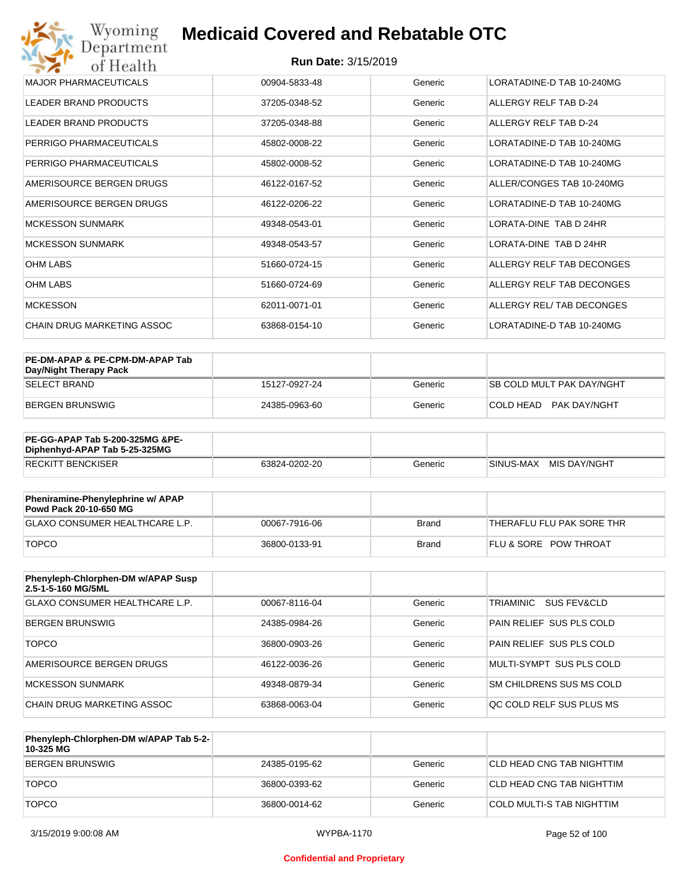#### **Run Date:** 3/15/2019

| MAJOR PHARMACFUTICALS      | 00904-5833-48 | Generic | LORATADINE-D TAB 10-240MG |
|----------------------------|---------------|---------|---------------------------|
| LEADER BRAND PRODUCTS      | 37205-0348-52 | Generic | ALLERGY RELF TAB D-24     |
| LEADER BRAND PRODUCTS      | 37205-0348-88 | Generic | ALLERGY RELF TAB D-24     |
| PERRIGO PHARMACEUTICALS    | 45802-0008-22 | Generic | LORATADINE-D TAB 10-240MG |
| PERRIGO PHARMACEUTICALS    | 45802-0008-52 | Generic | LORATADINE-D TAB 10-240MG |
| AMERISOURCE BERGEN DRUGS   | 46122-0167-52 | Generic | ALLER/CONGES TAB 10-240MG |
| AMERISOURCE BERGEN DRUGS   | 46122-0206-22 | Generic | LORATADINE-D TAB 10-240MG |
| <b>MCKESSON SUNMARK</b>    | 49348-0543-01 | Generic | LORATA-DINE TAB D 24HR    |
| <b>MCKESSON SUNMARK</b>    | 49348-0543-57 | Generic | LORATA-DINE TAB D 24HR    |
| <b>OHM LABS</b>            | 51660-0724-15 | Generic | ALLERGY RELF TAB DECONGES |
| <b>OHM LABS</b>            | 51660-0724-69 | Generic | ALLERGY RELF TAB DECONGES |
| <b>MCKESSON</b>            | 62011-0071-01 | Generic | ALLERGY REL/ TAB DECONGES |
| CHAIN DRUG MARKETING ASSOC | 63868-0154-10 | Generic | LORATADINE-D TAB 10-240MG |

| PE-DM-APAP & PE-CPM-DM-APAP Tab<br>Day/Night Therapy Pack |               |         |                                  |
|-----------------------------------------------------------|---------------|---------|----------------------------------|
| ISELECT BRAND                                             | 15127-0927-24 | Generic | <b>SB COLD MULT PAK DAY/NGHT</b> |
| BERGEN BRUNSWIG                                           | 24385-0963-60 | Generic | COLD HEAD PAK DAY/NGHT           |

| <b>PE-GG-APAP Tab 5-200-325MG &amp;PE-</b><br>Diphenhyd-APAP Tab 5-25-325MG |               |         |                           |
|-----------------------------------------------------------------------------|---------------|---------|---------------------------|
| <b>RECKITT BENCKISER</b>                                                    | 63824-0202-20 | Generic | MIS DAY/NGHT<br>SINUS-MAX |

| Pheniramine-Phenylephrine w/ APAP<br>Powd Pack 20-10-650 MG |               |       |                                  |
|-------------------------------------------------------------|---------------|-------|----------------------------------|
| GLAXO CONSUMER HEALTHCARE L.P.                              | 00067-7916-06 | Brand | 'THERAFLU FLU PAK SORE THR       |
| <b>TOPCO</b>                                                | 36800-0133-91 | Brand | <b>FLU &amp; SORE POW THROAT</b> |

| Phenyleph-Chlorphen-DM w/APAP Susp<br>2.5-1-5-160 MG/5ML |               |         |                                     |
|----------------------------------------------------------|---------------|---------|-------------------------------------|
| <b>GLAXO CONSUMER HEALTHCARE L.P.</b>                    | 00067-8116-04 | Generic | TRIAMINIC<br><b>SUS FEV&amp;CLD</b> |
| <b>BERGEN BRUNSWIG</b>                                   | 24385-0984-26 | Generic | PAIN RELIEF SUS PLS COLD            |
| <b>TOPCO</b>                                             | 36800-0903-26 | Generic | PAIN RELIEF SUS PLS COLD            |
| AMERISOURCE BERGEN DRUGS                                 | 46122-0036-26 | Generic | MULTI-SYMPT SUS PLS COLD            |
| MCKESSON SUNMARK                                         | 49348-0879-34 | Generic | SM CHILDRENS SUS MS COLD            |
| CHAIN DRUG MARKETING ASSOC                               | 63868-0063-04 | Generic | OC COLD RELF SUS PLUS MS            |

| Phenyleph-Chlorphen-DM w/APAP Tab 5-2-<br>10-325 MG |               |         |                           |
|-----------------------------------------------------|---------------|---------|---------------------------|
| BERGEN BRUNSWIG                                     | 24385-0195-62 | Generic | CLD HEAD CNG TAB NIGHTTIM |
| <b>TOPCO</b>                                        | 36800-0393-62 | Generic | CLD HEAD CNG TAB NIGHTTIM |
| <b>TOPCO</b>                                        | 36800-0014-62 | Generic | COLD MULTI-S TAB NIGHTTIM |

#### **Confidential and Proprietary**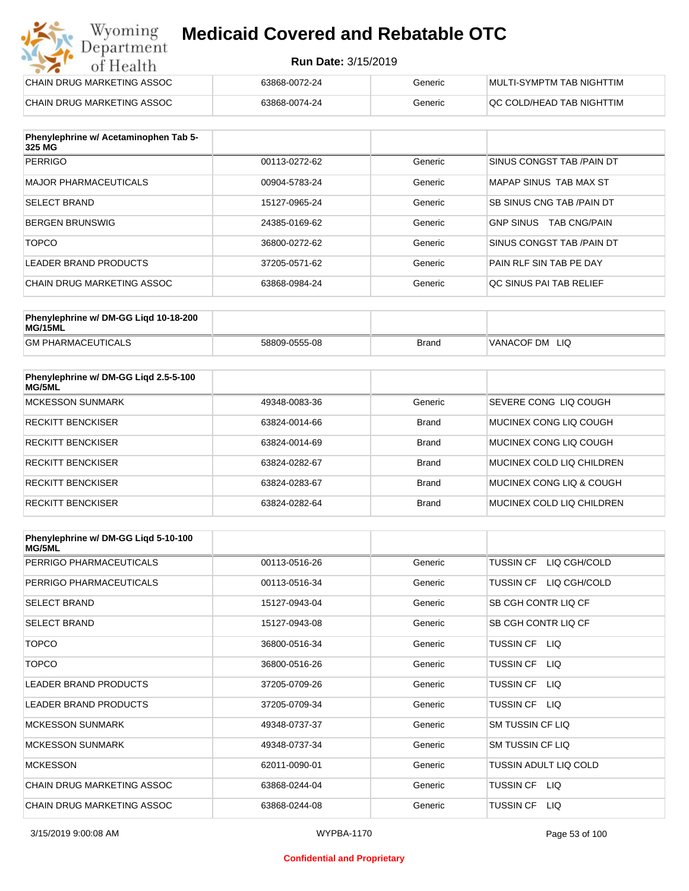#### **Run Date:** 3/15/2019

| Wyoming<br><b>Medicaid Covered and Rebatable OTC</b><br>Department |                            |         |                           |
|--------------------------------------------------------------------|----------------------------|---------|---------------------------|
| of Health                                                          | <b>Run Date: 3/15/2019</b> |         |                           |
| CHAIN DRUG MARKETING ASSOC                                         | 63868-0072-24              | Generic | MULTI-SYMPTM TAB NIGHTTIM |
| CHAIN DRUG MARKETING ASSOC                                         | 63868-0074-24              | Generic | OC COLD/HEAD TAB NIGHTTIM |

| Phenylephrine w/ Acetaminophen Tab 5-<br>325 MG |               |         |                                         |
|-------------------------------------------------|---------------|---------|-----------------------------------------|
| <b>PERRIGO</b>                                  | 00113-0272-62 | Generic | SINUS CONGST TAB /PAIN DT               |
| MAJOR PHARMACEUTICALS                           | 00904-5783-24 | Generic | MAPAP SINUS TAB MAX ST                  |
| <b>SELECT BRAND</b>                             | 15127-0965-24 | Generic | SB SINUS CNG TAB / PAIN DT              |
| BERGEN BRUNSWIG                                 | 24385-0169-62 | Generic | <b>TAB CNG/PAIN</b><br><b>GNP SINUS</b> |
| <b>TOPCO</b>                                    | 36800-0272-62 | Generic | SINUS CONGST TAB /PAIN DT               |
| LEADER BRAND PRODUCTS                           | 37205-0571-62 | Generic | PAIN RLF SIN TAB PE DAY                 |
| CHAIN DRUG MARKETING ASSOC                      | 63868-0984-24 | Generic | QC SINUS PAI TAB RELIEF                 |

| Phenylephrine w/ DM-GG Ligd 10-18-200<br>MG/15ML |               |       |                   |
|--------------------------------------------------|---------------|-------|-------------------|
| <b>GM PHARMACEUTICALS</b>                        | 58809-0555-08 | Brand | VANACOF DM<br>LIQ |

| Phenylephrine w/ DM-GG Ligd 2.5-5-100<br>MG/5ML |               |              |                           |
|-------------------------------------------------|---------------|--------------|---------------------------|
| MCKESSON SUNMARK                                | 49348-0083-36 | Generic      | SEVERE CONG LIQ COUGH     |
| <b>RECKITT BENCKISER</b>                        | 63824-0014-66 | <b>Brand</b> | MUCINEX CONG LIO COUGH    |
| <b>RECKITT BENCKISER</b>                        | 63824-0014-69 | <b>Brand</b> | MUCINEX CONG LIO COUGH    |
| <b>RECKITT BENCKISER</b>                        | 63824-0282-67 | <b>Brand</b> | MUCINEX COLD LIQ CHILDREN |
| <b>RECKITT BENCKISER</b>                        | 63824-0283-67 | <b>Brand</b> | MUCINEX CONG LIO & COUGH  |
| <b>RECKITT BENCKISER</b>                        | 63824-0282-64 | <b>Brand</b> | MUCINEX COLD LIQ CHILDREN |

| Phenylephrine w/ DM-GG Ligd 5-10-100<br><b>MG/5ML</b> |               |         |                                  |
|-------------------------------------------------------|---------------|---------|----------------------------------|
| PERRIGO PHARMACEUTICALS                               | 00113-0516-26 | Generic | LIQ CGH/COLD<br><b>TUSSIN CF</b> |
| PERRIGO PHARMACEUTICALS                               | 00113-0516-34 | Generic | LIQ CGH/COLD<br><b>TUSSIN CF</b> |
| <b>SELECT BRAND</b>                                   | 15127-0943-04 | Generic | SB CGH CONTR LIQ CF              |
| <b>SELECT BRAND</b>                                   | 15127-0943-08 | Generic | SB CGH CONTR LIQ CF              |
| <b>TOPCO</b>                                          | 36800-0516-34 | Generic | TUSSIN CF LIQ                    |
| <b>TOPCO</b>                                          | 36800-0516-26 | Generic | <b>TUSSIN CF</b><br>LIQ.         |
| <b>LEADER BRAND PRODUCTS</b>                          | 37205-0709-26 | Generic | <b>TUSSIN CF</b><br>LIQ.         |
| <b>LEADER BRAND PRODUCTS</b>                          | 37205-0709-34 | Generic | <b>TUSSIN CF</b><br>LIQ          |
| <b>MCKESSON SUNMARK</b>                               | 49348-0737-37 | Generic | <b>SM TUSSIN CF LIQ</b>          |
| <b>MCKESSON SUNMARK</b>                               | 49348-0737-34 | Generic | <b>SM TUSSIN CF LIQ</b>          |
| <b>MCKESSON</b>                                       | 62011-0090-01 | Generic | TUSSIN ADULT LIQ COLD            |
| CHAIN DRUG MARKETING ASSOC                            | 63868-0244-04 | Generic | TUSSIN CF LIQ                    |
| CHAIN DRUG MARKETING ASSOC                            | 63868-0244-08 | Generic | <b>TUSSIN CF</b><br>LIQ.         |

#### **Confidential and Proprietary**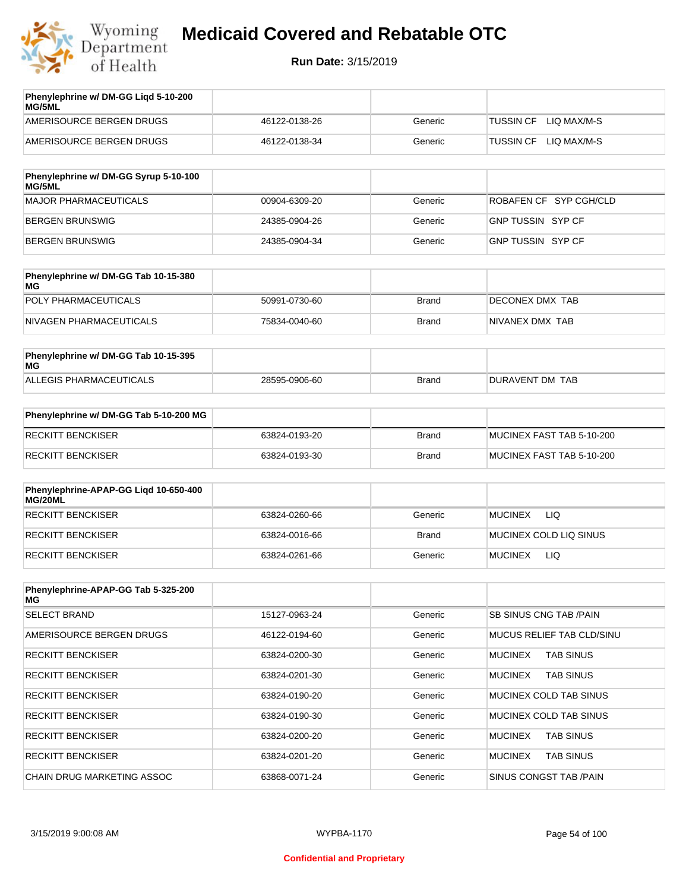

| Phenylephrine w/ DM-GG Ligd 5-10-200<br><b>MG/5ML</b> |               |         |                                 |
|-------------------------------------------------------|---------------|---------|---------------------------------|
| AMERISOURCE BERGEN DRUGS                              | 46122-0138-26 | Generic | LIO MAX/M-S<br><b>TUSSIN CF</b> |
| AMERISOURCE BERGEN DRUGS                              | 46122-0138-34 | Generic | LIO MAX/M-S<br>TUSSIN CF        |

| Phenylephrine w/ DM-GG Syrup 5-10-100<br>MG/5ML |               |         |                          |
|-------------------------------------------------|---------------|---------|--------------------------|
| MAJOR PHARMACEUTICALS                           | 00904-6309-20 | Generic | ROBAFEN CF SYP CGH/CLD   |
| BERGEN BRUNSWIG                                 | 24385-0904-26 | Generic | <b>GNP TUSSIN SYP CF</b> |
| BERGEN BRUNSWIG                                 | 24385-0904-34 | Generic | GNP TUSSIN SYP CF        |

| Phenylephrine w/ DM-GG Tab 10-15-380<br>MG |               |       |                  |
|--------------------------------------------|---------------|-------|------------------|
| POLY PHARMACEUTICALS                       | 50991-0730-60 | Brand | DECONEX DMX TAB  |
| NIVAGEN PHARMACEUTICALS                    | 75834-0040-60 | Brand | INIVANEX DMX TAB |

| Phenylephrine w/ DM-GG Tab 10-15-395<br>MG |               |       |                 |
|--------------------------------------------|---------------|-------|-----------------|
| ALLEGIS PHARMACEUTICALS                    | 28595-0906-60 | Brand | DURAVENT DM TAB |

| Phenylephrine w/ DM-GG Tab 5-10-200 MG |               |       |                           |
|----------------------------------------|---------------|-------|---------------------------|
| RECKITT BENCKISER                      | 63824-0193-20 | Brand | MUCINEX FAST TAB 5-10-200 |
| RECKITT BENCKISER                      | 63824-0193-30 | Brand | MUCINEX FAST TAB 5-10-200 |

| Phenylephrine-APAP-GG Ligd 10-650-400<br>MG/20ML |               |              |                              |
|--------------------------------------------------|---------------|--------------|------------------------------|
| <b>RECKITT BENCKISER</b>                         | 63824-0260-66 | Generic      | LIQ<br><b>MUCINEX</b>        |
| <b>RECKITT BENCKISER</b>                         | 63824-0016-66 | <b>Brand</b> | MUCINEX COLD LIQ SINUS       |
| RECKITT BENCKISER                                | 63824-0261-66 | Generic      | <b>LIQ</b><br><b>MUCINEX</b> |

| Phenylephrine-APAP-GG Tab 5-325-200<br>MG |               |         |                                    |
|-------------------------------------------|---------------|---------|------------------------------------|
| <b>SELECT BRAND</b>                       | 15127-0963-24 | Generic | SB SINUS CNG TAB /PAIN             |
| AMERISOURCE BERGEN DRUGS                  | 46122-0194-60 | Generic | <b>MUCUS RELIEF TAB CLD/SINU</b>   |
| <b>RECKITT BENCKISER</b>                  | 63824-0200-30 | Generic | <b>MUCINEX</b><br><b>TAB SINUS</b> |
| <b>RECKITT BENCKISER</b>                  | 63824-0201-30 | Generic | <b>MUCINEX</b><br><b>TAB SINUS</b> |
| <b>RECKITT BENCKISER</b>                  | 63824-0190-20 | Generic | MUCINEX COLD TAB SINUS             |
| <b>RECKITT BENCKISER</b>                  | 63824-0190-30 | Generic | MUCINEX COLD TAB SINUS             |
| <b>RECKITT BENCKISER</b>                  | 63824-0200-20 | Generic | <b>MUCINEX</b><br><b>TAB SINUS</b> |
| <b>RECKITT BENCKISER</b>                  | 63824-0201-20 | Generic | <b>MUCINEX</b><br><b>TAB SINUS</b> |
| CHAIN DRUG MARKETING ASSOC                | 63868-0071-24 | Generic | SINUS CONGST TAB /PAIN             |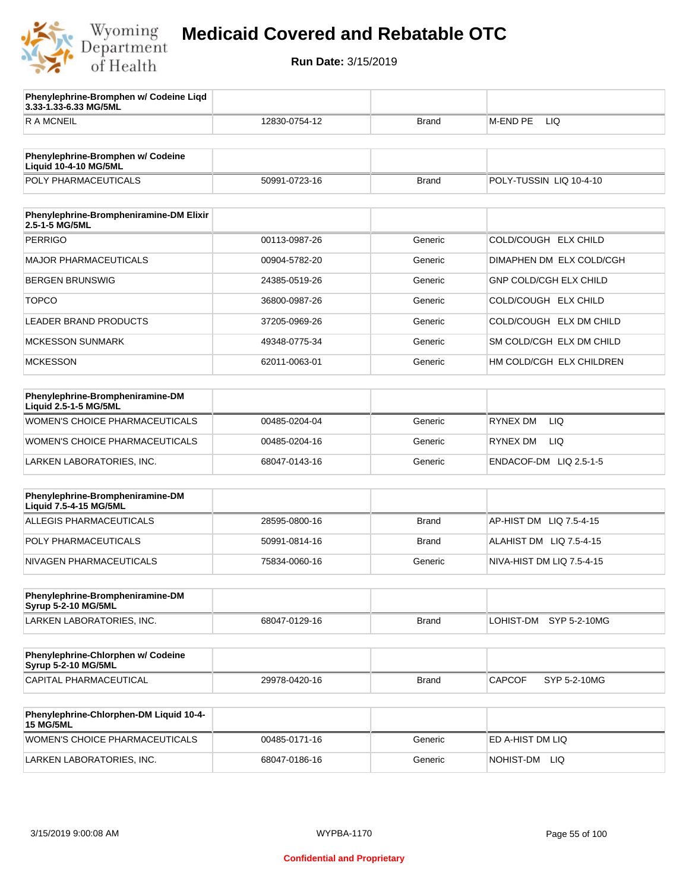

**3.33-1.33-6.33 MG/5ML**

**Phenylephrine-Bromphen w/ Codeine Liqd** 

### **Medicaid Covered and Rebatable OTC**

| <b>RAMCNEIL</b>                                                   | 12830-0754-12 | <b>Brand</b> | <b>M-END PE</b><br>LIQ        |
|-------------------------------------------------------------------|---------------|--------------|-------------------------------|
|                                                                   |               |              |                               |
| Phenylephrine-Bromphen w/ Codeine<br><b>Liquid 10-4-10 MG/5ML</b> |               |              |                               |
| POLY PHARMACEUTICALS                                              | 50991-0723-16 | <b>Brand</b> | POLY-TUSSIN LIQ 10-4-10       |
|                                                                   |               |              |                               |
| Phenylephrine-Brompheniramine-DM Elixir<br>2.5-1-5 MG/5ML         |               |              |                               |
| <b>PERRIGO</b>                                                    | 00113-0987-26 | Generic      | COLD/COUGH ELX CHILD          |
| <b>MAJOR PHARMACEUTICALS</b>                                      | 00904-5782-20 | Generic      | DIMAPHEN DM ELX COLD/CGH      |
| <b>BERGEN BRUNSWIG</b>                                            | 24385-0519-26 | Generic      | <b>GNP COLD/CGH ELX CHILD</b> |
| <b>TOPCO</b>                                                      | 36800-0987-26 | Generic      | COLD/COUGH ELX CHILD          |
| <b>LEADER BRAND PRODUCTS</b>                                      | 37205-0969-26 | Generic      | COLD/COUGH ELX DM CHILD       |
| <b>MCKESSON SUNMARK</b>                                           | 49348-0775-34 | Generic      | SM COLD/CGH ELX DM CHILD      |
| <b>MCKESSON</b>                                                   | 62011-0063-01 | Generic      | HM COLD/CGH ELX CHILDREN      |
|                                                                   |               |              |                               |
| Phenylephrine-Brompheniramine-DM<br>Liquid 2.5-1-5 MG/5ML         |               |              |                               |
| WOMEN'S CHOICE PHARMACEUTICALS                                    | 00485-0204-04 | Generic      | <b>LIQ</b><br>RYNEX DM        |
| WOMEN'S CHOICE PHARMACEUTICALS                                    | 00485-0204-16 | Generic      | RYNEX DM<br>LIQ.              |
| LARKEN LABORATORIES, INC.                                         | 68047-0143-16 | Generic      | ENDACOF-DM LIQ 2.5-1-5        |
|                                                                   |               |              |                               |
| Phenylephrine-Brompheniramine-DM<br>Liquid 7.5-4-15 MG/5ML        |               |              |                               |
| <b>ALLEGIS PHARMACEUTICALS</b>                                    | 28595-0800-16 | <b>Brand</b> | AP-HIST DM<br>LIQ 7.5-4-15    |
| POLY PHARMACEUTICALS                                              | 50991-0814-16 | <b>Brand</b> | ALAHIST DM LIQ 7.5-4-15       |
| NIVAGEN PHARMACEUTICALS                                           | 75834-0060-16 | Generic      | NIVA-HIST DM LIQ 7.5-4-15     |
|                                                                   |               |              |                               |
| Phenylephrine-Brompheniramine-DM<br>Syrup 5-2-10 MG/5ML           |               |              |                               |
| LARKEN LABORATORIES, INC.                                         | 68047-0129-16 | <b>Brand</b> | LOHIST-DM<br>SYP 5-2-10MG     |
|                                                                   |               |              |                               |
| Phenylephrine-Chlorphen w/ Codeine<br>Syrup 5-2-10 MG/5ML         |               |              |                               |
| <b>CAPITAL PHARMACEUTICAL</b>                                     | 29978-0420-16 | <b>Brand</b> | SYP 5-2-10MG<br><b>CAPCOF</b> |
|                                                                   |               |              |                               |
| Phenylephrine-Chlorphen-DM Liquid 10-4-<br><b>15 MG/5ML</b>       |               |              |                               |
| WOMEN'S CHOICE PHARMACEUTICALS                                    | 00485-0171-16 | Generic      | ED A-HIST DM LIQ              |
| LARKEN LABORATORIES, INC.                                         | 68047-0186-16 | Generic      | NOHIST-DM LIQ                 |
|                                                                   |               |              |                               |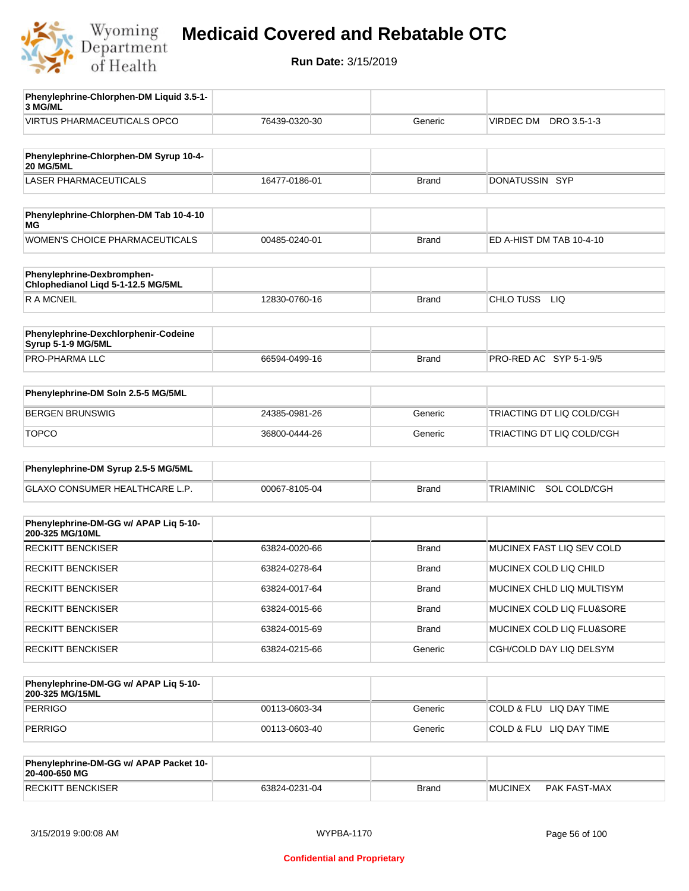

| Phenylephrine-Chlorphen-DM Liquid 3.5-1-<br>3 MG/ML              |               |              |                           |
|------------------------------------------------------------------|---------------|--------------|---------------------------|
| <b>VIRTUS PHARMACEUTICALS OPCO</b>                               | 76439-0320-30 | Generic      | VIRDEC DM<br>DRO 3.5-1-3  |
|                                                                  |               |              |                           |
| Phenylephrine-Chlorphen-DM Syrup 10-4-<br><b>20 MG/5ML</b>       |               |              |                           |
| <b>LASER PHARMACEUTICALS</b>                                     | 16477-0186-01 | <b>Brand</b> | DONATUSSIN SYP            |
|                                                                  |               |              |                           |
| Phenylephrine-Chlorphen-DM Tab 10-4-10<br>ΜG                     |               |              |                           |
| WOMEN'S CHOICE PHARMACEUTICALS                                   | 00485-0240-01 | <b>Brand</b> | ED A-HIST DM TAB 10-4-10  |
|                                                                  |               |              |                           |
| Phenylephrine-Dexbromphen-<br>Chlophedianol Liqd 5-1-12.5 MG/5ML |               |              |                           |
| <b>RAMCNEIL</b>                                                  | 12830-0760-16 | Brand        | CHLO TUSS LIQ             |
|                                                                  |               |              |                           |
| Phenylephrine-Dexchlorphenir-Codeine<br>Syrup 5-1-9 MG/5ML       |               |              |                           |
| <b>PRO-PHARMA LLC</b>                                            | 66594-0499-16 | <b>Brand</b> | PRO-RED AC SYP 5-1-9/5    |
|                                                                  |               |              |                           |
| Phenylephrine-DM Soln 2.5-5 MG/5ML                               |               |              |                           |
| <b>BERGEN BRUNSWIG</b>                                           | 24385-0981-26 | Generic      | TRIACTING DT LIQ COLD/CGH |
| <b>TOPCO</b>                                                     | 36800-0444-26 | Generic      | TRIACTING DT LIQ COLD/CGH |
|                                                                  |               |              |                           |
| Phenylephrine-DM Syrup 2.5-5 MG/5ML                              |               |              |                           |
| GLAXO CONSUMER HEALTHCARE L.P.                                   | 00067-8105-04 | <b>Brand</b> | TRIAMINIC SOL COLD/CGH    |
|                                                                  |               |              |                           |
| Phenylephrine-DM-GG w/ APAP Liq 5-10-<br>200-325 MG/10ML         |               |              |                           |
| <b>RECKITT BENCKISER</b>                                         | 63824-0020-66 | <b>Brand</b> | MUCINEX FAST LIQ SEV COLD |
| <b>RECKITT BENCKISER</b>                                         | 63824-0278-64 | <b>Brand</b> | MUCINEX COLD LIQ CHILD    |
| <b>RECKITT BENCKISER</b>                                         | 63824-0017-64 | Brand        | MUCINEX CHLD LIQ MULTISYM |
| <b>RECKITT BENCKISER</b>                                         | 63824-0015-66 | <b>Brand</b> | MUCINEX COLD LIQ FLU&SORE |
| <b>RECKITT BENCKISER</b>                                         | 63824-0015-69 | Brand        | MUCINEX COLD LIQ FLU&SORE |
| <b>RECKITT BENCKISER</b>                                         | 63824-0215-66 | Generic      | CGH/COLD DAY LIQ DELSYM   |
|                                                                  |               |              |                           |
| Phenylephrine-DM-GG w/ APAP Liq 5-10-<br>200-325 MG/15ML         |               |              |                           |
| <b>PERRIGO</b>                                                   | 00113-0603-34 | Generic      | COLD & FLU LIQ DAY TIME   |
| <b>PERRIGO</b>                                                   | 00113-0603-40 | Generic      | COLD & FLU LIQ DAY TIME   |
|                                                                  |               |              |                           |
| Phenylephrine-DM-GG w/ APAP Packet 10-<br>20-400-650 MG          |               |              |                           |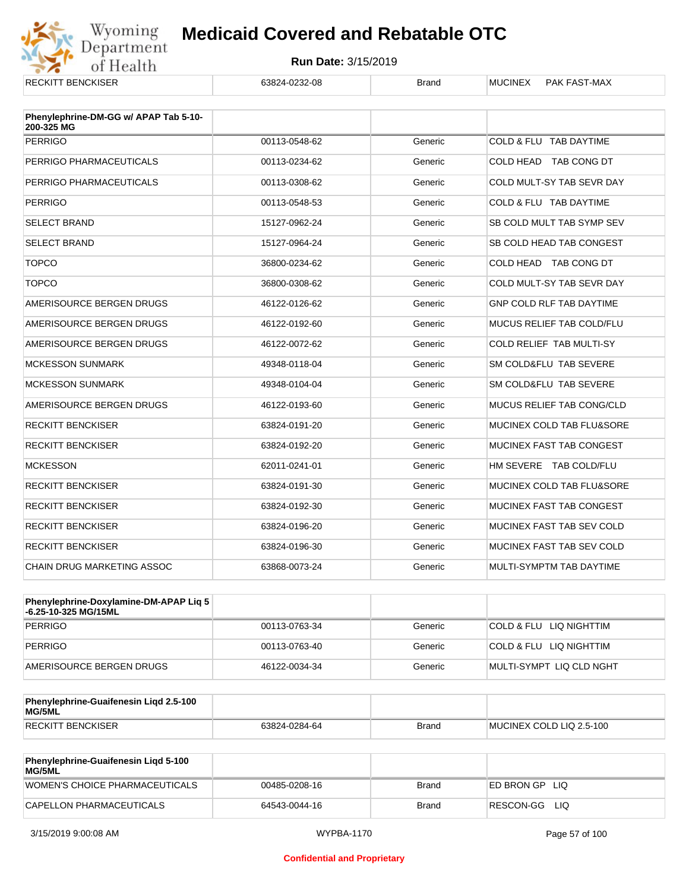

| <b>RECKITT BENCKISER</b>                            | 63824-0232-08 | <b>Brand</b> | PAK FAST-MAX<br><b>MUCINEX</b>  |
|-----------------------------------------------------|---------------|--------------|---------------------------------|
|                                                     |               |              |                                 |
| Phenylephrine-DM-GG w/ APAP Tab 5-10-<br>200-325 MG |               |              |                                 |
| <b>PERRIGO</b>                                      | 00113-0548-62 | Generic      | COLD & FLU TAB DAYTIME          |
| PERRIGO PHARMACEUTICALS                             | 00113-0234-62 | Generic      | COLD HEAD TAB CONG DT           |
| PERRIGO PHARMACEUTICALS                             | 00113-0308-62 | Generic      | COLD MULT-SY TAB SEVR DAY       |
| <b>PERRIGO</b>                                      | 00113-0548-53 | Generic      | COLD & FLU TAB DAYTIME          |
| <b>SELECT BRAND</b>                                 | 15127-0962-24 | Generic      | SB COLD MULT TAB SYMP SEV       |
| <b>SELECT BRAND</b>                                 | 15127-0964-24 | Generic      | SB COLD HEAD TAB CONGEST        |
| <b>TOPCO</b>                                        | 36800-0234-62 | Generic      | COLD HEAD TAB CONG DT           |
| <b>TOPCO</b>                                        | 36800-0308-62 | Generic      | COLD MULT-SY TAB SEVR DAY       |
| AMERISOURCE BERGEN DRUGS                            | 46122-0126-62 | Generic      | <b>GNP COLD RLF TAB DAYTIME</b> |
| AMERISOURCE BERGEN DRUGS                            | 46122-0192-60 | Generic      | MUCUS RELIEF TAB COLD/FLU       |
| AMERISOURCE BERGEN DRUGS                            | 46122-0072-62 | Generic      | COLD RELIEF TAB MULTI-SY        |
| <b>MCKESSON SUNMARK</b>                             | 49348-0118-04 | Generic      | SM COLD&FLU TAB SEVERE          |
| <b>MCKESSON SUNMARK</b>                             | 49348-0104-04 | Generic      | SM COLD&FLU TAB SEVERE          |
| AMERISOURCE BERGEN DRUGS                            | 46122-0193-60 | Generic      | MUCUS RELIEF TAB CONG/CLD       |
| <b>RECKITT BENCKISER</b>                            | 63824-0191-20 | Generic      | MUCINEX COLD TAB FLU&SORE       |
| <b>RECKITT BENCKISER</b>                            | 63824-0192-20 | Generic      | MUCINEX FAST TAB CONGEST        |
| <b>MCKESSON</b>                                     | 62011-0241-01 | Generic      | HM SEVERE TAB COLD/FLU          |
| <b>RECKITT BENCKISER</b>                            | 63824-0191-30 | Generic      | MUCINEX COLD TAB FLU&SORE       |
| <b>RECKITT BENCKISER</b>                            | 63824-0192-30 | Generic      | MUCINEX FAST TAB CONGEST        |
| <b>RECKITT BENCKISER</b>                            | 63824-0196-20 | Generic      | MUCINEX FAST TAB SEV COLD       |
| <b>RECKITT BENCKISER</b>                            | 63824-0196-30 | Generic      | MUCINEX FAST TAB SEV COLD       |
| <b>CHAIN DRUG MARKETING ASSOC</b>                   | 63868-0073-24 | Generic      | MULTI-SYMPTM TAB DAYTIME        |

| <b>Phenylephrine-Doxylamine-DM-APAP Lig 5</b><br>-6.25-10-325 MG/15ML |               |         |                          |
|-----------------------------------------------------------------------|---------------|---------|--------------------------|
| PERRIGO                                                               | 00113-0763-34 | Generic | COLD & FLU LIQ NIGHTTIM  |
| PERRIGO                                                               | 00113-0763-40 | Generic | COLD & FLU LIQ NIGHTTIM  |
| AMERISOURCE BERGEN DRUGS                                              | 46122-0034-34 | Generic | MULTI-SYMPT LIQ CLD NGHT |

| Phenylephrine-Guaifenesin Ligd 2.5-100<br>MG/5ML |               |              |                          |
|--------------------------------------------------|---------------|--------------|--------------------------|
| <b>RECKITT BENCKISER</b>                         | 63824-0284-64 | <b>Brand</b> | MUCINEX COLD LIQ 2.5-100 |

| <b>Phenylephrine-Guaifenesin Ligd 5-100</b><br><b>MG/5ML</b> |               |       |                    |
|--------------------------------------------------------------|---------------|-------|--------------------|
| WOMEN'S CHOICE PHARMACEUTICALS                               | 00485-0208-16 | Brand | ED BRON GPLIO      |
| CAPELLON PHARMACEUTICALS                                     | 64543-0044-16 | Brand | RESCON-GG<br>- LIQ |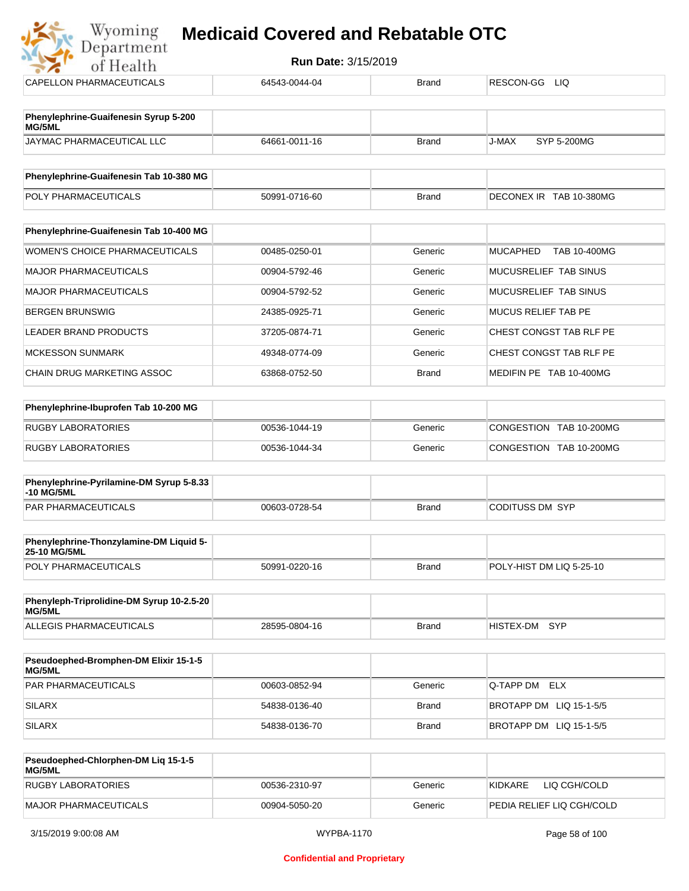| of Health                                       |               |                        |                                 |
|-------------------------------------------------|---------------|------------------------|---------------------------------|
| CAPELLON PHARMACEUTICALS                        | 64543-0044-04 | <b>Brand</b>           | RESCON-GG<br>LIQ.               |
|                                                 |               |                        |                                 |
| Phenylephrine-Guaifenesin Syrup 5-200<br>MG/5ML |               |                        |                                 |
| JAYMAC PHARMACEUTICAL LLC                       | 64661-0011-16 | <b>Brand</b>           | <b>SYP 5-200MG</b><br>J-MAX     |
| Phenylephrine-Guaifenesin Tab 10-380 MG         |               |                        |                                 |
| POLY PHARMACEUTICALS                            | 50991-0716-60 | <b>Brand</b>           | DECONEX IR TAB 10-380MG         |
|                                                 |               |                        |                                 |
| Phenylephrine-Guaifenesin Tab 10-400 MG         |               |                        |                                 |
| <b>WOMEN'S CHOICE PHARMACEUTICALS</b>           | 00485-0250-01 | Generic                | <b>MUCAPHED</b><br>TAB 10-400MG |
| <b>MAJOR PHARMACEUTICALS</b>                    | 00904-5792-46 | Generic                | MUCUSRELIEF TAB SINUS           |
| <b>MAJOR PHARMACEUTICALS</b>                    | 00904-5792-52 | Generic                | MUCUSRELIEF TAB SINUS           |
| <b>BERGEN BRUNSWIG</b>                          | 24385-0925-71 | Generic                | <b>MUCUS RELIEF TAB PE</b>      |
| <b>LEADER BRAND PRODUCTS</b>                    | 37205-0874-71 | Generic                | CHEST CONGST TAB RLF PE         |
| <b>MCKESSON SUNMARK</b>                         | 49348-0774-09 | Generic                | CHEST CONGST TAB RLF PE         |
| CHAIN DRUG MARKETING ASSOC                      | 63868-0752-50 | <b>Brand</b>           | MEDIFIN PE TAB 10-400MG         |
|                                                 |               |                        |                                 |
| Phenylephrine-Ibuprofen Tab 10-200 MG           |               |                        |                                 |
| <b>DUCDVI ADODATODIES</b>                       | 00520 4044 40 | $O$ and $\mathbb{R}^n$ | CONCECTION TAD 10 20010         |

| RUGBY LABORATORIES | 00536-1044-19 | Generic | CONGESTION TAB 10-200MG |
|--------------------|---------------|---------|-------------------------|
| RUGBY LABORATORIES | 00536-1044-34 | Generic | CONGESTION TAB 10-200MG |
|                    |               |         |                         |

| Phenylephrine-Pyrilamine-DM Syrup 5-8.33<br>-10 MG/5ML |               |       |                 |
|--------------------------------------------------------|---------------|-------|-----------------|
| <b>PAR PHARMACEUTICALS</b>                             | 00603-0728-54 | Brand | CODITUSS DM SYP |

| <b>Phenylephrine-Thonzylamine-DM Liquid 5-</b><br><b>25-10 MG/5ML</b> |               |       |                          |
|-----------------------------------------------------------------------|---------------|-------|--------------------------|
| <b>POLY PHARMACEUTICALS</b>                                           | 50991-0220-16 | Brand | POLY-HIST DM LIQ 5-25-10 |

| Phenyleph-Triprolidine-DM Syrup 10-2.5-20<br>MG/5ML |               |              |               |  |
|-----------------------------------------------------|---------------|--------------|---------------|--|
| ALLEGIS PHARMACEUTICALS                             | 28595-0804-16 | <b>Brand</b> | HISTEX-DM SYP |  |

| <b>Pseudoephed-Bromphen-DM Elixir 15-1-5</b><br><b>MG/5ML</b> |               |         |                         |
|---------------------------------------------------------------|---------------|---------|-------------------------|
| <b>PAR PHARMACEUTICALS</b>                                    | 00603-0852-94 | Generic | Q-TAPP DM ELX           |
| <b>SILARX</b>                                                 | 54838-0136-40 | Brand   | BROTAPP DM LIQ 15-1-5/5 |
| <b>SILARX</b>                                                 | 54838-0136-70 | Brand   | BROTAPP DM LIQ 15-1-5/5 |

| Pseudoephed-Chlorphen-DM Lig 15-1-5<br><b>MG/5ML</b> |               |         |                           |
|------------------------------------------------------|---------------|---------|---------------------------|
| RUGBY LABORATORIES                                   | 00536-2310-97 | Generic | LIQ CGH/COLD<br>KIDKARE   |
| MAJOR PHARMACEUTICALS                                | 00904-5050-20 | Generic | PEDIA RELIEF LIQ CGH/COLD |

 $\frac{1}{2}$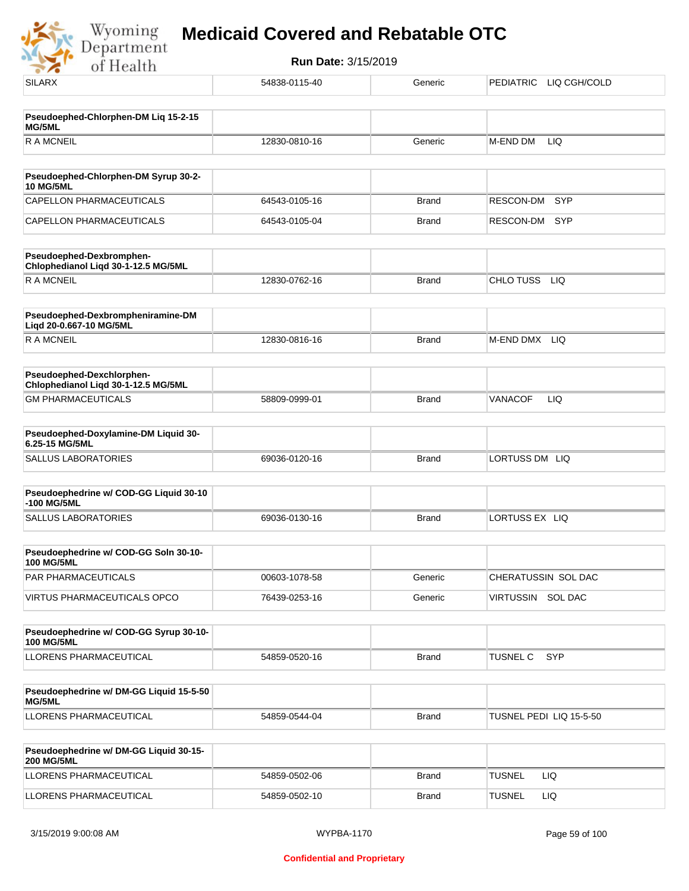Wyoming<br>Department<br>of Health

| <b>SILARX</b>                                                    | 54838-0115-40 | Generic      | PEDIATRIC LIQ CGH/COLD  |
|------------------------------------------------------------------|---------------|--------------|-------------------------|
| Pseudoephed-Chlorphen-DM Liq 15-2-15                             |               |              |                         |
| MG/5ML                                                           |               |              |                         |
| <b>RAMCNEIL</b>                                                  | 12830-0810-16 | Generic      | M-END DM<br>LIQ         |
| Pseudoephed-Chlorphen-DM Syrup 30-2-<br><b>10 MG/5ML</b>         |               |              |                         |
| <b>CAPELLON PHARMACEUTICALS</b>                                  | 64543-0105-16 | <b>Brand</b> | RESCON-DM<br><b>SYP</b> |
| CAPELLON PHARMACEUTICALS                                         | 64543-0105-04 | <b>Brand</b> | RESCON-DM<br>SYP        |
| Pseudoephed-Dexbromphen-<br>Chlophedianol Liqd 30-1-12.5 MG/5ML  |               |              |                         |
| <b>RAMCNEIL</b>                                                  | 12830-0762-16 | <b>Brand</b> | CHLO TUSS LIQ           |
| Pseudoephed-Dexbrompheniramine-DM<br>Liqd 20-0.667-10 MG/5ML     |               |              |                         |
| <b>RAMCNEIL</b>                                                  | 12830-0816-16 | <b>Brand</b> | M-END DMX<br>LIQ        |
| Pseudoephed-Dexchlorphen-<br>Chlophedianol Liqd 30-1-12.5 MG/5ML |               |              |                         |
| <b>GM PHARMACEUTICALS</b>                                        | 58809-0999-01 | <b>Brand</b> | LIQ<br><b>VANACOF</b>   |
| Pseudoephed-Doxylamine-DM Liquid 30-<br>6.25-15 MG/5ML           |               |              |                         |
| <b>SALLUS LABORATORIES</b>                                       | 69036-0120-16 | <b>Brand</b> | LORTUSS DM LIQ          |
| Pseudoephedrine w/ COD-GG Liquid 30-10<br>-100 MG/5ML            |               |              |                         |
| <b>SALLUS LABORATORIES</b>                                       | 69036-0130-16 | <b>Brand</b> | LORTUSS EX LIQ          |
| Pseudoephedrine w/ COD-GG Soln 30-10-<br><b>100 MG/5ML</b>       |               |              |                         |
| PAR PHARMACEUTICALS                                              | 00603-1078-58 | Generic      | CHERATUSSIN SOL DAC     |
| <b>VIRTUS PHARMACEUTICALS OPCO</b>                               | 76439-0253-16 | Generic      | VIRTUSSIN SOL DAC       |
| Pseudoephedrine w/ COD-GG Syrup 30-10-<br><b>100 MG/5ML</b>      |               |              |                         |
| LLORENS PHARMACEUTICAL                                           | 54859-0520-16 | <b>Brand</b> | TUSNEL C<br><b>SYP</b>  |
| Pseudoephedrine w/ DM-GG Liquid 15-5-50<br>MG/5ML                |               |              |                         |
| LLORENS PHARMACEUTICAL                                           | 54859-0544-04 | <b>Brand</b> | TUSNEL PEDI LIQ 15-5-50 |
| Pseudoephedrine w/ DM-GG Liquid 30-15-<br><b>200 MG/5ML</b>      |               |              |                         |
| LLORENS PHARMACEUTICAL                                           | 54859-0502-06 | <b>Brand</b> | <b>TUSNEL</b><br>LIQ    |
| LLORENS PHARMACEUTICAL                                           | 54859-0502-10 | <b>Brand</b> | <b>TUSNEL</b><br>LIQ    |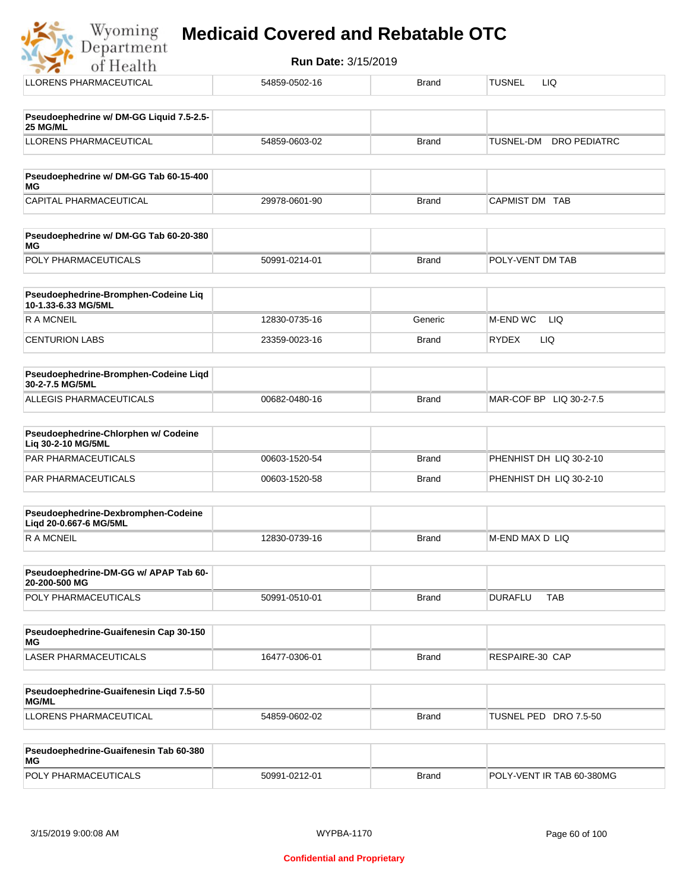| Run Date: 3/15/2019<br>of Health                            |               |              |                                         |  |  |
|-------------------------------------------------------------|---------------|--------------|-----------------------------------------|--|--|
| <b>LLORENS PHARMACEUTICAL</b>                               | 54859-0502-16 | <b>Brand</b> | <b>TUSNEL</b><br><b>LIQ</b>             |  |  |
| Pseudoephedrine w/ DM-GG Liquid 7.5-2.5-<br>25 MG/ML        |               |              |                                         |  |  |
| <b>LLORENS PHARMACEUTICAL</b>                               | 54859-0603-02 | <b>Brand</b> | <b>TUSNEL-DM</b><br><b>DRO PEDIATRC</b> |  |  |
| Pseudoephedrine w/ DM-GG Tab 60-15-400<br><b>MG</b>         |               |              |                                         |  |  |
| CAPITAL PHARMACEUTICAL                                      | 29978-0601-90 | <b>Brand</b> | CAPMIST DM TAB                          |  |  |
| Pseudoephedrine w/ DM-GG Tab 60-20-380<br><b>MG</b>         |               |              |                                         |  |  |
| POLY PHARMACEUTICALS                                        | 50991-0214-01 | Brand        | POLY-VENT DM TAB                        |  |  |
| Pseudoephedrine-Bromphen-Codeine Liq<br>10-1.33-6.33 MG/5ML |               |              |                                         |  |  |
| <b>RAMCNEIL</b>                                             | 12830-0735-16 | Generic      | <b>M-END WC</b><br><b>LIQ</b>           |  |  |
| <b>CENTURION LABS</b>                                       | 23359-0023-16 | <b>Brand</b> | <b>LIQ</b><br><b>RYDEX</b>              |  |  |
| Pseudoephedrine-Bromphen-Codeine Liqd<br>30-2-7.5 MG/5ML    |               |              |                                         |  |  |
| <b>ALLEGIS PHARMACEUTICALS</b>                              | 00682-0480-16 | <b>Brand</b> | MAR-COF BP LIQ 30-2-7.5                 |  |  |
| Pseudoephedrine-Chlorphen w/ Codeine<br>Liq 30-2-10 MG/5ML  |               |              |                                         |  |  |
| <b>PAR PHARMACEUTICALS</b>                                  | 00603-1520-54 | <b>Brand</b> | PHENHIST DH LIQ 30-2-10                 |  |  |
| <b>PAR PHARMACEUTICALS</b>                                  | 00603-1520-58 | <b>Brand</b> | PHENHIST DH LIQ 30-2-10                 |  |  |

| Pseudoephedrine-Dexbromphen-Codeine<br>Ligd 20-0.667-6 MG/5ML |               |       |                  |
|---------------------------------------------------------------|---------------|-------|------------------|
| R A MCNEIL                                                    | 12830-0739-16 | Brand | IM-END MAX D LIQ |

| <b>Pseudoephedrine-DM-GG w/ APAP Tab 60-</b><br>20-200-500 MG |               |       |                |     |
|---------------------------------------------------------------|---------------|-------|----------------|-----|
| <b>POLY PHARMACEUTICALS</b>                                   | 50991-0510-01 | Brand | <b>DURAFLU</b> | ТАВ |

| Pseudoephedrine-Guaifenesin Cap 30-150<br>MG |               |       |                 |
|----------------------------------------------|---------------|-------|-----------------|
| LASER PHARMACEUTICALS                        | 16477-0306-01 | Brand | RESPAIRE-30 CAP |

| <b>Pseudoephedrine-Guaifenesin Ligd 7.5-50</b><br><b>MG/ML</b> |               |              |                       |
|----------------------------------------------------------------|---------------|--------------|-----------------------|
| LLORENS PHARMACEUTICAL                                         | 54859-0602-02 | <b>Brand</b> | TUSNEL PED DRO 7.5-50 |

| Pseudoephedrine-Guaifenesin Tab 60-380<br>MG |               |       |                           |
|----------------------------------------------|---------------|-------|---------------------------|
| <b>POLY PHARMACEUTICALS</b>                  | 50991-0212-01 | Brand | POLY-VENT IR TAB 60-380MG |

 $\frac{1}{2}$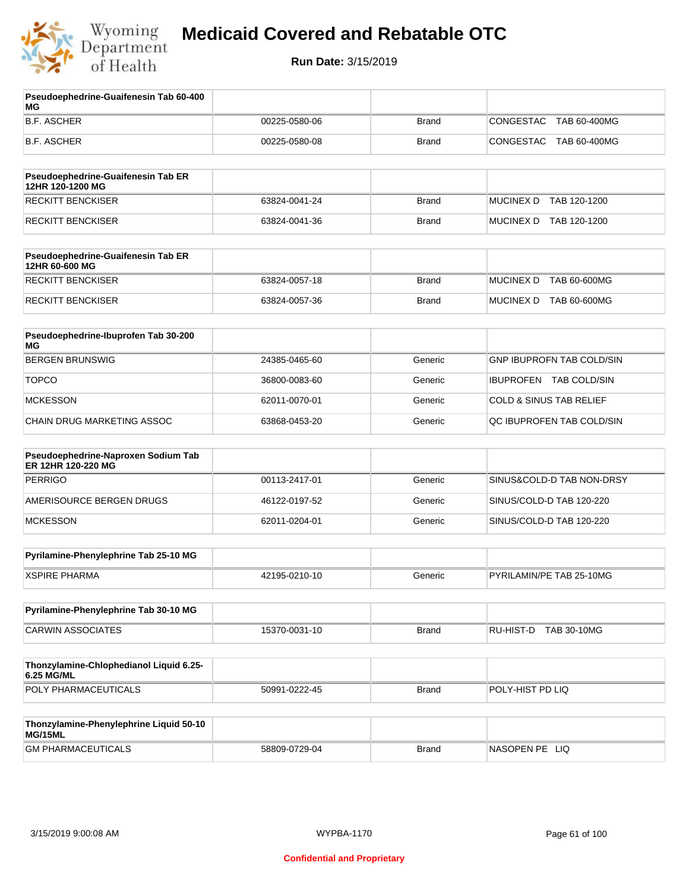

| Pseudoephedrine-Guaifenesin Tab 60-400<br>МG              |               |              |                                    |
|-----------------------------------------------------------|---------------|--------------|------------------------------------|
| <b>B.F. ASCHER</b>                                        | 00225-0580-06 | <b>Brand</b> | CONGESTAC<br>TAB 60-400MG          |
| B.F. ASCHER                                               | 00225-0580-08 | <b>Brand</b> | CONGESTAC<br>TAB 60-400MG          |
| Pseudoephedrine-Guaifenesin Tab ER<br>12HR 120-1200 MG    |               |              |                                    |
| <b>RECKITT BENCKISER</b>                                  | 63824-0041-24 | <b>Brand</b> | MUCINEX D TAB 120-1200             |
| <b>RECKITT BENCKISER</b>                                  | 63824-0041-36 | <b>Brand</b> | MUCINEX D TAB 120-1200             |
| Pseudoephedrine-Guaifenesin Tab ER<br>12HR 60-600 MG      |               |              |                                    |
| <b>RECKITT BENCKISER</b>                                  | 63824-0057-18 | <b>Brand</b> | <b>MUCINEX D</b><br>TAB 60-600MG   |
| RECKITT BENCKISER                                         | 63824-0057-36 | <b>Brand</b> | MUCINEX D TAB 60-600MG             |
| Pseudoephedrine-Ibuprofen Tab 30-200<br>ΜG                |               |              |                                    |
| <b>BERGEN BRUNSWIG</b>                                    | 24385-0465-60 | Generic      | <b>GNP IBUPROFN TAB COLD/SIN</b>   |
| <b>TOPCO</b>                                              | 36800-0083-60 | Generic      | IBUPROFEN TAB COLD/SIN             |
| <b>MCKESSON</b>                                           | 62011-0070-01 | Generic      | <b>COLD &amp; SINUS TAB RELIEF</b> |
| CHAIN DRUG MARKETING ASSOC                                | 63868-0453-20 | Generic      | QC IBUPROFEN TAB COLD/SIN          |
| Pseudoephedrine-Naproxen Sodium Tab<br>ER 12HR 120-220 MG |               |              |                                    |
| <b>PERRIGO</b>                                            | 00113-2417-01 | Generic      | SINUS&COLD-D TAB NON-DRSY          |
| AMERISOURCE BERGEN DRUGS                                  | 46122-0197-52 | Generic      | SINUS/COLD-D TAB 120-220           |
| <b>MCKESSON</b>                                           | 62011-0204-01 | Generic      | SINUS/COLD-D TAB 120-220           |
| Pyrilamine-Phenylephrine Tab 25-10 MG                     |               |              |                                    |
| <b>XSPIRE PHARMA</b>                                      | 42195-0210-10 | Generic      | PYRILAMIN/PE TAB 25-10MG           |
| Pyrilamine-Phenylephrine Tab 30-10 MG                     |               |              |                                    |
| <b>CARWIN ASSOCIATES</b>                                  | 15370-0031-10 | <b>Brand</b> | RU-HIST-D TAB 30-10MG              |
| Thonzylamine-Chlophedianol Liquid 6.25-<br>6.25 MG/ML     |               |              |                                    |
| POLY PHARMACEUTICALS                                      | 50991-0222-45 | <b>Brand</b> | POLY-HIST PD LIQ                   |
| Thonzylamine-Phenylephrine Liquid 50-10<br>MG/15ML        |               |              |                                    |
| <b>GM PHARMACEUTICALS</b>                                 | 58809-0729-04 | <b>Brand</b> | NASOPEN PE LIQ                     |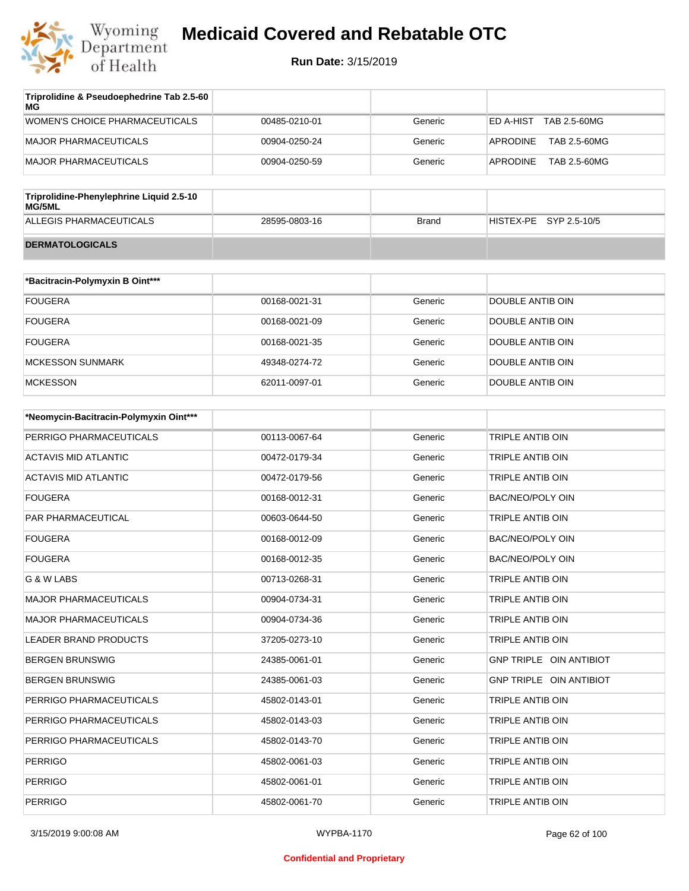

| Triprolidine & Pseudoephedrine Tab 2.5-60<br>МG |               |         |                           |
|-------------------------------------------------|---------------|---------|---------------------------|
| WOMEN'S CHOICE PHARMACEUTICALS                  | 00485-0210-01 | Generic | TAB 2.5-60MG<br>ED A-HIST |
| MAJOR PHARMACEUTICALS                           | 00904-0250-24 | Generic | TAB 2.5-60MG<br>APRODINE  |
| MAJOR PHARMACEUTICALS                           | 00904-0250-59 | Generic | APRODINE<br>TAB 2.5-60MG  |
|                                                 |               |         |                           |

| Triprolidine-Phenylephrine Liquid 2.5-10<br>MG/5ML |               |       |                        |
|----------------------------------------------------|---------------|-------|------------------------|
| ALLEGIS PHARMACEUTICALS                            | 28595-0803-16 | Brand | HISTEX-PE SYP 2.5-10/5 |
| <b>DERMATOLOGICALS</b>                             |               |       |                        |

| *Bacitracin-Polymyxin B Oint*** |               |         |                  |
|---------------------------------|---------------|---------|------------------|
| <b>FOUGERA</b>                  | 00168-0021-31 | Generic | DOUBLE ANTIB OIN |
| <b>FOUGERA</b>                  | 00168-0021-09 | Generic | DOUBLE ANTIB OIN |
| <b>FOUGERA</b>                  | 00168-0021-35 | Generic | DOUBLE ANTIB OIN |
| MCKESSON SUNMARK                | 49348-0274-72 | Generic | DOUBLE ANTIB OIN |
| <b>MCKESSON</b>                 | 62011-0097-01 | Generic | DOUBLE ANTIB OIN |

| *Neomycin-Bacitracin-Polymyxin Oint*** |               |         |                         |
|----------------------------------------|---------------|---------|-------------------------|
| PERRIGO PHARMACEUTICALS                | 00113-0067-64 | Generic | <b>TRIPLE ANTIB OIN</b> |
| <b>ACTAVIS MID ATLANTIC</b>            | 00472-0179-34 | Generic | TRIPLE ANTIB OIN        |
| <b>ACTAVIS MID ATLANTIC</b>            | 00472-0179-56 | Generic | TRIPLE ANTIB OIN        |
| <b>FOUGERA</b>                         | 00168-0012-31 | Generic | BAC/NEO/POLY OIN        |
| <b>PAR PHARMACEUTICAL</b>              | 00603-0644-50 | Generic | TRIPLE ANTIB OIN        |
| <b>FOUGERA</b>                         | 00168-0012-09 | Generic | <b>BAC/NEO/POLY OIN</b> |
| <b>FOUGERA</b>                         | 00168-0012-35 | Generic | <b>BAC/NEO/POLY OIN</b> |
| G & W LABS                             | 00713-0268-31 | Generic | TRIPLE ANTIB OIN        |
| <b>MAJOR PHARMACEUTICALS</b>           | 00904-0734-31 | Generic | TRIPLE ANTIB OIN        |
| <b>MAJOR PHARMACEUTICALS</b>           | 00904-0734-36 | Generic | TRIPLE ANTIB OIN        |
| <b>LEADER BRAND PRODUCTS</b>           | 37205-0273-10 | Generic | TRIPLE ANTIB OIN        |
| <b>BERGEN BRUNSWIG</b>                 | 24385-0061-01 | Generic | GNP TRIPLE OIN ANTIBIOT |
| <b>BERGEN BRUNSWIG</b>                 | 24385-0061-03 | Generic | GNP TRIPLE OIN ANTIBIOT |
| PERRIGO PHARMACEUTICALS                | 45802-0143-01 | Generic | TRIPLE ANTIB OIN        |
| PERRIGO PHARMACEUTICALS                | 45802-0143-03 | Generic | <b>TRIPLE ANTIB OIN</b> |
| PERRIGO PHARMACEUTICALS                | 45802-0143-70 | Generic | TRIPLE ANTIB OIN        |
| <b>PERRIGO</b>                         | 45802-0061-03 | Generic | <b>TRIPLE ANTIB OIN</b> |
| <b>PERRIGO</b>                         | 45802-0061-01 | Generic | TRIPLE ANTIB OIN        |
| <b>PERRIGO</b>                         | 45802-0061-70 | Generic | <b>TRIPLE ANTIB OIN</b> |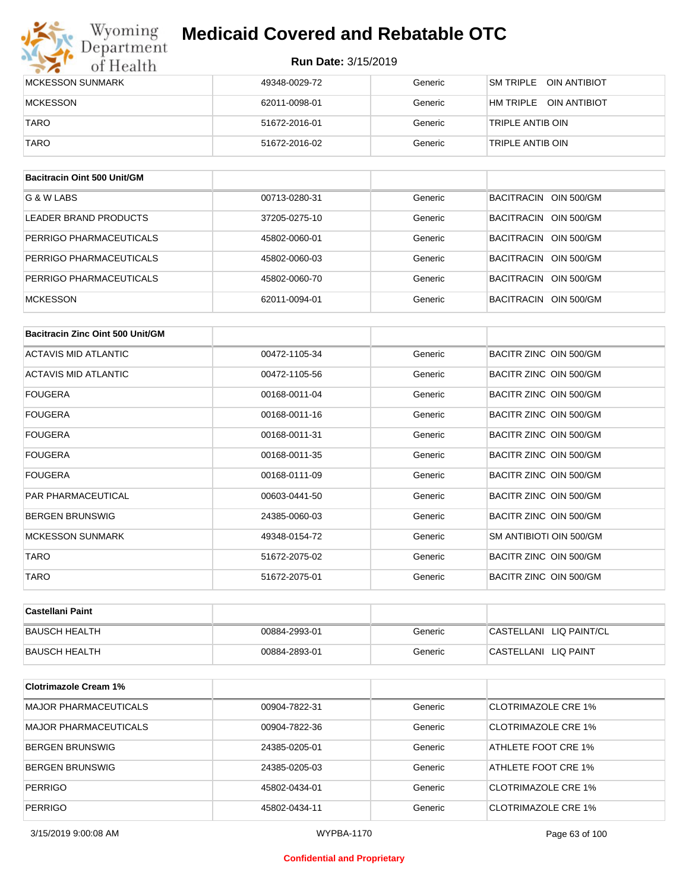#### **Run Date:** 3/15/2019

| Wyoming<br>Department   | <b>Medicaid Covered and Rebatable OTC</b> |         |                                         |
|-------------------------|-------------------------------------------|---------|-----------------------------------------|
| of Health               | <b>Run Date: 3/15/2019</b>                |         |                                         |
| <b>MCKESSON SUNMARK</b> | 49348-0029-72                             | Generic | SM TRIPI F<br><b>OIN ANTIBIOT</b>       |
| <b>MCKESSON</b>         | 62011-0098-01                             | Generic | <b>OIN ANTIBIOT</b><br><b>HM TRIPLE</b> |
| <b>TARO</b>             | 51672-2016-01                             | Generic | TRIPLE ANTIB OIN                        |
| <b>TARO</b>             | 51672-2016-02                             | Generic | TRIPLE ANTIB OIN                        |

| Bacitracin Oint 500 Unit/GM |               |         |                       |
|-----------------------------|---------------|---------|-----------------------|
| G & W LABS                  | 00713-0280-31 | Generic | BACITRACIN OIN 500/GM |
| LEADER BRAND PRODUCTS       | 37205-0275-10 | Generic | BACITRACIN OIN 500/GM |
| PERRIGO PHARMACEUTICALS     | 45802-0060-01 | Generic | BACITRACIN OIN 500/GM |
| PERRIGO PHARMACEUTICALS     | 45802-0060-03 | Generic | BACITRACIN OIN 500/GM |
| PERRIGO PHARMACEUTICALS     | 45802-0060-70 | Generic | BACITRACIN OIN 500/GM |
| <b>MCKESSON</b>             | 62011-0094-01 | Generic | BACITRACIN OIN 500/GM |

| Bacitracin Zinc Oint 500 Unit/GM |               |         |                         |
|----------------------------------|---------------|---------|-------------------------|
| <b>ACTAVIS MID ATLANTIC</b>      | 00472-1105-34 | Generic | BACITR ZINC OIN 500/GM  |
| <b>ACTAVIS MID ATLANTIC</b>      | 00472-1105-56 | Generic | BACITR ZINC OIN 500/GM  |
| <b>FOUGERA</b>                   | 00168-0011-04 | Generic | BACITR ZINC OIN 500/GM  |
| <b>FOUGERA</b>                   | 00168-0011-16 | Generic | BACITR ZINC OIN 500/GM  |
| <b>FOUGERA</b>                   | 00168-0011-31 | Generic | BACITR ZINC OIN 500/GM  |
| <b>FOUGERA</b>                   | 00168-0011-35 | Generic | BACITR ZINC OIN 500/GM  |
| <b>FOUGERA</b>                   | 00168-0111-09 | Generic | BACITR ZINC OIN 500/GM  |
| <b>PAR PHARMACEUTICAL</b>        | 00603-0441-50 | Generic | BACITR ZINC OIN 500/GM  |
| <b>BERGEN BRUNSWIG</b>           | 24385-0060-03 | Generic | BACITR ZINC OIN 500/GM  |
| <b>MCKESSON SUNMARK</b>          | 49348-0154-72 | Generic | SM ANTIBIOTI OIN 500/GM |
| <b>TARO</b>                      | 51672-2075-02 | Generic | BACITR ZINC OIN 500/GM  |
| <b>TARO</b>                      | 51672-2075-01 | Generic | BACITR ZINC OIN 500/GM  |

| ∣Castellani Paint |               |         |                         |
|-------------------|---------------|---------|-------------------------|
| BAUSCH HEALTH     | 00884-2993-01 | Generic | CASTELLANI LIQ PAINT/CL |
| BAUSCH HEALTH     | 00884-2893-01 | Generic | CASTELLANI LIQ PAINT    |

| <b>Clotrimazole Cream 1%</b> |               |         |                     |
|------------------------------|---------------|---------|---------------------|
| <b>MAJOR PHARMACEUTICALS</b> | 00904-7822-31 | Generic | CLOTRIMAZOLE CRE 1% |
| <b>MAJOR PHARMACEUTICALS</b> | 00904-7822-36 | Generic | CLOTRIMAZOLE CRE 1% |
| <b>BERGEN BRUNSWIG</b>       | 24385-0205-01 | Generic | ATHLETE FOOT CRE 1% |
| <b>BERGEN BRUNSWIG</b>       | 24385-0205-03 | Generic | ATHLETE FOOT CRE 1% |
| <b>PERRIGO</b>               | 45802-0434-01 | Generic | CLOTRIMAZOLE CRE 1% |
| <b>PERRIGO</b>               | 45802-0434-11 | Generic | CLOTRIMAZOLE CRE 1% |

3/15/2019 9:00:08 AM WYPBA-1170 Page 63 of 100

#### **Confidential and Proprietary**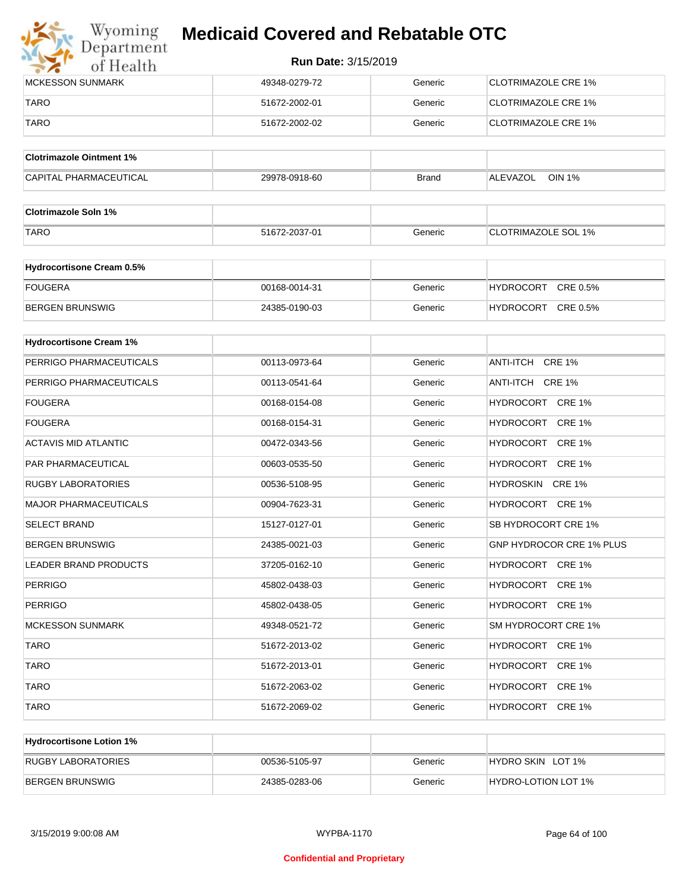

| <b>IMCKESSON SUNMARK</b> | 49348-0279-72 | Generic | <b>CLOTRIMAZOLE CRE 1%</b>  |
|--------------------------|---------------|---------|-----------------------------|
| TARO                     | 51672-2002-01 | Generic | <b>ICLOTRIMAZOLE CRE 1%</b> |
| <b>TARO</b>              | 51672-2002-02 | Generic | CLOTRIMAZOLE CRE 1%         |

| <b>Clotrimazole Ointment 1%</b> |               |              |                           |
|---------------------------------|---------------|--------------|---------------------------|
| <b>CAPITAL PHARMACEUTICAL</b>   | 29978-0918-60 | <b>Brand</b> | <b>OIN 1%</b><br>ALEVAZOL |

| <b>Clotrimazole Soln 1%</b> |               |         |                            |
|-----------------------------|---------------|---------|----------------------------|
| <b>TARO</b>                 | 51672-2037-01 | Generic | <b>CLOTRIMAZOLE SOL 1%</b> |

| <b>Hydrocortisone Cream 0.5%</b> |               |         |                              |
|----------------------------------|---------------|---------|------------------------------|
| <b>FOUGERA</b>                   | 00168-0014-31 | Generic | CRE 0.5%<br><b>HYDROCORT</b> |
| BERGEN BRUNSWIG                  | 24385-0190-03 | Generic | CRE 0.5%<br><b>HYDROCORT</b> |

| <b>Hydrocortisone Cream 1%</b> |               |         |                                 |
|--------------------------------|---------------|---------|---------------------------------|
| PERRIGO PHARMACEUTICALS        | 00113-0973-64 | Generic | ANTI-ITCH CRE 1%                |
| PERRIGO PHARMACEUTICALS        | 00113-0541-64 | Generic | ANTI-ITCH CRE 1%                |
| <b>FOUGERA</b>                 | 00168-0154-08 | Generic | HYDROCORT CRE 1%                |
| <b>FOUGERA</b>                 | 00168-0154-31 | Generic | HYDROCORT CRE 1%                |
| <b>ACTAVIS MID ATLANTIC</b>    | 00472-0343-56 | Generic | HYDROCORT CRE 1%                |
| PAR PHARMACEUTICAL             | 00603-0535-50 | Generic | HYDROCORT CRE 1%                |
| <b>RUGBY LABORATORIES</b>      | 00536-5108-95 | Generic | HYDROSKIN CRE 1%                |
| <b>MAJOR PHARMACEUTICALS</b>   | 00904-7623-31 | Generic | HYDROCORT CRE 1%                |
| <b>SELECT BRAND</b>            | 15127-0127-01 | Generic | SB HYDROCORT CRE 1%             |
| <b>BERGEN BRUNSWIG</b>         | 24385-0021-03 | Generic | <b>GNP HYDROCOR CRE 1% PLUS</b> |
| <b>LEADER BRAND PRODUCTS</b>   | 37205-0162-10 | Generic | HYDROCORT CRE 1%                |
| <b>PERRIGO</b>                 | 45802-0438-03 | Generic | HYDROCORT CRE 1%                |
| <b>PERRIGO</b>                 | 45802-0438-05 | Generic | HYDROCORT CRE 1%                |
| <b>MCKESSON SUNMARK</b>        | 49348-0521-72 | Generic | SM HYDROCORT CRE 1%             |
| <b>TARO</b>                    | 51672-2013-02 | Generic | HYDROCORT CRE 1%                |
| <b>TARO</b>                    | 51672-2013-01 | Generic | HYDROCORT CRE 1%                |
| <b>TARO</b>                    | 51672-2063-02 | Generic | HYDROCORT CRE 1%                |
| <b>TARO</b>                    | 51672-2069-02 | Generic | HYDROCORT CRE 1%                |

| <b>Hydrocortisone Lotion 1%</b> |               |         |                     |
|---------------------------------|---------------|---------|---------------------|
| RUGBY LABORATORIES              | 00536-5105-97 | Generic | HYDRO SKIN LOT 1%   |
| BERGEN BRUNSWIG                 | 24385-0283-06 | Generic | HYDRO-LOTION LOT 1% |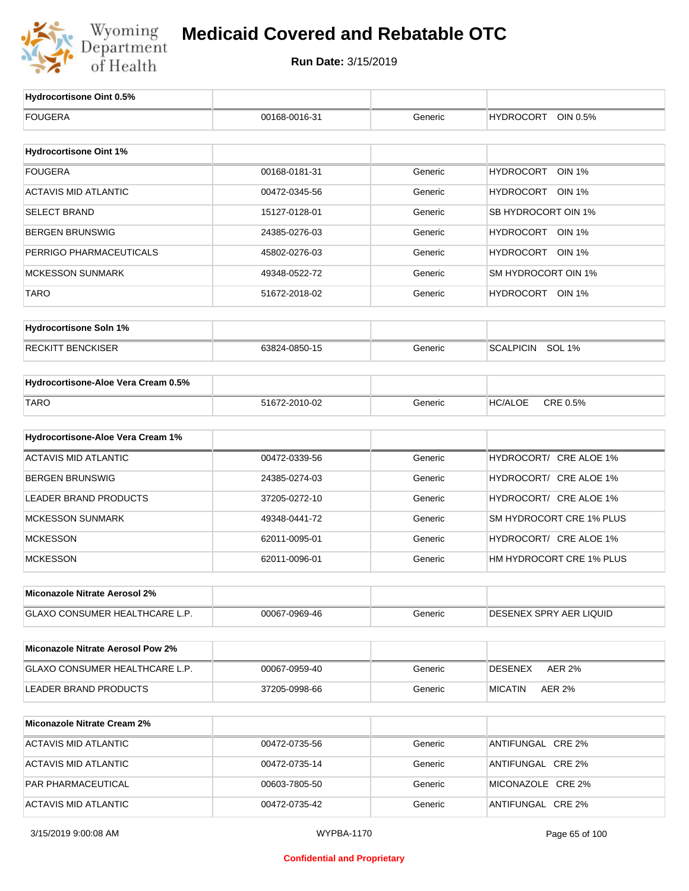

| Hydrocortisone Oint 0.5%                 |                   |         |                                   |
|------------------------------------------|-------------------|---------|-----------------------------------|
| <b>FOUGERA</b>                           | 00168-0016-31     | Generic | <b>HYDROCORT</b><br>OIN 0.5%      |
|                                          |                   |         |                                   |
| <b>Hydrocortisone Oint 1%</b>            |                   |         |                                   |
| <b>FOUGERA</b>                           | 00168-0181-31     | Generic | <b>HYDROCORT</b><br><b>OIN 1%</b> |
| <b>ACTAVIS MID ATLANTIC</b>              | 00472-0345-56     | Generic | HYDROCORT OIN 1%                  |
| <b>SELECT BRAND</b>                      | 15127-0128-01     | Generic | SB HYDROCORT OIN 1%               |
| <b>BERGEN BRUNSWIG</b>                   | 24385-0276-03     | Generic | HYDROCORT OIN 1%                  |
| PERRIGO PHARMACEUTICALS                  | 45802-0276-03     | Generic | HYDROCORT OIN 1%                  |
| <b>MCKESSON SUNMARK</b>                  | 49348-0522-72     | Generic | SM HYDROCORT OIN 1%               |
| <b>TARO</b>                              | 51672-2018-02     | Generic | HYDROCORT OIN 1%                  |
| <b>Hydrocortisone Soln 1%</b>            |                   |         |                                   |
| <b>RECKITT BENCKISER</b>                 | 63824-0850-15     | Generic | SCALPICIN SOL 1%                  |
| Hydrocortisone-Aloe Vera Cream 0.5%      |                   |         |                                   |
| <b>TARO</b>                              | 51672-2010-02     | Generic | CRE 0.5%<br><b>HC/ALOE</b>        |
| Hydrocortisone-Aloe Vera Cream 1%        |                   |         |                                   |
| <b>ACTAVIS MID ATLANTIC</b>              | 00472-0339-56     | Generic | HYDROCORT/ CRE ALOE 1%            |
| <b>BERGEN BRUNSWIG</b>                   | 24385-0274-03     | Generic | HYDROCORT/ CRE ALOE 1%            |
| LEADER BRAND PRODUCTS                    | 37205-0272-10     | Generic | HYDROCORT/ CRE ALOE 1%            |
| <b>MCKESSON SUNMARK</b>                  | 49348-0441-72     | Generic | SM HYDROCORT CRE 1% PLUS          |
| <b>MCKESSON</b>                          |                   |         | HYDROCORT/ CRE ALOE 1%            |
|                                          | 62011-0095-01     | Generic |                                   |
| <b>MCKESSON</b>                          | 62011-0096-01     | Generic | HM HYDROCORT CRE 1% PLUS          |
| Miconazole Nitrate Aerosol 2%            |                   |         |                                   |
| GLAXO CONSUMER HEALTHCARE L.P.           | 00067-0969-46     | Generic | DESENEX SPRY AER LIQUID           |
| <b>Miconazole Nitrate Aerosol Pow 2%</b> |                   |         |                                   |
| GLAXO CONSUMER HEALTHCARE L.P.           | 00067-0959-40     | Generic | <b>DESENEX</b><br><b>AER 2%</b>   |
| LEADER BRAND PRODUCTS                    | 37205-0998-66     | Generic | <b>MICATIN</b><br>AER 2%          |
| <b>Miconazole Nitrate Cream 2%</b>       |                   |         |                                   |
| <b>ACTAVIS MID ATLANTIC</b>              | 00472-0735-56     | Generic | ANTIFUNGAL CRE 2%                 |
| <b>ACTAVIS MID ATLANTIC</b>              | 00472-0735-14     | Generic | ANTIFUNGAL CRE 2%                 |
| PAR PHARMACEUTICAL                       | 00603-7805-50     | Generic | MICONAZOLE CRE 2%                 |
| <b>ACTAVIS MID ATLANTIC</b>              | 00472-0735-42     | Generic | ANTIFUNGAL CRE 2%                 |
| 3/15/2019 9:00:08 AM                     | <b>WYPBA-1170</b> |         | Page 65 of 100                    |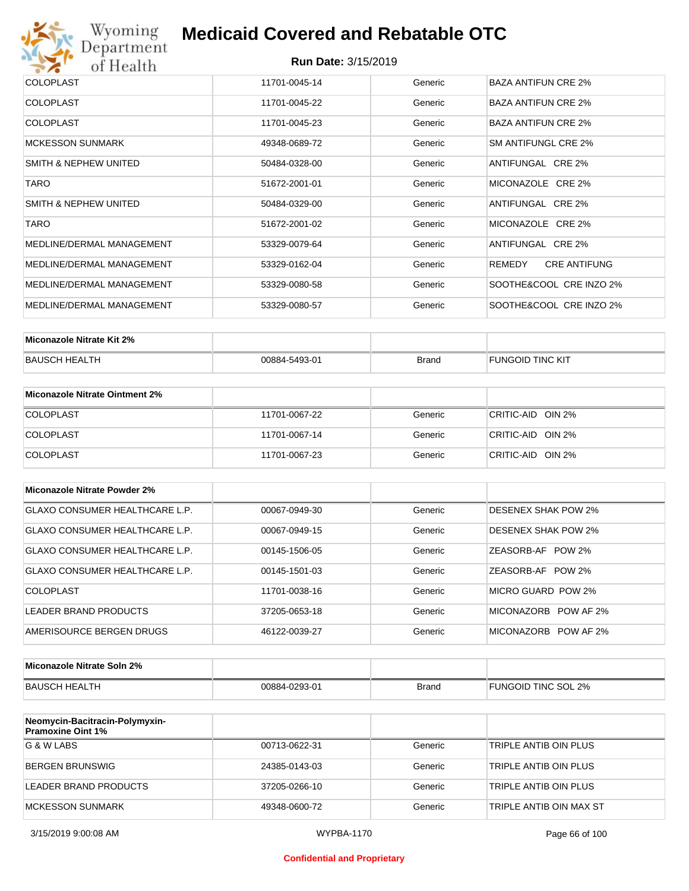

| <b>COLOPLAST</b><br>Generic<br><b>BAZA ANTIFUN CRE 2%</b><br>11701-0045-14<br><b>BAZA ANTIFUN CRE 2%</b><br><b>COLOPLAST</b><br>Generic<br>11701-0045-22<br><b>BAZA ANTIFUN CRE 2%</b><br><b>COLOPLAST</b><br>11701-0045-23<br>Generic<br><b>MCKESSON SUNMARK</b><br>SM ANTIFUNGL CRE 2%<br>49348-0689-72<br>Generic<br>SMITH & NEPHEW UNITED<br>ANTIFUNGAL CRE 2%<br>50484-0328-00<br>Generic<br><b>TARO</b><br>Generic<br>MICONAZOLE CRE 2%<br>51672-2001-01<br>SMITH & NEPHEW UNITED<br>ANTIFUNGAL CRE 2%<br>Generic<br>50484-0329-00<br><b>TARO</b><br>MICONAZOLE CRE 2%<br>51672-2001-02<br>Generic<br>MEDLINE/DERMAL MANAGEMENT<br>ANTIFUNGAL CRE 2%<br>53329-0079-64<br>Generic<br>MEDLINE/DERMAL MANAGEMENT<br><b>CRE ANTIFUNG</b><br>REMEDY<br>53329-0162-04<br>Generic<br>MEDLINE/DERMAL MANAGEMENT<br>SOOTHE&COOL CRE INZO 2%<br>Generic<br>53329-0080-58<br>MEDLINE/DERMAL MANAGEMENT<br>SOOTHE&COOL CRE INZO 2%<br>Generic<br>53329-0080-57 |  |  |
|----------------------------------------------------------------------------------------------------------------------------------------------------------------------------------------------------------------------------------------------------------------------------------------------------------------------------------------------------------------------------------------------------------------------------------------------------------------------------------------------------------------------------------------------------------------------------------------------------------------------------------------------------------------------------------------------------------------------------------------------------------------------------------------------------------------------------------------------------------------------------------------------------------------------------------------------------------|--|--|
|                                                                                                                                                                                                                                                                                                                                                                                                                                                                                                                                                                                                                                                                                                                                                                                                                                                                                                                                                          |  |  |
|                                                                                                                                                                                                                                                                                                                                                                                                                                                                                                                                                                                                                                                                                                                                                                                                                                                                                                                                                          |  |  |
|                                                                                                                                                                                                                                                                                                                                                                                                                                                                                                                                                                                                                                                                                                                                                                                                                                                                                                                                                          |  |  |
|                                                                                                                                                                                                                                                                                                                                                                                                                                                                                                                                                                                                                                                                                                                                                                                                                                                                                                                                                          |  |  |
|                                                                                                                                                                                                                                                                                                                                                                                                                                                                                                                                                                                                                                                                                                                                                                                                                                                                                                                                                          |  |  |
|                                                                                                                                                                                                                                                                                                                                                                                                                                                                                                                                                                                                                                                                                                                                                                                                                                                                                                                                                          |  |  |
|                                                                                                                                                                                                                                                                                                                                                                                                                                                                                                                                                                                                                                                                                                                                                                                                                                                                                                                                                          |  |  |
|                                                                                                                                                                                                                                                                                                                                                                                                                                                                                                                                                                                                                                                                                                                                                                                                                                                                                                                                                          |  |  |
|                                                                                                                                                                                                                                                                                                                                                                                                                                                                                                                                                                                                                                                                                                                                                                                                                                                                                                                                                          |  |  |
|                                                                                                                                                                                                                                                                                                                                                                                                                                                                                                                                                                                                                                                                                                                                                                                                                                                                                                                                                          |  |  |
|                                                                                                                                                                                                                                                                                                                                                                                                                                                                                                                                                                                                                                                                                                                                                                                                                                                                                                                                                          |  |  |
|                                                                                                                                                                                                                                                                                                                                                                                                                                                                                                                                                                                                                                                                                                                                                                                                                                                                                                                                                          |  |  |

| Miconazole Nitrate Kit 2% |               |              |                  |
|---------------------------|---------------|--------------|------------------|
| BAUSCH HEALTH             | 00884-5493-01 | <b>Brand</b> | FUNGOID TINC KIT |

| Miconazole Nitrate Ointment 2% |               |         |                   |
|--------------------------------|---------------|---------|-------------------|
| <b>COLOPLAST</b>               | 11701-0067-22 | Generic | CRITIC-AID OIN 2% |
| <b>COLOPLAST</b>               | 11701-0067-14 | Generic | CRITIC-AID OIN 2% |
| <b>COLOPLAST</b>               | 11701-0067-23 | Generic | CRITIC-AID OIN 2% |

| Miconazole Nitrate Powder 2%          |               |         |                            |
|---------------------------------------|---------------|---------|----------------------------|
| <b>GLAXO CONSUMER HEALTHCARE L.P.</b> | 00067-0949-30 | Generic | DESENEX SHAK POW 2%        |
| GLAXO CONSUMER HEALTHCARE L.P.        | 00067-0949-15 | Generic | <b>DESENEX SHAK POW 2%</b> |
| GLAXO CONSUMER HEALTHCARE L.P.        | 00145-1506-05 | Generic | ZEASORB-AF POW 2%          |
| GLAXO CONSUMER HEALTHCARE L.P.        | 00145-1501-03 | Generic | ZEASORB-AF POW 2%          |
| COLOPLAST                             | 11701-0038-16 | Generic | MICRO GUARD POW 2%         |
| LEADER BRAND PRODUCTS                 | 37205-0653-18 | Generic | MICONAZORB POW AF 2%       |
| AMERISOURCE BERGEN DRUGS              | 46122-0039-27 | Generic | MICONAZORB POW AF 2%       |

| Miconazole Nitrate Soln 2% |               |       |                     |
|----------------------------|---------------|-------|---------------------|
| BAUSCH HEALTH              | 00884-0293-01 | Brand | FUNGOID TINC SOL 2% |

| Neomycin-Bacitracin-Polymyxin-<br><b>Pramoxine Oint 1%</b> |               |         |                         |
|------------------------------------------------------------|---------------|---------|-------------------------|
| G & W LABS                                                 | 00713-0622-31 | Generic | TRIPLE ANTIB OIN PLUS   |
| <b>BERGEN BRUNSWIG</b>                                     | 24385-0143-03 | Generic | TRIPLE ANTIB OIN PLUS   |
| LEADER BRAND PRODUCTS                                      | 37205-0266-10 | Generic | TRIPLE ANTIB OIN PLUS   |
| MCKESSON SUNMARK                                           | 49348-0600-72 | Generic | TRIPLE ANTIB OIN MAX ST |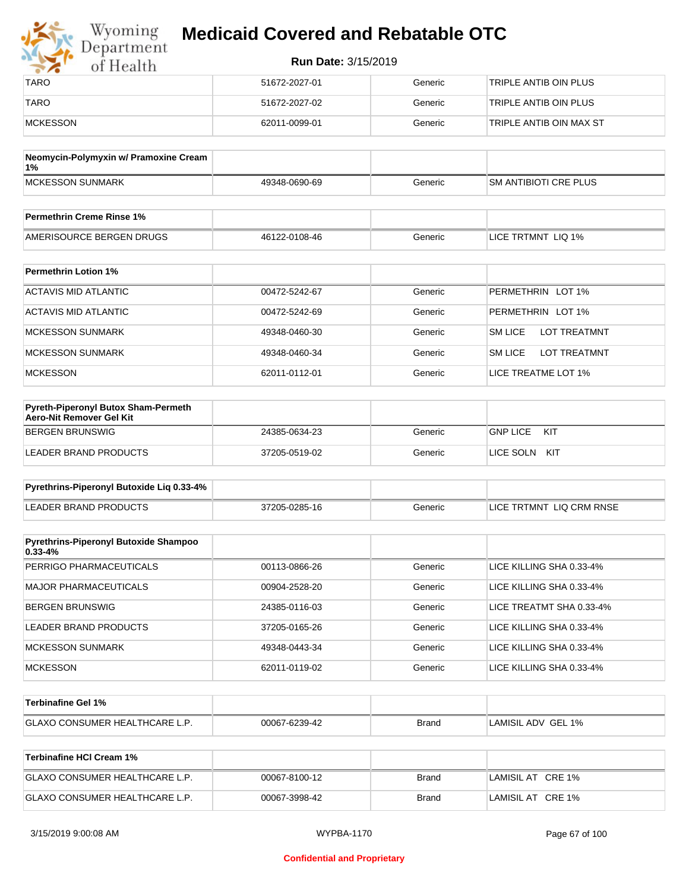| Wyoming<br>Department | <b>Medicaid Covered and Rebatable OTC</b> |         |                         |
|-----------------------|-------------------------------------------|---------|-------------------------|
| of Health             | <b>Run Date: 3/15/2019</b>                |         |                         |
| <b>TARO</b>           | 51672-2027-01                             | Generic | TRIPLE ANTIB OIN PLUS   |
| <b>TARO</b>           | 51672-2027-02                             | Generic | TRIPLE ANTIB OIN PLUS   |
| MCKESSON              | 62011-0099-01                             | Generic | TRIPLE ANTIB OIN MAX ST |

| Neomycin-Polymyxin w/ Pramoxine Cream<br>1% |               |         |                              |
|---------------------------------------------|---------------|---------|------------------------------|
| <b>IMCKESSON SUNMARK</b>                    | 49348-0690-69 | Generic | <b>SM ANTIBIOTI CRE PLUS</b> |
|                                             |               |         |                              |
| <b>Permethrin Creme Rinse 1%</b>            |               |         |                              |

| Permethrin<br>Creme Rinse 1%                |                              |              |                                                               |
|---------------------------------------------|------------------------------|--------------|---------------------------------------------------------------|
| AMF<br>PUGS<br>י או ור<br>.<br>' ⊣⊢NL<br>-- | $0108 - 46$<br>461<br>$\sim$ | ienerio<br>. | ` IQ 1%<br>∟IC′<br>. MNT<br>പ∪<br>$\sim$ $\sim$ $\sim$ $\sim$ |

| <b>Permethrin Lotion 1%</b> |               |         |                                       |
|-----------------------------|---------------|---------|---------------------------------------|
| ACTAVIS MID ATLANTIC        | 00472-5242-67 | Generic | PERMETHRIN LOT 1%                     |
| ACTAVIS MID ATLANTIC        | 00472-5242-69 | Generic | PERMETHRIN LOT 1%                     |
| <b>MCKESSON SUNMARK</b>     | 49348-0460-30 | Generic | <b>SM LICE</b><br><b>LOT TREATMNT</b> |
| <b>MCKESSON SUNMARK</b>     | 49348-0460-34 | Generic | <b>SM LICE</b><br><b>LOT TREATMNT</b> |
| <b>MCKESSON</b>             | 62011-0112-01 | Generic | LICE TREATME LOT 1%                   |

| Pyreth-Piperonyl Butox Sham-Permeth<br>Aero-Nit Remover Gel Kit |               |         |                        |
|-----------------------------------------------------------------|---------------|---------|------------------------|
| BERGEN BRUNSWIG                                                 | 24385-0634-23 | Generic | <b>GNP LICE</b><br>KIT |
| LEADER BRAND PRODUCTS                                           | 37205-0519-02 | Generic | KIT<br>LICE SOLN       |

| Pyrethrins-Piperonyl Butoxide Lig 0.33-4% |               |         |                          |
|-------------------------------------------|---------------|---------|--------------------------|
| LEADER BRAND PRODUCTS                     | 37205-0285-16 | Generic | LICE TRTMNT LIQ CRM RNSE |

| Pyrethrins-Piperonyl Butoxide Shampoo<br>$0.33 - 4%$ |               |         |                          |
|------------------------------------------------------|---------------|---------|--------------------------|
| PERRIGO PHARMACEUTICALS                              | 00113-0866-26 | Generic | LICE KILLING SHA 0.33-4% |
| <b>MAJOR PHARMACEUTICALS</b>                         | 00904-2528-20 | Generic | LICE KILLING SHA 0.33-4% |
| <b>BERGEN BRUNSWIG</b>                               | 24385-0116-03 | Generic | LICE TREATMT SHA 0.33-4% |
| LEADER BRAND PRODUCTS                                | 37205-0165-26 | Generic | LICE KILLING SHA 0.33-4% |
| <b>MCKESSON SUNMARK</b>                              | 49348-0443-34 | Generic | LICE KILLING SHA 0.33-4% |
| <b>MCKESSON</b>                                      | 62011-0119-02 | Generic | LICE KILLING SHA 0.33-4% |

| Terbinafine Gel 1%                    |               |              |                    |
|---------------------------------------|---------------|--------------|--------------------|
| <b>GLAXO CONSUMER HEALTHCARE L.P.</b> | 00067-6239-42 | <b>Brand</b> | LAMISIL ADV GEL 1% |

| Terbinafine HCI Cream 1%       |               |       |                   |
|--------------------------------|---------------|-------|-------------------|
| GLAXO CONSUMER HEALTHCARE L.P. | 00067-8100-12 | Brand | LAMISIL AT CRE 1% |
| GLAXO CONSUMER HEALTHCARE L.P. | 00067-3998-42 | Brand | LAMISIL AT CRE 1% |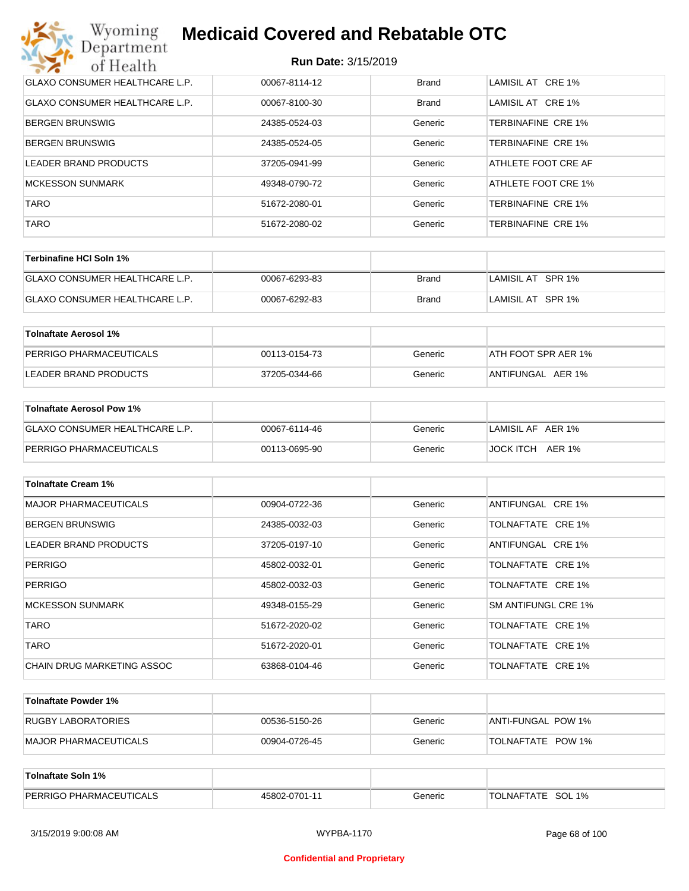| Wyoming<br><b>Medicaid Covered and Rebatable OTC</b><br>Department |                            |              |                           |  |
|--------------------------------------------------------------------|----------------------------|--------------|---------------------------|--|
| of Health                                                          | <b>Run Date: 3/15/2019</b> |              |                           |  |
| <b>GLAXO CONSUMER HEALTHCARE L.P.</b>                              | 00067-8114-12              | <b>Brand</b> | LAMISIL AT CRE 1%         |  |
| <b>GLAXO CONSUMER HEALTHCARE L.P.</b>                              | 00067-8100-30              | Brand        | LAMISIL AT CRE 1%         |  |
| BERGEN BRUNSWIG                                                    | 24385-0524-03              | Generic      | TERBINAFINE CRE 1%        |  |
| <b>BERGEN BRUNSWIG</b>                                             | 24385-0524-05              | Generic      | TERBINAFINE CRE 1%        |  |
| LEADER BRAND PRODUCTS                                              | 37205-0941-99              | Generic      | ATHLETE FOOT CRE AF       |  |
| <b>MCKESSON SUNMARK</b>                                            | 49348-0790-72              | Generic      | ATHLETE FOOT CRE 1%       |  |
| <b>TARO</b>                                                        | 51672-2080-01              | Generic      | TERBINAFINE CRE 1%        |  |
| <b>TARO</b>                                                        | 51672-2080-02              | Generic      | <b>TERBINAFINE CRE 1%</b> |  |

| ∣Terbinafine HCl Soln 1%              |               |       |                   |
|---------------------------------------|---------------|-------|-------------------|
| <b>GLAXO CONSUMER HEALTHCARE L.P.</b> | 00067-6293-83 | Brand | LAMISIL AT SPR 1% |
| <b>GLAXO CONSUMER HEALTHCARE L.P.</b> | 00067-6292-83 | Brand | LAMISIL AT SPR 1% |

| Tolnaftate Aerosol 1%   |               |         |                     |
|-------------------------|---------------|---------|---------------------|
| PERRIGO PHARMACEUTICALS | 00113-0154-73 | Generic | ATH FOOT SPR AER 1% |
| LEADER BRAND PRODUCTS   | 37205-0344-66 | Generic | ANTIFUNGAL AER 1%   |

| Tolnaftate Aerosol Pow 1%      |               |         |                   |
|--------------------------------|---------------|---------|-------------------|
| GLAXO CONSUMER HEALTHCARE L.P. | 00067-6114-46 | Generic | LAMISIL AF AER 1% |
| PERRIGO PHARMACEUTICALS        | 00113-0695-90 | Generic | JOCK ITCH AER 1%  |

| <b>Tolnaftate Cream 1%</b>   |               |         |                     |
|------------------------------|---------------|---------|---------------------|
| <b>MAJOR PHARMACEUTICALS</b> | 00904-0722-36 | Generic | ANTIFUNGAL CRE 1%   |
| <b>BERGEN BRUNSWIG</b>       | 24385-0032-03 | Generic | TOLNAFTATE CRE 1%   |
| <b>LEADER BRAND PRODUCTS</b> | 37205-0197-10 | Generic | ANTIFUNGAL CRE 1%   |
| <b>PERRIGO</b>               | 45802-0032-01 | Generic | TOLNAFTATE CRE 1%   |
| <b>PERRIGO</b>               | 45802-0032-03 | Generic | TOLNAFTATE CRE 1%   |
| <b>MCKESSON SUNMARK</b>      | 49348-0155-29 | Generic | SM ANTIFUNGL CRE 1% |
| <b>TARO</b>                  | 51672-2020-02 | Generic | TOLNAFTATE CRE 1%   |
| <b>TARO</b>                  | 51672-2020-01 | Generic | TOLNAFTATE CRE 1%   |
| CHAIN DRUG MARKETING ASSOC   | 63868-0104-46 | Generic | TOLNAFTATE CRE 1%   |

| Tolnaftate Powder 1%  |               |         |                     |
|-----------------------|---------------|---------|---------------------|
| RUGBY LABORATORIES    | 00536-5150-26 | Generic | IANTI-FUNGAL POW 1% |
| MAJOR PHARMACEUTICALS | 00904-0726-45 | Generic | TOLNAFTATE POW 1%   |

| Tolnaftate Soln 1%             |               |         |                      |
|--------------------------------|---------------|---------|----------------------|
| <b>PERRIGO PHARMACEUTICALS</b> | 45802-0701-11 | Generic | SOL 1%<br>TOLNAFTATE |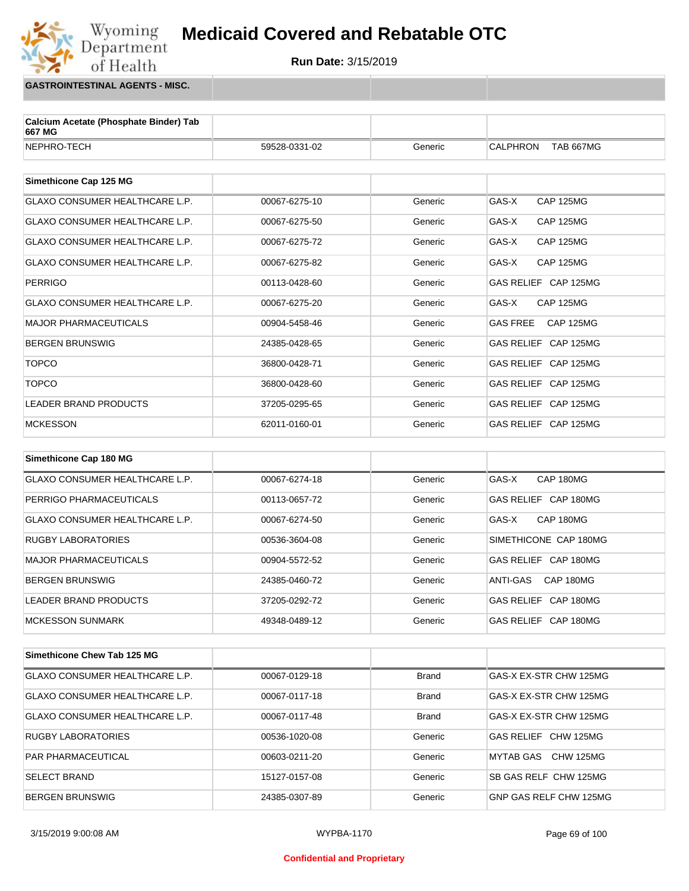

**GASTROINTESTINAL AGENTS - MISC.**

Wyoming<br>Department

of Health

| Calcium Acetate (Phosphate Binder) Tab<br>667 MG |               |         |                                     |  |
|--------------------------------------------------|---------------|---------|-------------------------------------|--|
| NEPHRO-TECH                                      | 59528-0331-02 | Generic | <b>CALPHRON</b><br><b>TAB 667MG</b> |  |
|                                                  |               |         |                                     |  |
| Simethicone Cap 125 MG                           |               |         |                                     |  |
| <b>GLAXO CONSUMER HEALTHCARE L.P.</b>            | 00067-6275-10 | Generic | GAS-X<br><b>CAP 125MG</b>           |  |
| <b>GLAXO CONSUMER HEALTHCARE L.P.</b>            | 00067-6275-50 | Generic | GAS-X<br><b>CAP 125MG</b>           |  |
| <b>GLAXO CONSUMER HEALTHCARE L.P.</b>            | 00067-6275-72 | Generic | GAS-X<br><b>CAP 125MG</b>           |  |
| <b>GLAXO CONSUMER HEALTHCARE L.P.</b>            | 00067-6275-82 | Generic | GAS-X<br><b>CAP 125MG</b>           |  |
| <b>PERRIGO</b>                                   | 00113-0428-60 | Generic | GAS RELIEF CAP 125MG                |  |
| GLAXO CONSUMER HEALTHCARE L.P.                   | 00067-6275-20 | Generic | GAS-X<br><b>CAP 125MG</b>           |  |
| <b>MAJOR PHARMACEUTICALS</b>                     | 00904-5458-46 | Generic | <b>GAS FREE</b><br><b>CAP 125MG</b> |  |
| <b>BERGEN BRUNSWIG</b>                           | 24385-0428-65 | Generic | GAS RELIEF CAP 125MG                |  |
| <b>TOPCO</b>                                     | 36800-0428-71 | Generic | GAS RELIEF CAP 125MG                |  |
| <b>TOPCO</b>                                     | 36800-0428-60 | Generic | GAS RELIEF CAP 125MG                |  |
| <b>LEADER BRAND PRODUCTS</b>                     | 37205-0295-65 | Generic | GAS RELIEF CAP 125MG                |  |
| <b>MCKESSON</b>                                  | 62011-0160-01 | Generic | GAS RELIEF CAP 125MG                |  |
|                                                  |               |         |                                     |  |
| Simethicone Cap 180 MG                           |               |         |                                     |  |
| <b>GLAXO CONSUMER HEALTHCARE L.P.</b>            | 00067-6274-18 | Generic | GAS-X<br>CAP 180MG                  |  |
| PERRIGO PHARMACEUTICALS                          | 00113-0657-72 | Generic | GAS RELIEF CAP 180MG                |  |
| GLAXO CONSUMER HEALTHCARE L.P.                   | 00067-6274-50 | Generic | GAS-X<br>CAP 180MG                  |  |
| <b>RUGBY LABORATORIES</b>                        | 00536-3604-08 | Generic | SIMETHICONE CAP 180MG               |  |
| <b>MAJOR PHARMACEUTICALS</b>                     | 00904-5572-52 | Generic | GAS RELIEF CAP 180MG                |  |
| <b>BERGEN BRUNSWIG</b>                           | 24385-0460-72 | Generic | ANTI-GAS<br>CAP 180MG               |  |

| Simethicone Chew Tab 125 MG    |               |              |                        |
|--------------------------------|---------------|--------------|------------------------|
| GLAXO CONSUMER HEALTHCARE L.P. | 00067-0129-18 | <b>Brand</b> | GAS-X EX-STR CHW 125MG |
| GLAXO CONSUMER HEALTHCARE L.P. | 00067-0117-18 | <b>Brand</b> | GAS-X EX-STR CHW 125MG |
| GLAXO CONSUMER HEALTHCARE L.P. | 00067-0117-48 | <b>Brand</b> | GAS-X EX-STR CHW 125MG |
| <b>RUGBY LABORATORIES</b>      | 00536-1020-08 | Generic      | GAS RELIEF CHW 125MG   |
| <b>PAR PHARMACEUTICAL</b>      | 00603-0211-20 | Generic      | MYTAB GAS CHW 125MG    |
| <b>SELECT BRAND</b>            | 15127-0157-08 | Generic      | SB GAS RELF CHW 125MG  |
| BERGEN BRUNSWIG                | 24385-0307-89 | Generic      | GNP GAS RELF CHW 125MG |

LEADER BRAND PRODUCTS 37205-0292-72 Generic GAS RELIEF CAP 180MG MCKESSON SUNMARK 49348-0489-12 Generic GAS RELIEF CAP 180MG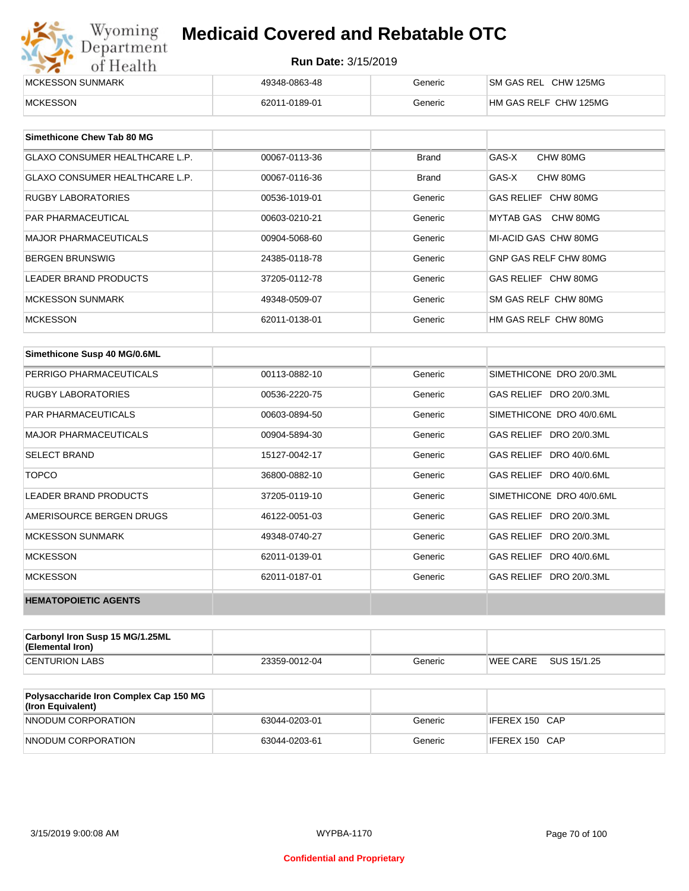| Wyoming<br><b>Medicaid Covered and Rebatable OTC</b><br>Department |                            |         |                       |  |  |
|--------------------------------------------------------------------|----------------------------|---------|-----------------------|--|--|
| of Health                                                          | <b>Run Date: 3/15/2019</b> |         |                       |  |  |
| MCKESSON SUNMARK                                                   | 49348-0863-48              | Generic | SM GAS REL CHW 125MG  |  |  |
| <b>MCKESSON</b>                                                    | 62011-0189-01              | Generic | HM GAS RELF CHW 125MG |  |  |

| Simethicone Chew Tab 80 MG     |               |              |                       |
|--------------------------------|---------------|--------------|-----------------------|
| GLAXO CONSUMER HEALTHCARE L.P. | 00067-0113-36 | Brand        | GAS-X<br>CHW 80MG     |
| GLAXO CONSUMER HEALTHCARE L.P. | 00067-0116-36 | <b>Brand</b> | GAS-X<br>CHW 80MG     |
| <b>RUGBY LABORATORIES</b>      | 00536-1019-01 | Generic      | GAS RELIEF CHW 80MG   |
| <b>PAR PHARMACEUTICAL</b>      | 00603-0210-21 | Generic      | MYTAB GAS CHW 80MG    |
| <b>MAJOR PHARMACEUTICALS</b>   | 00904-5068-60 | Generic      | MI-ACID GAS CHW 80MG  |
| <b>BERGEN BRUNSWIG</b>         | 24385-0118-78 | Generic      | GNP GAS RELF CHW 80MG |
| LEADER BRAND PRODUCTS          | 37205-0112-78 | Generic      | GAS RELIEF CHW 80MG   |
| <b>MCKESSON SUNMARK</b>        | 49348-0509-07 | Generic      | SM GAS RELF CHW 80MG  |
| <b>MCKESSON</b>                | 62011-0138-01 | Generic      | HM GAS RELF CHW 80MG  |

| Simethicone Susp 40 MG/0.6ML |               |         |                          |
|------------------------------|---------------|---------|--------------------------|
| PERRIGO PHARMACEUTICALS      | 00113-0882-10 | Generic | SIMETHICONE DRO 20/0.3ML |
| <b>RUGBY LABORATORIES</b>    | 00536-2220-75 | Generic | GAS RELIEF DRO 20/0.3ML  |
| <b>PAR PHARMACEUTICALS</b>   | 00603-0894-50 | Generic | SIMETHICONE DRO 40/0.6ML |
| <b>MAJOR PHARMACEUTICALS</b> | 00904-5894-30 | Generic | GAS RELIEF DRO 20/0.3ML  |
| <b>SELECT BRAND</b>          | 15127-0042-17 | Generic | GAS RELIEF DRO 40/0.6ML  |
| <b>TOPCO</b>                 | 36800-0882-10 | Generic | GAS RELIEF DRO 40/0.6ML  |
| <b>LEADER BRAND PRODUCTS</b> | 37205-0119-10 | Generic | SIMETHICONE DRO 40/0.6ML |
| AMERISOURCE BERGEN DRUGS     | 46122-0051-03 | Generic | GAS RELIEF DRO 20/0.3ML  |
| <b>MCKESSON SUNMARK</b>      | 49348-0740-27 | Generic | GAS RELIEF DRO 20/0.3ML  |
| <b>MCKESSON</b>              | 62011-0139-01 | Generic | GAS RELIEF DRO 40/0.6ML  |
| <b>MCKESSON</b>              | 62011-0187-01 | Generic | GAS RELIEF DRO 20/0.3ML  |
| <b>HEMATOPOIETIC AGENTS</b>  |               |         |                          |

| Carbonyl Iron Susp 15 MG/1.25ML<br>(Elemental Iron) |               |         |                 |             |
|-----------------------------------------------------|---------------|---------|-----------------|-------------|
| <b>CENTURION LABS</b>                               | 23359-0012-04 | Generic | <b>WEE CARE</b> | SUS 15/1.25 |

| <b>Polysaccharide Iron Complex Cap 150 MG</b><br>(Iron Equivalent) |               |         |                |
|--------------------------------------------------------------------|---------------|---------|----------------|
| NNODUM CORPORATION                                                 | 63044-0203-01 | Generic | IFEREX 150 CAP |
| NNODUM CORPORATION                                                 | 63044-0203-61 | Generic | IFEREX 150 CAP |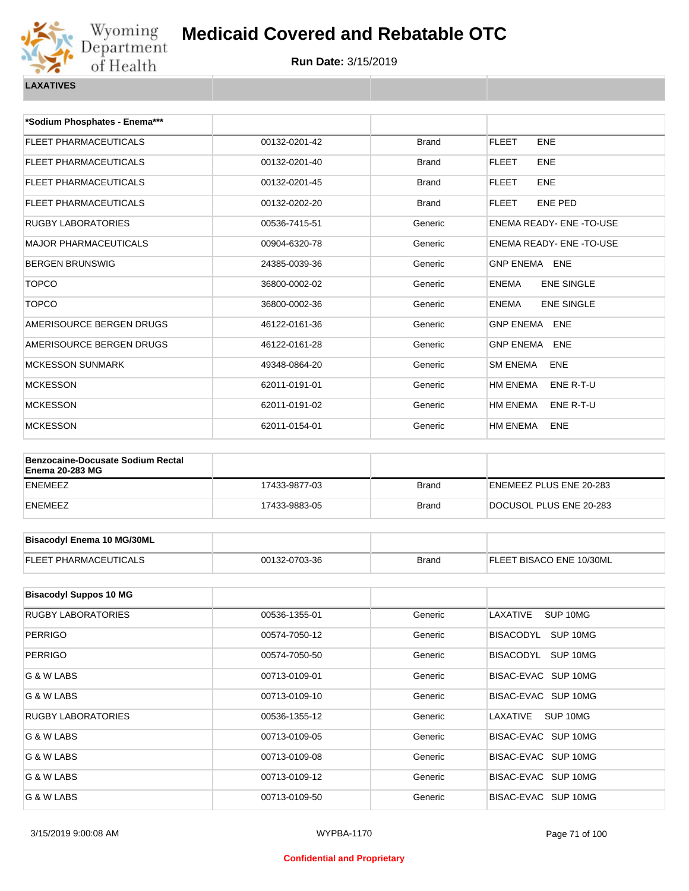

| *Sodium Phosphates - Enema***                                      |               |                      |                                   |
|--------------------------------------------------------------------|---------------|----------------------|-----------------------------------|
| <b>FLEET PHARMACEUTICALS</b>                                       | 00132-0201-42 | <b>Brand</b>         | <b>FLEET</b><br><b>ENE</b>        |
| <b>FLEET PHARMACEUTICALS</b>                                       | 00132-0201-40 | <b>Brand</b>         | <b>FLEET</b><br><b>ENE</b>        |
| <b>FLEET PHARMACEUTICALS</b>                                       | 00132-0201-45 | <b>Brand</b>         | <b>FLEET</b><br><b>ENE</b>        |
| FLEET PHARMACEUTICALS                                              | 00132-0202-20 | <b>Brand</b>         | <b>FLEET</b><br>ENE PED           |
| <b>RUGBY LABORATORIES</b>                                          | 00536-7415-51 | Generic              | ENEMA READY- ENE-TO-USE           |
| <b>MAJOR PHARMACEUTICALS</b>                                       | 00904-6320-78 | Generic              | ENEMA READY- ENE-TO-USE           |
| <b>BERGEN BRUNSWIG</b>                                             | 24385-0039-36 | Generic              | <b>GNP ENEMA ENE</b>              |
| <b>TOPCO</b>                                                       | 36800-0002-02 | Generic              | <b>ENEMA</b><br><b>ENE SINGLE</b> |
| <b>TOPCO</b>                                                       | 36800-0002-36 | Generic              | <b>ENE SINGLE</b><br><b>ENEMA</b> |
| AMERISOURCE BERGEN DRUGS                                           | 46122-0161-36 | Generic              | <b>GNP ENEMA ENE</b>              |
| AMERISOURCE BERGEN DRUGS                                           | 46122-0161-28 | Generic              | <b>GNP ENEMA ENE</b>              |
| <b>MCKESSON SUNMARK</b>                                            | 49348-0864-20 | Generic              | <b>SM ENEMA</b><br><b>ENE</b>     |
| <b>MCKESSON</b>                                                    | 62011-0191-01 | Generic              | HM ENEMA<br>ENE R-T-U             |
| <b>MCKESSON</b>                                                    | 62011-0191-02 | Generic              | HM ENEMA<br>ENE R-T-U             |
| <b>MCKESSON</b>                                                    | 62011-0154-01 | Generic              | HM ENEMA<br><b>ENE</b>            |
|                                                                    |               |                      |                                   |
| <b>Benzocaine-Docusate Sodium Rectal</b><br><b>Enema 20-283 MG</b> |               |                      |                                   |
| <b>ENEMEEZ</b>                                                     | 17433-9877-03 | <b>Brand</b>         | ENEMEEZ PLUS ENE 20-283           |
| <b>ENEMEEZ</b>                                                     | 17433-9883-05 | <b>Brand</b>         | DOCUSOL PLUS ENE 20-283           |
|                                                                    |               |                      |                                   |
| <b>Bisacodyl Enema 10 MG/30ML</b>                                  |               |                      |                                   |
| <b>FLEET PHARMACEUTICALS</b>                                       | 00132-0703-36 | <b>Brand</b>         | FLEET BISACO ENE 10/30ML          |
|                                                                    |               |                      |                                   |
| <b>Bisacodyl Suppos 10 MG</b>                                      |               |                      |                                   |
| <b>RUGBY LABORATORIES</b>                                          | 00536-1355-01 | Generic              | LAXATIVE<br>SUP 10MG              |
| <b>PERRIGO</b>                                                     | 00574-7050-12 | Generic              | BISACODYL SUP 10MG                |
| $P$ $P$ $P$ $P$ $P$ $Q$ $Q$                                        | ODEZA ZOEQ EQ | O <sub>2</sub> 22222 | <b>DICACODVI CUD 40MC</b>         |

| PERRIGU                   | UU574-7U50-12 | Generic | BISALUDIL SUPTUMG     |
|---------------------------|---------------|---------|-----------------------|
| <b>PERRIGO</b>            | 00574-7050-50 | Generic | SUP 10MG<br>BISACODYL |
| G & W LABS                | 00713-0109-01 | Generic | BISAC-EVAC SUP 10MG   |
| G & W LABS                | 00713-0109-10 | Generic | BISAC-EVAC SUP 10MG   |
| <b>RUGBY LABORATORIES</b> | 00536-1355-12 | Generic | SUP 10MG<br>LAXATIVE  |
| G & W LABS                | 00713-0109-05 | Generic | BISAC-EVAC SUP 10MG   |
| G & W LABS                | 00713-0109-08 | Generic | BISAC-EVAC SUP 10MG   |
| G & W LABS                | 00713-0109-12 | Generic | BISAC-EVAC SUP 10MG   |
| G & W LABS                | 00713-0109-50 | Generic | BISAC-EVAC SUP 10MG   |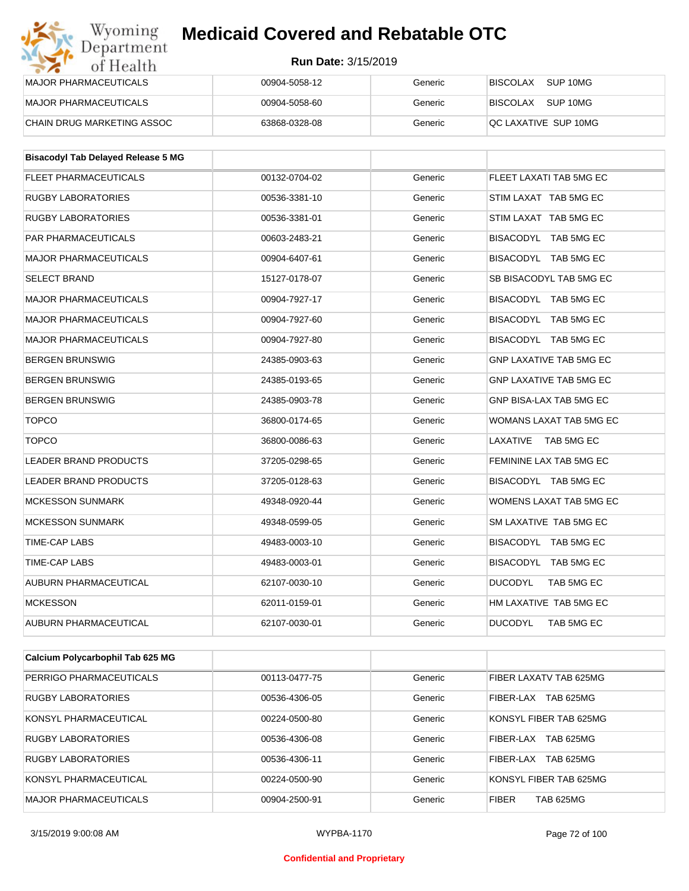| Wyoming<br>Department        | <b>Medicaid Covered and Rebatable OTC</b> |         |                             |  |
|------------------------------|-------------------------------------------|---------|-----------------------------|--|
| of Health                    | <b>Run Date: 3/15/2019</b>                |         |                             |  |
| <b>MAJOR PHARMACEUTICALS</b> | 00904-5058-12                             | Generic | <b>BISCOLAX</b><br>SUP 10MG |  |
| <b>MAJOR PHARMACEUTICALS</b> | 00904-5058-60                             | Generic | SUP 10MG<br><b>BISCOLAX</b> |  |
| CHAIN DRUG MARKETING ASSOC   | 63868-0328-08                             | Generic | QC LAXATIVE SUP 10MG        |  |

| <b>Bisacodyl Tab Delayed Release 5 MG</b> |               |         |                                |
|-------------------------------------------|---------------|---------|--------------------------------|
| <b>FLEET PHARMACEUTICALS</b>              | 00132-0704-02 | Generic | FLEET LAXATI TAB 5MG EC        |
| <b>RUGBY LABORATORIES</b>                 | 00536-3381-10 | Generic | STIM LAXAT TAB 5MG EC          |
| <b>RUGBY LABORATORIES</b>                 | 00536-3381-01 | Generic | STIM LAXAT TAB 5MG EC          |
| <b>PAR PHARMACEUTICALS</b>                | 00603-2483-21 | Generic | BISACODYL TAB 5MG EC           |
| <b>MAJOR PHARMACEUTICALS</b>              | 00904-6407-61 | Generic | BISACODYL TAB 5MG EC           |
| <b>SELECT BRAND</b>                       | 15127-0178-07 | Generic | SB BISACODYL TAB 5MG EC        |
| <b>MAJOR PHARMACEUTICALS</b>              | 00904-7927-17 | Generic | BISACODYL TAB 5MG EC           |
| <b>MAJOR PHARMACEUTICALS</b>              | 00904-7927-60 | Generic | BISACODYL TAB 5MG EC           |
| <b>MAJOR PHARMACEUTICALS</b>              | 00904-7927-80 | Generic | BISACODYL TAB 5MG EC           |
| <b>BERGEN BRUNSWIG</b>                    | 24385-0903-63 | Generic | <b>GNP LAXATIVE TAB 5MG EC</b> |
| <b>BERGEN BRUNSWIG</b>                    | 24385-0193-65 | Generic | <b>GNP LAXATIVE TAB 5MG EC</b> |
| <b>BERGEN BRUNSWIG</b>                    | 24385-0903-78 | Generic | GNP BISA-LAX TAB 5MG EC        |
| <b>TOPCO</b>                              | 36800-0174-65 | Generic | WOMANS LAXAT TAB 5MG EC        |
| <b>TOPCO</b>                              | 36800-0086-63 | Generic | LAXATIVE<br>TAB 5MG EC         |
| <b>LEADER BRAND PRODUCTS</b>              | 37205-0298-65 | Generic | FEMININE LAX TAB 5MG EC        |
| <b>LEADER BRAND PRODUCTS</b>              | 37205-0128-63 | Generic | BISACODYL TAB 5MG EC           |
| <b>MCKESSON SUNMARK</b>                   | 49348-0920-44 | Generic | WOMENS LAXAT TAB 5MG EC        |
| <b>MCKESSON SUNMARK</b>                   | 49348-0599-05 | Generic | SM LAXATIVE TAB 5MG EC         |
| <b>TIME-CAP LABS</b>                      | 49483-0003-10 | Generic | BISACODYL TAB 5MG EC           |
| <b>TIME-CAP LABS</b>                      | 49483-0003-01 | Generic | BISACODYL TAB 5MG EC           |
| <b>AUBURN PHARMACEUTICAL</b>              | 62107-0030-10 | Generic | <b>DUCODYL</b><br>TAB 5MG EC   |
| <b>MCKESSON</b>                           | 62011-0159-01 | Generic | HM LAXATIVE TAB 5MG EC         |
| <b>AUBURN PHARMACEUTICAL</b>              | 62107-0030-01 | Generic | <b>DUCODYL</b><br>TAB 5MG EC   |

| Calcium Polycarbophil Tab 625 MG |               |         |                                  |
|----------------------------------|---------------|---------|----------------------------------|
| PERRIGO PHARMACEUTICALS          | 00113-0477-75 | Generic | FIBER LAXATV TAB 625MG           |
| <b>RUGBY LABORATORIES</b>        | 00536-4306-05 | Generic | TAB 625MG<br>FIBER-LAX           |
| KONSYL PHARMACEUTICAL            | 00224-0500-80 | Generic | KONSYL FIBER TAB 625MG           |
| <b>RUGBY LABORATORIES</b>        | 00536-4306-08 | Generic | <b>TAB 625MG</b><br>FIBER-LAX    |
| <b>RUGBY LABORATORIES</b>        | 00536-4306-11 | Generic | <b>TAB 625MG</b><br>FIBER-LAX    |
| KONSYL PHARMACEUTICAL            | 00224-0500-90 | Generic | KONSYL FIBER TAB 625MG           |
| <b>MAJOR PHARMACEUTICALS</b>     | 00904-2500-91 | Generic | <b>FIBER</b><br><b>TAB 625MG</b> |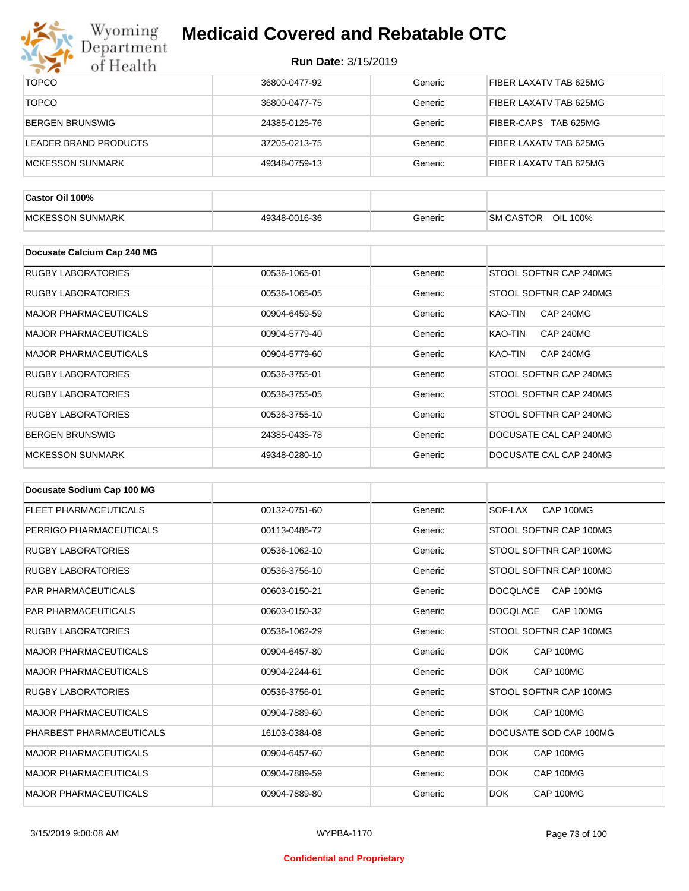

| $\bullet$ $\bullet$<br>0111001111 |               |         |                             |
|-----------------------------------|---------------|---------|-----------------------------|
| <b>TOPCO</b>                      | 36800-0477-92 | Generic | FIBER LAXATV TAB 625MG      |
| <b>TOPCO</b>                      | 36800-0477-75 | Generic | FIBER LAXATV TAB 625MG      |
| <b>BERGEN BRUNSWIG</b>            | 24385-0125-76 | Generic | FIBER-CAPS TAB 625MG        |
| <b>LEADER BRAND PRODUCTS</b>      | 37205-0213-75 | Generic | FIBER LAXATV TAB 625MG      |
| <b>MCKESSON SUNMARK</b>           | 49348-0759-13 | Generic | FIBER LAXATV TAB 625MG      |
|                                   |               |         |                             |
| Castor Oil 100%                   |               |         |                             |
| <b>MCKESSON SUNMARK</b>           | 49348-0016-36 | Generic | SM CASTOR<br>OIL 100%       |
|                                   |               |         |                             |
| Docusate Calcium Cap 240 MG       |               |         |                             |
| <b>RUGBY LABORATORIES</b>         | 00536-1065-01 | Generic | STOOL SOFTNR CAP 240MG      |
| <b>RUGBY LABORATORIES</b>         | 00536-1065-05 | Generic | STOOL SOFTNR CAP 240MG      |
| <b>MAJOR PHARMACEUTICALS</b>      | 00904-6459-59 | Generic | <b>CAP 240MG</b><br>KAO-TIN |
| <b>MAJOR PHARMACEUTICALS</b>      | 00904-5779-40 | Generic | KAO-TIN<br><b>CAP 240MG</b> |
| <b>MAJOR PHARMACEUTICALS</b>      | 00904-5779-60 | Generic | <b>CAP 240MG</b><br>KAO-TIN |
| <b>RUGBY LABORATORIES</b>         | 00536-3755-01 | Generic | STOOL SOFTNR CAP 240MG      |
| <b>RUGBY LABORATORIES</b>         | 00536-3755-05 | Generic | STOOL SOFTNR CAP 240MG      |
| <b>RUGBY LABORATORIES</b>         | 00536-3755-10 | Generic | STOOL SOFTNR CAP 240MG      |
| <b>BERGEN BRUNSWIG</b>            | 24385-0435-78 | Generic | DOCUSATE CAL CAP 240MG      |
| <b>MCKESSON SUNMARK</b>           | 49348-0280-10 | Generic | DOCUSATE CAL CAP 240MG      |

| Docusate Sodium Cap 100 MG   |               |         |                              |
|------------------------------|---------------|---------|------------------------------|
| <b>FLEET PHARMACEUTICALS</b> | 00132-0751-60 | Generic | CAP 100MG<br>SOF-LAX         |
| PERRIGO PHARMACEUTICALS      | 00113-0486-72 | Generic | STOOL SOFTNR CAP 100MG       |
| <b>RUGBY LABORATORIES</b>    | 00536-1062-10 | Generic | STOOL SOFTNR CAP 100MG       |
| <b>RUGBY LABORATORIES</b>    | 00536-3756-10 | Generic | STOOL SOFTNR CAP 100MG       |
| <b>PAR PHARMACEUTICALS</b>   | 00603-0150-21 | Generic | CAP 100MG<br><b>DOCOLACE</b> |
| <b>PAR PHARMACEUTICALS</b>   | 00603-0150-32 | Generic | <b>DOCQLACE</b><br>CAP 100MG |
| <b>RUGBY LABORATORIES</b>    | 00536-1062-29 | Generic | STOOL SOFTNR CAP 100MG       |
| <b>MAJOR PHARMACEUTICALS</b> | 00904-6457-80 | Generic | CAP 100MG<br><b>DOK</b>      |
| <b>MAJOR PHARMACEUTICALS</b> | 00904-2244-61 | Generic | <b>DOK</b><br>CAP 100MG      |
| <b>RUGBY LABORATORIES</b>    | 00536-3756-01 | Generic | STOOL SOFTNR CAP 100MG       |
| <b>MAJOR PHARMACEUTICALS</b> | 00904-7889-60 | Generic | CAP 100MG<br>DOK.            |
| PHARBEST PHARMACEUTICALS     | 16103-0384-08 | Generic | DOCUSATE SOD CAP 100MG       |
| <b>MAJOR PHARMACEUTICALS</b> | 00904-6457-60 | Generic | <b>DOK</b><br>CAP 100MG      |
| <b>MAJOR PHARMACEUTICALS</b> | 00904-7889-59 | Generic | <b>DOK</b><br>CAP 100MG      |
| <b>MAJOR PHARMACEUTICALS</b> | 00904-7889-80 | Generic | <b>DOK</b><br>CAP 100MG      |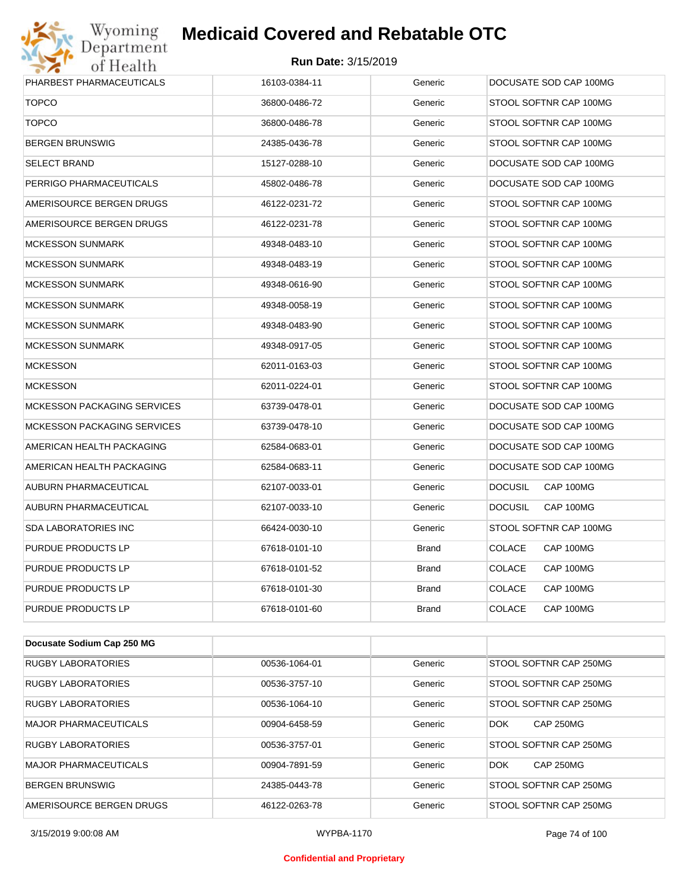# Wyoming<br>Department<br>of Health

# **Medicaid Covered and Rebatable OTC**

| PHARBEST PHARMACEUTICALS           | 16103-0384-11 | Generic      | DOCUSATE SOD CAP 100MG      |
|------------------------------------|---------------|--------------|-----------------------------|
| <b>TOPCO</b>                       | 36800-0486-72 | Generic      | STOOL SOFTNR CAP 100MG      |
| <b>TOPCO</b>                       | 36800-0486-78 | Generic      | STOOL SOFTNR CAP 100MG      |
| <b>BERGEN BRUNSWIG</b>             | 24385-0436-78 | Generic      | STOOL SOFTNR CAP 100MG      |
| <b>SELECT BRAND</b>                | 15127-0288-10 | Generic      | DOCUSATE SOD CAP 100MG      |
| PERRIGO PHARMACEUTICALS            | 45802-0486-78 | Generic      | DOCUSATE SOD CAP 100MG      |
| AMERISOURCE BERGEN DRUGS           | 46122-0231-72 | Generic      | STOOL SOFTNR CAP 100MG      |
| AMERISOURCE BERGEN DRUGS           | 46122-0231-78 | Generic      | STOOL SOFTNR CAP 100MG      |
| <b>MCKESSON SUNMARK</b>            | 49348-0483-10 | Generic      | STOOL SOFTNR CAP 100MG      |
| <b>MCKESSON SUNMARK</b>            | 49348-0483-19 | Generic      | STOOL SOFTNR CAP 100MG      |
| <b>MCKESSON SUNMARK</b>            | 49348-0616-90 | Generic      | STOOL SOFTNR CAP 100MG      |
| <b>MCKESSON SUNMARK</b>            | 49348-0058-19 | Generic      | STOOL SOFTNR CAP 100MG      |
| <b>MCKESSON SUNMARK</b>            | 49348-0483-90 | Generic      | STOOL SOFTNR CAP 100MG      |
| <b>MCKESSON SUNMARK</b>            | 49348-0917-05 | Generic      | STOOL SOFTNR CAP 100MG      |
| <b>MCKESSON</b>                    | 62011-0163-03 | Generic      | STOOL SOFTNR CAP 100MG      |
| <b>MCKESSON</b>                    | 62011-0224-01 | Generic      | STOOL SOFTNR CAP 100MG      |
| <b>MCKESSON PACKAGING SERVICES</b> | 63739-0478-01 | Generic      | DOCUSATE SOD CAP 100MG      |
| <b>MCKESSON PACKAGING SERVICES</b> | 63739-0478-10 | Generic      | DOCUSATE SOD CAP 100MG      |
| AMERICAN HEALTH PACKAGING          | 62584-0683-01 | Generic      | DOCUSATE SOD CAP 100MG      |
| AMERICAN HEALTH PACKAGING          | 62584-0683-11 | Generic      | DOCUSATE SOD CAP 100MG      |
| AUBURN PHARMACEUTICAL              | 62107-0033-01 | Generic      | <b>DOCUSIL</b><br>CAP 100MG |
| AUBURN PHARMACEUTICAL              | 62107-0033-10 | Generic      | CAP 100MG<br><b>DOCUSIL</b> |
| <b>SDA LABORATORIES INC</b>        | 66424-0030-10 | Generic      | STOOL SOFTNR CAP 100MG      |
| PURDUE PRODUCTS LP                 | 67618-0101-10 | <b>Brand</b> | <b>COLACE</b><br>CAP 100MG  |
| PURDUE PRODUCTS LP                 | 67618-0101-52 | <b>Brand</b> | <b>COLACE</b><br>CAP 100MG  |
| PURDUE PRODUCTS LP                 | 67618-0101-30 | <b>Brand</b> | <b>COLACE</b><br>CAP 100MG  |
| PURDUE PRODUCTS LP                 | 67618-0101-60 | <b>Brand</b> | <b>COLACE</b><br>CAP 100MG  |

| Docusate Sodium Cap 250 MG   |               |         |                                |
|------------------------------|---------------|---------|--------------------------------|
| <b>RUGBY LABORATORIES</b>    | 00536-1064-01 | Generic | STOOL SOFTNR CAP 250MG         |
| <b>RUGBY LABORATORIES</b>    | 00536-3757-10 | Generic | STOOL SOFTNR CAP 250MG         |
| <b>RUGBY LABORATORIES</b>    | 00536-1064-10 | Generic | STOOL SOFTNR CAP 250MG         |
| <b>MAJOR PHARMACEUTICALS</b> | 00904-6458-59 | Generic | <b>CAP 250MG</b><br><b>DOK</b> |
| <b>RUGBY LABORATORIES</b>    | 00536-3757-01 | Generic | STOOL SOFTNR CAP 250MG         |
| MAJOR PHARMACEUTICALS        | 00904-7891-59 | Generic | <b>DOK</b><br><b>CAP 250MG</b> |
| <b>BERGEN BRUNSWIG</b>       | 24385-0443-78 | Generic | STOOL SOFTNR CAP 250MG         |
| AMERISOURCE BERGEN DRUGS     | 46122-0263-78 | Generic | STOOL SOFTNR CAP 250MG         |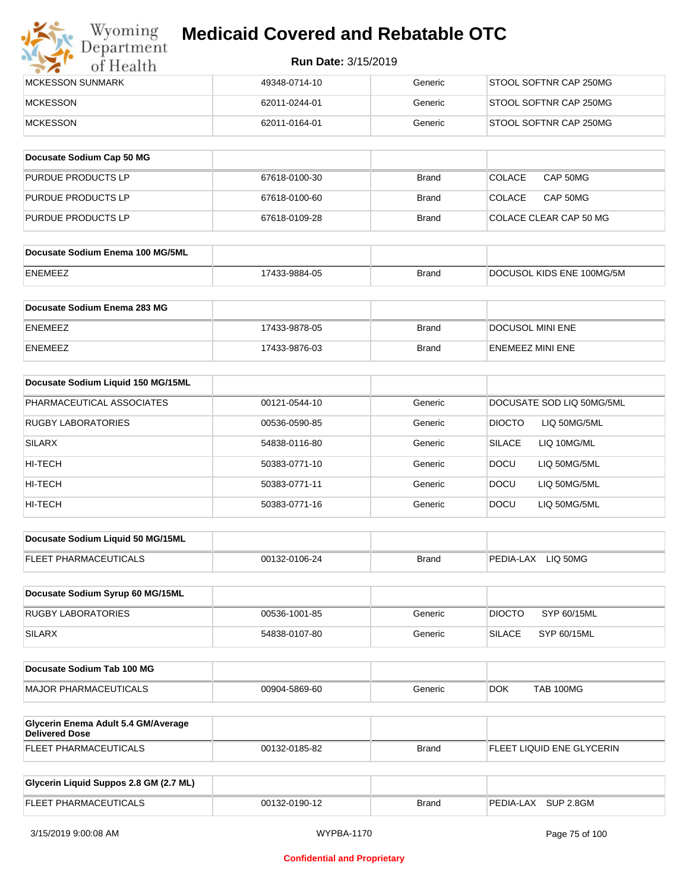

| IMCKESSON SUNMARK | 49348-0714-10 | Generic | STOOL SOFTNR CAP 250MG |
|-------------------|---------------|---------|------------------------|
| <b>IMCKESSON</b>  | 62011-0244-01 | Generic | STOOL SOFTNR CAP 250MG |
| MCKESSON          | 62011-0164-01 | Generic | STOOL SOFTNR CAP 250MG |

| Docusate Sodium Cap 50 MG |               |              |                           |
|---------------------------|---------------|--------------|---------------------------|
| <b>PURDUE PRODUCTS LP</b> | 67618-0100-30 | <b>Brand</b> | CAP 50MG<br><b>COLACE</b> |
| PURDUE PRODUCTS LP        | 67618-0100-60 | <b>Brand</b> | CAP 50MG<br><b>COLACE</b> |
| <b>PURDUE PRODUCTS LP</b> | 67618-0109-28 | <b>Brand</b> | COLACE CLEAR CAP 50 MG    |

| Docusate Sodium Enema 100 MG/5ML |               |              |                           |
|----------------------------------|---------------|--------------|---------------------------|
| ENEMEEZ                          | 17433-9884-05 | <b>Brand</b> | DOCUSOL KIDS ENE 100MG/5M |

| Docusate Sodium Enema 283 MG |               |       |                         |
|------------------------------|---------------|-------|-------------------------|
| <b>ENEMEEZ</b>               | 17433-9878-05 | Brand | DOCUSOL MINI ENE        |
| <b>ENEMEEZ</b>               | 17433-9876-03 | Brand | <b>ENEMEEZ MINI ENE</b> |

| Docusate Sodium Liquid 150 MG/15ML |               |         |                              |
|------------------------------------|---------------|---------|------------------------------|
| PHARMACEUTICAL ASSOCIATES          | 00121-0544-10 | Generic | DOCUSATE SOD LIQ 50MG/5ML    |
| <b>RUGBY LABORATORIES</b>          | 00536-0590-85 | Generic | DIOCTO<br>LIQ 50MG/5ML       |
| <b>SILARX</b>                      | 54838-0116-80 | Generic | <b>SILACE</b><br>LIQ 10MG/ML |
| HI-TECH                            | 50383-0771-10 | Generic | <b>DOCU</b><br>LIQ 50MG/5ML  |
| HI-TECH                            | 50383-0771-11 | Generic | LIO 50MG/5ML<br><b>DOCU</b>  |
| HI-TECH                            | 50383-0771-16 | Generic | <b>DOCU</b><br>LIQ 50MG/5ML  |

| Docusate Sodium Liquid 50 MG/15ML |               |       |                       |
|-----------------------------------|---------------|-------|-----------------------|
| <b>FLEET PHARMACEUTICALS</b>      | 00132-0106-24 | Brand | LIQ 50MG<br>PEDIA-LAX |

| Docusate Sodium Syrup 60 MG/15ML |               |         |               |             |
|----------------------------------|---------------|---------|---------------|-------------|
| RUGBY LABORATORIES               | 00536-1001-85 | Generic | <b>DIOCTO</b> | SYP 60/15ML |
| SILARX                           | 54838-0107-80 | Generic | <b>SILACE</b> | SYP 60/15ML |

| Docusate Sodium Tab 100 MG    |               |         |            |           |
|-------------------------------|---------------|---------|------------|-----------|
| <b>IMAJOR PHARMACEUTICALS</b> | 00904-5869-60 | Generic | <b>DOK</b> | TAB 100MG |

| <b>Glycerin Enema Adult 5.4 GM/Average</b><br>Delivered Dose |               |       |                           |
|--------------------------------------------------------------|---------------|-------|---------------------------|
| <b>FLEET PHARMACEUTICALS</b>                                 | 00132-0185-82 | Brand | FLEET LIQUID ENE GLYCERIN |

| Glycerin Liquid Suppos 2.8 GM (2.7 ML) |               |       |                     |
|----------------------------------------|---------------|-------|---------------------|
| <b>FLEET PHARMACEUTICALS</b>           | 00132-0190-12 | Brand | PEDIA-LAX SUP 2.8GM |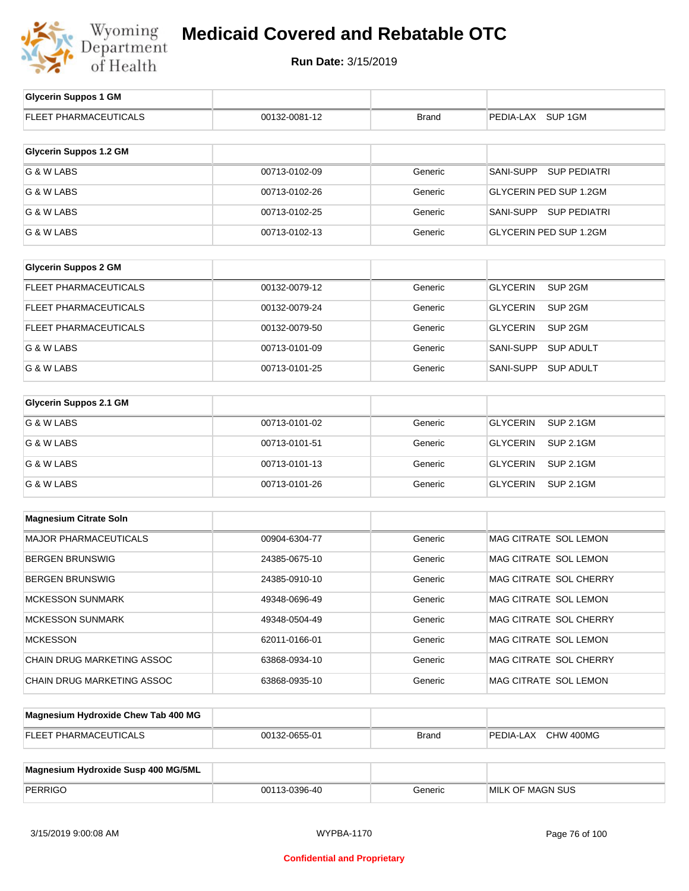

| <b>Glycerin Suppos 1 GM</b>   |               |              |                                       |
|-------------------------------|---------------|--------------|---------------------------------------|
| FLEET PHARMACEUTICALS         | 00132-0081-12 | <b>Brand</b> | PEDIA-LAX SUP 1GM                     |
| <b>Glycerin Suppos 1.2 GM</b> |               |              |                                       |
| G & W LABS                    | 00713-0102-09 | Generic      | SANI-SUPP SUP PEDIATRI                |
| G & W LABS                    | 00713-0102-26 | Generic      | <b>GLYCERIN PED SUP 1.2GM</b>         |
| G & W LABS                    | 00713-0102-25 | Generic      | SANI-SUPP SUP PEDIATRI                |
| G & W LABS                    | 00713-0102-13 | Generic      | <b>GLYCERIN PED SUP 1.2GM</b>         |
|                               |               |              |                                       |
| <b>Glycerin Suppos 2 GM</b>   |               |              |                                       |
| FLEET PHARMACEUTICALS         | 00132-0079-12 | Generic      | <b>GLYCERIN</b><br>SUP <sub>2GM</sub> |
| FLEET PHARMACEUTICALS         | 00132-0079-24 | Generic      | <b>GLYCERIN</b><br>SUP <sub>2GM</sub> |
| FLEET PHARMACEUTICALS         | 00132-0079-50 | Generic      | <b>GLYCERIN</b><br>SUP <sub>2GM</sub> |
| G & W LABS                    | 00713-0101-09 | Generic      | SANI-SUPP<br><b>SUP ADULT</b>         |
| G & W LABS                    | 00713-0101-25 | Generic      | SANI-SUPP<br><b>SUP ADULT</b>         |
|                               |               |              |                                       |
| <b>Glycerin Suppos 2.1 GM</b> |               |              |                                       |
| G & W LABS                    | 00713-0101-02 | Generic      | <b>SUP 2.1GM</b><br><b>GLYCERIN</b>   |
| G & W LABS                    | 00713-0101-51 | Generic      | <b>GLYCERIN</b><br><b>SUP 2.1GM</b>   |
| G & W LABS                    | 00713-0101-13 | Generic      | <b>GLYCERIN</b><br><b>SUP 2.1GM</b>   |
| G & W LABS                    | 00713-0101-26 | Generic      | <b>GLYCERIN</b><br><b>SUP 2.1GM</b>   |
|                               |               |              |                                       |
| <b>Magnesium Citrate Soln</b> |               |              |                                       |
| <b>MAJOR PHARMACEUTICALS</b>  | 00904-6304-77 | Generic      | MAG CITRATE SOL LEMON                 |
| <b>BERGEN BRUNSWIG</b>        | 24385-0675-10 | Generic      | MAG CITRATE SOL LEMON                 |
| <b>BERGEN BRUNSWIG</b>        | 24385-0910-10 | Generic      | MAG CITRATE SOL CHERRY                |
| <b>MCKESSON SUNMARK</b>       | 49348-0696-49 | Generic      | MAG CITRATE SOL LEMON                 |
| <b>MCKESSON SUNMARK</b>       | 49348-0504-49 | Generic      | MAG CITRATE SOL CHERRY                |
| <b>MCKESSON</b>               | 62011-0166-01 | Generic      | MAG CITRATE SOL LEMON                 |
| CHAIN DRUG MARKETING ASSOC    | 63868-0934-10 | Generic      | MAG CITRATE SOL CHERRY                |
| CHAIN DRUG MARKETING ASSOC    | 63868-0935-10 | Generic      | MAG CITRATE SOL LEMON                 |
|                               |               |              |                                       |

| Magnesium Hydroxide Chew Tab 400 MG |               |              |                     |
|-------------------------------------|---------------|--------------|---------------------|
| <b>FLEET PHARMACEUTICALS</b>        | 00132-0655-01 | <b>Brand</b> | PEDIA-LAX CHW 400MG |
|                                     |               |              |                     |

| Magnesium Hydroxide Susp 400 MG/5ML |               |         |                         |
|-------------------------------------|---------------|---------|-------------------------|
| <b>PERRIGO</b>                      | 00113-0396-40 | Generic | <b>MILK OF MAGN SUS</b> |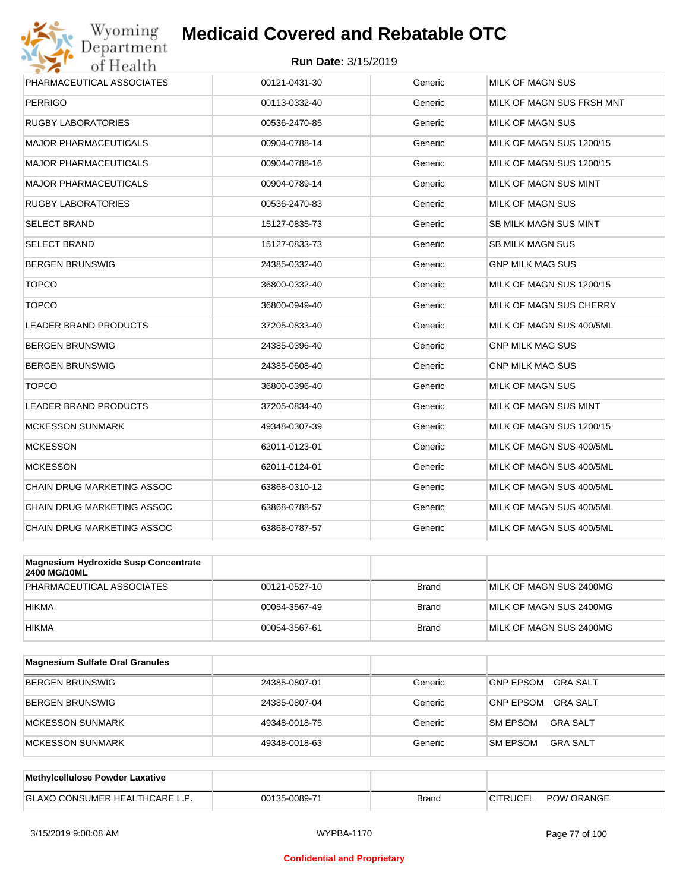

| Wyoming                           | <b>Medicaid Covered and Rebatable OTC</b> |         |                              |
|-----------------------------------|-------------------------------------------|---------|------------------------------|
| Department<br>of Health           | <b>Run Date: 3/15/2019</b>                |         |                              |
| PHARMACEUTICAL ASSOCIATES         | 00121-0431-30                             | Generic | <b>MILK OF MAGN SUS</b>      |
| <b>PERRIGO</b>                    | 00113-0332-40                             | Generic | MILK OF MAGN SUS FRSH MNT    |
| <b>RUGBY LABORATORIES</b>         | 00536-2470-85                             | Generic | <b>MILK OF MAGN SUS</b>      |
| <b>MAJOR PHARMACEUTICALS</b>      | 00904-0788-14                             | Generic | MILK OF MAGN SUS 1200/15     |
| <b>MAJOR PHARMACEUTICALS</b>      | 00904-0788-16                             | Generic | MILK OF MAGN SUS 1200/15     |
| <b>MAJOR PHARMACEUTICALS</b>      | 00904-0789-14                             | Generic | MILK OF MAGN SUS MINT        |
| <b>RUGBY LABORATORIES</b>         | 00536-2470-83                             | Generic | <b>MILK OF MAGN SUS</b>      |
| <b>SELECT BRAND</b>               | 15127-0835-73                             | Generic | <b>SB MILK MAGN SUS MINT</b> |
| <b>SELECT BRAND</b>               | 15127-0833-73                             | Generic | <b>SB MILK MAGN SUS</b>      |
| <b>BERGEN BRUNSWIG</b>            | 24385-0332-40                             | Generic | <b>GNP MILK MAG SUS</b>      |
| <b>TOPCO</b>                      | 36800-0332-40                             | Generic | MILK OF MAGN SUS 1200/15     |
| <b>TOPCO</b>                      | 36800-0949-40                             | Generic | MILK OF MAGN SUS CHERRY      |
| <b>LEADER BRAND PRODUCTS</b>      | 37205-0833-40                             | Generic | MILK OF MAGN SUS 400/5ML     |
| <b>BERGEN BRUNSWIG</b>            | 24385-0396-40                             | Generic | <b>GNP MILK MAG SUS</b>      |
| <b>BERGEN BRUNSWIG</b>            | 24385-0608-40                             | Generic | <b>GNP MILK MAG SUS</b>      |
| <b>TOPCO</b>                      | 36800-0396-40                             | Generic | <b>MILK OF MAGN SUS</b>      |
| <b>LEADER BRAND PRODUCTS</b>      | 37205-0834-40                             | Generic | MILK OF MAGN SUS MINT        |
| <b>MCKESSON SUNMARK</b>           | 49348-0307-39                             | Generic | MILK OF MAGN SUS 1200/15     |
| <b>MCKESSON</b>                   | 62011-0123-01                             | Generic | MILK OF MAGN SUS 400/5ML     |
| <b>MCKESSON</b>                   | 62011-0124-01                             | Generic | MILK OF MAGN SUS 400/5ML     |
| <b>CHAIN DRUG MARKETING ASSOC</b> | 63868-0310-12                             | Generic | MILK OF MAGN SUS 400/5ML     |
| <b>CHAIN DRUG MARKETING ASSOC</b> | 63868-0788-57                             | Generic | MILK OF MAGN SUS 400/5ML     |
| <b>CHAIN DRUG MARKETING ASSOC</b> | 63868-0787-57                             | Generic | MILK OF MAGN SUS 400/5ML     |

| Magnesium Hydroxide Susp Concentrate<br><b>2400 MG/10ML</b> |               |              |                         |
|-------------------------------------------------------------|---------------|--------------|-------------------------|
| PHARMACEUTICAL ASSOCIATES                                   | 00121-0527-10 | <b>Brand</b> | MILK OF MAGN SUS 2400MG |
| <b>HIKMA</b>                                                | 00054-3567-49 | <b>Brand</b> | MILK OF MAGN SUS 2400MG |
| <b>HIKMA</b>                                                | 00054-3567-61 | <b>Brand</b> | MILK OF MAGN SUS 2400MG |

| <b>Magnesium Sulfate Oral Granules</b> |               |         |                                     |
|----------------------------------------|---------------|---------|-------------------------------------|
| <b>BERGEN BRUNSWIG</b>                 | 24385-0807-01 | Generic | <b>GNP EPSOM</b><br><b>GRA SALT</b> |
| <b>BERGEN BRUNSWIG</b>                 | 24385-0807-04 | Generic | <b>GNP EPSOM</b><br><b>GRA SALT</b> |
| <b>IMCKESSON SUNMARK</b>               | 49348-0018-75 | Generic | <b>SM EPSOM</b><br>GRA SALT         |
| MCKESSON SUNMARK                       | 49348-0018-63 | Generic | <b>GRA SALT</b><br><b>SM EPSOM</b>  |

| Methylcellulose Powder Laxative     |               |       |          |                   |
|-------------------------------------|---------------|-------|----------|-------------------|
| <b>GLAXO CONSUMER HEALTHCARE L.</b> | 00135-0089-71 | Brand | CITRUCEL | <b>POW ORANGE</b> |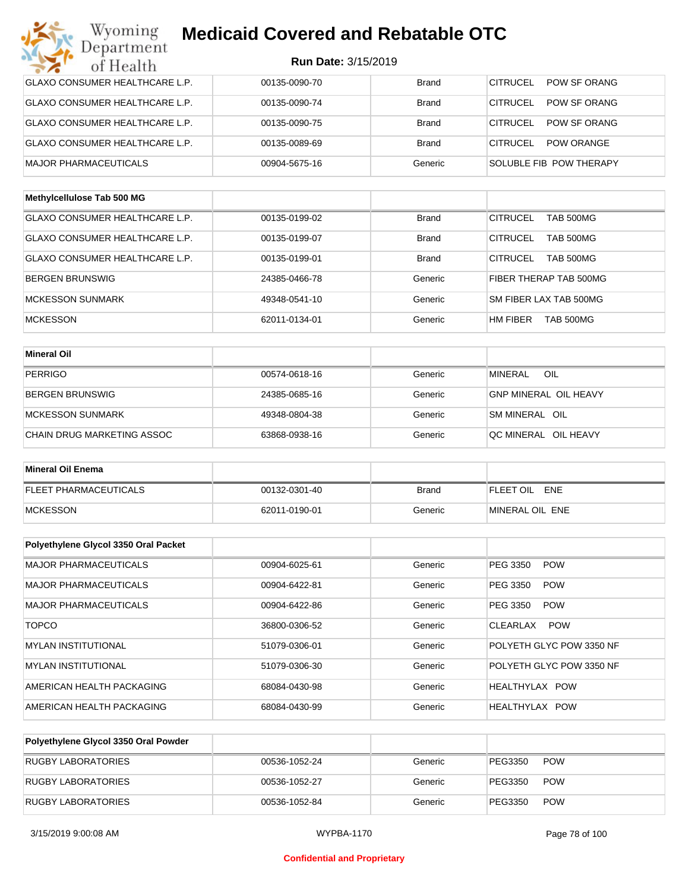| Wyoming<br>Department                 | <b>Medicaid Covered and Rebatable OTC</b> |              |                                      |
|---------------------------------------|-------------------------------------------|--------------|--------------------------------------|
| of Health                             | <b>Run Date: 3/15/2019</b>                |              |                                      |
| <b>GLAXO CONSUMER HEALTHCARE L.P.</b> | 00135-0090-70                             | <b>Brand</b> | <b>CITRUCEL</b><br>POW SF ORANG      |
| GLAXO CONSUMER HEALTHCARE L.P.        | 00135-0090-74                             | <b>Brand</b> | CITRUCEL<br>POW SF ORANG             |
| GLAXO CONSUMER HEALTHCARE L.P.        | 00135-0090-75                             | <b>Brand</b> | CITRUCEL<br>POW SF ORANG             |
| <b>GLAXO CONSUMER HEALTHCARE L.P.</b> | 00135-0089-69                             | <b>Brand</b> | <b>CITRUCEL</b><br><b>POW ORANGE</b> |
| <b>MAJOR PHARMACEUTICALS</b>          | 00904-5675-16                             | Generic      | SOLUBLE FIB POW THERAPY              |
| Methylcellulose Tab 500 MG            |                                           |              |                                      |
| <b>GLAXO CONSUMER HEALTHCARE L.P.</b> | 00135-0199-02                             | <b>Brand</b> | <b>CITRUCEL</b><br><b>TAB 500MG</b>  |
| GLAXO CONSUMER HEALTHCARE L.P.        | 00135-0199-07                             | <b>Brand</b> | <b>CITRUCEL</b><br>TAB 500MG         |
| GLAXO CONSUMER HEALTHCARE L.P.        | 00135-0199-01                             | <b>Brand</b> | <b>CITRUCEL</b><br>TAB 500MG         |
| <b>BERGEN BRUNSWIG</b>                | 24385-0466-78                             | Generic      | FIBER THERAP TAB 500MG               |
| <b>MCKESSON SUNMARK</b>               | 49348-0541-10                             | Generic      | SM FIBER LAX TAB 500MG               |
| <b>MCKESSON</b>                       | 62011-0134-01                             | Generic      | HM FIBER<br>TAB 500MG                |
|                                       |                                           |              |                                      |
| <b>Mineral Oil</b>                    |                                           |              |                                      |
| <b>PERRIGO</b>                        | 00574-0618-16                             | Generic      | <b>MINERAL</b><br>OIL                |
| <b>BERGEN BRUNSWIG</b>                | 24385-0685-16                             | Generic      | <b>GNP MINERAL OIL HEAVY</b>         |
| <b>MCKESSON SUNMARK</b>               | 49348-0804-38                             | Generic      | SM MINERAL OIL                       |
| CHAIN DRUG MARKETING ASSOC            | 63868-0938-16                             | Generic      | QC MINERAL OIL HEAVY                 |
| <b>Mineral Oil Enema</b>              |                                           |              |                                      |
| <b>FLEET PHARMACEUTICALS</b>          | 00132-0301-40                             | <b>Brand</b> | FLEET OIL ENE                        |
| <b>MCKESSON</b>                       | 62011-0190-01                             | Generic      | MINERAL OIL ENE                      |
|                                       |                                           |              |                                      |
| Polyethylene Glycol 3350 Oral Packet  |                                           |              |                                      |
| <b>MAJOR PHARMACEUTICALS</b>          | 00904-6025-61                             | Generic      | <b>POW</b><br>PEG 3350               |
| <b>MAJOR PHARMACEUTICALS</b>          | 00904-6422-81                             | Generic      | PEG 3350<br><b>POW</b>               |
| <b>MAJOR PHARMACEUTICALS</b>          | 00904-6422-86                             | Generic      | PEG 3350<br><b>POW</b>               |
| <b>TOPCO</b>                          | 36800-0306-52                             | Generic      | CLEARLAX POW                         |
| <b>MYLAN INSTITUTIONAL</b>            | 51079-0306-01                             | Generic      | POLYETH GLYC POW 3350 NF             |
| <b>MYLAN INSTITUTIONAL</b>            | 51079-0306-30                             | Generic      | POLYETH GLYC POW 3350 NF             |
| AMERICAN HEALTH PACKAGING             | 68084-0430-98                             | Generic      | HEALTHYLAX POW                       |
| AMERICAN HEALTH PACKAGING             | 68084-0430-99                             | Generic      | HEALTHYLAX POW                       |

| Polyethylene Glycol 3350 Oral Powder |               |         |         |            |
|--------------------------------------|---------------|---------|---------|------------|
| RUGBY LABORATORIES                   | 00536-1052-24 | Generic | PEG3350 | <b>POW</b> |
| <b>RUGBY LABORATORIES</b>            | 00536-1052-27 | Generic | PEG3350 | <b>POW</b> |
| RUGBY LABORATORIES                   | 00536-1052-84 | Generic | PEG3350 | <b>POW</b> |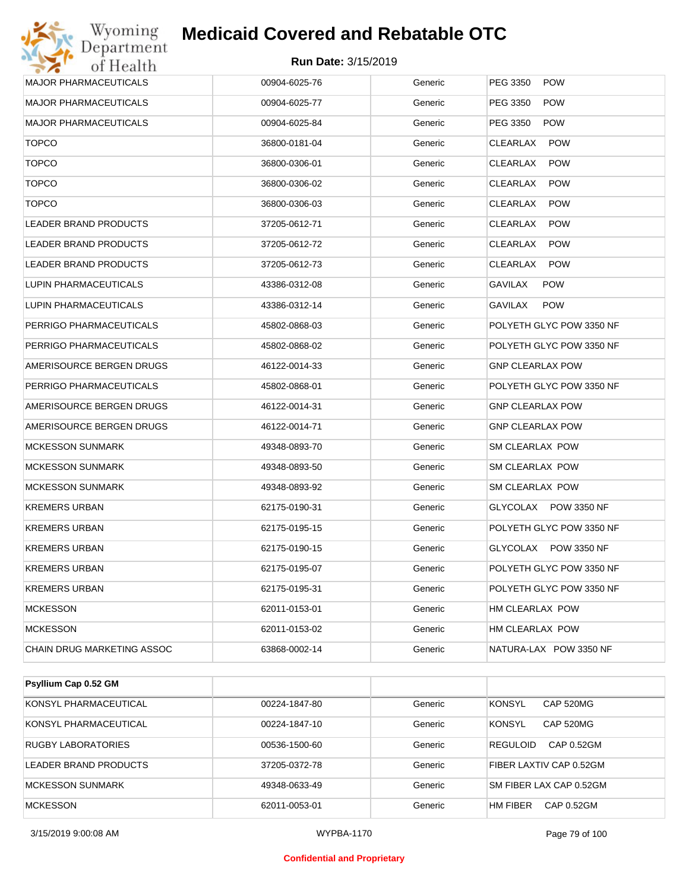

| Run Date: 3/15/2019<br>of Health<br><b>MAJOR PHARMACEUTICALS</b><br>Generic<br>PEG 3350<br><b>POW</b><br>00904-6025-76<br><b>MAJOR PHARMACEUTICALS</b><br>00904-6025-77<br>Generic<br>PEG 3350<br><b>POW</b><br><b>MAJOR PHARMACEUTICALS</b><br>00904-6025-84<br>Generic<br>PEG 3350<br><b>POW</b><br><b>TOPCO</b><br>36800-0181-04<br>Generic<br>CLEARLAX<br><b>POW</b><br><b>TOPCO</b><br>36800-0306-01<br>Generic<br>CLEARLAX<br><b>POW</b><br><b>TOPCO</b><br>36800-0306-02<br>Generic<br>CLEARLAX<br><b>POW</b><br><b>TOPCO</b><br>36800-0306-03<br>Generic<br>CLEARLAX<br><b>POW</b><br><b>LEADER BRAND PRODUCTS</b><br>37205-0612-71<br>Generic<br>CLEARLAX<br><b>POW</b><br>LEADER BRAND PRODUCTS<br>37205-0612-72<br>Generic<br>CLEARLAX<br><b>POW</b><br>LEADER BRAND PRODUCTS<br>37205-0612-73<br>Generic<br>CLEARLAX<br><b>POW</b><br>LUPIN PHARMACEUTICALS<br>43386-0312-08<br>Generic<br>GAVILAX<br><b>POW</b><br><b>LUPIN PHARMACEUTICALS</b><br>43386-0312-14<br>Generic<br>GAVILAX<br><b>POW</b><br>PERRIGO PHARMACEUTICALS<br>POLYETH GLYC POW 3350 NF<br>45802-0868-03<br>Generic<br>PERRIGO PHARMACEUTICALS<br>45802-0868-02<br>Generic<br>POLYETH GLYC POW 3350 NF<br>AMERISOURCE BERGEN DRUGS<br>46122-0014-33<br>Generic<br>GNP CLEARLAX POW<br>PERRIGO PHARMACEUTICALS<br>45802-0868-01<br>Generic<br>POLYETH GLYC POW 3350 NF<br>AMERISOURCE BERGEN DRUGS<br>46122-0014-31<br>Generic<br>GNP CLEARLAX POW<br>AMERISOURCE BERGEN DRUGS<br>46122-0014-71<br>Generic<br>GNP CLEARLAX POW<br><b>MCKESSON SUNMARK</b><br>49348-0893-70<br>Generic<br>SM CLEARLAX POW<br><b>MCKESSON SUNMARK</b><br>49348-0893-50<br>Generic<br>SM CLEARLAX POW<br><b>MCKESSON SUNMARK</b><br>49348-0893-92<br>Generic<br>SM CLEARLAX POW<br><b>KREMERS URBAN</b><br>62175-0190-31<br>Generic<br>GLYCOLAX POW 3350 NF<br>KREMERS URBAN<br>62175-0195-15<br>Generic<br>POLYETH GLYC POW 3350 NF<br>GLYCOLAX POW 3350 NF<br>KREMERS URBAN<br>62175-0190-15<br>Generic<br>POLYETH GLYC POW 3350 NF<br><b>KREMERS URBAN</b><br>62175-0195-07<br>Generic<br>POLYETH GLYC POW 3350 NF<br>KREMERS URBAN<br>62175-0195-31<br>Generic<br><b>MCKESSON</b><br>62011-0153-01<br>Generic<br>HM CLEARLAX POW<br><b>MCKESSON</b><br>62011-0153-02<br>Generic<br>HM CLEARLAX POW<br>CHAIN DRUG MARKETING ASSOC<br>NATURA-LAX POW 3350 NF<br>63868-0002-14<br>Generic | Wyoming<br>Department | <b>Medicaid Covered and Rebatable OTC</b> |  |
|---------------------------------------------------------------------------------------------------------------------------------------------------------------------------------------------------------------------------------------------------------------------------------------------------------------------------------------------------------------------------------------------------------------------------------------------------------------------------------------------------------------------------------------------------------------------------------------------------------------------------------------------------------------------------------------------------------------------------------------------------------------------------------------------------------------------------------------------------------------------------------------------------------------------------------------------------------------------------------------------------------------------------------------------------------------------------------------------------------------------------------------------------------------------------------------------------------------------------------------------------------------------------------------------------------------------------------------------------------------------------------------------------------------------------------------------------------------------------------------------------------------------------------------------------------------------------------------------------------------------------------------------------------------------------------------------------------------------------------------------------------------------------------------------------------------------------------------------------------------------------------------------------------------------------------------------------------------------------------------------------------------------------------------------------------------------------------------------------------------------------------------------------------------------------------------------------------------------------------------------------------------------------------------------------------------------------------------------------------|-----------------------|-------------------------------------------|--|
|                                                                                                                                                                                                                                                                                                                                                                                                                                                                                                                                                                                                                                                                                                                                                                                                                                                                                                                                                                                                                                                                                                                                                                                                                                                                                                                                                                                                                                                                                                                                                                                                                                                                                                                                                                                                                                                                                                                                                                                                                                                                                                                                                                                                                                                                                                                                                         |                       |                                           |  |
|                                                                                                                                                                                                                                                                                                                                                                                                                                                                                                                                                                                                                                                                                                                                                                                                                                                                                                                                                                                                                                                                                                                                                                                                                                                                                                                                                                                                                                                                                                                                                                                                                                                                                                                                                                                                                                                                                                                                                                                                                                                                                                                                                                                                                                                                                                                                                         |                       |                                           |  |
|                                                                                                                                                                                                                                                                                                                                                                                                                                                                                                                                                                                                                                                                                                                                                                                                                                                                                                                                                                                                                                                                                                                                                                                                                                                                                                                                                                                                                                                                                                                                                                                                                                                                                                                                                                                                                                                                                                                                                                                                                                                                                                                                                                                                                                                                                                                                                         |                       |                                           |  |
|                                                                                                                                                                                                                                                                                                                                                                                                                                                                                                                                                                                                                                                                                                                                                                                                                                                                                                                                                                                                                                                                                                                                                                                                                                                                                                                                                                                                                                                                                                                                                                                                                                                                                                                                                                                                                                                                                                                                                                                                                                                                                                                                                                                                                                                                                                                                                         |                       |                                           |  |
|                                                                                                                                                                                                                                                                                                                                                                                                                                                                                                                                                                                                                                                                                                                                                                                                                                                                                                                                                                                                                                                                                                                                                                                                                                                                                                                                                                                                                                                                                                                                                                                                                                                                                                                                                                                                                                                                                                                                                                                                                                                                                                                                                                                                                                                                                                                                                         |                       |                                           |  |
|                                                                                                                                                                                                                                                                                                                                                                                                                                                                                                                                                                                                                                                                                                                                                                                                                                                                                                                                                                                                                                                                                                                                                                                                                                                                                                                                                                                                                                                                                                                                                                                                                                                                                                                                                                                                                                                                                                                                                                                                                                                                                                                                                                                                                                                                                                                                                         |                       |                                           |  |
|                                                                                                                                                                                                                                                                                                                                                                                                                                                                                                                                                                                                                                                                                                                                                                                                                                                                                                                                                                                                                                                                                                                                                                                                                                                                                                                                                                                                                                                                                                                                                                                                                                                                                                                                                                                                                                                                                                                                                                                                                                                                                                                                                                                                                                                                                                                                                         |                       |                                           |  |
|                                                                                                                                                                                                                                                                                                                                                                                                                                                                                                                                                                                                                                                                                                                                                                                                                                                                                                                                                                                                                                                                                                                                                                                                                                                                                                                                                                                                                                                                                                                                                                                                                                                                                                                                                                                                                                                                                                                                                                                                                                                                                                                                                                                                                                                                                                                                                         |                       |                                           |  |
|                                                                                                                                                                                                                                                                                                                                                                                                                                                                                                                                                                                                                                                                                                                                                                                                                                                                                                                                                                                                                                                                                                                                                                                                                                                                                                                                                                                                                                                                                                                                                                                                                                                                                                                                                                                                                                                                                                                                                                                                                                                                                                                                                                                                                                                                                                                                                         |                       |                                           |  |
|                                                                                                                                                                                                                                                                                                                                                                                                                                                                                                                                                                                                                                                                                                                                                                                                                                                                                                                                                                                                                                                                                                                                                                                                                                                                                                                                                                                                                                                                                                                                                                                                                                                                                                                                                                                                                                                                                                                                                                                                                                                                                                                                                                                                                                                                                                                                                         |                       |                                           |  |
|                                                                                                                                                                                                                                                                                                                                                                                                                                                                                                                                                                                                                                                                                                                                                                                                                                                                                                                                                                                                                                                                                                                                                                                                                                                                                                                                                                                                                                                                                                                                                                                                                                                                                                                                                                                                                                                                                                                                                                                                                                                                                                                                                                                                                                                                                                                                                         |                       |                                           |  |
|                                                                                                                                                                                                                                                                                                                                                                                                                                                                                                                                                                                                                                                                                                                                                                                                                                                                                                                                                                                                                                                                                                                                                                                                                                                                                                                                                                                                                                                                                                                                                                                                                                                                                                                                                                                                                                                                                                                                                                                                                                                                                                                                                                                                                                                                                                                                                         |                       |                                           |  |
|                                                                                                                                                                                                                                                                                                                                                                                                                                                                                                                                                                                                                                                                                                                                                                                                                                                                                                                                                                                                                                                                                                                                                                                                                                                                                                                                                                                                                                                                                                                                                                                                                                                                                                                                                                                                                                                                                                                                                                                                                                                                                                                                                                                                                                                                                                                                                         |                       |                                           |  |
|                                                                                                                                                                                                                                                                                                                                                                                                                                                                                                                                                                                                                                                                                                                                                                                                                                                                                                                                                                                                                                                                                                                                                                                                                                                                                                                                                                                                                                                                                                                                                                                                                                                                                                                                                                                                                                                                                                                                                                                                                                                                                                                                                                                                                                                                                                                                                         |                       |                                           |  |
|                                                                                                                                                                                                                                                                                                                                                                                                                                                                                                                                                                                                                                                                                                                                                                                                                                                                                                                                                                                                                                                                                                                                                                                                                                                                                                                                                                                                                                                                                                                                                                                                                                                                                                                                                                                                                                                                                                                                                                                                                                                                                                                                                                                                                                                                                                                                                         |                       |                                           |  |
|                                                                                                                                                                                                                                                                                                                                                                                                                                                                                                                                                                                                                                                                                                                                                                                                                                                                                                                                                                                                                                                                                                                                                                                                                                                                                                                                                                                                                                                                                                                                                                                                                                                                                                                                                                                                                                                                                                                                                                                                                                                                                                                                                                                                                                                                                                                                                         |                       |                                           |  |
|                                                                                                                                                                                                                                                                                                                                                                                                                                                                                                                                                                                                                                                                                                                                                                                                                                                                                                                                                                                                                                                                                                                                                                                                                                                                                                                                                                                                                                                                                                                                                                                                                                                                                                                                                                                                                                                                                                                                                                                                                                                                                                                                                                                                                                                                                                                                                         |                       |                                           |  |
|                                                                                                                                                                                                                                                                                                                                                                                                                                                                                                                                                                                                                                                                                                                                                                                                                                                                                                                                                                                                                                                                                                                                                                                                                                                                                                                                                                                                                                                                                                                                                                                                                                                                                                                                                                                                                                                                                                                                                                                                                                                                                                                                                                                                                                                                                                                                                         |                       |                                           |  |
|                                                                                                                                                                                                                                                                                                                                                                                                                                                                                                                                                                                                                                                                                                                                                                                                                                                                                                                                                                                                                                                                                                                                                                                                                                                                                                                                                                                                                                                                                                                                                                                                                                                                                                                                                                                                                                                                                                                                                                                                                                                                                                                                                                                                                                                                                                                                                         |                       |                                           |  |
|                                                                                                                                                                                                                                                                                                                                                                                                                                                                                                                                                                                                                                                                                                                                                                                                                                                                                                                                                                                                                                                                                                                                                                                                                                                                                                                                                                                                                                                                                                                                                                                                                                                                                                                                                                                                                                                                                                                                                                                                                                                                                                                                                                                                                                                                                                                                                         |                       |                                           |  |
|                                                                                                                                                                                                                                                                                                                                                                                                                                                                                                                                                                                                                                                                                                                                                                                                                                                                                                                                                                                                                                                                                                                                                                                                                                                                                                                                                                                                                                                                                                                                                                                                                                                                                                                                                                                                                                                                                                                                                                                                                                                                                                                                                                                                                                                                                                                                                         |                       |                                           |  |
|                                                                                                                                                                                                                                                                                                                                                                                                                                                                                                                                                                                                                                                                                                                                                                                                                                                                                                                                                                                                                                                                                                                                                                                                                                                                                                                                                                                                                                                                                                                                                                                                                                                                                                                                                                                                                                                                                                                                                                                                                                                                                                                                                                                                                                                                                                                                                         |                       |                                           |  |
|                                                                                                                                                                                                                                                                                                                                                                                                                                                                                                                                                                                                                                                                                                                                                                                                                                                                                                                                                                                                                                                                                                                                                                                                                                                                                                                                                                                                                                                                                                                                                                                                                                                                                                                                                                                                                                                                                                                                                                                                                                                                                                                                                                                                                                                                                                                                                         |                       |                                           |  |
|                                                                                                                                                                                                                                                                                                                                                                                                                                                                                                                                                                                                                                                                                                                                                                                                                                                                                                                                                                                                                                                                                                                                                                                                                                                                                                                                                                                                                                                                                                                                                                                                                                                                                                                                                                                                                                                                                                                                                                                                                                                                                                                                                                                                                                                                                                                                                         |                       |                                           |  |
|                                                                                                                                                                                                                                                                                                                                                                                                                                                                                                                                                                                                                                                                                                                                                                                                                                                                                                                                                                                                                                                                                                                                                                                                                                                                                                                                                                                                                                                                                                                                                                                                                                                                                                                                                                                                                                                                                                                                                                                                                                                                                                                                                                                                                                                                                                                                                         |                       |                                           |  |
|                                                                                                                                                                                                                                                                                                                                                                                                                                                                                                                                                                                                                                                                                                                                                                                                                                                                                                                                                                                                                                                                                                                                                                                                                                                                                                                                                                                                                                                                                                                                                                                                                                                                                                                                                                                                                                                                                                                                                                                                                                                                                                                                                                                                                                                                                                                                                         |                       |                                           |  |
|                                                                                                                                                                                                                                                                                                                                                                                                                                                                                                                                                                                                                                                                                                                                                                                                                                                                                                                                                                                                                                                                                                                                                                                                                                                                                                                                                                                                                                                                                                                                                                                                                                                                                                                                                                                                                                                                                                                                                                                                                                                                                                                                                                                                                                                                                                                                                         |                       |                                           |  |
|                                                                                                                                                                                                                                                                                                                                                                                                                                                                                                                                                                                                                                                                                                                                                                                                                                                                                                                                                                                                                                                                                                                                                                                                                                                                                                                                                                                                                                                                                                                                                                                                                                                                                                                                                                                                                                                                                                                                                                                                                                                                                                                                                                                                                                                                                                                                                         |                       |                                           |  |
|                                                                                                                                                                                                                                                                                                                                                                                                                                                                                                                                                                                                                                                                                                                                                                                                                                                                                                                                                                                                                                                                                                                                                                                                                                                                                                                                                                                                                                                                                                                                                                                                                                                                                                                                                                                                                                                                                                                                                                                                                                                                                                                                                                                                                                                                                                                                                         |                       |                                           |  |
|                                                                                                                                                                                                                                                                                                                                                                                                                                                                                                                                                                                                                                                                                                                                                                                                                                                                                                                                                                                                                                                                                                                                                                                                                                                                                                                                                                                                                                                                                                                                                                                                                                                                                                                                                                                                                                                                                                                                                                                                                                                                                                                                                                                                                                                                                                                                                         |                       |                                           |  |

| Psyllium Cap 0.52 GM      |               |         |                               |
|---------------------------|---------------|---------|-------------------------------|
| KONSYL PHARMACEUTICAL     | 00224-1847-80 | Generic | KONSYL<br><b>CAP 520MG</b>    |
| KONSYL PHARMACEUTICAL     | 00224-1847-10 | Generic | KONSYL<br>CAP 520MG           |
| <b>RUGBY LABORATORIES</b> | 00536-1500-60 | Generic | <b>REGULOID</b><br>CAP 0.52GM |
| LEADER BRAND PRODUCTS     | 37205-0372-78 | Generic | FIBER LAXTIV CAP 0.52GM       |
| <b>MCKESSON SUNMARK</b>   | 49348-0633-49 | Generic | SM FIBER LAX CAP 0.52GM       |
| <b>MCKESSON</b>           | 62011-0053-01 | Generic | <b>HM FIBER</b><br>CAP 0.52GM |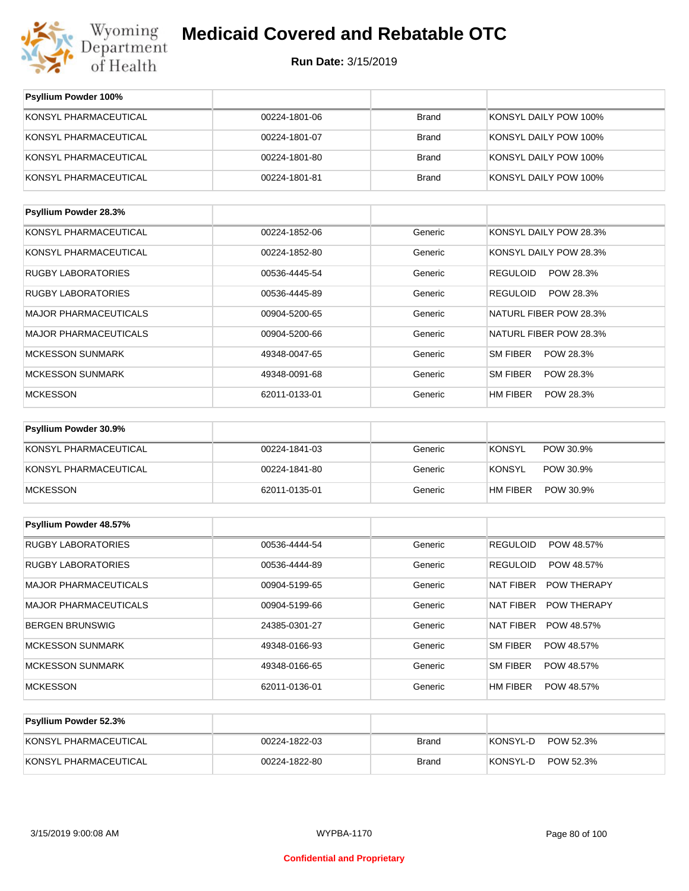

| Psyllium Powder 100%         |               |              |                               |
|------------------------------|---------------|--------------|-------------------------------|
| KONSYL PHARMACEUTICAL        | 00224-1801-06 | <b>Brand</b> | KONSYL DAILY POW 100%         |
| KONSYL PHARMACEUTICAL        | 00224-1801-07 | <b>Brand</b> | KONSYL DAILY POW 100%         |
| KONSYL PHARMACEUTICAL        | 00224-1801-80 | <b>Brand</b> | KONSYL DAILY POW 100%         |
| KONSYL PHARMACEUTICAL        | 00224-1801-81 | <b>Brand</b> | KONSYL DAILY POW 100%         |
| Psyllium Powder 28.3%        |               |              |                               |
| KONSYL PHARMACEUTICAL        | 00224-1852-06 | Generic      | KONSYL DAILY POW 28.3%        |
| KONSYL PHARMACEUTICAL        | 00224-1852-80 | Generic      | KONSYL DAILY POW 28.3%        |
| <b>RUGBY LABORATORIES</b>    | 00536-4445-54 | Generic      | <b>REGULOID</b><br>POW 28.3%  |
| <b>RUGBY LABORATORIES</b>    | 00536-4445-89 | Generic      | <b>REGULOID</b><br>POW 28.3%  |
| <b>MAJOR PHARMACEUTICALS</b> | 00904-5200-65 | Generic      | NATURL FIBER POW 28.3%        |
| <b>MAJOR PHARMACEUTICALS</b> | 00904-5200-66 | Generic      | NATURL FIBER POW 28.3%        |
| <b>MCKESSON SUNMARK</b>      | 49348-0047-65 | Generic      | SM FIBER<br>POW 28.3%         |
| <b>MCKESSON SUNMARK</b>      | 49348-0091-68 | Generic      | SM FIBER<br>POW 28.3%         |
| <b>MCKESSON</b>              | 62011-0133-01 | Generic      | HM FIBER<br>POW 28.3%         |
| Psyllium Powder 30.9%        |               |              |                               |
| KONSYL PHARMACEUTICAL        | 00224-1841-03 | Generic      | <b>KONSYL</b><br>POW 30.9%    |
| KONSYL PHARMACEUTICAL        | 00224-1841-80 | Generic      | <b>KONSYL</b><br>POW 30.9%    |
| <b>MCKESSON</b>              | 62011-0135-01 | Generic      | HM FIBER<br>POW 30.9%         |
| Psyllium Powder 48.57%       |               |              |                               |
| RUGBY LABORATORIES           | 00536-4444-54 | Generic      | <b>REGULOID</b><br>POW 48.57% |
| <b>RUGBY LABORATORIES</b>    | 00536-4444-89 | Generic      | <b>REGULOID</b><br>POW 48.57% |
| MAJOR PHARMACEUTICALS        | 00904-5199-65 | Generic      | NAT FIBER<br>POW THERAPY      |
| <b>MAJOR PHARMACEUTICALS</b> | 00904-5199-66 | Generic      | NAT FIBER<br>POW THERAPY      |
| <b>BERGEN BRUNSWIG</b>       | 24385-0301-27 | Generic      | NAT FIBER<br>POW 48.57%       |
| <b>MCKESSON SUNMARK</b>      | 49348-0166-93 | Generic      | SM FIBER<br>POW 48.57%        |
| <b>MCKESSON SUNMARK</b>      | 49348-0166-65 | Generic      | SM FIBER<br>POW 48.57%        |
| <b>MCKESSON</b>              | 62011-0136-01 | Generic      | POW 48.57%<br>HM FIBER        |
| Psyllium Powder 52.3%        |               |              |                               |

| I SYIIIUIII I UWUGI JAJ/0 |               |       |                       |
|---------------------------|---------------|-------|-----------------------|
| KONSYL PHARMACEUTICAL     | 00224-1822-03 | Brand | POW 52.3%<br>KONSYL-D |
| KONSYL PHARMACEUTICAL     | 00224-1822-80 | Brand | POW 52.3%<br>KONSYL-D |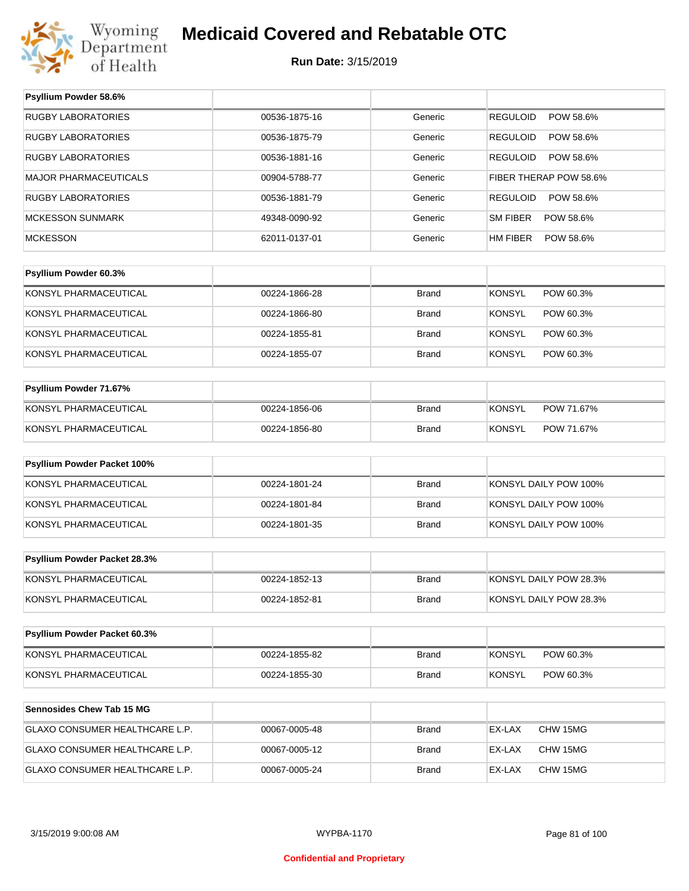

**Psyllium Powder 58.6%**

# **Medicaid Covered and Rebatable OTC**

| RUGBY LABORATORIES             | 00536-1875-16 | Generic      | <b>REGULOID</b><br>POW 58.6% |
|--------------------------------|---------------|--------------|------------------------------|
| <b>RUGBY LABORATORIES</b>      | 00536-1875-79 | Generic      | <b>REGULOID</b><br>POW 58.6% |
| RUGBY LABORATORIES             | 00536-1881-16 | Generic      | <b>REGULOID</b><br>POW 58.6% |
| MAJOR PHARMACEUTICALS          | 00904-5788-77 | Generic      | FIBER THERAP POW 58.6%       |
| RUGBY LABORATORIES             | 00536-1881-79 | Generic      | <b>REGULOID</b><br>POW 58.6% |
| <b>MCKESSON SUNMARK</b>        | 49348-0090-92 | Generic      | SM FIBER<br>POW 58.6%        |
| <b>MCKESSON</b>                | 62011-0137-01 | Generic      | POW 58.6%<br>HM FIBER        |
|                                |               |              |                              |
| Psyllium Powder 60.3%          |               |              |                              |
| KONSYL PHARMACEUTICAL          | 00224-1866-28 | <b>Brand</b> | <b>KONSYL</b><br>POW 60.3%   |
| KONSYL PHARMACEUTICAL          | 00224-1866-80 | <b>Brand</b> | <b>KONSYL</b><br>POW 60.3%   |
| KONSYL PHARMACEUTICAL          | 00224-1855-81 | <b>Brand</b> | <b>KONSYL</b><br>POW 60.3%   |
| KONSYL PHARMACEUTICAL          | 00224-1855-07 | <b>Brand</b> | <b>KONSYL</b><br>POW 60.3%   |
|                                |               |              |                              |
| Psyllium Powder 71.67%         |               |              |                              |
| KONSYL PHARMACEUTICAL          | 00224-1856-06 | <b>Brand</b> | <b>KONSYL</b><br>POW 71.67%  |
| KONSYL PHARMACEUTICAL          | 00224-1856-80 | <b>Brand</b> | <b>KONSYL</b><br>POW 71.67%  |
|                                |               |              |                              |
| Psyllium Powder Packet 100%    |               |              |                              |
| KONSYL PHARMACEUTICAL          | 00224-1801-24 | <b>Brand</b> | KONSYL DAILY POW 100%        |
| KONSYL PHARMACEUTICAL          | 00224-1801-84 | <b>Brand</b> | KONSYL DAILY POW 100%        |
| KONSYL PHARMACEUTICAL          | 00224-1801-35 | <b>Brand</b> | KONSYL DAILY POW 100%        |
|                                |               |              |                              |
| Psyllium Powder Packet 28.3%   |               |              |                              |
| KONSYL PHARMACEUTICAL          | 00224-1852-13 | <b>Brand</b> | KONSYL DAILY POW 28.3%       |
| KONSYL PHARMACEUTICAL          | 00224-1852-81 | <b>Brand</b> | KONSYL DAILY POW 28.3%       |
|                                |               |              |                              |
| Psyllium Powder Packet 60.3%   |               |              |                              |
| KONSYL PHARMACEUTICAL          | 00224-1855-82 | <b>Brand</b> | <b>KONSYL</b><br>POW 60.3%   |
| KONSYL PHARMACEUTICAL          | 00224-1855-30 | <b>Brand</b> | <b>KONSYL</b><br>POW 60.3%   |
|                                |               |              |                              |
| Sennosides Chew Tab 15 MG      |               |              |                              |
| GLAXO CONSUMER HEALTHCARE L.P. | 00067-0005-48 | <b>Brand</b> | EX-LAX<br>CHW 15MG           |
| GLAXO CONSUMER HEALTHCARE L.P. | 00067-0005-12 | Brand        | EX-LAX<br>CHW 15MG           |
| GLAXO CONSUMER HEALTHCARE L.P. | 00067-0005-24 | Brand        | EX-LAX<br>CHW 15MG           |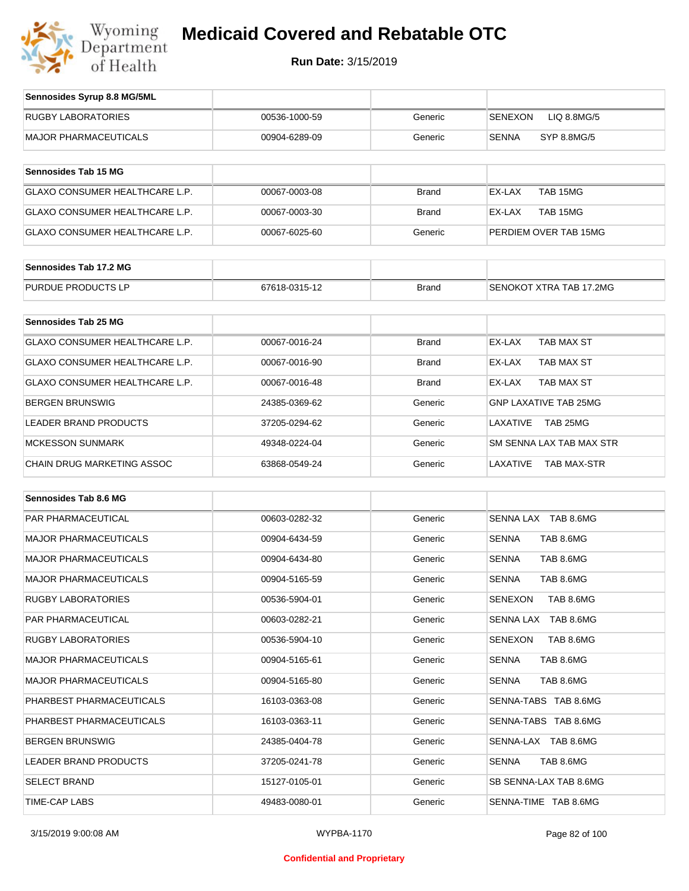

| Sennosides Syrup 8.8 MG/5ML           |               |              |                                |
|---------------------------------------|---------------|--------------|--------------------------------|
| <b>RUGBY LABORATORIES</b>             | 00536-1000-59 | Generic      | LIQ 8.8MG/5<br><b>SENEXON</b>  |
| <b>MAJOR PHARMACEUTICALS</b>          | 00904-6289-09 | Generic      | <b>SENNA</b><br>SYP 8.8MG/5    |
| Sennosides Tab 15 MG                  |               |              |                                |
| <b>GLAXO CONSUMER HEALTHCARE L.P.</b> | 00067-0003-08 | <b>Brand</b> | TAB 15MG<br>EX-LAX             |
| <b>GLAXO CONSUMER HEALTHCARE L.P.</b> | 00067-0003-30 | <b>Brand</b> | EX-LAX<br>TAB 15MG             |
| <b>GLAXO CONSUMER HEALTHCARE L.P.</b> | 00067-6025-60 | Generic      | PERDIEM OVER TAB 15MG          |
| Sennosides Tab 17.2 MG                |               |              |                                |
| PURDUE PRODUCTS LP                    | 67618-0315-12 | <b>Brand</b> | SENOKOT XTRA TAB 17.2MG        |
|                                       |               |              |                                |
| Sennosides Tab 25 MG                  |               |              |                                |
| <b>GLAXO CONSUMER HEALTHCARE L.P.</b> | 00067-0016-24 | <b>Brand</b> | EX-LAX<br>TAB MAX ST           |
| GLAXO CONSUMER HEALTHCARE L.P.        | 00067-0016-90 | <b>Brand</b> | EX-LAX<br>TAB MAX ST           |
| <b>GLAXO CONSUMER HEALTHCARE L.P.</b> | 00067-0016-48 | <b>Brand</b> | EX-LAX<br><b>TAB MAX ST</b>    |
| <b>BERGEN BRUNSWIG</b>                | 24385-0369-62 | Generic      | <b>GNP LAXATIVE TAB 25MG</b>   |
| <b>LEADER BRAND PRODUCTS</b>          | 37205-0294-62 | Generic      | LAXATIVE<br>TAB 25MG           |
| <b>MCKESSON SUNMARK</b>               | 49348-0224-04 | Generic      | SM SENNA LAX TAB MAX STR       |
| <b>CHAIN DRUG MARKETING ASSOC</b>     | 63868-0549-24 | Generic      | LAXATIVE<br><b>TAB MAX-STR</b> |

| Sennosides Tab 8.6 MG        |               |         |                             |
|------------------------------|---------------|---------|-----------------------------|
| PAR PHARMACEUTICAL           | 00603-0282-32 | Generic | SENNA LAX TAB 8.6MG         |
| <b>MAJOR PHARMACEUTICALS</b> | 00904-6434-59 | Generic | <b>SENNA</b><br>TAB 8.6MG   |
| <b>MAJOR PHARMACEUTICALS</b> | 00904-6434-80 | Generic | TAB 8.6MG<br><b>SENNA</b>   |
| <b>MAJOR PHARMACEUTICALS</b> | 00904-5165-59 | Generic | <b>SENNA</b><br>TAB 8.6MG   |
| <b>RUGBY LABORATORIES</b>    | 00536-5904-01 | Generic | TAB 8.6MG<br><b>SENEXON</b> |
| <b>PAR PHARMACEUTICAL</b>    | 00603-0282-21 | Generic | SENNA LAX TAB 8.6MG         |
| <b>RUGBY LABORATORIES</b>    | 00536-5904-10 | Generic | <b>SENEXON</b><br>TAB 8.6MG |
| <b>MAJOR PHARMACEUTICALS</b> | 00904-5165-61 | Generic | TAB 8.6MG<br><b>SENNA</b>   |
| <b>MAJOR PHARMACEUTICALS</b> | 00904-5165-80 | Generic | <b>SENNA</b><br>TAB 8.6MG   |
| PHARBEST PHARMACEUTICALS     | 16103-0363-08 | Generic | SENNA-TABS TAB 8.6MG        |
| PHARBEST PHARMACEUTICALS     | 16103-0363-11 | Generic | SENNA-TABS TAB 8.6MG        |
| <b>BERGEN BRUNSWIG</b>       | 24385-0404-78 | Generic | SENNA-LAX TAB 8.6MG         |
| <b>LEADER BRAND PRODUCTS</b> | 37205-0241-78 | Generic | TAB 8.6MG<br><b>SENNA</b>   |
| <b>SELECT BRAND</b>          | 15127-0105-01 | Generic | SB SENNA-LAX TAB 8.6MG      |
| TIME-CAP LABS                | 49483-0080-01 | Generic | SENNA-TIME TAB 8.6MG        |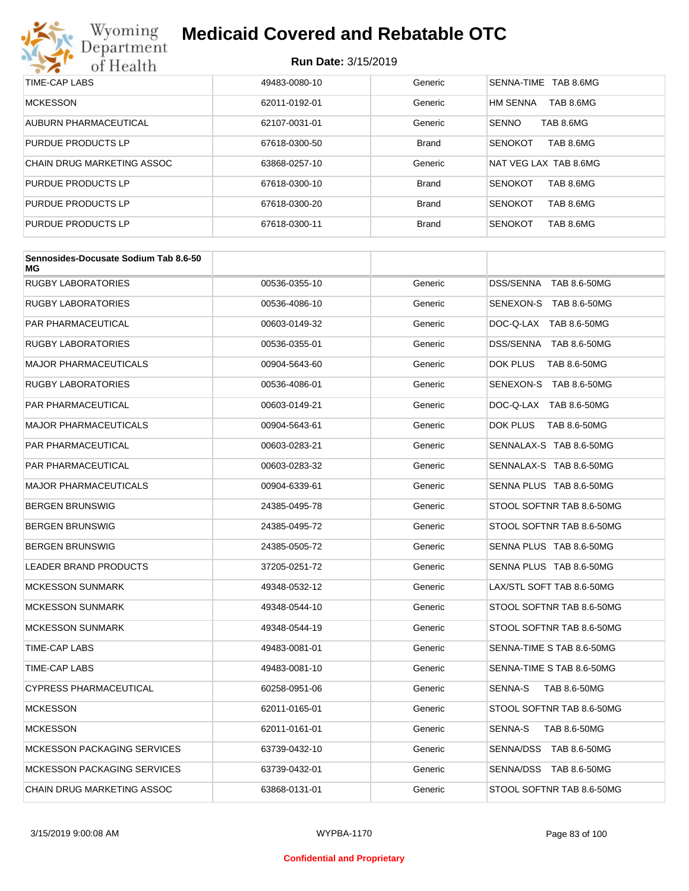

| TIME-CAP LABS              | 49483-0080-10 | Generic      | SENNA-TIME TAB 8.6MG         |
|----------------------------|---------------|--------------|------------------------------|
| <b>MCKESSON</b>            | 62011-0192-01 | Generic      | <b>HM SENNA</b><br>TAB 8.6MG |
| AUBURN PHARMACEUTICAL      | 62107-0031-01 | Generic      | <b>SENNO</b><br>TAB 8.6MG    |
| <b>PURDUE PRODUCTS LP</b>  | 67618-0300-50 | <b>Brand</b> | <b>SENOKOT</b><br>TAB 8.6MG  |
| CHAIN DRUG MARKETING ASSOC | 63868-0257-10 | Generic      | NAT VEG LAX TAB 8.6MG        |
| <b>PURDUE PRODUCTS LP</b>  | 67618-0300-10 | <b>Brand</b> | TAB 8.6MG<br><b>SENOKOT</b>  |
| <b>PURDUE PRODUCTS LP</b>  | 67618-0300-20 | <b>Brand</b> | TAB 8.6MG<br><b>SENOKOT</b>  |
| <b>PURDUE PRODUCTS LP</b>  | 67618-0300-11 | <b>Brand</b> | <b>SENOKOT</b><br>TAB 8.6MG  |

| Sennosides-Docusate Sodium Tab 8.6-50<br>ΜG |               |         |                           |
|---------------------------------------------|---------------|---------|---------------------------|
| <b>RUGBY LABORATORIES</b>                   | 00536-0355-10 | Generic | DSS/SENNA TAB 8.6-50MG    |
| <b>RUGBY LABORATORIES</b>                   | 00536-4086-10 | Generic | SENEXON-S TAB 8.6-50MG    |
| <b>PAR PHARMACEUTICAL</b>                   | 00603-0149-32 | Generic | DOC-Q-LAX TAB 8.6-50MG    |
| <b>RUGBY LABORATORIES</b>                   | 00536-0355-01 | Generic | DSS/SENNA TAB 8.6-50MG    |
| <b>MAJOR PHARMACEUTICALS</b>                | 00904-5643-60 | Generic | DOK PLUS<br>TAB 8.6-50MG  |
| <b>RUGBY LABORATORIES</b>                   | 00536-4086-01 | Generic | SENEXON-S TAB 8.6-50MG    |
| <b>PAR PHARMACEUTICAL</b>                   | 00603-0149-21 | Generic | DOC-Q-LAX TAB 8.6-50MG    |
| <b>MAJOR PHARMACEUTICALS</b>                | 00904-5643-61 | Generic | DOK PLUS<br>TAB 8.6-50MG  |
| PAR PHARMACEUTICAL                          | 00603-0283-21 | Generic | SENNALAX-S TAB 8.6-50MG   |
| <b>PAR PHARMACEUTICAL</b>                   | 00603-0283-32 | Generic | SENNALAX-S TAB 8.6-50MG   |
| <b>MAJOR PHARMACEUTICALS</b>                | 00904-6339-61 | Generic | SENNA PLUS TAB 8.6-50MG   |
| <b>BERGEN BRUNSWIG</b>                      | 24385-0495-78 | Generic | STOOL SOFTNR TAB 8.6-50MG |
| <b>BERGEN BRUNSWIG</b>                      | 24385-0495-72 | Generic | STOOL SOFTNR TAB 8.6-50MG |
| <b>BERGEN BRUNSWIG</b>                      | 24385-0505-72 | Generic | SENNA PLUS TAB 8.6-50MG   |
| <b>LEADER BRAND PRODUCTS</b>                | 37205-0251-72 | Generic | SENNA PLUS TAB 8.6-50MG   |
| <b>MCKESSON SUNMARK</b>                     | 49348-0532-12 | Generic | LAX/STL SOFT TAB 8.6-50MG |
| MCKESSON SUNMARK                            | 49348-0544-10 | Generic | STOOL SOFTNR TAB 8.6-50MG |
| <b>MCKESSON SUNMARK</b>                     | 49348-0544-19 | Generic | STOOL SOFTNR TAB 8.6-50MG |
| TIME-CAP LABS                               | 49483-0081-01 | Generic | SENNA-TIME S TAB 8.6-50MG |
| TIME-CAP LABS                               | 49483-0081-10 | Generic | SENNA-TIME S TAB 8.6-50MG |
| <b>CYPRESS PHARMACEUTICAL</b>               | 60258-0951-06 | Generic | TAB 8.6-50MG<br>SENNA-S   |
| <b>MCKESSON</b>                             | 62011-0165-01 | Generic | STOOL SOFTNR TAB 8.6-50MG |
| <b>MCKESSON</b>                             | 62011-0161-01 | Generic | SENNA-S<br>TAB 8.6-50MG   |
| <b>MCKESSON PACKAGING SERVICES</b>          | 63739-0432-10 | Generic | SENNA/DSS TAB 8.6-50MG    |
| <b>MCKESSON PACKAGING SERVICES</b>          | 63739-0432-01 | Generic | SENNA/DSS TAB 8.6-50MG    |
| <b>CHAIN DRUG MARKETING ASSOC</b>           | 63868-0131-01 | Generic | STOOL SOFTNR TAB 8.6-50MG |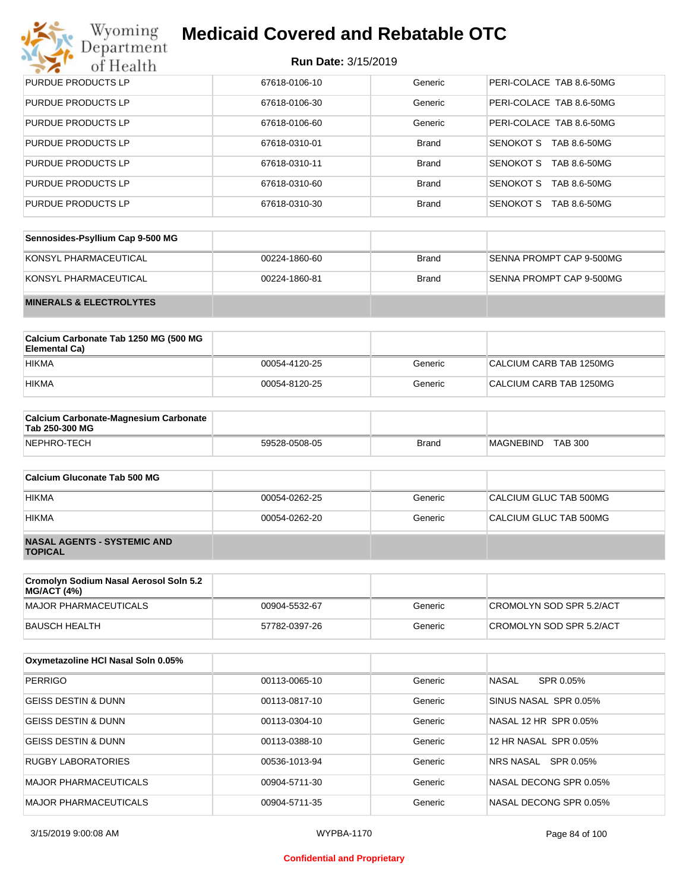# Wyoming<br>Department<br>of Health

# **Medicaid Covered and Rebatable OTC**

| <b>PURDUE PRODUCTS LP</b> | 67618-0106-10 | Generic      | PERI-COLACE TAB 8.6-50MG  |
|---------------------------|---------------|--------------|---------------------------|
| <b>PURDUE PRODUCTS LP</b> | 67618-0106-30 | Generic      | PERI-COLACE TAB 8.6-50MG  |
| <b>PURDUE PRODUCTS LP</b> | 67618-0106-60 | Generic      | PERI-COLACE TAB 8.6-50MG  |
| <b>PURDUE PRODUCTS LP</b> | 67618-0310-01 | <b>Brand</b> | SENOKOT S<br>TAB 8.6-50MG |
| <b>PURDUE PRODUCTS LP</b> | 67618-0310-11 | <b>Brand</b> | SENOKOT S<br>TAB 8.6-50MG |
| <b>PURDUE PRODUCTS LP</b> | 67618-0310-60 | <b>Brand</b> | SENOKOT S<br>TAB 8.6-50MG |
| <b>PURDUE PRODUCTS LP</b> | 67618-0310-30 | <b>Brand</b> | SENOKOT S<br>TAB 8.6-50MG |

| Sennosides-Psyllium Cap 9-500 MG   |               |       |                          |
|------------------------------------|---------------|-------|--------------------------|
| KONSYL PHARMACEUTICAL              | 00224-1860-60 | Brand | SENNA PROMPT CAP 9-500MG |
| KONSYL PHARMACEUTICAL              | 00224-1860-81 | Brand | SENNA PROMPT CAP 9-500MG |
| <b>MINERALS &amp; ELECTROLYTES</b> |               |       |                          |

| Calcium Carbonate Tab 1250 MG (500 MG<br>Elemental Ca) |               |         |                         |
|--------------------------------------------------------|---------------|---------|-------------------------|
| <b>HIKMA</b>                                           | 00054-4120-25 | Generic | CALCIUM CARB TAB 1250MG |
| <b>HIKMA</b>                                           | 00054-8120-25 | Generic | CALCIUM CARB TAB 1250MG |

| <b>Calcium Carbonate-Magnesium Carbonate</b><br>Tab 250-300 MG |               |       |                                    |  |
|----------------------------------------------------------------|---------------|-------|------------------------------------|--|
| NEPHRO-TECH                                                    | 59528-0508-05 | Brand | <b>TAB 300</b><br><b>MAGNEBIND</b> |  |

| Calcium Gluconate Tab 500 MG                         |               |         |                        |
|------------------------------------------------------|---------------|---------|------------------------|
| <b>HIKMA</b>                                         | 00054-0262-25 | Generic | CALCIUM GLUC TAB 500MG |
| <b>HIKMA</b>                                         | 00054-0262-20 | Generic | CALCIUM GLUC TAB 500MG |
| <b>NASAL AGENTS - SYSTEMIC AND</b><br><b>TOPICAL</b> |               |         |                        |

| Cromolyn Sodium Nasal Aerosol Soln 5.2<br> MG/ACT (4%) |               |         |                          |
|--------------------------------------------------------|---------------|---------|--------------------------|
| MAJOR PHARMACEUTICALS                                  | 00904-5532-67 | Generic | CROMOLYN SOD SPR 5.2/ACT |
| BAUSCH HEALTH                                          | 57782-0397-26 | Generic | CROMOLYN SOD SPR 5.2/ACT |

| Oxymetazoline HCI Nasal Soln 0.05% |               |         |                           |
|------------------------------------|---------------|---------|---------------------------|
| <b>PERRIGO</b>                     | 00113-0065-10 | Generic | <b>NASAL</b><br>SPR 0.05% |
| <b>GEISS DESTIN &amp; DUNN</b>     | 00113-0817-10 | Generic | SINUS NASAL SPR 0.05%     |
| <b>GEISS DESTIN &amp; DUNN</b>     | 00113-0304-10 | Generic | NASAL 12 HR SPR 0.05%     |
| <b>GEISS DESTIN &amp; DUNN</b>     | 00113-0388-10 | Generic | 12 HR NASAL SPR 0.05%     |
| <b>RUGBY LABORATORIES</b>          | 00536-1013-94 | Generic | SPR 0.05%<br>NRS NASAL    |
| <b>MAJOR PHARMACEUTICALS</b>       | 00904-5711-30 | Generic | NASAL DECONG SPR 0.05%    |
| <b>MAJOR PHARMACEUTICALS</b>       | 00904-5711-35 | Generic | NASAL DECONG SPR 0.05%    |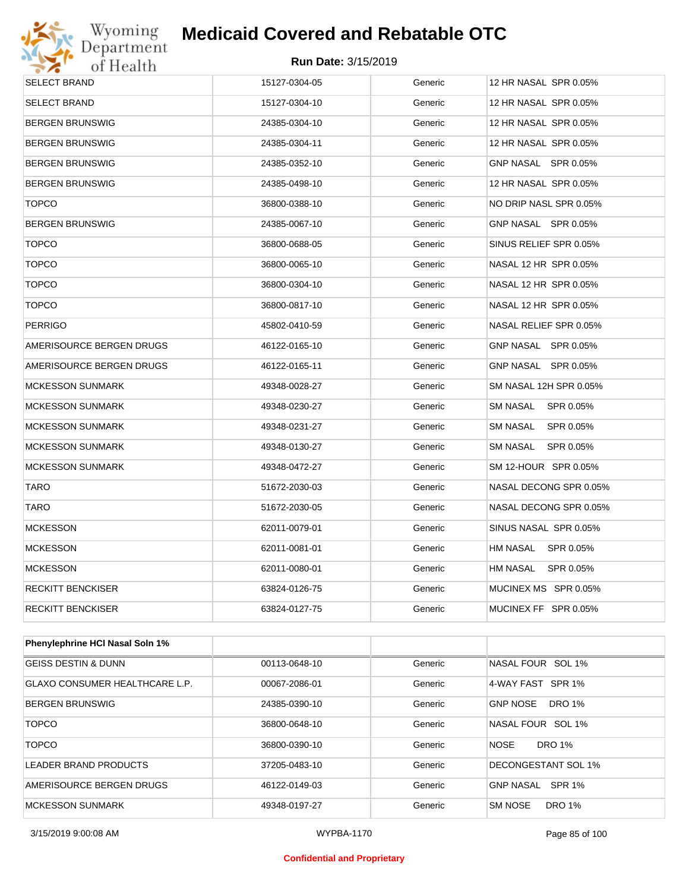

| <b>SELECT BRAND</b>             | 15127-0304-05 | Generic | 12 HR NASAL SPR 0.05%  |
|---------------------------------|---------------|---------|------------------------|
| <b>SELECT BRAND</b>             | 15127-0304-10 | Generic | 12 HR NASAL SPR 0.05%  |
| <b>BERGEN BRUNSWIG</b>          | 24385-0304-10 | Generic | 12 HR NASAL SPR 0.05%  |
| <b>BERGEN BRUNSWIG</b>          | 24385-0304-11 | Generic | 12 HR NASAL SPR 0.05%  |
| <b>BERGEN BRUNSWIG</b>          | 24385-0352-10 | Generic | GNP NASAL SPR 0.05%    |
| <b>BERGEN BRUNSWIG</b>          | 24385-0498-10 | Generic | 12 HR NASAL SPR 0.05%  |
| <b>TOPCO</b>                    | 36800-0388-10 | Generic | NO DRIP NASL SPR 0.05% |
| <b>BERGEN BRUNSWIG</b>          | 24385-0067-10 | Generic | GNP NASAL SPR 0.05%    |
| <b>TOPCO</b>                    | 36800-0688-05 | Generic | SINUS RELIEF SPR 0.05% |
| <b>TOPCO</b>                    | 36800-0065-10 | Generic | NASAL 12 HR SPR 0.05%  |
| <b>TOPCO</b>                    | 36800-0304-10 | Generic | NASAL 12 HR SPR 0.05%  |
| <b>TOPCO</b>                    | 36800-0817-10 | Generic | NASAL 12 HR SPR 0.05%  |
| <b>PERRIGO</b>                  | 45802-0410-59 | Generic | NASAL RELIEF SPR 0.05% |
| AMERISOURCE BERGEN DRUGS        | 46122-0165-10 | Generic | GNP NASAL SPR 0.05%    |
| AMERISOURCE BERGEN DRUGS        | 46122-0165-11 | Generic | GNP NASAL SPR 0.05%    |
| <b>MCKESSON SUNMARK</b>         | 49348-0028-27 | Generic | SM NASAL 12H SPR 0.05% |
| <b>MCKESSON SUNMARK</b>         | 49348-0230-27 | Generic | SM NASAL SPR 0.05%     |
| <b>MCKESSON SUNMARK</b>         | 49348-0231-27 | Generic | SM NASAL<br>SPR 0.05%  |
| <b>MCKESSON SUNMARK</b>         | 49348-0130-27 | Generic | SM NASAL<br>SPR 0.05%  |
| <b>MCKESSON SUNMARK</b>         | 49348-0472-27 | Generic | SM 12-HOUR SPR 0.05%   |
| TARO                            | 51672-2030-03 | Generic | NASAL DECONG SPR 0.05% |
| <b>TARO</b>                     | 51672-2030-05 | Generic | NASAL DECONG SPR 0.05% |
| <b>MCKESSON</b>                 | 62011-0079-01 | Generic | SINUS NASAL SPR 0.05%  |
| <b>MCKESSON</b>                 | 62011-0081-01 | Generic | HM NASAL SPR 0.05%     |
| <b>MCKESSON</b>                 | 62011-0080-01 | Generic | HM NASAL<br>SPR 0.05%  |
| <b>RECKITT BENCKISER</b>        | 63824-0126-75 | Generic | MUCINEX MS SPR 0.05%   |
| <b>RECKITT BENCKISER</b>        | 63824-0127-75 | Generic | MUCINEX FF SPR 0.05%   |
|                                 |               |         |                        |
| Phenylephrine HCI Nasal Soln 1% |               |         |                        |
|                                 |               |         |                        |

| <b>GEISS DESTIN &amp; DUNN</b>        | 00113-0648-10 | Generic | NASAL FOUR SOL 1%                 |
|---------------------------------------|---------------|---------|-----------------------------------|
| <b>GLAXO CONSUMER HEALTHCARE L.P.</b> | 00067-2086-01 | Generic | 4-WAY FAST SPR 1%                 |
| <b>BERGEN BRUNSWIG</b>                | 24385-0390-10 | Generic | <b>DRO 1%</b><br><b>GNP NOSE</b>  |
| <b>TOPCO</b>                          | 36800-0648-10 | Generic | NASAL FOUR SOL 1%                 |
| <b>TOPCO</b>                          | 36800-0390-10 | Generic | <b>NOSE</b><br><b>DRO 1%</b>      |
| LEADER BRAND PRODUCTS                 | 37205-0483-10 | Generic | DECONGESTANT SOL 1%               |
| AMERISOURCE BERGEN DRUGS              | 46122-0149-03 | Generic | <b>SPR 1%</b><br><b>GNP NASAL</b> |
| <b>MCKESSON SUNMARK</b>               | 49348-0197-27 | Generic | <b>SM NOSE</b><br><b>DRO 1%</b>   |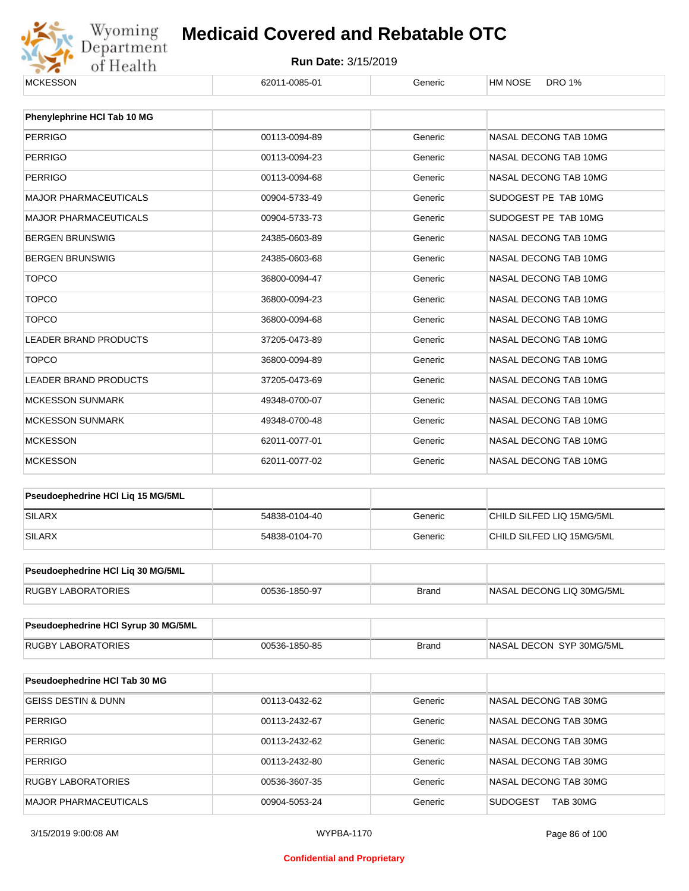

| <b>MCKESSON</b>                     | 62011-0085-01 | Generic      | <b>HM NOSE</b><br><b>DRO 1%</b> |  |  |
|-------------------------------------|---------------|--------------|---------------------------------|--|--|
| Phenylephrine HCI Tab 10 MG         |               |              |                                 |  |  |
| <b>PERRIGO</b>                      | 00113-0094-89 | Generic      | NASAL DECONG TAB 10MG           |  |  |
| <b>PERRIGO</b>                      | 00113-0094-23 | Generic      | NASAL DECONG TAB 10MG           |  |  |
| <b>PERRIGO</b>                      | 00113-0094-68 | Generic      | NASAL DECONG TAB 10MG           |  |  |
|                                     |               |              |                                 |  |  |
| <b>MAJOR PHARMACEUTICALS</b>        | 00904-5733-49 | Generic      | SUDOGEST PE TAB 10MG            |  |  |
| <b>MAJOR PHARMACEUTICALS</b>        | 00904-5733-73 | Generic      | SUDOGEST PE TAB 10MG            |  |  |
| <b>BERGEN BRUNSWIG</b>              | 24385-0603-89 | Generic      | NASAL DECONG TAB 10MG           |  |  |
| <b>BERGEN BRUNSWIG</b>              | 24385-0603-68 | Generic      | NASAL DECONG TAB 10MG           |  |  |
| <b>TOPCO</b>                        | 36800-0094-47 | Generic      | NASAL DECONG TAB 10MG           |  |  |
| <b>TOPCO</b>                        | 36800-0094-23 | Generic      | NASAL DECONG TAB 10MG           |  |  |
| <b>TOPCO</b>                        | 36800-0094-68 | Generic      | NASAL DECONG TAB 10MG           |  |  |
| <b>LEADER BRAND PRODUCTS</b>        | 37205-0473-89 | Generic      | NASAL DECONG TAB 10MG           |  |  |
| <b>TOPCO</b>                        | 36800-0094-89 | Generic      | NASAL DECONG TAB 10MG           |  |  |
| <b>LEADER BRAND PRODUCTS</b>        | 37205-0473-69 | Generic      | NASAL DECONG TAB 10MG           |  |  |
| <b>MCKESSON SUNMARK</b>             | 49348-0700-07 | Generic      | NASAL DECONG TAB 10MG           |  |  |
| <b>MCKESSON SUNMARK</b>             | 49348-0700-48 | Generic      | NASAL DECONG TAB 10MG           |  |  |
| <b>MCKESSON</b>                     | 62011-0077-01 | Generic      | NASAL DECONG TAB 10MG           |  |  |
| <b>MCKESSON</b>                     | 62011-0077-02 | Generic      | NASAL DECONG TAB 10MG           |  |  |
| Pseudoephedrine HCI Liq 15 MG/5ML   |               |              |                                 |  |  |
| <b>SILARX</b>                       | 54838-0104-40 | Generic      | CHILD SILFED LIQ 15MG/5ML       |  |  |
| <b>SILARX</b>                       | 54838-0104-70 | Generic      | CHILD SILFED LIQ 15MG/5ML       |  |  |
| Pseudoephedrine HCl Liq 30 MG/5ML   |               |              |                                 |  |  |
| <b>RUGBY LABORATORIES</b>           | 00536-1850-97 | <b>Brand</b> | NASAL DECONG LIQ 30MG/5ML       |  |  |
| Pseudoephedrine HCI Syrup 30 MG/5ML |               |              |                                 |  |  |
|                                     |               |              |                                 |  |  |
| <b>RUGBY LABORATORIES</b>           | 00536-1850-85 | <b>Brand</b> | NASAL DECON SYP 30MG/5ML        |  |  |
| Pseudoephedrine HCI Tab 30 MG       |               |              |                                 |  |  |
| <b>GEISS DESTIN &amp; DUNN</b>      | 00113-0432-62 | Generic      | NASAL DECONG TAB 30MG           |  |  |
| <b>PERRIGO</b>                      | 00113-2432-67 | Generic      | NASAL DECONG TAB 30MG           |  |  |
| <b>PERRIGO</b>                      | 00113-2432-62 | Generic      | NASAL DECONG TAB 30MG           |  |  |
| PERRIGO                             | 00113-2432-80 | Generic      | NASAL DECONG TAB 30MG           |  |  |
| RUGBY LABORATORIES                  | 00536-3607-35 | Generic      | NASAL DECONG TAB 30MG           |  |  |
| MAJOR PHARMACEUTICALS               | 00904-5053-24 | Generic      | <b>SUDOGEST</b><br>TAB 30MG     |  |  |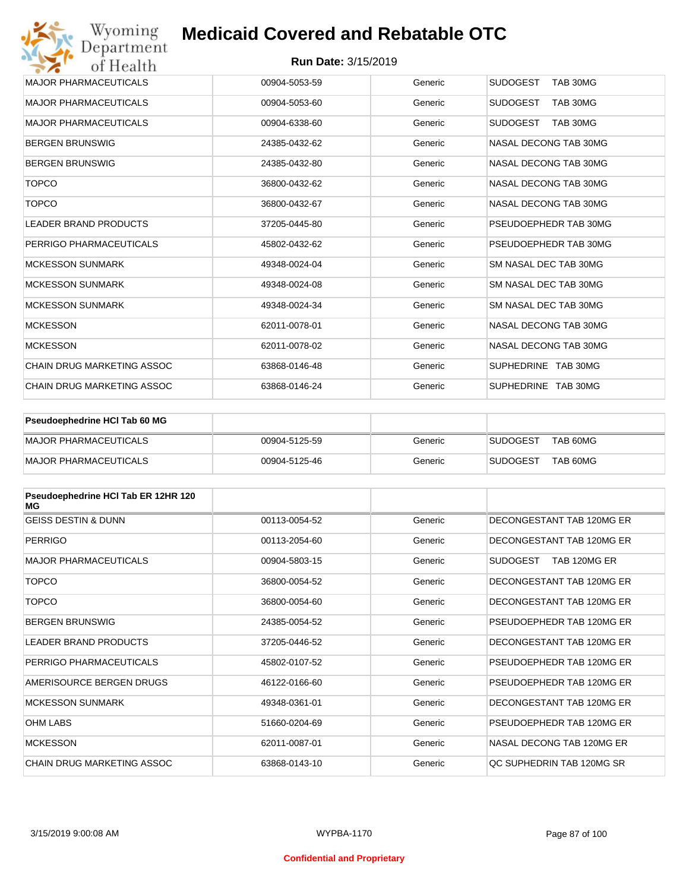| Wyoming<br>Department             | <b>Medicaid Covered and Rebatable OTC</b> |         |                             |
|-----------------------------------|-------------------------------------------|---------|-----------------------------|
| of Health                         | <b>Run Date: 3/15/2019</b>                |         |                             |
| <b>MAJOR PHARMACEUTICALS</b>      | 00904-5053-59                             | Generic | <b>SUDOGEST</b><br>TAB 30MG |
| <b>MAJOR PHARMACEUTICALS</b>      | 00904-5053-60                             | Generic | <b>SUDOGEST</b><br>TAB 30MG |
| <b>MAJOR PHARMACEUTICALS</b>      | 00904-6338-60                             | Generic | <b>SUDOGEST</b><br>TAB 30MG |
| <b>BERGEN BRUNSWIG</b>            | 24385-0432-62                             | Generic | NASAL DECONG TAB 30MG       |
| <b>BERGEN BRUNSWIG</b>            | 24385-0432-80                             | Generic | NASAL DECONG TAB 30MG       |
| <b>TOPCO</b>                      | 36800-0432-62                             | Generic | NASAL DECONG TAB 30MG       |
| <b>TOPCO</b>                      | 36800-0432-67                             | Generic | NASAL DECONG TAB 30MG       |
| <b>LEADER BRAND PRODUCTS</b>      | 37205-0445-80                             | Generic | PSEUDOEPHEDR TAB 30MG       |
| PERRIGO PHARMACEUTICALS           | 45802-0432-62                             | Generic | PSEUDOEPHEDR TAB 30MG       |
| <b>MCKESSON SUNMARK</b>           | 49348-0024-04                             | Generic | SM NASAL DEC TAB 30MG       |
| <b>MCKESSON SUNMARK</b>           | 49348-0024-08                             | Generic | SM NASAL DEC TAB 30MG       |
| <b>MCKESSON SUNMARK</b>           | 49348-0024-34                             | Generic | SM NASAL DEC TAB 30MG       |
| <b>MCKESSON</b>                   | 62011-0078-01                             | Generic | NASAL DECONG TAB 30MG       |
| <b>MCKESSON</b>                   | 62011-0078-02                             | Generic | NASAL DECONG TAB 30MG       |
| <b>CHAIN DRUG MARKETING ASSOC</b> | 63868-0146-48                             | Generic | SUPHEDRINE TAB 30MG         |
| CHAIN DRUG MARKETING ASSOC        | 63868-0146-24                             | Generic | SUPHEDRINE TAB 30MG         |

| Pseudoephedrine HCI Tab 60 MG |               |         |                 |          |
|-------------------------------|---------------|---------|-----------------|----------|
| <b>IMAJOR PHARMACEUTICALS</b> | 00904-5125-59 | Generic | <b>SUDOGEST</b> | TAB 60MG |
| <b>IMAJOR PHARMACEUTICALS</b> | 00904-5125-46 | Generic | <b>SUDOGEST</b> | TAB 60MG |

| Pseudoephedrine HCI Tab ER 12HR 120<br>MG |               |         |                                 |
|-------------------------------------------|---------------|---------|---------------------------------|
| <b>GEISS DESTIN &amp; DUNN</b>            | 00113-0054-52 | Generic | DECONGESTANT TAB 120MG ER       |
| <b>PERRIGO</b>                            | 00113-2054-60 | Generic | DECONGESTANT TAB 120MG ER       |
| <b>MAJOR PHARMACEUTICALS</b>              | 00904-5803-15 | Generic | <b>SUDOGEST</b><br>TAB 120MG ER |
| <b>TOPCO</b>                              | 36800-0054-52 | Generic | DECONGESTANT TAB 120MG ER       |
| <b>TOPCO</b>                              | 36800-0054-60 | Generic | DECONGESTANT TAB 120MG ER       |
| <b>BERGEN BRUNSWIG</b>                    | 24385-0054-52 | Generic | PSEUDOEPHEDR TAB 120MG ER       |
| <b>LEADER BRAND PRODUCTS</b>              | 37205-0446-52 | Generic | DECONGESTANT TAB 120MG ER       |
| PERRIGO PHARMACEUTICALS                   | 45802-0107-52 | Generic | PSEUDOEPHEDR TAB 120MG ER       |
| AMERISOURCE BERGEN DRUGS                  | 46122-0166-60 | Generic | PSEUDOEPHEDR TAB 120MG ER       |
| <b>MCKESSON SUNMARK</b>                   | 49348-0361-01 | Generic | DECONGESTANT TAB 120MG ER       |
| <b>OHM LABS</b>                           | 51660-0204-69 | Generic | PSEUDOEPHEDR TAB 120MG ER       |
| <b>MCKESSON</b>                           | 62011-0087-01 | Generic | NASAL DECONG TAB 120MG ER       |
| CHAIN DRUG MARKETING ASSOC                | 63868-0143-10 | Generic | QC SUPHEDRIN TAB 120MG SR       |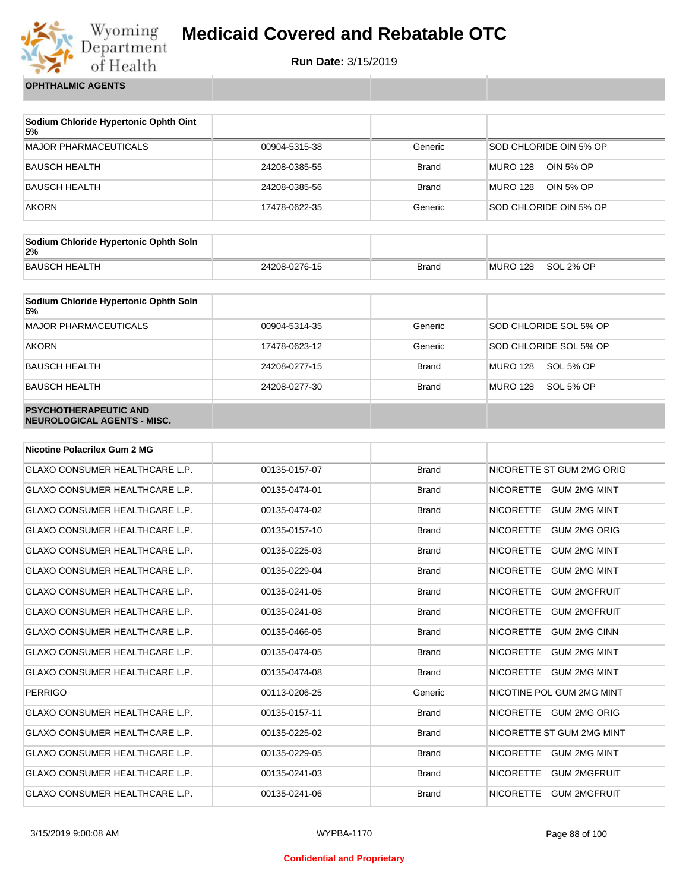

**Run Date:** 3/15/2019

**OPHTHALMIC AGENTS**

| Sodium Chloride Hypertonic Ophth Oint<br>5% |               |              |                              |
|---------------------------------------------|---------------|--------------|------------------------------|
| <b>MAJOR PHARMACEUTICALS</b>                | 00904-5315-38 | Generic      | SOD CHLORIDE OIN 5% OP       |
| BAUSCH HEALTH                               | 24208-0385-55 | <b>Brand</b> | OIN 5% OP<br><b>MURO 128</b> |
| <b>BAUSCH HEALTH</b>                        | 24208-0385-56 | <b>Brand</b> | <b>MURO 128</b><br>OIN 5% OP |
| <b>AKORN</b>                                | 17478-0622-35 | Generic      | SOD CHLORIDE OIN 5% OP       |

| Sodium Chloride Hypertonic Ophth Soln<br>2% |               |       |          |           |
|---------------------------------------------|---------------|-------|----------|-----------|
| BAUSCH HEALTH                               | 24208-0276-15 | Brand | MURO 128 | SOL 2% OP |

| Sodium Chloride Hypertonic Ophth Soln<br>5%                 |               |              |                        |
|-------------------------------------------------------------|---------------|--------------|------------------------|
| <b>MAJOR PHARMACEUTICALS</b>                                | 00904-5314-35 | Generic      | SOD CHLORIDE SOL 5% OP |
| <b>AKORN</b>                                                | 17478-0623-12 | Generic      | SOD CHLORIDE SOL 5% OP |
| <b>BAUSCH HEALTH</b>                                        | 24208-0277-15 | <b>Brand</b> | MURO 128<br>SOL 5% OP  |
| <b>BAUSCH HEALTH</b>                                        | 24208-0277-30 | <b>Brand</b> | MURO 128<br>SOL 5% OP  |
| <b>PSYCHOTHERAPEUTIC AND</b><br>NEUROLOGICAL AGENTS - MISC. |               |              |                        |

| <b>Nicotine Polacrilex Gum 2 MG</b>   |               |              |                                         |
|---------------------------------------|---------------|--------------|-----------------------------------------|
| <b>GLAXO CONSUMER HEALTHCARE L.P.</b> | 00135-0157-07 | <b>Brand</b> | NICORETTE ST GUM 2MG ORIG               |
| <b>GLAXO CONSUMER HEALTHCARE L.P.</b> | 00135-0474-01 | <b>Brand</b> | <b>NICORETTE</b><br><b>GUM 2MG MINT</b> |
| <b>GLAXO CONSUMER HEALTHCARE L.P.</b> | 00135-0474-02 | <b>Brand</b> | <b>NICORETTE</b><br><b>GUM 2MG MINT</b> |
| <b>GLAXO CONSUMER HEALTHCARE L.P.</b> | 00135-0157-10 | <b>Brand</b> | <b>NICORETTE</b><br><b>GUM 2MG ORIG</b> |
| <b>GLAXO CONSUMER HEALTHCARE L.P.</b> | 00135-0225-03 | <b>Brand</b> | <b>NICORETTE</b><br><b>GUM 2MG MINT</b> |
| <b>GLAXO CONSUMER HEALTHCARE L.P.</b> | 00135-0229-04 | <b>Brand</b> | <b>NICORETTE</b><br><b>GUM 2MG MINT</b> |
| <b>GLAXO CONSUMER HEALTHCARE L.P.</b> | 00135-0241-05 | <b>Brand</b> | <b>NICORETTE</b><br><b>GUM 2MGFRUIT</b> |
| <b>GLAXO CONSUMER HEALTHCARE L.P.</b> | 00135-0241-08 | <b>Brand</b> | <b>NICORETTE</b><br><b>GUM 2MGFRUIT</b> |
| <b>GLAXO CONSUMER HEALTHCARE L.P.</b> | 00135-0466-05 | <b>Brand</b> | <b>NICORETTE</b><br><b>GUM 2MG CINN</b> |
| <b>GLAXO CONSUMER HEALTHCARE L.P.</b> | 00135-0474-05 | <b>Brand</b> | <b>NICORETTE</b><br><b>GUM 2MG MINT</b> |
| <b>GLAXO CONSUMER HEALTHCARE L.P.</b> | 00135-0474-08 | <b>Brand</b> | <b>NICORETTE</b><br><b>GUM 2MG MINT</b> |
| <b>PERRIGO</b>                        | 00113-0206-25 | Generic      | NICOTINE POL GUM 2MG MINT               |
| <b>GLAXO CONSUMER HEALTHCARE L.P.</b> | 00135-0157-11 | <b>Brand</b> | <b>NICORETTE</b><br><b>GUM 2MG ORIG</b> |
| <b>GLAXO CONSUMER HEALTHCARE L.P.</b> | 00135-0225-02 | <b>Brand</b> | NICORETTE ST GUM 2MG MINT               |
| <b>GLAXO CONSUMER HEALTHCARE L.P.</b> | 00135-0229-05 | <b>Brand</b> | <b>NICORETTE</b><br><b>GUM 2MG MINT</b> |
| <b>GLAXO CONSUMER HEALTHCARE L.P.</b> | 00135-0241-03 | <b>Brand</b> | <b>NICORETTE</b><br><b>GUM 2MGFRUIT</b> |
| <b>GLAXO CONSUMER HEALTHCARE L.P.</b> | 00135-0241-06 | <b>Brand</b> | <b>NICORETTE</b><br><b>GUM 2MGFRUIT</b> |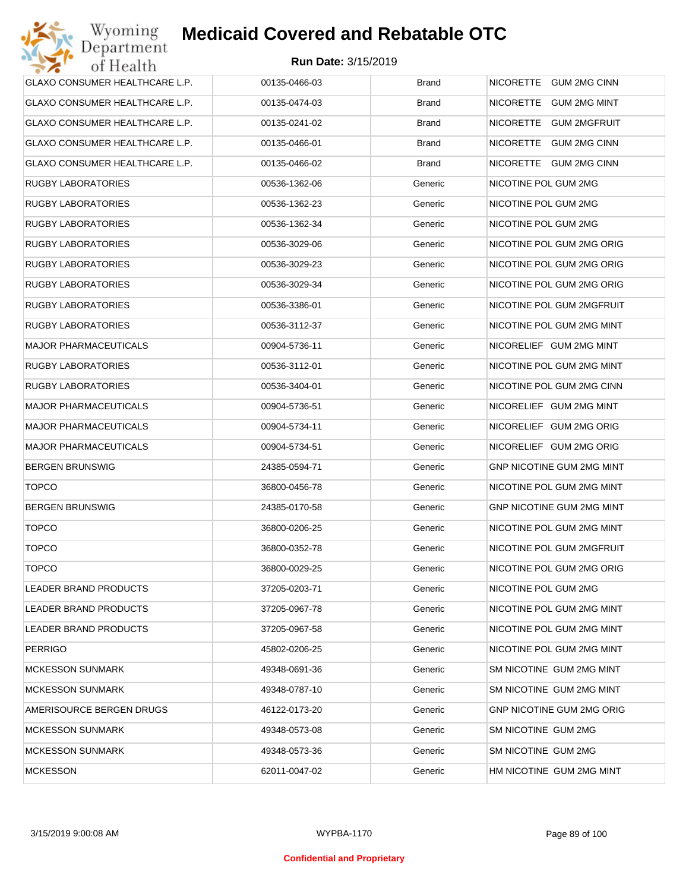| GLAXO CONSUMER HEALTHCARE L.P. | 00135-0466-03 | <b>Brand</b> | NICORETTE GUM 2MG CINN           |
|--------------------------------|---------------|--------------|----------------------------------|
| GLAXO CONSUMER HEALTHCARE L.P. | 00135-0474-03 | <b>Brand</b> | NICORETTE GUM 2MG MINT           |
| GLAXO CONSUMER HEALTHCARE L.P. | 00135-0241-02 | <b>Brand</b> | NICORETTE GUM 2MGFRUIT           |
| GLAXO CONSUMER HEALTHCARE L.P. | 00135-0466-01 | <b>Brand</b> | NICORETTE GUM 2MG CINN           |
| GLAXO CONSUMER HEALTHCARE L.P. | 00135-0466-02 | <b>Brand</b> | NICORETTE GUM 2MG CINN           |
| <b>RUGBY LABORATORIES</b>      | 00536-1362-06 | Generic      | NICOTINE POL GUM 2MG             |
| <b>RUGBY LABORATORIES</b>      | 00536-1362-23 | Generic      | NICOTINE POL GUM 2MG             |
| <b>RUGBY LABORATORIES</b>      | 00536-1362-34 | Generic      | NICOTINE POL GUM 2MG             |
| <b>RUGBY LABORATORIES</b>      | 00536-3029-06 | Generic      | NICOTINE POL GUM 2MG ORIG        |
| <b>RUGBY LABORATORIES</b>      | 00536-3029-23 | Generic      | NICOTINE POL GUM 2MG ORIG        |
| <b>RUGBY LABORATORIES</b>      | 00536-3029-34 | Generic      | NICOTINE POL GUM 2MG ORIG        |
| <b>RUGBY LABORATORIES</b>      | 00536-3386-01 | Generic      | NICOTINE POL GUM 2MGFRUIT        |
| <b>RUGBY LABORATORIES</b>      | 00536-3112-37 | Generic      | NICOTINE POL GUM 2MG MINT        |
| <b>MAJOR PHARMACEUTICALS</b>   | 00904-5736-11 | Generic      | NICORELIEF GUM 2MG MINT          |
| <b>RUGBY LABORATORIES</b>      | 00536-3112-01 | Generic      | NICOTINE POL GUM 2MG MINT        |
| <b>RUGBY LABORATORIES</b>      | 00536-3404-01 | Generic      | NICOTINE POL GUM 2MG CINN        |
| <b>MAJOR PHARMACEUTICALS</b>   | 00904-5736-51 | Generic      | NICORELIEF GUM 2MG MINT          |
| <b>MAJOR PHARMACEUTICALS</b>   | 00904-5734-11 | Generic      | NICORELIEF GUM 2MG ORIG          |
| <b>MAJOR PHARMACEUTICALS</b>   | 00904-5734-51 | Generic      | NICORELIEF GUM 2MG ORIG          |
| <b>BERGEN BRUNSWIG</b>         | 24385-0594-71 | Generic      | <b>GNP NICOTINE GUM 2MG MINT</b> |
| <b>TOPCO</b>                   | 36800-0456-78 | Generic      | NICOTINE POL GUM 2MG MINT        |
| <b>BERGEN BRUNSWIG</b>         | 24385-0170-58 | Generic      | <b>GNP NICOTINE GUM 2MG MINT</b> |
| <b>TOPCO</b>                   | 36800-0206-25 | Generic      | NICOTINE POL GUM 2MG MINT        |
| <b>TOPCO</b>                   | 36800-0352-78 | Generic      | NICOTINE POL GUM 2MGFRUIT        |
| <b>TOPCO</b>                   | 36800-0029-25 | Generic      | NICOTINE POL GUM 2MG ORIG        |
| <b>LEADER BRAND PRODUCTS</b>   | 37205-0203-71 | Generic      | NICOTINE POL GUM 2MG             |
| LEADER BRAND PRODUCTS          | 37205-0967-78 | Generic      | NICOTINE POL GUM 2MG MINT        |
| LEADER BRAND PRODUCTS          | 37205-0967-58 | Generic      | NICOTINE POL GUM 2MG MINT        |
| <b>PERRIGO</b>                 | 45802-0206-25 | Generic      | NICOTINE POL GUM 2MG MINT        |
| <b>MCKESSON SUNMARK</b>        | 49348-0691-36 | Generic      | SM NICOTINE GUM 2MG MINT         |
| <b>MCKESSON SUNMARK</b>        | 49348-0787-10 | Generic      | SM NICOTINE GUM 2MG MINT         |
| AMERISOURCE BERGEN DRUGS       | 46122-0173-20 | Generic      | <b>GNP NICOTINE GUM 2MG ORIG</b> |
| <b>MCKESSON SUNMARK</b>        | 49348-0573-08 | Generic      | SM NICOTINE GUM 2MG              |
| <b>MCKESSON SUNMARK</b>        | 49348-0573-36 | Generic      | SM NICOTINE GUM 2MG              |
| <b>MCKESSON</b>                | 62011-0047-02 | Generic      | HM NICOTINE GUM 2MG MINT         |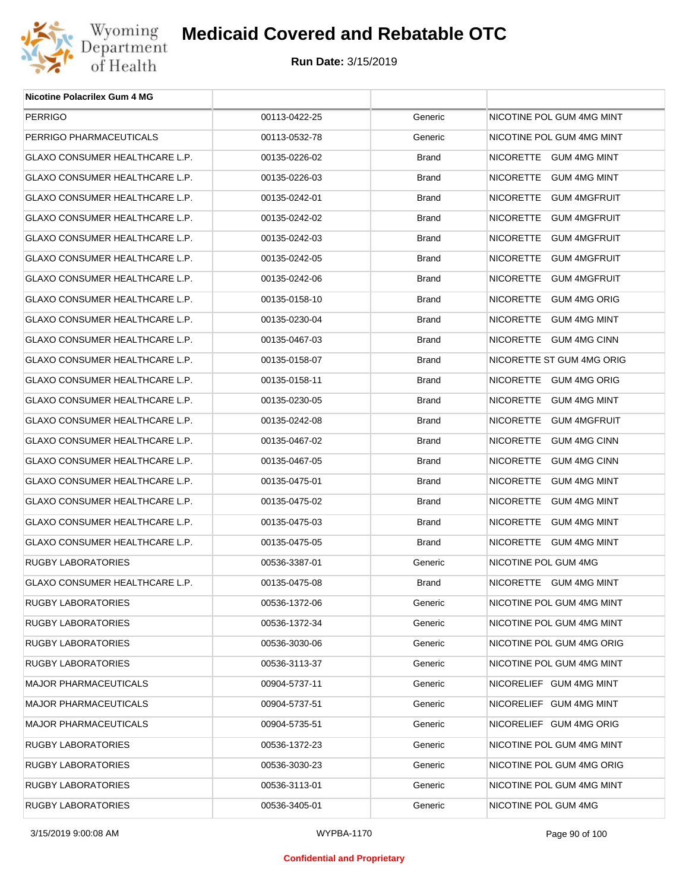

| <b>Nicotine Polacrilex Gum 4 MG</b>   |               |         |                           |
|---------------------------------------|---------------|---------|---------------------------|
| <b>PERRIGO</b>                        | 00113-0422-25 | Generic | NICOTINE POL GUM 4MG MINT |
| PERRIGO PHARMACEUTICALS               | 00113-0532-78 | Generic | NICOTINE POL GUM 4MG MINT |
| GLAXO CONSUMER HEALTHCARE L.P.        | 00135-0226-02 | Brand   | NICORETTE GUM 4MG MINT    |
| GLAXO CONSUMER HEALTHCARE L.P.        | 00135-0226-03 | Brand   | NICORETTE GUM 4MG MINT    |
| GLAXO CONSUMER HEALTHCARE L.P.        | 00135-0242-01 | Brand   | NICORETTE GUM 4MGFRUIT    |
| GLAXO CONSUMER HEALTHCARE L.P.        | 00135-0242-02 | Brand   | NICORETTE GUM 4MGFRUIT    |
| GLAXO CONSUMER HEALTHCARE L.P.        | 00135-0242-03 | Brand   | NICORETTE GUM 4MGFRUIT    |
| GLAXO CONSUMER HEALTHCARE L.P.        | 00135-0242-05 | Brand   | NICORETTE GUM 4MGFRUIT    |
| GLAXO CONSUMER HEALTHCARE L.P.        | 00135-0242-06 | Brand   | NICORETTE GUM 4MGFRUIT    |
| GLAXO CONSUMER HEALTHCARE L.P.        | 00135-0158-10 | Brand   | NICORETTE GUM 4MG ORIG    |
| GLAXO CONSUMER HEALTHCARE L.P.        | 00135-0230-04 | Brand   | NICORETTE GUM 4MG MINT    |
| <b>GLAXO CONSUMER HEALTHCARE L.P.</b> | 00135-0467-03 | Brand   | NICORETTE GUM 4MG CINN    |
| GLAXO CONSUMER HEALTHCARE L.P.        | 00135-0158-07 | Brand   | NICORETTE ST GUM 4MG ORIG |
| GLAXO CONSUMER HEALTHCARE L.P.        | 00135-0158-11 | Brand   | NICORETTE GUM 4MG ORIG    |
| GLAXO CONSUMER HEALTHCARE L.P.        | 00135-0230-05 | Brand   | NICORETTE GUM 4MG MINT    |
| GLAXO CONSUMER HEALTHCARE L.P.        | 00135-0242-08 | Brand   | NICORETTE GUM 4MGFRUIT    |
| GLAXO CONSUMER HEALTHCARE L.P.        | 00135-0467-02 | Brand   | NICORETTE GUM 4MG CINN    |
| GLAXO CONSUMER HEALTHCARE L.P.        | 00135-0467-05 | Brand   | NICORETTE GUM 4MG CINN    |
| GLAXO CONSUMER HEALTHCARE L.P.        | 00135-0475-01 | Brand   | NICORETTE GUM 4MG MINT    |
| GLAXO CONSUMER HEALTHCARE L.P.        | 00135-0475-02 | Brand   | NICORETTE GUM 4MG MINT    |
| GLAXO CONSUMER HEALTHCARE L.P.        | 00135-0475-03 | Brand   | NICORETTE GUM 4MG MINT    |
| GLAXO CONSUMER HEALTHCARE L.P.        | 00135-0475-05 | Brand   | NICORETTE GUM 4MG MINT    |
| RUGBY LABORATORIES                    | 00536-3387-01 | Generic | NICOTINE POL GUM 4MG      |
| GLAXO CONSUMER HEALTHCARE L.P.        | 00135-0475-08 | Brand   | NICORETTE GUM 4MG MINT    |
| RUGBY LABORATORIES                    | 00536-1372-06 | Generic | NICOTINE POL GUM 4MG MINT |
| RUGBY LABORATORIES                    | 00536-1372-34 | Generic | NICOTINE POL GUM 4MG MINT |
| RUGBY LABORATORIES                    | 00536-3030-06 | Generic | NICOTINE POL GUM 4MG ORIG |
| RUGBY LABORATORIES                    | 00536-3113-37 | Generic | NICOTINE POL GUM 4MG MINT |
| <b>MAJOR PHARMACEUTICALS</b>          | 00904-5737-11 | Generic | NICORELIEF GUM 4MG MINT   |
| <b>MAJOR PHARMACEUTICALS</b>          | 00904-5737-51 | Generic | NICORELIEF GUM 4MG MINT   |
| MAJOR PHARMACEUTICALS                 | 00904-5735-51 | Generic | NICORELIEF GUM 4MG ORIG   |
| RUGBY LABORATORIES                    | 00536-1372-23 | Generic | NICOTINE POL GUM 4MG MINT |
| RUGBY LABORATORIES                    | 00536-3030-23 | Generic | NICOTINE POL GUM 4MG ORIG |
| RUGBY LABORATORIES                    | 00536-3113-01 | Generic | NICOTINE POL GUM 4MG MINT |
| <b>RUGBY LABORATORIES</b>             | 00536-3405-01 | Generic | NICOTINE POL GUM 4MG      |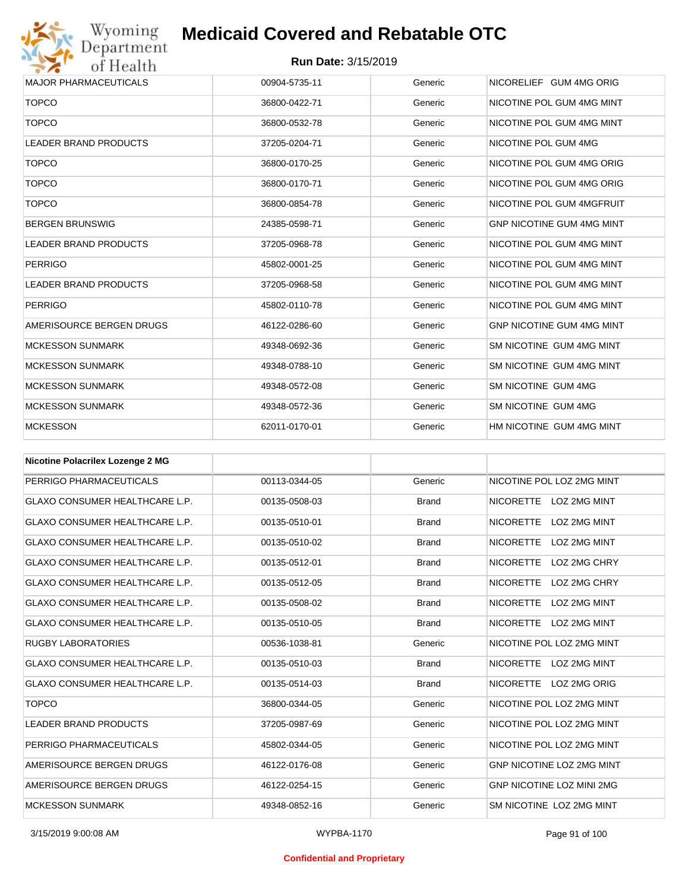# Wyoming<br>Department<br>of Health

# **Medicaid Covered and Rebatable OTC**

| <b>MAJOR PHARMACEUTICALS</b> | 00904-5735-11 | Generic | NICORELIEF GUM 4MG ORIG          |
|------------------------------|---------------|---------|----------------------------------|
| <b>TOPCO</b>                 | 36800-0422-71 | Generic | NICOTINE POL GUM 4MG MINT        |
| <b>TOPCO</b>                 | 36800-0532-78 | Generic | NICOTINE POL GUM 4MG MINT        |
| <b>LEADER BRAND PRODUCTS</b> | 37205-0204-71 | Generic | NICOTINE POL GUM 4MG             |
| <b>TOPCO</b>                 | 36800-0170-25 | Generic | NICOTINE POL GUM 4MG ORIG        |
| <b>TOPCO</b>                 | 36800-0170-71 | Generic | NICOTINE POL GUM 4MG ORIG        |
| <b>TOPCO</b>                 | 36800-0854-78 | Generic | NICOTINE POL GUM 4MGFRUIT        |
| <b>BERGEN BRUNSWIG</b>       | 24385-0598-71 | Generic | <b>GNP NICOTINE GUM 4MG MINT</b> |
| <b>LEADER BRAND PRODUCTS</b> | 37205-0968-78 | Generic | NICOTINE POL GUM 4MG MINT        |
| <b>PERRIGO</b>               | 45802-0001-25 | Generic | NICOTINE POL GUM 4MG MINT        |
| <b>LEADER BRAND PRODUCTS</b> | 37205-0968-58 | Generic | NICOTINE POL GUM 4MG MINT        |
| <b>PERRIGO</b>               | 45802-0110-78 | Generic | NICOTINE POL GUM 4MG MINT        |
| AMERISOURCE BERGEN DRUGS     | 46122-0286-60 | Generic | <b>GNP NICOTINE GUM 4MG MINT</b> |
| <b>MCKESSON SUNMARK</b>      | 49348-0692-36 | Generic | SM NICOTINE GUM 4MG MINT         |
| <b>MCKESSON SUNMARK</b>      | 49348-0788-10 | Generic | SM NICOTINE GUM 4MG MINT         |
| <b>MCKESSON SUNMARK</b>      | 49348-0572-08 | Generic | SM NICOTINE GUM 4MG              |
| <b>MCKESSON SUNMARK</b>      | 49348-0572-36 | Generic | SM NICOTINE GUM 4MG              |
| <b>MCKESSON</b>              | 62011-0170-01 | Generic | HM NICOTINE GUM 4MG MINT         |

| <b>Nicotine Polacrilex Lozenge 2 MG</b> |               |              |                                  |
|-----------------------------------------|---------------|--------------|----------------------------------|
| PERRIGO PHARMACEUTICALS                 | 00113-0344-05 | Generic      | NICOTINE POL LOZ 2MG MINT        |
| <b>GLAXO CONSUMER HEALTHCARE L.P.</b>   | 00135-0508-03 | <b>Brand</b> | NICORETTE LOZ 2MG MINT           |
| <b>GLAXO CONSUMER HEALTHCARE L.P.</b>   | 00135-0510-01 | <b>Brand</b> | <b>NICORETTE</b><br>LOZ 2MG MINT |
| <b>GLAXO CONSUMER HEALTHCARE L.P.</b>   | 00135-0510-02 | <b>Brand</b> | <b>NICORETTE</b><br>LOZ 2MG MINT |
| <b>GLAXO CONSUMER HEALTHCARE L.P.</b>   | 00135-0512-01 | <b>Brand</b> | <b>NICORETTE</b><br>LOZ 2MG CHRY |
| <b>GLAXO CONSUMER HEALTHCARE L.P.</b>   | 00135-0512-05 | <b>Brand</b> | <b>NICORETTE</b><br>LOZ 2MG CHRY |
| <b>GLAXO CONSUMER HEALTHCARE L.P.</b>   | 00135-0508-02 | <b>Brand</b> | <b>NICORETTE</b><br>LOZ 2MG MINT |
| <b>GLAXO CONSUMER HEALTHCARE L.P.</b>   | 00135-0510-05 | <b>Brand</b> | <b>NICORETTE</b><br>LOZ 2MG MINT |
| <b>RUGBY LABORATORIES</b>               | 00536-1038-81 | Generic      | NICOTINE POL LOZ 2MG MINT        |
| <b>GLAXO CONSUMER HEALTHCARE L.P.</b>   | 00135-0510-03 | <b>Brand</b> | NICORETTE LOZ 2MG MINT           |
| <b>GLAXO CONSUMER HEALTHCARE L.P.</b>   | 00135-0514-03 | <b>Brand</b> | NICORETTE LOZ 2MG ORIG           |
| <b>TOPCO</b>                            | 36800-0344-05 | Generic      | NICOTINE POL LOZ 2MG MINT        |
| <b>LEADER BRAND PRODUCTS</b>            | 37205-0987-69 | Generic      | NICOTINE POL LOZ 2MG MINT        |
| PERRIGO PHARMACEUTICALS                 | 45802-0344-05 | Generic      | NICOTINE POL LOZ 2MG MINT        |
| AMERISOURCE BERGEN DRUGS                | 46122-0176-08 | Generic      | <b>GNP NICOTINE LOZ 2MG MINT</b> |
| AMERISOURCE BERGEN DRUGS                | 46122-0254-15 | Generic      | <b>GNP NICOTINE LOZ MINI 2MG</b> |
| <b>MCKESSON SUNMARK</b>                 | 49348-0852-16 | Generic      | SM NICOTINE LOZ 2MG MINT         |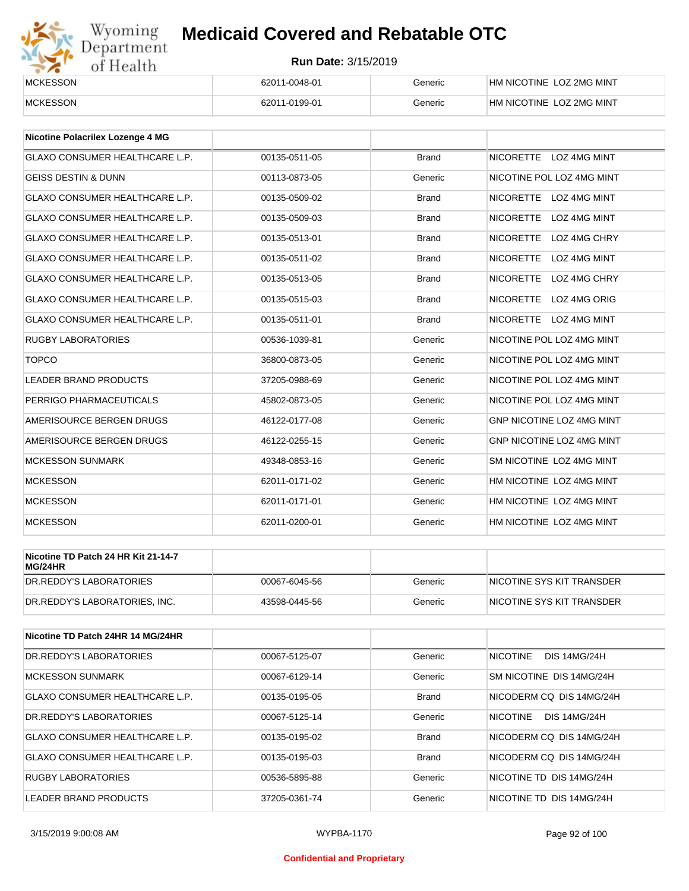

| <b>MCKESSON</b> | 62011-0048-01 | Generic | HM NICOTINE LOZ 2MG MINT |
|-----------------|---------------|---------|--------------------------|
|                 |               |         |                          |
| <b>MCKESSON</b> | 62011-0199-01 | Generic | HM NICOTINE LOZ 2MG MINT |
|                 |               |         |                          |

| Nicotine Polacrilex Lozenge 4 MG      |               |              |                                         |
|---------------------------------------|---------------|--------------|-----------------------------------------|
| <b>GLAXO CONSUMER HEALTHCARE L.P.</b> | 00135-0511-05 | <b>Brand</b> | NICORETTE LOZ 4MG MINT                  |
| <b>GEISS DESTIN &amp; DUNN</b>        | 00113-0873-05 | Generic      | NICOTINE POL LOZ 4MG MINT               |
| <b>GLAXO CONSUMER HEALTHCARE L.P.</b> | 00135-0509-02 | <b>Brand</b> | <b>NICORETTE</b><br>LOZ 4MG MINT        |
| <b>GLAXO CONSUMER HEALTHCARE L.P.</b> | 00135-0509-03 | <b>Brand</b> | <b>NICORETTE</b><br><b>LOZ 4MG MINT</b> |
| GLAXO CONSUMER HEALTHCARE L.P.        | 00135-0513-01 | <b>Brand</b> | <b>NICORETTE</b><br>LOZ 4MG CHRY        |
| <b>GLAXO CONSUMER HEALTHCARE L.P.</b> | 00135-0511-02 | <b>Brand</b> | <b>NICORETTE</b><br><b>LOZ 4MG MINT</b> |
| <b>GLAXO CONSUMER HEALTHCARE L.P.</b> | 00135-0513-05 | <b>Brand</b> | <b>NICORETTE</b><br>LOZ 4MG CHRY        |
| <b>GLAXO CONSUMER HEALTHCARE L.P.</b> | 00135-0515-03 | <b>Brand</b> | <b>NICORETTE</b><br>LOZ 4MG ORIG        |
| GLAXO CONSUMER HEALTHCARE L.P.        | 00135-0511-01 | <b>Brand</b> | NICORETTE LOZ 4MG MINT                  |
| <b>RUGBY LABORATORIES</b>             | 00536-1039-81 | Generic      | NICOTINE POL LOZ 4MG MINT               |
| <b>TOPCO</b>                          | 36800-0873-05 | Generic      | NICOTINE POL LOZ 4MG MINT               |
| <b>LEADER BRAND PRODUCTS</b>          | 37205-0988-69 | Generic      | NICOTINE POL LOZ 4MG MINT               |
| PERRIGO PHARMACEUTICALS               | 45802-0873-05 | Generic      | NICOTINE POL LOZ 4MG MINT               |
| AMERISOURCE BERGEN DRUGS              | 46122-0177-08 | Generic      | <b>GNP NICOTINE LOZ 4MG MINT</b>        |
| AMERISOURCE BERGEN DRUGS              | 46122-0255-15 | Generic      | <b>GNP NICOTINE LOZ 4MG MINT</b>        |
| <b>MCKESSON SUNMARK</b>               | 49348-0853-16 | Generic      | SM NICOTINE LOZ 4MG MINT                |
| <b>MCKESSON</b>                       | 62011-0171-02 | Generic      | HM NICOTINE LOZ 4MG MINT                |
| <b>MCKESSON</b>                       | 62011-0171-01 | Generic      | HM NICOTINE LOZ 4MG MINT                |
| <b>MCKESSON</b>                       | 62011-0200-01 | Generic      | HM NICOTINE LOZ 4MG MINT                |

| Nicotine TD Patch 24 HR Kit 21-14-7<br>MG/24HR |               |         |                           |
|------------------------------------------------|---------------|---------|---------------------------|
| IDR.REDDY'S LABORATORIES                       | 00067-6045-56 | Generic | NICOTINE SYS KIT TRANSDER |
| DR.REDDY'S LABORATORIES. INC.                  | 43598-0445-56 | Generic | NICOTINE SYS KIT TRANSDER |

| Nicotine TD Patch 24HR 14 MG/24HR |               |              |                                        |
|-----------------------------------|---------------|--------------|----------------------------------------|
| DR.REDDY'S LABORATORIES           | 00067-5125-07 | Generic      | <b>NICOTINE</b><br><b>DIS 14MG/24H</b> |
| <b>MCKESSON SUNMARK</b>           | 00067-6129-14 | Generic      | SM NICOTINE DIS 14MG/24H               |
| GLAXO CONSUMER HEALTHCARE L.P.    | 00135-0195-05 | <b>Brand</b> | NICODERM CO DIS 14MG/24H               |
| DR.REDDY'S LABORATORIES           | 00067-5125-14 | Generic      | NICOTINE<br><b>DIS 14MG/24H</b>        |
| GLAXO CONSUMER HEALTHCARE L.P.    | 00135-0195-02 | <b>Brand</b> | NICODERM CO DIS 14MG/24H               |
| GLAXO CONSUMER HEALTHCARE L.P.    | 00135-0195-03 | <b>Brand</b> | NICODERM CO DIS 14MG/24H               |
| <b>RUGBY LABORATORIES</b>         | 00536-5895-88 | Generic      | NICOTINE TD DIS 14MG/24H               |
| LEADER BRAND PRODUCTS             | 37205-0361-74 | Generic      | NICOTINE TD DIS 14MG/24H               |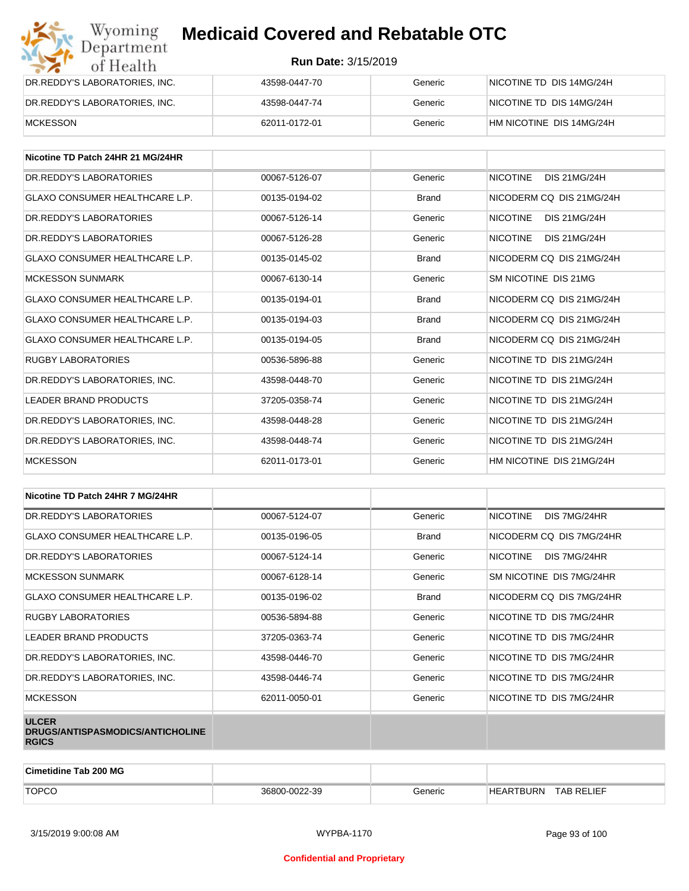| Wyoming<br><b>Medicaid Covered and Rebatable OTC</b><br>Department |                            |         |                          |  |
|--------------------------------------------------------------------|----------------------------|---------|--------------------------|--|
| of Health                                                          | <b>Run Date: 3/15/2019</b> |         |                          |  |
| DR.REDDY'S LABORATORIES, INC.                                      | 43598-0447-70              | Generic | NICOTINE TD DIS 14MG/24H |  |
| DR.REDDY'S LABORATORIES, INC.                                      | 43598-0447-74              | Generic | NICOTINE TD DIS 14MG/24H |  |
| <b>MCKESSON</b>                                                    | 62011-0172-01              | Generic | HM NICOTINE DIS 14MG/24H |  |

| Nicotine TD Patch 24HR 21 MG/24HR     |               |              |                                        |
|---------------------------------------|---------------|--------------|----------------------------------------|
| DR. REDDY'S LABORATORIES              | 00067-5126-07 | Generic      | <b>NICOTINE</b><br>DIS 21MG/24H        |
| <b>GLAXO CONSUMER HEALTHCARE L.P.</b> | 00135-0194-02 | <b>Brand</b> | NICODERM CO DIS 21MG/24H               |
| DR.REDDY'S LABORATORIES               | 00067-5126-14 | Generic      | <b>NICOTINE</b><br>DIS 21MG/24H        |
| DR. REDDY'S LABORATORIES              | 00067-5126-28 | Generic      | <b>NICOTINE</b><br><b>DIS 21MG/24H</b> |
| <b>GLAXO CONSUMER HEALTHCARE L.P.</b> | 00135-0145-02 | <b>Brand</b> | NICODERM CO DIS 21MG/24H               |
| <b>MCKESSON SUNMARK</b>               | 00067-6130-14 | Generic      | SM NICOTINE DIS 21MG                   |
| GLAXO CONSUMER HEALTHCARE L.P.        | 00135-0194-01 | <b>Brand</b> | NICODERM CO DIS 21MG/24H               |
| <b>GLAXO CONSUMER HEALTHCARE L.P.</b> | 00135-0194-03 | <b>Brand</b> | NICODERM CQ DIS 21MG/24H               |
| <b>GLAXO CONSUMER HEALTHCARE L.P.</b> | 00135-0194-05 | <b>Brand</b> | NICODERM CO DIS 21MG/24H               |
| <b>RUGBY LABORATORIES</b>             | 00536-5896-88 | Generic      | NICOTINE TD DIS 21MG/24H               |
| DR.REDDY'S LABORATORIES, INC.         | 43598-0448-70 | Generic      | NICOTINE TD DIS 21MG/24H               |
| <b>LEADER BRAND PRODUCTS</b>          | 37205-0358-74 | Generic      | NICOTINE TD DIS 21MG/24H               |
| DR.REDDY'S LABORATORIES, INC.         | 43598-0448-28 | Generic      | NICOTINE TD DIS 21MG/24H               |
| DR.REDDY'S LABORATORIES, INC.         | 43598-0448-74 | Generic      | NICOTINE TD DIS 21MG/24H               |
| <b>MCKESSON</b>                       | 62011-0173-01 | Generic      | HM NICOTINE DIS 21MG/24H               |

| Nicotine TD Patch 24HR 7 MG/24HR                                 |               |              |                                 |
|------------------------------------------------------------------|---------------|--------------|---------------------------------|
| DR. REDDY'S LABORATORIES                                         | 00067-5124-07 | Generic      | <b>NICOTINE</b><br>DIS 7MG/24HR |
| <b>GLAXO CONSUMER HEALTHCARE L.P.</b>                            | 00135-0196-05 | <b>Brand</b> | NICODERM CQ DIS 7MG/24HR        |
| DR. REDDY'S LABORATORIES                                         | 00067-5124-14 | Generic      | <b>NICOTINE</b><br>DIS 7MG/24HR |
| <b>MCKESSON SUNMARK</b>                                          | 00067-6128-14 | Generic      | SM NICOTINE DIS 7MG/24HR        |
| <b>GLAXO CONSUMER HEALTHCARE L.P.</b>                            | 00135-0196-02 | <b>Brand</b> | NICODERM CQ DIS 7MG/24HR        |
| <b>RUGBY LABORATORIES</b>                                        | 00536-5894-88 | Generic      | NICOTINE TD DIS 7MG/24HR        |
| LEADER BRAND PRODUCTS                                            | 37205-0363-74 | Generic      | NICOTINE TD DIS 7MG/24HR        |
| DR.REDDY'S LABORATORIES, INC.                                    | 43598-0446-70 | Generic      | NICOTINE TD DIS 7MG/24HR        |
| DR.REDDY'S LABORATORIES, INC.                                    | 43598-0446-74 | Generic      | NICOTINE TD DIS 7MG/24HR        |
| <b>MCKESSON</b>                                                  | 62011-0050-01 | Generic      | NICOTINE TD DIS 7MG/24HR        |
| <b>ULCER</b><br>DRUGS/ANTISPASMODICS/ANTICHOLINE<br><b>RGICS</b> |               |              |                                 |

| <b>Cimetidine Tab 200 MG</b> |               |         |                  |                   |
|------------------------------|---------------|---------|------------------|-------------------|
| <b>TOPCO</b>                 | 36800-0022-39 | 3eneric | <b>HEARTBURN</b> | <b>TAB RELIEF</b> |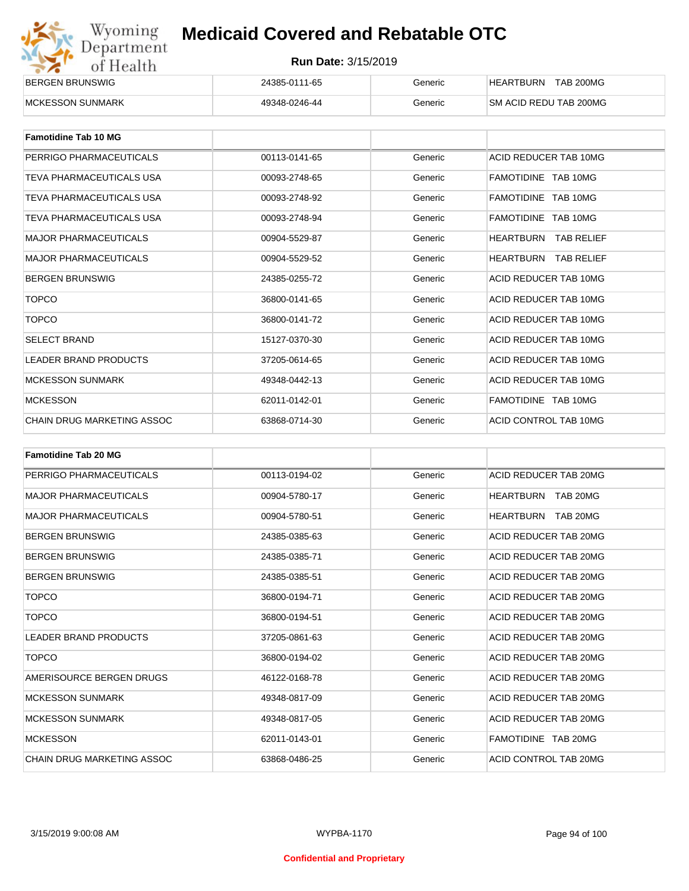| Wyoming    |
|------------|
| Department |
| of Health  |

| <b>BERGEN BRUNSWIG</b>   | 24385-0111-65 | Beneric | <b>TAB 200MG</b><br>HEARTBURN  |
|--------------------------|---------------|---------|--------------------------------|
| <b>IMCKESSON SUNMARK</b> | 49348-0246-44 | Generic | <b>ISM ACID REDU TAB 200MG</b> |

| <b>Famotidine Tab 10 MG</b>  |               |         |                             |
|------------------------------|---------------|---------|-----------------------------|
| PERRIGO PHARMACEUTICALS      | 00113-0141-65 | Generic | ACID REDUCER TAB 10MG       |
| TEVA PHARMACEUTICALS USA     | 00093-2748-65 | Generic | FAMOTIDINE TAB 10MG         |
| TEVA PHARMACEUTICALS USA     | 00093-2748-92 | Generic | FAMOTIDINE TAB 10MG         |
| TEVA PHARMACEUTICALS USA     | 00093-2748-94 | Generic | FAMOTIDINE TAB 10MG         |
| <b>MAJOR PHARMACEUTICALS</b> | 00904-5529-87 | Generic | HEARTBURN<br>TAB RELIEF     |
| <b>MAJOR PHARMACEUTICALS</b> | 00904-5529-52 | Generic | <b>HEARTBURN TAB RELIEF</b> |
| <b>BERGEN BRUNSWIG</b>       | 24385-0255-72 | Generic | ACID REDUCER TAB 10MG       |
| <b>TOPCO</b>                 | 36800-0141-65 | Generic | ACID REDUCER TAB 10MG       |
| <b>TOPCO</b>                 | 36800-0141-72 | Generic | ACID REDUCER TAB 10MG       |
| <b>SELECT BRAND</b>          | 15127-0370-30 | Generic | ACID REDUCER TAB 10MG       |
| <b>LEADER BRAND PRODUCTS</b> | 37205-0614-65 | Generic | ACID REDUCER TAB 10MG       |
| <b>MCKESSON SUNMARK</b>      | 49348-0442-13 | Generic | ACID REDUCER TAB 10MG       |
| <b>MCKESSON</b>              | 62011-0142-01 | Generic | FAMOTIDINE TAB 10MG         |
| CHAIN DRUG MARKETING ASSOC   | 63868-0714-30 | Generic | ACID CONTROL TAB 10MG       |

| <b>Famotidine Tab 20 MG</b>       |               |         |                       |
|-----------------------------------|---------------|---------|-----------------------|
| PERRIGO PHARMACEUTICALS           | 00113-0194-02 | Generic | ACID REDUCER TAB 20MG |
| <b>MAJOR PHARMACEUTICALS</b>      | 00904-5780-17 | Generic | HEARTBURN TAB 20MG    |
| <b>MAJOR PHARMACEUTICALS</b>      | 00904-5780-51 | Generic | HEARTBURN<br>TAB 20MG |
| <b>BERGEN BRUNSWIG</b>            | 24385-0385-63 | Generic | ACID REDUCER TAB 20MG |
| <b>BERGEN BRUNSWIG</b>            | 24385-0385-71 | Generic | ACID REDUCER TAB 20MG |
| <b>BERGEN BRUNSWIG</b>            | 24385-0385-51 | Generic | ACID REDUCER TAB 20MG |
| <b>TOPCO</b>                      | 36800-0194-71 | Generic | ACID REDUCER TAB 20MG |
| <b>TOPCO</b>                      | 36800-0194-51 | Generic | ACID REDUCER TAB 20MG |
| <b>LEADER BRAND PRODUCTS</b>      | 37205-0861-63 | Generic | ACID REDUCER TAB 20MG |
| <b>TOPCO</b>                      | 36800-0194-02 | Generic | ACID REDUCER TAB 20MG |
| AMERISOURCE BERGEN DRUGS          | 46122-0168-78 | Generic | ACID REDUCER TAB 20MG |
| <b>MCKESSON SUNMARK</b>           | 49348-0817-09 | Generic | ACID REDUCER TAB 20MG |
| <b>MCKESSON SUNMARK</b>           | 49348-0817-05 | Generic | ACID REDUCER TAB 20MG |
| <b>MCKESSON</b>                   | 62011-0143-01 | Generic | FAMOTIDINE TAB 20MG   |
| <b>CHAIN DRUG MARKETING ASSOC</b> | 63868-0486-25 | Generic | ACID CONTROL TAB 20MG |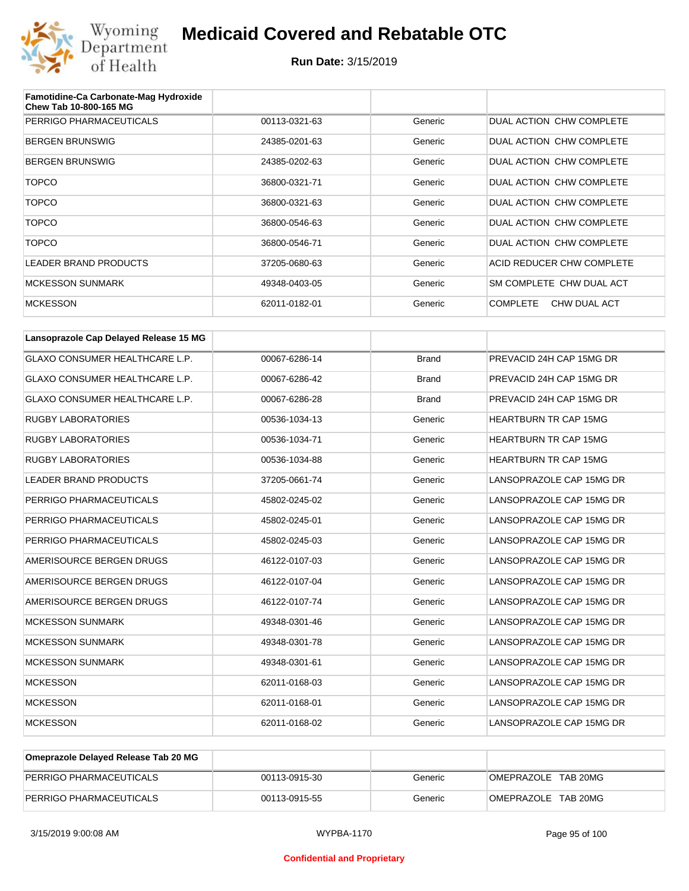

| Famotidine-Ca Carbonate-Mag Hydroxide<br>Chew Tab 10-800-165 MG |               |         |                                 |
|-----------------------------------------------------------------|---------------|---------|---------------------------------|
| PERRIGO PHARMACEUTICALS                                         | 00113-0321-63 | Generic | DUAL ACTION CHW COMPLETE        |
| <b>BERGEN BRUNSWIG</b>                                          | 24385-0201-63 | Generic | DUAL ACTION CHW COMPLETE        |
| <b>BERGEN BRUNSWIG</b>                                          | 24385-0202-63 | Generic | DUAL ACTION CHW COMPLETE        |
| <b>TOPCO</b>                                                    | 36800-0321-71 | Generic | DUAL ACTION CHW COMPLETE        |
| <b>TOPCO</b>                                                    | 36800-0321-63 | Generic | DUAL ACTION CHW COMPLETE        |
| <b>TOPCO</b>                                                    | 36800-0546-63 | Generic | DUAL ACTION CHW COMPLETE        |
| <b>TOPCO</b>                                                    | 36800-0546-71 | Generic | DUAL ACTION CHW COMPLETE        |
| LEADER BRAND PRODUCTS                                           | 37205-0680-63 | Generic | ACID REDUCER CHW COMPLETE       |
| <b>MCKESSON SUNMARK</b>                                         | 49348-0403-05 | Generic | SM COMPLETE CHW DUAL ACT        |
| <b>MCKESSON</b>                                                 | 62011-0182-01 | Generic | <b>COMPLETE</b><br>CHW DUAL ACT |

| Lansoprazole Cap Delayed Release 15 MG |               |              |                              |
|----------------------------------------|---------------|--------------|------------------------------|
| <b>GLAXO CONSUMER HEALTHCARE L.P.</b>  | 00067-6286-14 | <b>Brand</b> | PREVACID 24H CAP 15MG DR     |
| <b>GLAXO CONSUMER HEALTHCARE L.P.</b>  | 00067-6286-42 | <b>Brand</b> | PREVACID 24H CAP 15MG DR     |
| <b>GLAXO CONSUMER HEALTHCARE L.P.</b>  | 00067-6286-28 | <b>Brand</b> | PREVACID 24H CAP 15MG DR     |
| <b>RUGBY LABORATORIES</b>              | 00536-1034-13 | Generic      | <b>HEARTBURN TR CAP 15MG</b> |
| <b>RUGBY LABORATORIES</b>              | 00536-1034-71 | Generic      | <b>HEARTBURN TR CAP 15MG</b> |
| <b>RUGBY LABORATORIES</b>              | 00536-1034-88 | Generic      | <b>HEARTBURN TR CAP 15MG</b> |
| <b>LEADER BRAND PRODUCTS</b>           | 37205-0661-74 | Generic      | LANSOPRAZOLE CAP 15MG DR     |
| PERRIGO PHARMACEUTICALS                | 45802-0245-02 | Generic      | LANSOPRAZOLE CAP 15MG DR     |
| PERRIGO PHARMACEUTICALS                | 45802-0245-01 | Generic      | LANSOPRAZOLE CAP 15MG DR     |
| PERRIGO PHARMACEUTICALS                | 45802-0245-03 | Generic      | LANSOPRAZOLE CAP 15MG DR     |
| AMERISOURCE BERGEN DRUGS               | 46122-0107-03 | Generic      | LANSOPRAZOLE CAP 15MG DR     |
| AMERISOURCE BERGEN DRUGS               | 46122-0107-04 | Generic      | LANSOPRAZOLE CAP 15MG DR     |
| AMERISOURCE BERGEN DRUGS               | 46122-0107-74 | Generic      | LANSOPRAZOLE CAP 15MG DR     |
| <b>MCKESSON SUNMARK</b>                | 49348-0301-46 | Generic      | LANSOPRAZOLE CAP 15MG DR     |
| <b>MCKESSON SUNMARK</b>                | 49348-0301-78 | Generic      | LANSOPRAZOLE CAP 15MG DR     |
| <b>MCKESSON SUNMARK</b>                | 49348-0301-61 | Generic      | LANSOPRAZOLE CAP 15MG DR     |
| <b>MCKESSON</b>                        | 62011-0168-03 | Generic      | LANSOPRAZOLE CAP 15MG DR     |
| <b>MCKESSON</b>                        | 62011-0168-01 | Generic      | LANSOPRAZOLE CAP 15MG DR     |
| <b>MCKESSON</b>                        | 62011-0168-02 | Generic      | LANSOPRAZOLE CAP 15MG DR     |

| Omeprazole Delayed Release Tab 20 MG |               |         |                     |
|--------------------------------------|---------------|---------|---------------------|
| PERRIGO PHARMACEUTICALS              | 00113-0915-30 | Generic | OMEPRAZOLE TAB 20MG |
| PERRIGO PHARMACEUTICALS              | 00113-0915-55 | Generic | OMEPRAZOLE TAB 20MG |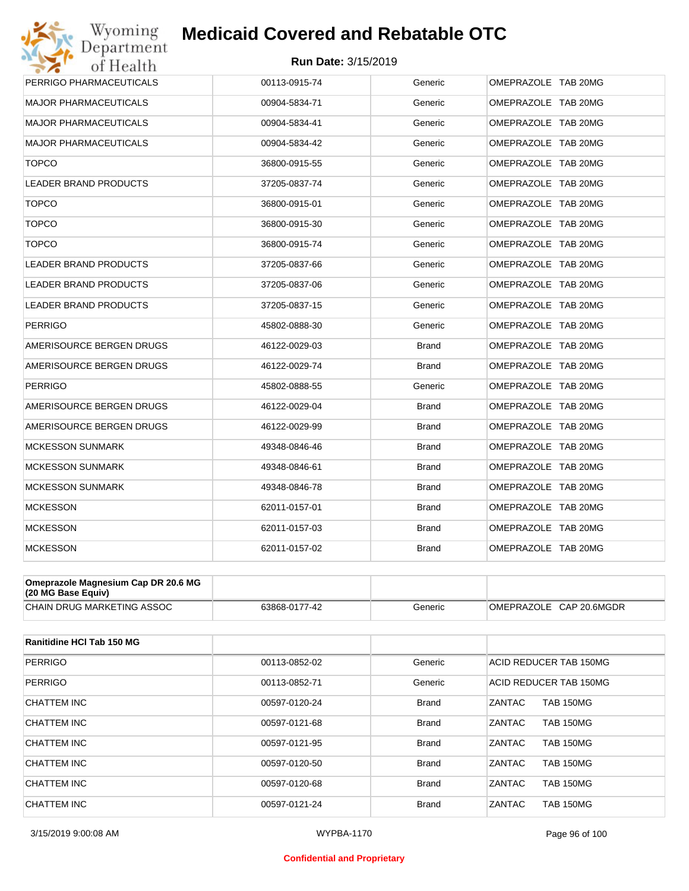#### **Run Date:** 3/15/2019

| Wyoming                             | <b>Medicaid Covered and Rebatable OTC</b> |              |                     |
|-------------------------------------|-------------------------------------------|--------------|---------------------|
| Department<br>of Health             | <b>Run Date: 3/15/2019</b>                |              |                     |
| PERRIGO PHARMACEUTICALS             | 00113-0915-74                             | Generic      | OMEPRAZOLE TAB 20MG |
| <b>MAJOR PHARMACEUTICALS</b>        | 00904-5834-71                             | Generic      | OMEPRAZOLE TAB 20MG |
| <b>MAJOR PHARMACEUTICALS</b>        | 00904-5834-41                             | Generic      | OMEPRAZOLE TAB 20MG |
| <b>MAJOR PHARMACEUTICALS</b>        | 00904-5834-42                             | Generic      | OMEPRAZOLE TAB 20MG |
| <b>TOPCO</b>                        | 36800-0915-55                             | Generic      | OMEPRAZOLE TAB 20MG |
| <b>LEADER BRAND PRODUCTS</b>        | 37205-0837-74                             | Generic      | OMEPRAZOLE TAB 20MG |
| <b>TOPCO</b>                        | 36800-0915-01                             | Generic      | OMEPRAZOLE TAB 20MG |
| <b>TOPCO</b>                        | 36800-0915-30                             | Generic      | OMEPRAZOLE TAB 20MG |
| <b>TOPCO</b>                        | 36800-0915-74                             | Generic      | OMEPRAZOLE TAB 20MG |
| <b>LEADER BRAND PRODUCTS</b>        | 37205-0837-66                             | Generic      | OMEPRAZOLE TAB 20MG |
| <b>LEADER BRAND PRODUCTS</b>        | 37205-0837-06                             | Generic      | OMEPRAZOLE TAB 20MG |
| LEADER BRAND PRODUCTS               | 37205-0837-15                             | Generic      | OMEPRAZOLE TAB 20MG |
| <b>PERRIGO</b>                      | 45802-0888-30                             | Generic      | OMEPRAZOLE TAB 20MG |
| AMERISOURCE BERGEN DRUGS            | 46122-0029-03                             | <b>Brand</b> | OMEPRAZOLE TAB 20MG |
| AMERISOURCE BERGEN DRUGS            | 46122-0029-74                             | Brand        | OMEPRAZOLE TAB 20MG |
| PERRIGO                             | 45802-0888-55                             | Generic      | OMEPRAZOLE TAB 20MG |
| AMERISOURCE BERGEN DRUGS            | 46122-0029-04                             | <b>Brand</b> | OMEPRAZOLE TAB 20MG |
| AMERISOURCE BERGEN DRUGS            | 46122-0029-99                             | <b>Brand</b> | OMEPRAZOLE TAB 20MG |
| <b>MCKESSON SUNMARK</b>             | 49348-0846-46                             | <b>Brand</b> | OMEPRAZOLE TAB 20MG |
| <b>MCKESSON SUNMARK</b>             | 49348-0846-61                             | <b>Brand</b> | OMEPRAZOLE TAB 20MG |
| <b>MCKESSON SUNMARK</b>             | 49348-0846-78                             | <b>Brand</b> | OMEPRAZOLE TAB 20MG |
| <b>MCKESSON</b>                     | 62011-0157-01                             | <b>Brand</b> | OMEPRAZOLE TAB 20MG |
| <b>MCKESSON</b>                     | 62011-0157-03                             | <b>Brand</b> | OMEPRAZOLE TAB 20MG |
| <b>MCKESSON</b>                     | 62011-0157-02                             | <b>Brand</b> | OMEPRAZOLE TAB 20MG |
| Omeprazole Magnesium Cap DR 20.6 MG |                                           |              |                     |

| $(20 \text{ MG Base}$ Equiv)      |               |         |                                   |
|-----------------------------------|---------------|---------|-----------------------------------|
| <b>CHAIN DRUG MARKETING ASSOC</b> | 63868-0177-42 | Generic | CAP 20.6MGDR<br><b>OMEPRAZOLE</b> |

| Ranitidine HCI Tab 150 MG |               |              |                                   |
|---------------------------|---------------|--------------|-----------------------------------|
| <b>PERRIGO</b>            | 00113-0852-02 | Generic      | ACID REDUCER TAB 150MG            |
| <b>PERRIGO</b>            | 00113-0852-71 | Generic      | ACID REDUCER TAB 150MG            |
| CHATTEM INC               | 00597-0120-24 | <b>Brand</b> | <b>TAB 150MG</b><br>ZANTAC        |
| <b>CHATTEM INC</b>        | 00597-0121-68 | <b>Brand</b> | ZANTAC<br><b>TAB 150MG</b>        |
| CHATTEM INC               | 00597-0121-95 | <b>Brand</b> | ZANTAC<br><b>TAB 150MG</b>        |
| CHATTEM INC               | 00597-0120-50 | <b>Brand</b> | ZANTAC<br><b>TAB 150MG</b>        |
| CHATTEM INC               | 00597-0120-68 | <b>Brand</b> | <b>ZANTAC</b><br><b>TAB 150MG</b> |
| CHATTEM INC               | 00597-0121-24 | <b>Brand</b> | ZANTAC<br><b>TAB 150MG</b>        |

#### **Confidential and Proprietary**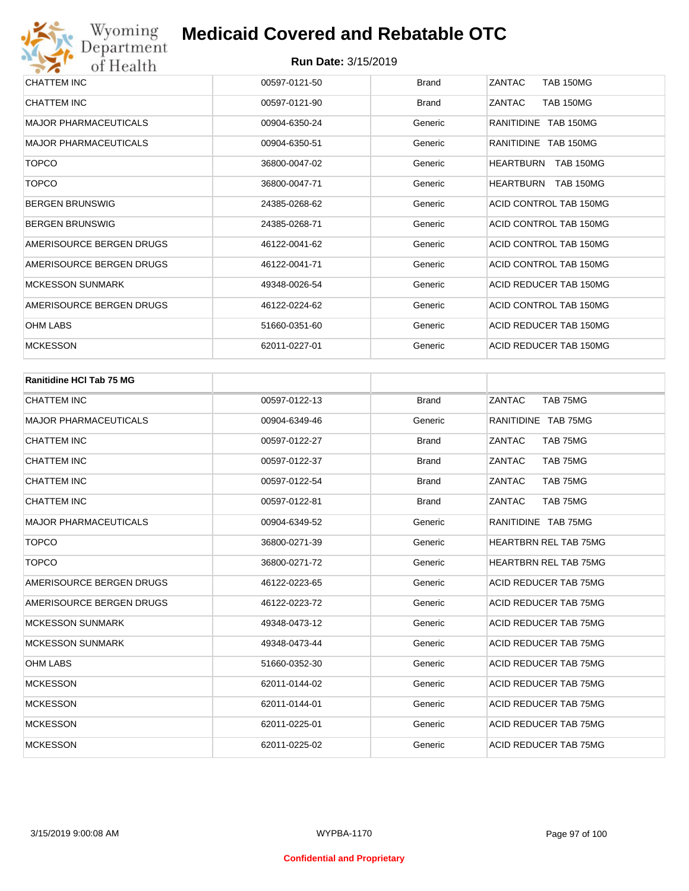| <b>CHATTEM INC</b>           | 00597-0121-50 | <b>Brand</b> | ZANTAC<br><b>TAB 150MG</b>           |
|------------------------------|---------------|--------------|--------------------------------------|
| CHATTEM INC                  | 00597-0121-90 | <b>Brand</b> | ZANTAC<br><b>TAB 150MG</b>           |
| <b>MAJOR PHARMACEUTICALS</b> | 00904-6350-24 | Generic      | RANITIDINE TAB 150MG                 |
| <b>MAJOR PHARMACEUTICALS</b> | 00904-6350-51 | Generic      | RANITIDINE TAB 150MG                 |
| <b>TOPCO</b>                 | 36800-0047-02 | Generic      | <b>HEARTBURN</b><br><b>TAB 150MG</b> |
| <b>TOPCO</b>                 | 36800-0047-71 | Generic      | <b>HEARTBURN</b><br><b>TAB 150MG</b> |
| <b>BERGEN BRUNSWIG</b>       | 24385-0268-62 | Generic      | ACID CONTROL TAB 150MG               |
| <b>BERGEN BRUNSWIG</b>       | 24385-0268-71 | Generic      | ACID CONTROL TAB 150MG               |
| AMERISOURCE BERGEN DRUGS     | 46122-0041-62 | Generic      | ACID CONTROL TAB 150MG               |
| AMERISOURCE BERGEN DRUGS     | 46122-0041-71 | Generic      | ACID CONTROL TAB 150MG               |
| <b>MCKESSON SUNMARK</b>      | 49348-0026-54 | Generic      | ACID REDUCER TAB 150MG               |
| AMERISOURCE BERGEN DRUGS     | 46122-0224-62 | Generic      | ACID CONTROL TAB 150MG               |
| <b>OHM LABS</b>              | 51660-0351-60 | Generic      | ACID REDUCER TAB 150MG               |
| <b>MCKESSON</b>              | 62011-0227-01 | Generic      | ACID REDUCER TAB 150MG               |

| <b>Ranitidine HCI Tab 75 MG</b> |               |              |                              |
|---------------------------------|---------------|--------------|------------------------------|
| <b>CHATTEM INC</b>              | 00597-0122-13 | <b>Brand</b> | TAB 75MG<br>ZANTAC           |
| <b>MAJOR PHARMACEUTICALS</b>    | 00904-6349-46 | Generic      | RANITIDINE TAB 75MG          |
| <b>CHATTEM INC</b>              | 00597-0122-27 | <b>Brand</b> | ZANTAC<br>TAB 75MG           |
| <b>CHATTEM INC</b>              | 00597-0122-37 | <b>Brand</b> | ZANTAC<br>TAB 75MG           |
| <b>CHATTEM INC</b>              | 00597-0122-54 | <b>Brand</b> | ZANTAC<br>TAB 75MG           |
| <b>CHATTEM INC</b>              | 00597-0122-81 | <b>Brand</b> | ZANTAC<br>TAB 75MG           |
| <b>MAJOR PHARMACEUTICALS</b>    | 00904-6349-52 | Generic      | RANITIDINE TAB 75MG          |
| <b>TOPCO</b>                    | 36800-0271-39 | Generic      | <b>HEARTBRN REL TAB 75MG</b> |
| <b>TOPCO</b>                    | 36800-0271-72 | Generic      | <b>HEARTBRN REL TAB 75MG</b> |
| AMERISOURCE BERGEN DRUGS        | 46122-0223-65 | Generic      | ACID REDUCER TAB 75MG        |
| AMERISOURCE BERGEN DRUGS        | 46122-0223-72 | Generic      | ACID REDUCER TAB 75MG        |
| <b>MCKESSON SUNMARK</b>         | 49348-0473-12 | Generic      | ACID REDUCER TAB 75MG        |
| <b>MCKESSON SUNMARK</b>         | 49348-0473-44 | Generic      | ACID REDUCER TAB 75MG        |
| <b>OHM LABS</b>                 | 51660-0352-30 | Generic      | ACID REDUCER TAB 75MG        |
| <b>MCKESSON</b>                 | 62011-0144-02 | Generic      | ACID REDUCER TAB 75MG        |
| <b>MCKESSON</b>                 | 62011-0144-01 | Generic      | ACID REDUCER TAB 75MG        |
| <b>MCKESSON</b>                 | 62011-0225-01 | Generic      | ACID REDUCER TAB 75MG        |
| <b>MCKESSON</b>                 | 62011-0225-02 | Generic      | ACID REDUCER TAB 75MG        |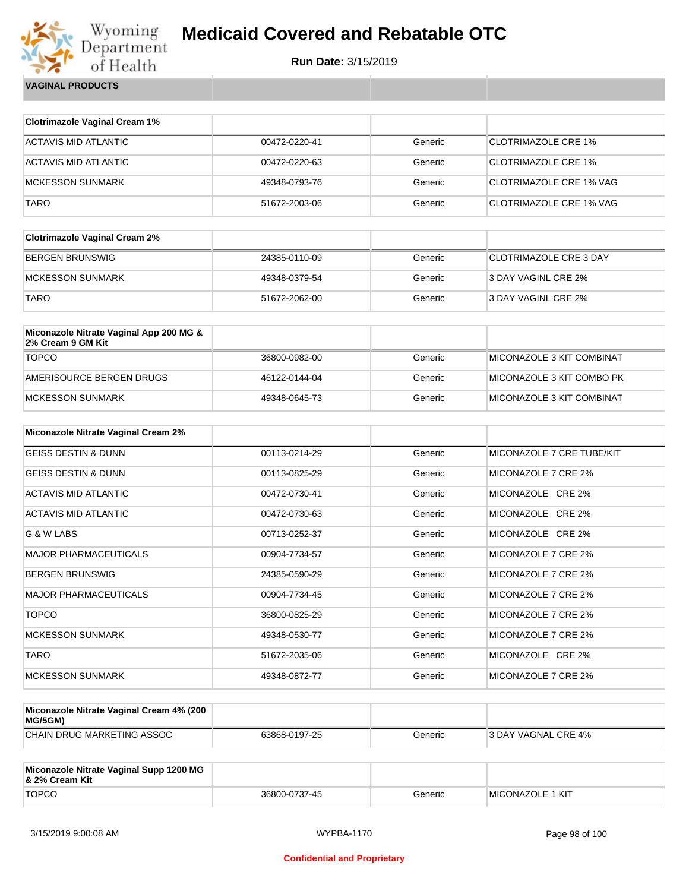

| <b>VAGINAL PRODUCTS</b> |
|-------------------------|
|                         |

| <b>Clotrimazole Vaginal Cream 1%</b>                         |               |         |                                |
|--------------------------------------------------------------|---------------|---------|--------------------------------|
| <b>ACTAVIS MID ATLANTIC</b>                                  | 00472-0220-41 | Generic | <b>CLOTRIMAZOLE CRE 1%</b>     |
| <b>ACTAVIS MID ATLANTIC</b>                                  | 00472-0220-63 | Generic | <b>CLOTRIMAZOLE CRE 1%</b>     |
| <b>MCKESSON SUNMARK</b>                                      | 49348-0793-76 | Generic | <b>CLOTRIMAZOLE CRE 1% VAG</b> |
| <b>TARO</b>                                                  | 51672-2003-06 | Generic | <b>CLOTRIMAZOLE CRE 1% VAG</b> |
|                                                              |               |         |                                |
| <b>Clotrimazole Vaginal Cream 2%</b>                         |               |         |                                |
| <b>BERGEN BRUNSWIG</b>                                       | 24385-0110-09 | Generic | <b>CLOTRIMAZOLE CRE 3 DAY</b>  |
| <b>MCKESSON SUNMARK</b>                                      | 49348-0379-54 | Generic | 3 DAY VAGINL CRE 2%            |
| <b>TARO</b>                                                  | 51672-2062-00 | Generic | 3 DAY VAGINL CRE 2%            |
|                                                              |               |         |                                |
| Miconazole Nitrate Vaginal App 200 MG &<br>2% Cream 9 GM Kit |               |         |                                |
| <b>TOPCO</b>                                                 | 36800-0982-00 | Generic | MICONAZOLE 3 KIT COMBINAT      |
| AMERISOURCE BERGEN DRUGS                                     | 46122-0144-04 | Generic | MICONAZOLE 3 KIT COMBO PK      |
| <b>MCKESSON SUNMARK</b>                                      | 49348-0645-73 | Generic | MICONAZOLE 3 KIT COMBINAT      |
|                                                              |               |         |                                |
| Miconazole Nitrate Vaginal Cream 2%                          |               |         |                                |
| <b>GEISS DESTIN &amp; DUNN</b>                               | 00113-0214-29 | Generic | MICONAZOLE 7 CRE TUBE/KIT      |
| <b>GEISS DESTIN &amp; DUNN</b>                               | 00113-0825-29 | Generic | MICONAZOLE 7 CRE 2%            |

| <b>GEISS DESTIN &amp; DUNN</b> | 00113-0825-29 | Generic | MICONAZOLE 7 CRE 2% |
|--------------------------------|---------------|---------|---------------------|
| <b>ACTAVIS MID ATLANTIC</b>    | 00472-0730-41 | Generic | MICONAZOLE CRE 2%   |
| ACTAVIS MID ATLANTIC           | 00472-0730-63 | Generic | MICONAZOLE CRE 2%   |
| G & W LABS                     | 00713-0252-37 | Generic | MICONAZOLE CRE 2%   |
| <b>MAJOR PHARMACEUTICALS</b>   | 00904-7734-57 | Generic | MICONAZOLE 7 CRE 2% |
| <b>BERGEN BRUNSWIG</b>         | 24385-0590-29 | Generic | MICONAZOLE 7 CRE 2% |
| <b>MAJOR PHARMACEUTICALS</b>   | 00904-7734-45 | Generic | MICONAZOLE 7 CRE 2% |
| <b>TOPCO</b>                   | 36800-0825-29 | Generic | MICONAZOLE 7 CRE 2% |
| <b>MCKESSON SUNMARK</b>        | 49348-0530-77 | Generic | MICONAZOLE 7 CRE 2% |
| <b>TARO</b>                    | 51672-2035-06 | Generic | MICONAZOLE CRE 2%   |
| <b>MCKESSON SUNMARK</b>        | 49348-0872-77 | Generic | MICONAZOLE 7 CRE 2% |

| Miconazole Nitrate Vaginal Cream 4% (200<br>MG/5GM) |               |         |                     |
|-----------------------------------------------------|---------------|---------|---------------------|
| CHAIN DRUG MARKETING ASSOC                          | 63868-0197-25 | Generic | 3 DAY VAGNAL CRE 4% |

| Miconazole Nitrate Vaginal Supp 1200 MG<br>8. 2% Cream Kit |               |         |                          |
|------------------------------------------------------------|---------------|---------|--------------------------|
| <b>TOPCO</b>                                               | 36800-0737-45 | Generic | <b>IMICONAZOLE 1 KIT</b> |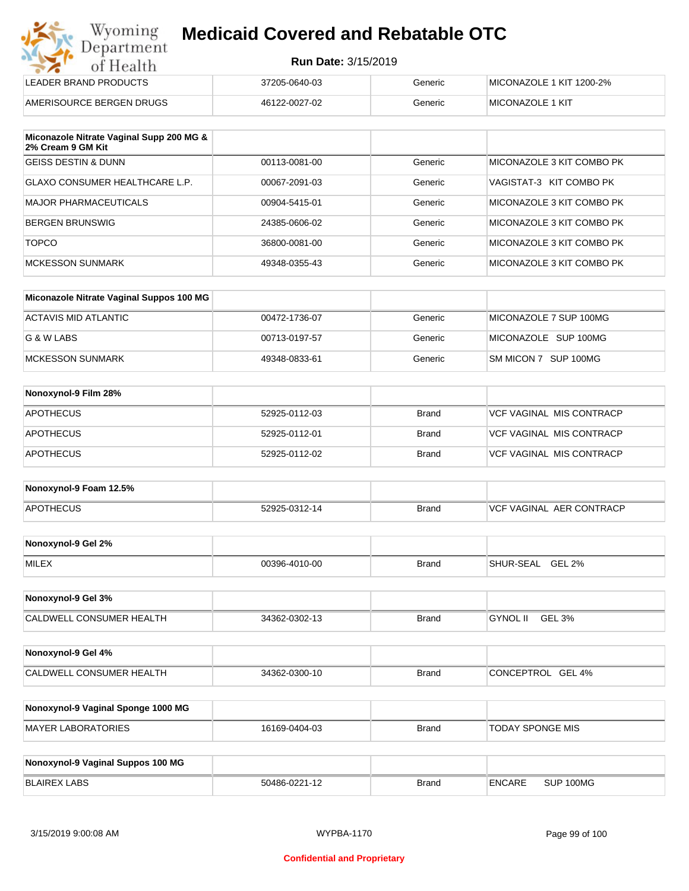| Wyoming    |
|------------|
| Department |
| of Health  |
|            |

| LEADER BRAND PRODUCTS    | 37205-0640-03 | Generic | MICONAZOLE 1 KIT 1200-2% |
|--------------------------|---------------|---------|--------------------------|
| AMERISOURCE BERGEN DRUGS | 46122-0027-02 | Generic | MICONAZOLE 1 KIT         |

| Miconazole Nitrate Vaginal Supp 200 MG &<br>2% Cream 9 GM Kit |               |         |                           |
|---------------------------------------------------------------|---------------|---------|---------------------------|
| <b>GEISS DESTIN &amp; DUNN</b>                                | 00113-0081-00 | Generic | MICONAZOLE 3 KIT COMBO PK |
| GLAXO CONSUMER HEALTHCARE L.P.                                | 00067-2091-03 | Generic | VAGISTAT-3 KIT COMBO PK   |
| MAJOR PHARMACEUTICALS                                         | 00904-5415-01 | Generic | MICONAZOLE 3 KIT COMBO PK |
| BERGEN BRUNSWIG                                               | 24385-0606-02 | Generic | MICONAZOLE 3 KIT COMBO PK |
| <b>TOPCO</b>                                                  | 36800-0081-00 | Generic | MICONAZOLE 3 KIT COMBO PK |
| <b>MCKESSON SUNMARK</b>                                       | 49348-0355-43 | Generic | MICONAZOLE 3 KIT COMBO PK |

| Miconazole Nitrate Vaginal Suppos 100 MG |               |         |                        |
|------------------------------------------|---------------|---------|------------------------|
| ACTAVIS MID ATLANTIC                     | 00472-1736-07 | Generic | MICONAZOLE 7 SUP 100MG |
| G & W LABS                               | 00713-0197-57 | Generic | MICONAZOLE SUP 100MG   |
| MCKESSON SUNMARK                         | 49348-0833-61 | Generic | SM MICON 7 SUP 100MG   |

| Nonoxynol-9 Film 28% |               |              |                          |
|----------------------|---------------|--------------|--------------------------|
| <b>APOTHECUS</b>     | 52925-0112-03 | <b>Brand</b> | VCF VAGINAL MIS CONTRACP |
| <b>APOTHECUS</b>     | 52925-0112-01 | <b>Brand</b> | VCF VAGINAL MIS CONTRACP |
| <b>APOTHECUS</b>     | 52925-0112-02 | <b>Brand</b> | VCF VAGINAL MIS CONTRACP |

| Nonoxynol-9 Foam 12.5% |               |              |                                  |
|------------------------|---------------|--------------|----------------------------------|
| <b>APOTHECUS</b>       | 52925-0312-14 | <b>Brand</b> | <b>IVCF VAGINAL AER CONTRACP</b> |

| Nonoxynol-9 Gel 2% |               |       |                            |
|--------------------|---------------|-------|----------------------------|
| <b>MILEX</b>       | 00396-4010-00 | Brand | <b>GEL 2%</b><br>SHUR-SEAL |

| Nonoxynol-9 Gel 3%              |               |       |                           |  |
|---------------------------------|---------------|-------|---------------------------|--|
| <b>CALDWELL CONSUMER HEALTH</b> | 34362-0302-13 | Brand | <b>GYNOL II</b><br>GEL 3% |  |

| Nonoxynol-9 Gel 4%       |               |              |                             |
|--------------------------|---------------|--------------|-----------------------------|
| CALDWELL CONSUMER HEALTH | 34362-0300-10 | <b>Brand</b> | GEL 4%<br><b>CONCEPTROL</b> |

| Nonoxynol-9 Vaginal Sponge 1000 MG |               |       |                  |
|------------------------------------|---------------|-------|------------------|
| MAYER LABORATORIES                 | 16169-0404-03 | Brand | TODAY SPONGE MIS |

| Nonoxynol-9 Vaginal Suppos 100 MG |               |              |        |           |
|-----------------------------------|---------------|--------------|--------|-----------|
| BLAIREX LABS                      | 50486-0221-12 | <b>Brand</b> | ENCARE | SUP 100MG |